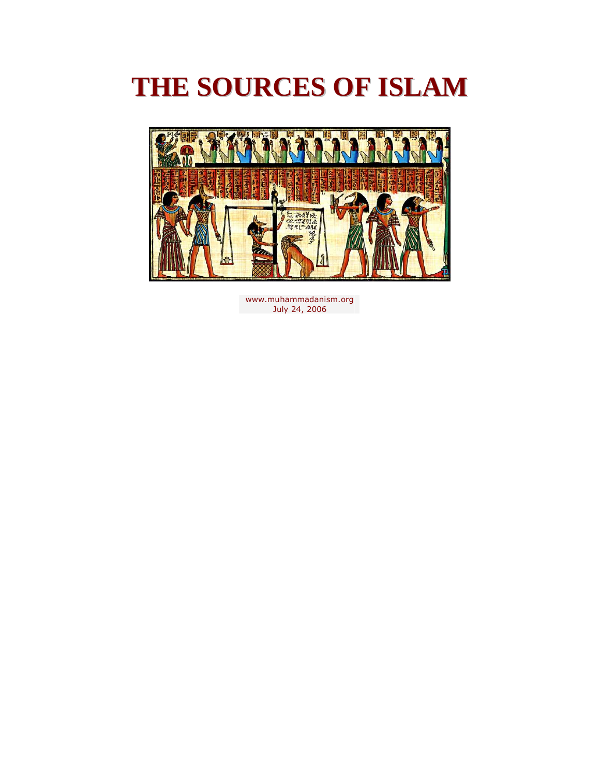

[www.muhammadanism.org](http://www.muhammadanism.org/)  July 24, 2006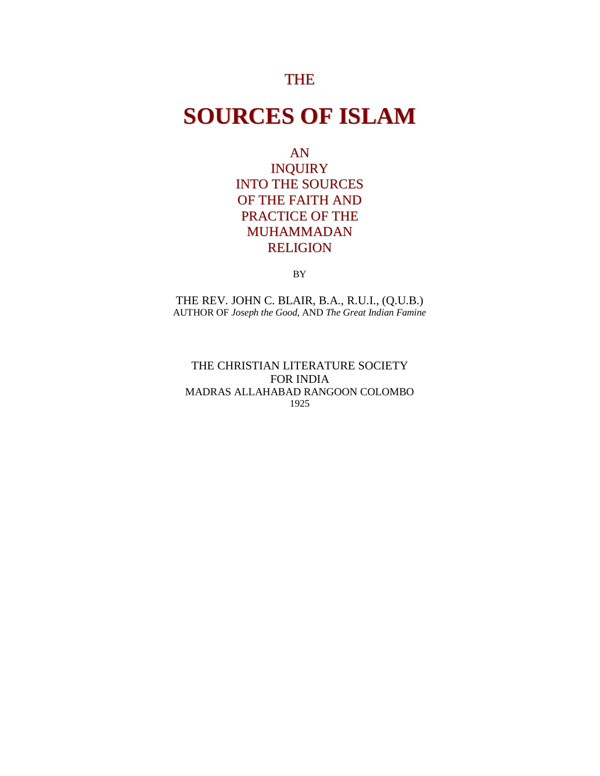## THE

## **SOURCES OF ISLAM**

AN

INQUIRY INTO THE SOURCES OF THE FAITH AND PRACTICE OF THE MUHAMMADAN RELIGION

BY

THE REV. JOHN C. BLAIR, B.A., R.U.I., (Q.U.B.) AUTHOR OF *Joseph the Good,* AND *The Great Indian Famine* 

THE CHRISTIAN LITERATURE SOCIETY FOR INDIA MADRAS ALLAHABAD RANGOON COLOMBO 1925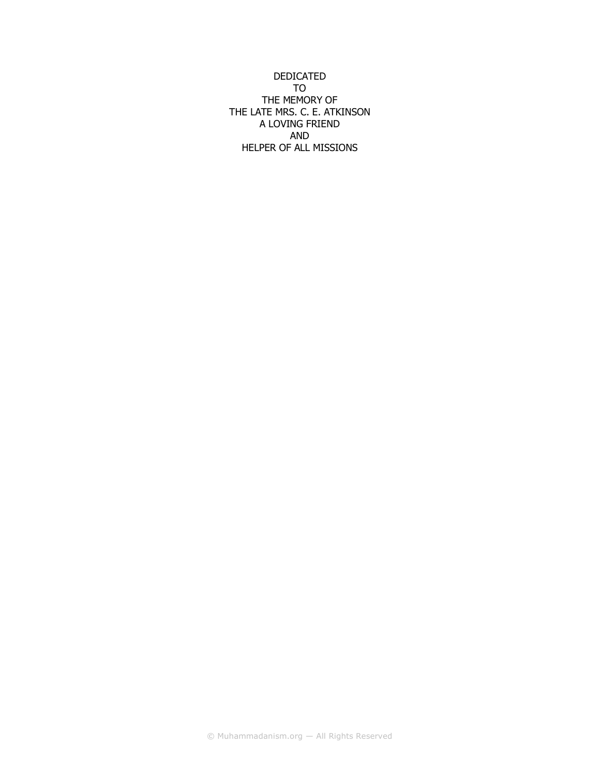DEDICATED TO THE MEMORY OF THE LATE MRS. C. E. ATKINSON A LOVING FRIEND AND HELPER OF ALL MISSIONS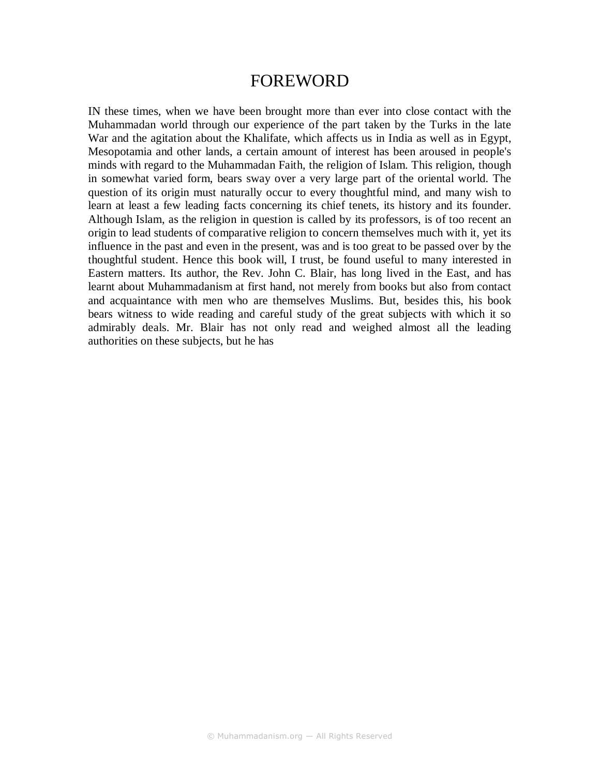## FOREWORD

IN these times, when we have been brought more than ever into close contact with the Muhammadan world through our experience of the part taken by the Turks in the late War and the agitation about the Khalifate, which affects us in India as well as in Egypt, Mesopotamia and other lands, a certain amount of interest has been aroused in people's minds with regard to the Muhammadan Faith, the religion of Islam. This religion, though in somewhat varied form, bears sway over a very large part of the oriental world. The question of its origin must naturally occur to every thoughtful mind, and many wish to learn at least a few leading facts concerning its chief tenets, its history and its founder. Although Islam, as the religion in question is called by its professors, is of too recent an origin to lead students of comparative religion to concern themselves much with it, yet its influence in the past and even in the present, was and is too great to be passed over by the thoughtful student. Hence this book will, I trust, be found useful to many interested in Eastern matters. Its author, the Rev. John C. Blair, has long lived in the East, and has learnt about Muhammadanism at first hand, not merely from books but also from contact and acquaintance with men who are themselves Muslims. But, besides this, his book bears witness to wide reading and careful study of the great subjects with which it so admirably deals. Mr. Blair has not only read and weighed almost all the leading authorities on these subjects, but he has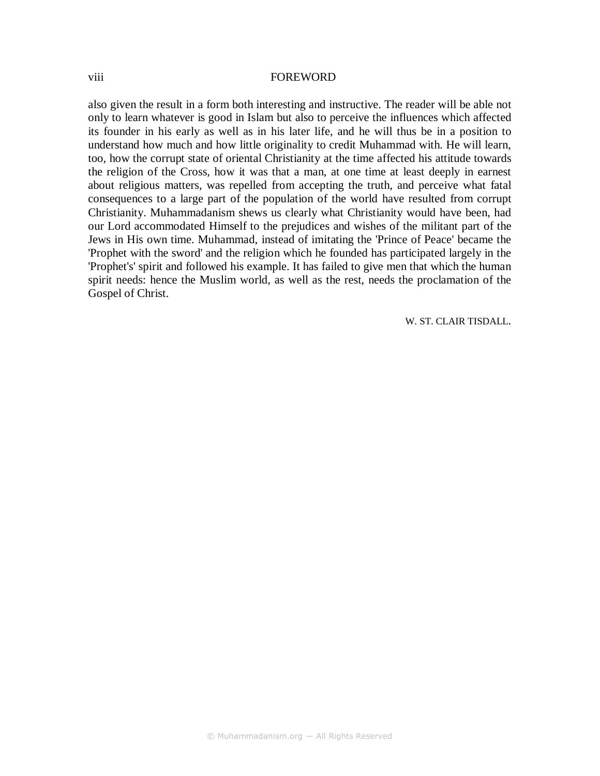#### viii FOREWORD

also given the result in a form both interesting and instructive. The reader will be able not only to learn whatever is good in Islam but also to perceive the influences which affected its founder in his early as well as in his later life, and he will thus be in a position to understand how much and how little originality to credit Muhammad with. He will learn, too, how the corrupt state of oriental Christianity at the time affected his attitude towards the religion of the Cross, how it was that a man, at one time at least deeply in earnest about religious matters, was repelled from accepting the truth, and perceive what fatal consequences to a large part of the population of the world have resulted from corrupt Christianity. Muhammadanism shews us clearly what Christianity would have been, had our Lord accommodated Himself to the prejudices and wishes of the militant part of the Jews in His own time. Muhammad, instead of imitating the 'Prince of Peace' became the 'Prophet with the sword' and the religion which he founded has participated largely in the 'Prophet's' spirit and followed his example. It has failed to give men that which the human spirit needs: hence the Muslim world, as well as the rest, needs the proclamation of the Gospel of Christ.

W. ST. CLAIR TISDALL.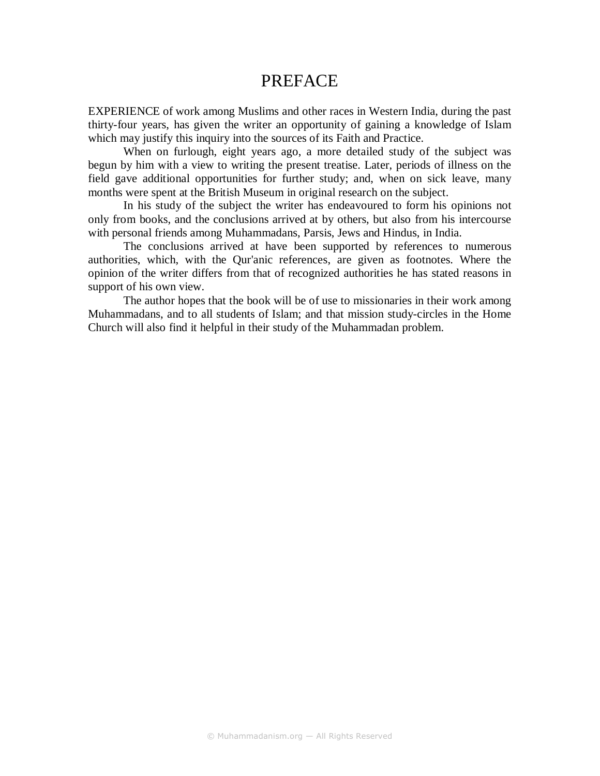## PREFACE

EXPERIENCE of work among Muslims and other races in Western India, during the past thirty-four years, has given the writer an opportunity of gaining a knowledge of Islam which may justify this inquiry into the sources of its Faith and Practice.

When on furlough, eight years ago, a more detailed study of the subject was begun by him with a view to writing the present treatise. Later, periods of illness on the field gave additional opportunities for further study; and, when on sick leave, many months were spent at the British Museum in original research on the subject.

In his study of the subject the writer has endeavoured to form his opinions not only from books, and the conclusions arrived at by others, but also from his intercourse with personal friends among Muhammadans, Parsis, Jews and Hindus, in India.

The conclusions arrived at have been supported by references to numerous authorities, which, with the Qur'anic references, are given as footnotes. Where the opinion of the writer differs from that of recognized authorities he has stated reasons in support of his own view.

The author hopes that the book will be of use to missionaries in their work among Muhammadans, and to all students of Islam; and that mission study-circles in the Home Church will also find it helpful in their study of the Muhammadan problem.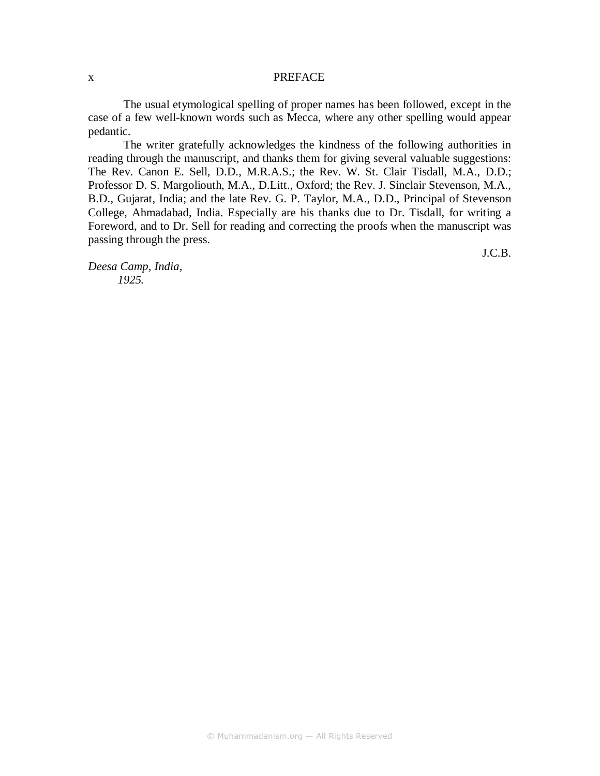#### x PREFACE

The usual etymological spelling of proper names has been followed, except in the case of a few well-known words such as Mecca, where any other spelling would appear pedantic.

The writer gratefully acknowledges the kindness of the following authorities in reading through the manuscript, and thanks them for giving several valuable suggestions: The Rev. Canon E. Sell, D.D., M.R.A.S.; the Rev. W. St. Clair Tisdall, M.A., D.D.; Professor D. S. Margoliouth, M.A., D.Litt., Oxford; the Rev. J. Sinclair Stevenson, M.A., B.D., Gujarat, India; and the late Rev. G. P. Taylor, M.A., D.D., Principal of Stevenson College, Ahmadabad, India. Especially are his thanks due to Dr. Tisdall, for writing a Foreword, and to Dr. Sell for reading and correcting the proofs when the manuscript was passing through the press.

*Deesa Camp, India, 1925.* 

J.C.B.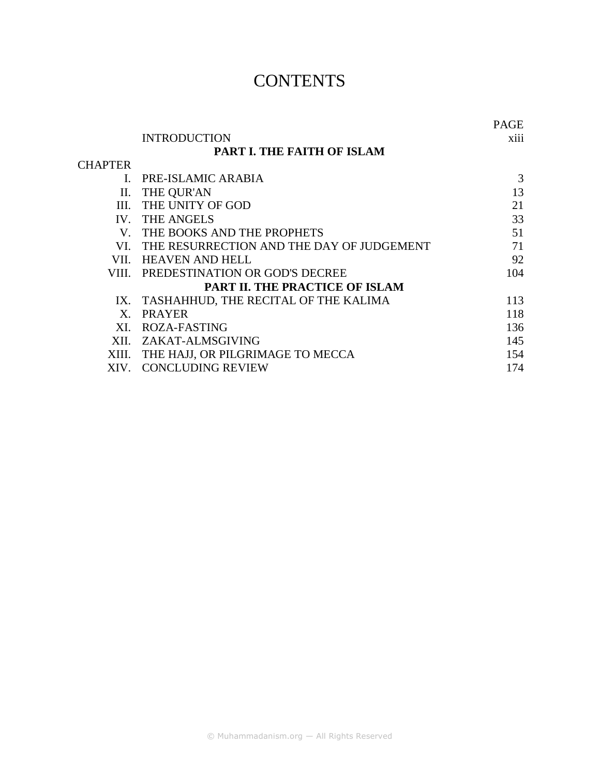## **CONTENTS**

|                                       |                                           | PAGE |
|---------------------------------------|-------------------------------------------|------|
|                                       | <b>INTRODUCTION</b>                       | X111 |
|                                       | <b>PART I. THE FAITH OF ISLAM</b>         |      |
| <b>CHAPTER</b>                        |                                           |      |
|                                       | PRE-ISLAMIC ARABIA                        | 3    |
|                                       | II. THE QUR'AN                            | 13   |
|                                       | III. THE UNITY OF GOD                     | 21   |
|                                       | IV. THE ANGELS                            | 33   |
|                                       | V. THE BOOKS AND THE PROPHETS             | 51   |
| VL.                                   | THE RESURRECTION AND THE DAY OF JUDGEMENT | 71   |
|                                       | VII. HEAVEN AND HELL                      | 92   |
|                                       | VIII. PREDESTINATION OR GOD'S DECREE      | 104  |
| <b>PART II. THE PRACTICE OF ISLAM</b> |                                           |      |
|                                       | IX. TASHAHHUD, THE RECITAL OF THE KALIMA  | 113  |
| $\mathbf{X}$                          | <b>PRAYER</b>                             | 118  |
| XL.                                   | ROZA-FASTING                              | 136  |
|                                       | XII. ZAKAT-ALMSGIVING                     | 145  |
| XIII.                                 | THE HAJJ, OR PILGRIMAGE TO MECCA          | 154  |
| XIV.                                  | <b>CONCLUDING REVIEW</b>                  | 174  |
|                                       |                                           |      |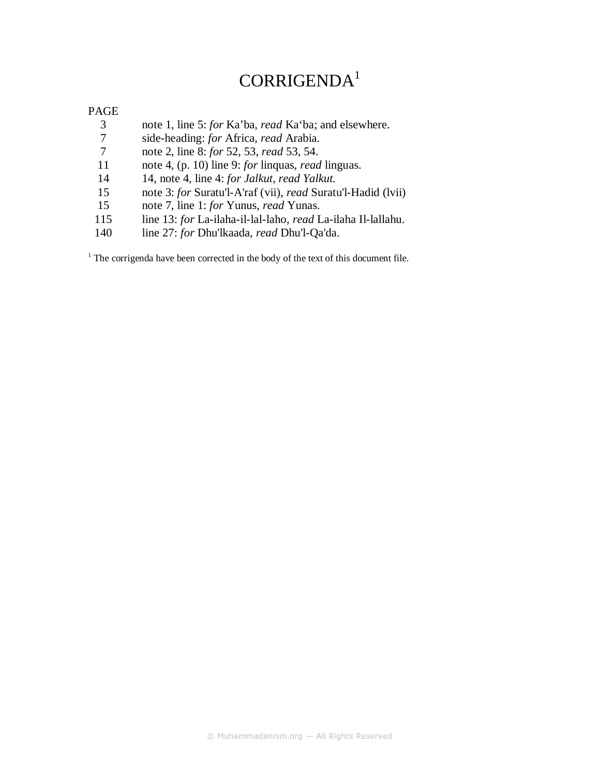## CORRIGENDA<sup>1</sup>

#### PAGE

- 3 note 1, line 5: *for* Ka'ba, *read* Ka'ba; and elsewhere.<br>7 side-heading: *for* Africa, *read* Arabia.
- 7 side-heading: *for* Africa, *read* Arabia.
- 7 note 2, line 8: *for* 52, 53, *read* 53, 54.
- 11 note 4, (p. 10) line 9: *for* linquas, *read* linguas.
- 14 14, note 4, line 4: *for Jalkut, read Yalkut.*
- 15 note 3: *for* Suratu'l-A'raf (vii), *read* Suratu'l-Hadid (lvii)
- 15 note 7, line 1: *for* Yunus, *read* Yunas.
- 115 line 13: *for* La-ilaha-il-lal-laho, *read* La-ilaha Il-lallahu.<br>140 line 27: *for* Dhu'lkaada, *read* Dhu'l-Oa'da.
- 140 line 27: *for* Dhu'lkaada, *read* Dhu'l-Qa'da.

 $1$ <sup>1</sup> The corrigenda have been corrected in the body of the text of this document file.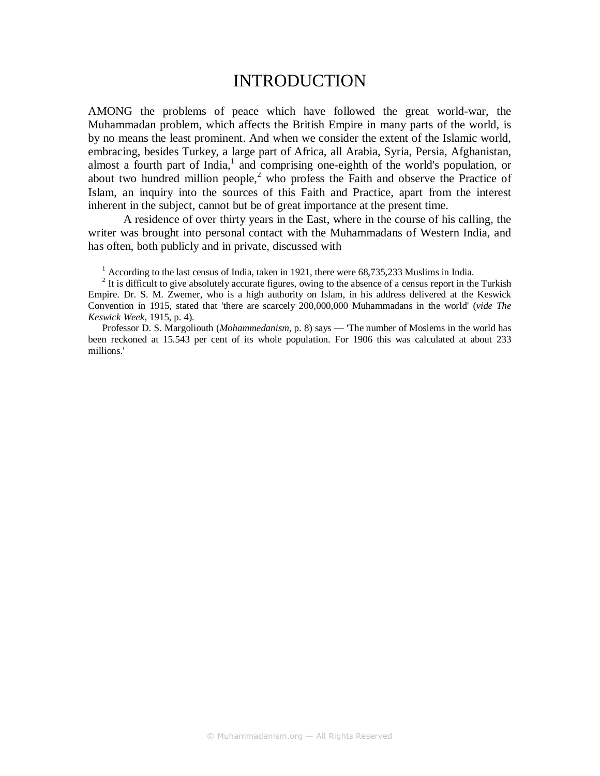## INTRODUCTION

AMONG the problems of peace which have followed the great world-war, the Muhammadan problem, which affects the British Empire in many parts of the world, is by no means the least prominent. And when we consider the extent of the Islamic world, embracing, besides Turkey, a large part of Africa, all Arabia, Syria, Persia, Afghanistan, almost a fourth part of India, $<sup>1</sup>$  and comprising one-eighth of the world's population, or</sup> about two hundred million people, $2$  who profess the Faith and observe the Practice of Islam, an inquiry into the sources of this Faith and Practice, apart from the interest inherent in the subject, cannot but be of great importance at the present time.

A residence of over thirty years in the East, where in the course of his calling, the writer was brought into personal contact with the Muhammadans of Western India, and has often, both publicly and in private, discussed with

 $1$  According to the last census of India, taken in 1921, there were 68,735,233 Muslims in India.

 $2<sup>2</sup>$  It is difficult to give absolutely accurate figures, owing to the absence of a census report in the Turkish Empire. Dr. S. M. Zwemer, who is a high authority on Islam, in his address delivered at the Keswick Convention in 1915, stated that 'there are scarcely 200,000,000 Muhammadans in the world' (*vide The Keswick Week*, 1915, p. 4).

Professor D. S. Margoliouth (*Mohammedanism*, p. 8) says — 'The number of Moslems in the world has been reckoned at 15.543 per cent of its whole population. For 1906 this was calculated at about 233 millions.'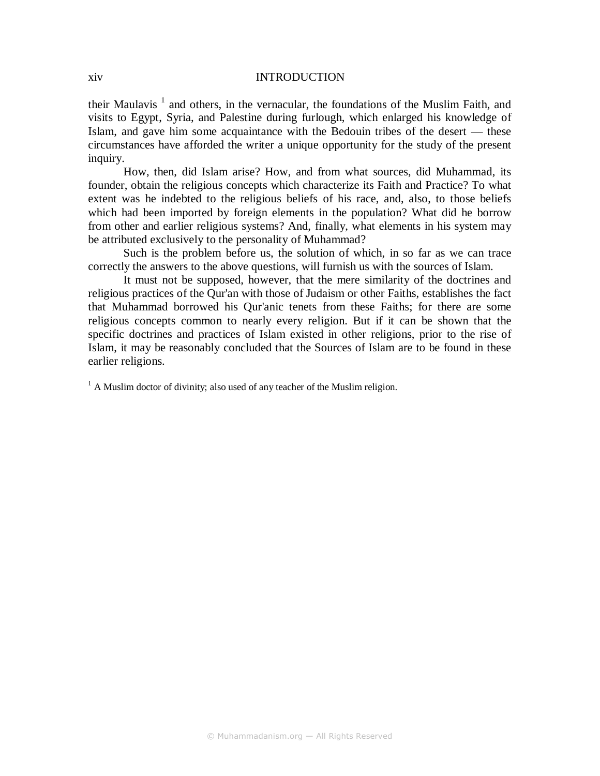#### xiv INTRODUCTION

their Maulavis<sup>1</sup> and others, in the vernacular, the foundations of the Muslim Faith, and visits to Egypt, Syria, and Palestine during furlough, which enlarged his knowledge of Islam, and gave him some acquaintance with the Bedouin tribes of the desert — these circumstances have afforded the writer a unique opportunity for the study of the present inquiry.

How, then, did Islam arise? How, and from what sources, did Muhammad, its founder, obtain the religious concepts which characterize its Faith and Practice? To what extent was he indebted to the religious beliefs of his race, and, also, to those beliefs which had been imported by foreign elements in the population? What did he borrow from other and earlier religious systems? And, finally, what elements in his system may be attributed exclusively to the personality of Muhammad?

Such is the problem before us, the solution of which, in so far as we can trace correctly the answers to the above questions, will furnish us with the sources of Islam.

It must not be supposed, however, that the mere similarity of the doctrines and religious practices of the Qur'an with those of Judaism or other Faiths, establishes the fact that Muhammad borrowed his Qur'anic tenets from these Faiths; for there are some religious concepts common to nearly every religion. But if it can be shown that the specific doctrines and practices of Islam existed in other religions, prior to the rise of Islam, it may be reasonably concluded that the Sources of Islam are to be found in these earlier religions.

 $<sup>1</sup>$  A Muslim doctor of divinity; also used of any teacher of the Muslim religion.</sup>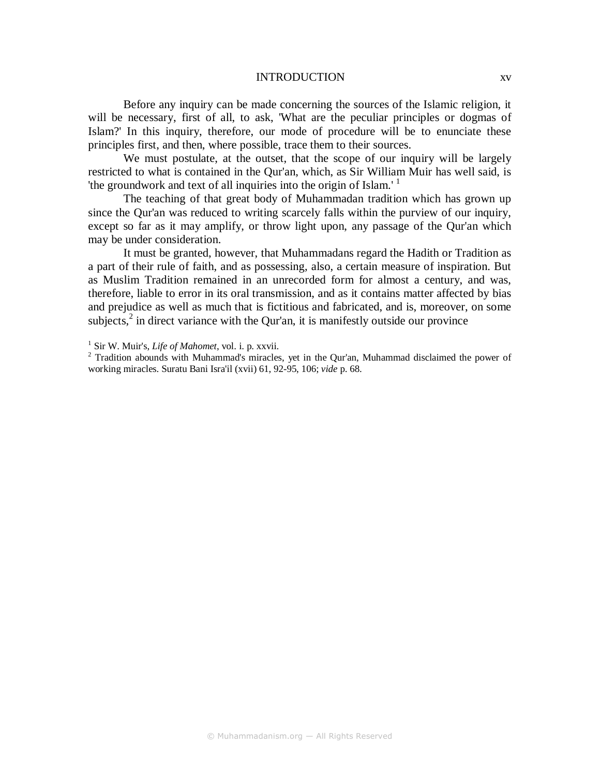#### INTRODUCTION xv

Before any inquiry can be made concerning the sources of the Islamic religion, it will be necessary, first of all, to ask, 'What are the peculiar principles or dogmas of Islam?' In this inquiry, therefore, our mode of procedure will be to enunciate these principles first, and then, where possible, trace them to their sources.

We must postulate, at the outset, that the scope of our inquiry will be largely restricted to what is contained in the Qur'an, which, as Sir William Muir has well said, is 'the groundwork and text of all inquiries into the origin of Islam.' <sup>1</sup>

The teaching of that great body of Muhammadan tradition which has grown up since the Qur'an was reduced to writing scarcely falls within the purview of our inquiry, except so far as it may amplify, or throw light upon, any passage of the Qur'an which may be under consideration.

It must be granted, however, that Muhammadans regard the Hadith or Tradition as a part of their rule of faith, and as possessing, also, a certain measure of inspiration. But as Muslim Tradition remained in an unrecorded form for almost a century, and was, therefore, liable to error in its oral transmission, and as it contains matter affected by bias and prejudice as well as much that is fictitious and fabricated, and is, moreover, on some subjects, $<sup>2</sup>$  in direct variance with the Qur'an, it is manifestly outside our province</sup>

<sup>1</sup> Sir W. Muir's, *Life of Mahomet*, vol. i. p. xxvii.

<sup>&</sup>lt;sup>2</sup> Tradition abounds with Muhammad's miracles, yet in the Qur'an, Muhammad disclaimed the power of working miracles. Suratu Bani Isra'il (xvii) 61, 92-95, 106; *vide* p. 68.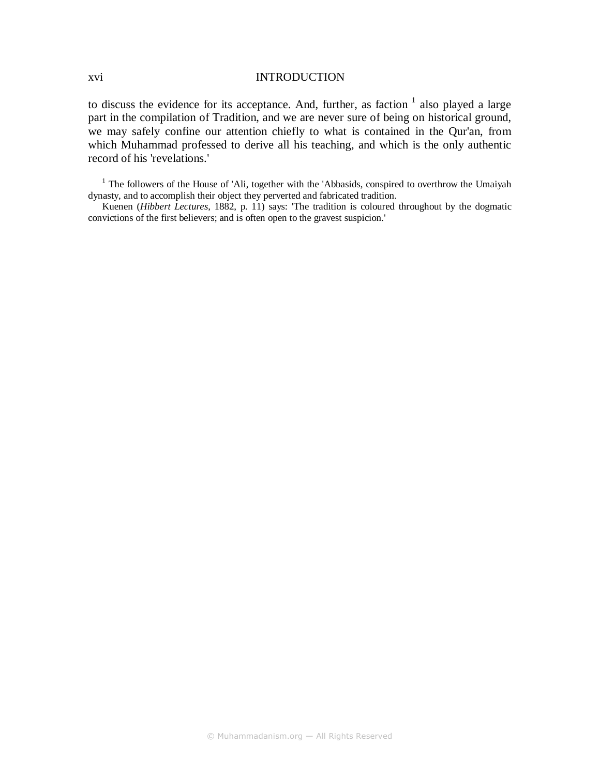#### xvi INTRODUCTION

to discuss the evidence for its acceptance. And, further, as faction  $1$  also played a large part in the compilation of Tradition, and we are never sure of being on historical ground, we may safely confine our attention chiefly to what is contained in the Qur'an, from which Muhammad professed to derive all his teaching, and which is the only authentic record of his 'revelations.'

<sup>1</sup> The followers of the House of 'Ali, together with the 'Abbasids, conspired to overthrow the Umaiyah dynasty, and to accomplish their object they perverted and fabricated tradition.

Kuenen (*Hibbert Lectures*, 1882, p. 11) says: 'The tradition is coloured throughout by the dogmatic convictions of the first believers; and is often open to the gravest suspicion.'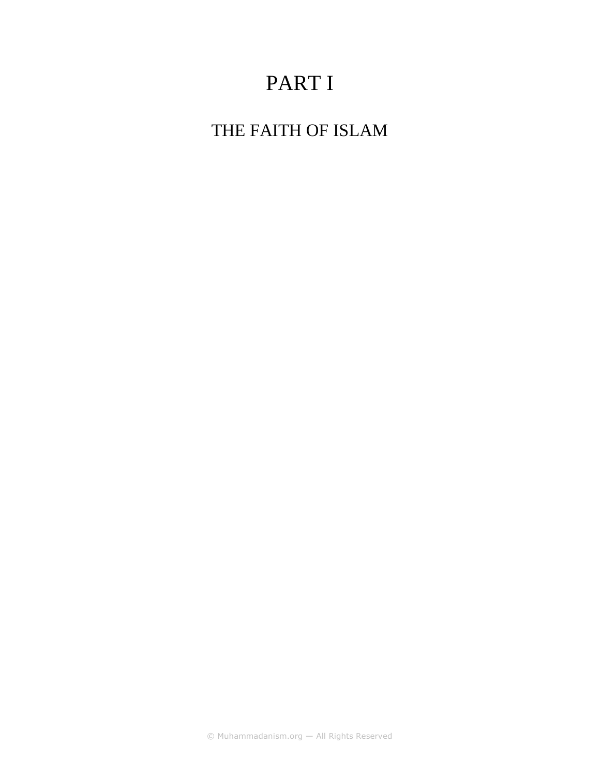# PART I

THE FAITH OF ISLAM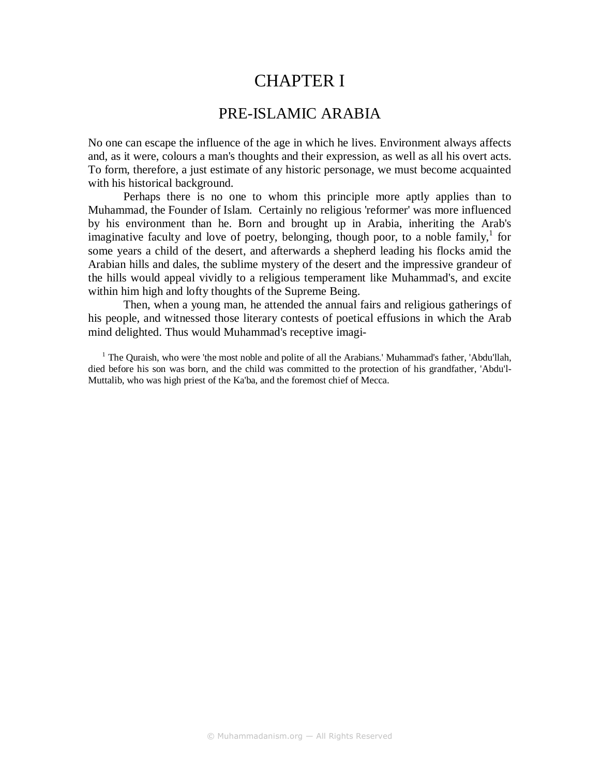## CHAPTER I

### PRE-ISLAMIC ARABIA

No one can escape the influence of the age in which he lives. Environment always affects and, as it were, colours a man's thoughts and their expression, as well as all his overt acts. To form, therefore, a just estimate of any historic personage, we must become acquainted with his historical background.

Perhaps there is no one to whom this principle more aptly applies than to Muhammad, the Founder of Islam. Certainly no religious 'reformer' was more influenced by his environment than he. Born and brought up in Arabia, inheriting the Arab's imaginative faculty and love of poetry, belonging, though poor, to a noble family,<sup>1</sup> for some years a child of the desert, and afterwards a shepherd leading his flocks amid the Arabian hills and dales, the sublime mystery of the desert and the impressive grandeur of the hills would appeal vividly to a religious temperament like Muhammad's, and excite within him high and lofty thoughts of the Supreme Being.

Then, when a young man, he attended the annual fairs and religious gatherings of his people, and witnessed those literary contests of poetical effusions in which the Arab mind delighted. Thus would Muhammad's receptive imagi-

<sup>1</sup> The Quraish, who were 'the most noble and polite of all the Arabians.' Muhammad's father, 'Abdu'llah, died before his son was born, and the child was committed to the protection of his grandfather, 'Abdu'l-Muttalib, who was high priest of the Ka'ba, and the foremost chief of Mecca.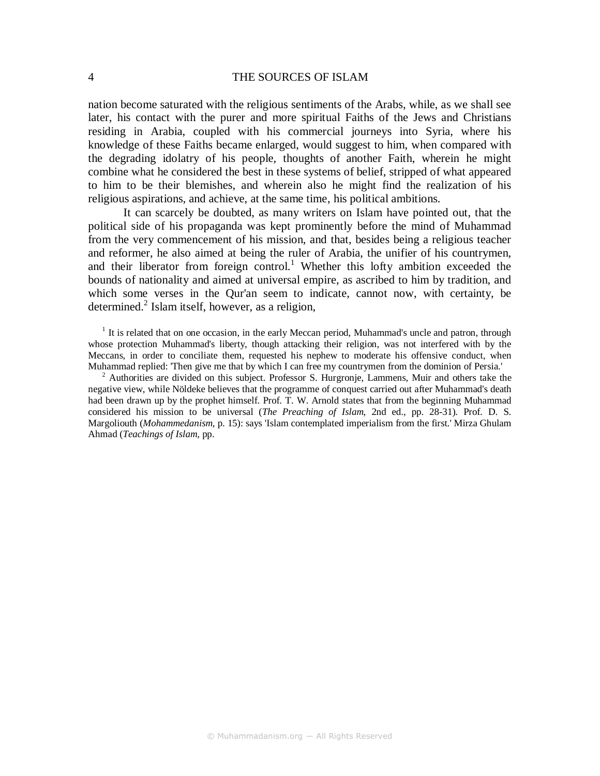nation become saturated with the religious sentiments of the Arabs, while, as we shall see later, his contact with the purer and more spiritual Faiths of the Jews and Christians residing in Arabia, coupled with his commercial journeys into Syria, where his knowledge of these Faiths became enlarged, would suggest to him, when compared with the degrading idolatry of his people, thoughts of another Faith, wherein he might combine what he considered the best in these systems of belief, stripped of what appeared to him to be their blemishes, and wherein also he might find the realization of his religious aspirations, and achieve, at the same time, his political ambitions.

It can scarcely be doubted, as many writers on Islam have pointed out, that the political side of his propaganda was kept prominently before the mind of Muhammad from the very commencement of his mission, and that, besides being a religious teacher and reformer, he also aimed at being the ruler of Arabia, the unifier of his countrymen, and their liberator from foreign control.<sup>1</sup> Whether this lofty ambition exceeded the bounds of nationality and aimed at universal empire, as ascribed to him by tradition, and which some verses in the Qur'an seem to indicate, cannot now, with certainty, be determined.<sup>2</sup> Islam itself, however, as a religion,

<sup>1</sup> It is related that on one occasion, in the early Meccan period, Muhammad's uncle and patron, through whose protection Muhammad's liberty, though attacking their religion, was not interfered with by the Meccans, in order to conciliate them, requested his nephew to moderate his offensive conduct, when Muhammad replied: 'Then give me that by which I can free my countrymen from the dominion of Persia.'

<sup>2</sup> Authorities are divided on this subject. Professor S. Hurgronje, Lammens, Muir and others take the negative view, while Nöldeke believes that the programme of conquest carried out after Muhammad's death had been drawn up by the prophet himself. Prof. T. W. Arnold states that from the beginning Muhammad considered his mission to be universal (*The Preaching of Islam*, 2nd ed., pp. 28-31). Prof. D. S. Margoliouth (*Mohammedanism*, p. 15): says 'Islam contemplated imperialism from the first.' Mirza Ghulam Ahmad (*Teachings of Islam*, pp.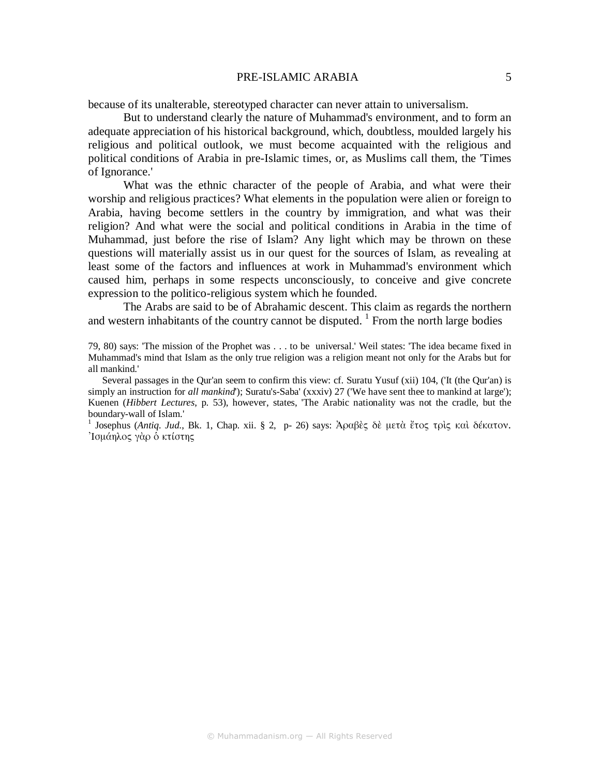#### PRE-ISLAMIC ARABIA 5

because of its unalterable, stereotyped character can never attain to universalism.

But to understand clearly the nature of Muhammad's environment, and to form an adequate appreciation of his historical background, which, doubtless, moulded largely his religious and political outlook, we must become acquainted with the religious and political conditions of Arabia in pre-Islamic times, or, as Muslims call them, the 'Times of Ignorance.'

What was the ethnic character of the people of Arabia, and what were their worship and religious practices? What elements in the population were alien or foreign to Arabia, having become settlers in the country by immigration, and what was their religion? And what were the social and political conditions in Arabia in the time of Muhammad, just before the rise of Islam? Any light which may be thrown on these questions will materially assist us in our quest for the sources of Islam, as revealing at least some of the factors and influences at work in Muhammad's environment which caused him, perhaps in some respects unconsciously, to conceive and give concrete expression to the politico-religious system which he founded.

The Arabs are said to be of Abrahamic descent. This claim as regards the northern and western inhabitants of the country cannot be disputed.<sup>1</sup> From the north large bodies

79, 80) says: 'The mission of the Prophet was . . . to be universal.' Weil states: 'The idea became fixed in Muhammad's mind that Islam as the only true religion was a religion meant not only for the Arabs but for all mankind.'

Several passages in the Qur'an seem to confirm this view: cf. Suratu Yusuf (xii) 104, ('It (the Qur'an) is simply an instruction for *all mankind*'); Suratu's-Saba' (xxxiv) 27 ('We have sent thee to mankind at large'); Kuenen (*Hibbert Lectures*, p. 53), however, states, 'The Arabic nationality was not the cradle, but the boundary-wall of Islam.'

1 Josephus (*Antiq. Jud*., Bk. 1, Chap. xii. § 2, p- 26) says: Ἀραβὲς δὲ µετὰ ἔτος τρὶς καὶ δέκατον. Ἰσµάηλος γὰρ ὁ κτίστης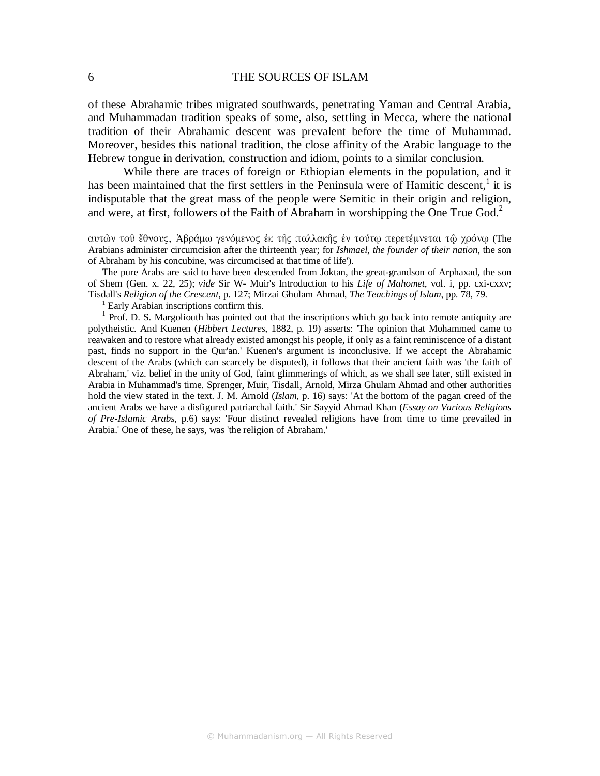of these Abrahamic tribes migrated southwards, penetrating Yaman and Central Arabia, and Muhammadan tradition speaks of some, also, settling in Mecca, where the national tradition of their Abrahamic descent was prevalent before the time of Muhammad. Moreover, besides this national tradition, the close affinity of the Arabic language to the Hebrew tongue in derivation, construction and idiom, points to a similar conclusion.

While there are traces of foreign or Ethiopian elements in the population, and it has been maintained that the first settlers in the Peninsula were of Hamitic descent, $<sup>1</sup>$  it is</sup> indisputable that the great mass of the people were Semitic in their origin and religion, and were, at first, followers of the Faith of Abraham in worshipping the One True  $Good<sup>2</sup>$ 

αυτῶν τοῦ ἔθνους, Ἀβράµω γενόµενος ἐκ τῆς παλλακῆς ἐν τούτῳ περετέµνεται τῷ χρόνῳ (The Arabians administer circumcision after the thirteenth year; for *Ishmael, the founder of their nation,* the son of Abraham by his concubine, was circumcised at that time of life').

The pure Arabs are said to have been descended from Joktan, the great-grandson of Arphaxad, the son of Shem (Gen. x. 22, 25); *vide* Sir W- Muir's Introduction to his *Life of Mahomet*, vol. i, pp. cxi-cxxv; Tisdall's *Religion of the Crescent*, p. 127; Mirzai Ghulam Ahmad, *The Teachings of Islam*, pp. 78, 79.

<sup>1</sup> Early Arabian inscriptions confirm this.

<sup>1</sup> Prof. D. S. Margoliouth has pointed out that the inscriptions which go back into remote antiquity are polytheistic. And Kuenen (*Hibbert Lectures*, 1882, p. 19) asserts: 'The opinion that Mohammed came to reawaken and to restore what already existed amongst his people, if only as a faint reminiscence of a distant past, finds no support in the Qur'an.' Kuenen's argument is inconclusive. If we accept the Abrahamic descent of the Arabs (which can scarcely be disputed), it follows that their ancient faith was 'the faith of Abraham,' viz. belief in the unity of God, faint glimmerings of which, as we shall see later, still existed in Arabia in Muhammad's time. Sprenger, Muir, Tisdall, Arnold, Mirza Ghulam Ahmad and other authorities hold the view stated in the text. J. M. Arnold (*Islam*, p. 16) says: 'At the bottom of the pagan creed of the ancient Arabs we have a disfigured patriarchal faith.' Sir Sayyid Ahmad Khan (*Essay on Various Religions of Pre-Islamic Arabs*, p.6) says: 'Four distinct revealed religions have from time to time prevailed in Arabia.' One of these, he says, was 'the religion of Abraham.'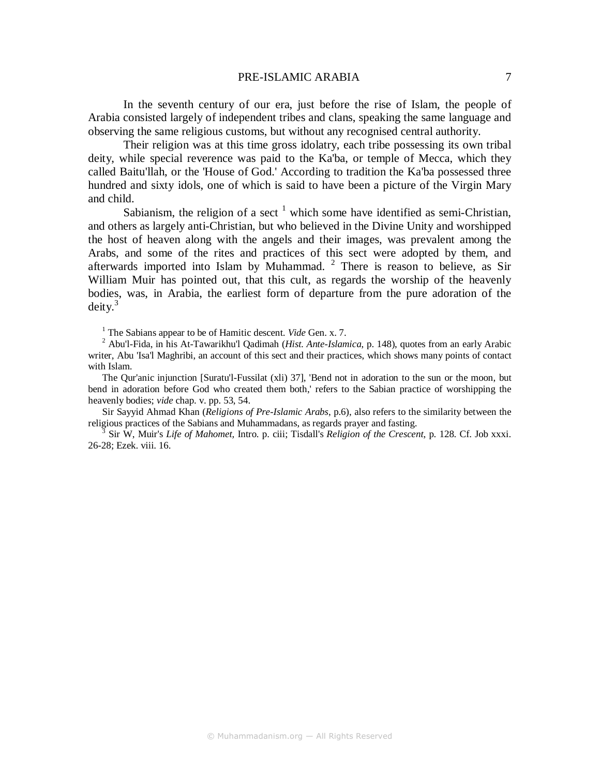#### PRE-ISLAMIC ARABIA 7

In the seventh century of our era, just before the rise of Islam, the people of Arabia consisted largely of independent tribes and clans, speaking the same language and observing the same religious customs, but without any recognised central authority.

Their religion was at this time gross idolatry, each tribe possessing its own tribal deity, while special reverence was paid to the Ka'ba, or temple of Mecca, which they called Baitu'llah, or the 'House of God.' According to tradition the Ka'ba possessed three hundred and sixty idols, one of which is said to have been a picture of the Virgin Mary and child.

Sabianism, the religion of a sect  $<sup>1</sup>$  which some have identified as semi-Christian,</sup> and others as largely anti-Christian, but who believed in the Divine Unity and worshipped the host of heaven along with the angels and their images, was prevalent among the Arabs, and some of the rites and practices of this sect were adopted by them, and afterwards imported into Islam by Muhammad.  $2$  There is reason to believe, as Sir William Muir has pointed out, that this cult, as regards the worship of the heavenly bodies, was, in Arabia, the earliest form of departure from the pure adoration of the  $deity.<sup>3</sup>$ 

<sup>1</sup> The Sabians appear to be of Hamitic descent. *Vide* Gen. x. 7.

<sup>2</sup> Abu'l-Fida, in his At-Tawarikhu'l Qadimah (*Hist. Ante-Islamica*, p. 148), quotes from an early Arabic writer, Abu 'Isa'l Maghribi, an account of this sect and their practices, which shows many points of contact with Islam.

The Qur'anic injunction [Suratu'l-Fussilat (xli) 37], 'Bend not in adoration to the sun or the moon, but bend in adoration before God who created them both,' refers to the Sabian practice of worshipping the heavenly bodies; *vide* chap. v. pp. 53, 54.

Sir Sayyid Ahmad Khan (*Religions of Pre-Islamic Arabs*, p.6), also refers to the similarity between the religious practices of the Sabians and Muhammadans, as regards prayer and fasting.

3 Sir W, Muir's *Life of Mahomet,* Intro. p. ciii; Tisdall's *Religion of the Crescent*, p. 128. Cf. Job xxxi. 26-28; Ezek. viii. 16.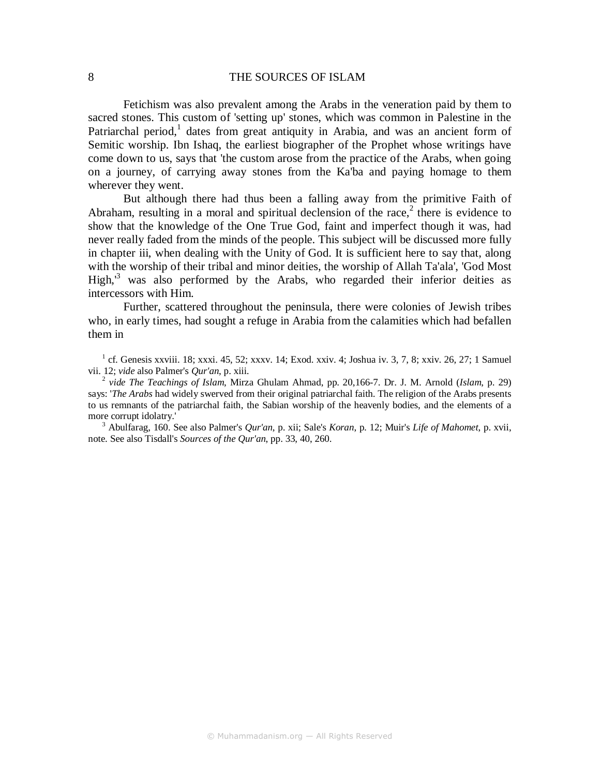Fetichism was also prevalent among the Arabs in the veneration paid by them to sacred stones. This custom of 'setting up' stones, which was common in Palestine in the Patriarchal period,<sup>1</sup> dates from great antiquity in Arabia, and was an ancient form of Semitic worship. Ibn Ishaq, the earliest biographer of the Prophet whose writings have come down to us, says that 'the custom arose from the practice of the Arabs, when going on a journey, of carrying away stones from the Ka'ba and paying homage to them wherever they went.

But although there had thus been a falling away from the primitive Faith of Abraham, resulting in a moral and spiritual declension of the race, $2$  there is evidence to show that the knowledge of the One True God, faint and imperfect though it was, had never really faded from the minds of the people. This subject will be discussed more fully in chapter iii, when dealing with the Unity of God. It is sufficient here to say that, along with the worship of their tribal and minor deities, the worship of Allah Ta'ala', 'God Most High,<sup>3</sup> was also performed by the Arabs, who regarded their inferior deities as intercessors with Him.

Further, scattered throughout the peninsula, there were colonies of Jewish tribes who, in early times, had sought a refuge in Arabia from the calamities which had befallen them in

 $1$  cf. Genesis xxviii. 18; xxxi. 45, 52; xxxv. 14; Exod. xxiv. 4; Joshua iv. 3, 7, 8; xxiv. 26, 27; 1 Samuel vii. 12; *vide* also Palmer's *Qur'an*, p. xiii.

2  *vide The Teachings of Islam*, Mirza Ghulam Ahmad, pp. 20,166-7. Dr. J. M. Arnold (*Islam*, p. 29) says: '*The Arabs* had widely swerved from their original patriarchal faith. The religion of the Arabs presents to us remnants of the patriarchal faith, the Sabian worship of the heavenly bodies, and the elements of a more corrupt idolatry.'

3 Abulfarag, 160. See also Palmer's *Qur'an*, p. xii; Sale's *Koran*, p. 12; Muir's *Life of Mahomet*, p. xvii, note. See also Tisdall's *Sources of the Qur'an*, pp. 33, 40, 260.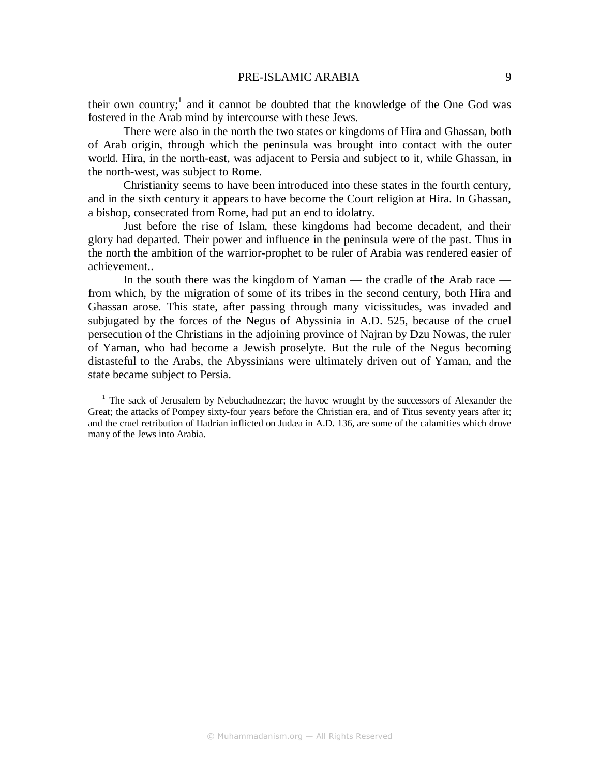#### PRE-ISLAMIC ARABIA 9

their own country;<sup>1</sup> and it cannot be doubted that the knowledge of the One God was fostered in the Arab mind by intercourse with these Jews.

There were also in the north the two states or kingdoms of Hira and Ghassan, both of Arab origin, through which the peninsula was brought into contact with the outer world. Hira, in the north-east, was adjacent to Persia and subject to it, while Ghassan, in the north-west, was subject to Rome.

Christianity seems to have been introduced into these states in the fourth century, and in the sixth century it appears to have become the Court religion at Hira. In Ghassan, a bishop, consecrated from Rome, had put an end to idolatry.

Just before the rise of Islam, these kingdoms had become decadent, and their glory had departed. Their power and influence in the peninsula were of the past. Thus in the north the ambition of the warrior-prophet to be ruler of Arabia was rendered easier of achievement..

In the south there was the kingdom of Yaman — the cradle of the Arab race from which, by the migration of some of its tribes in the second century, both Hira and Ghassan arose. This state, after passing through many vicissitudes, was invaded and subjugated by the forces of the Negus of Abyssinia in A.D. 525, because of the cruel persecution of the Christians in the adjoining province of Najran by Dzu Nowas, the ruler of Yaman, who had become a Jewish proselyte. But the rule of the Negus becoming distasteful to the Arabs, the Abyssinians were ultimately driven out of Yaman, and the state became subject to Persia.

<sup>1</sup> The sack of Jerusalem by Nebuchadnezzar; the havoc wrought by the successors of Alexander the Great; the attacks of Pompey sixty-four years before the Christian era, and of Titus seventy years after it; and the cruel retribution of Hadrian inflicted on Judæa in A.D. 136, are some of the calamities which drove many of the Jews into Arabia.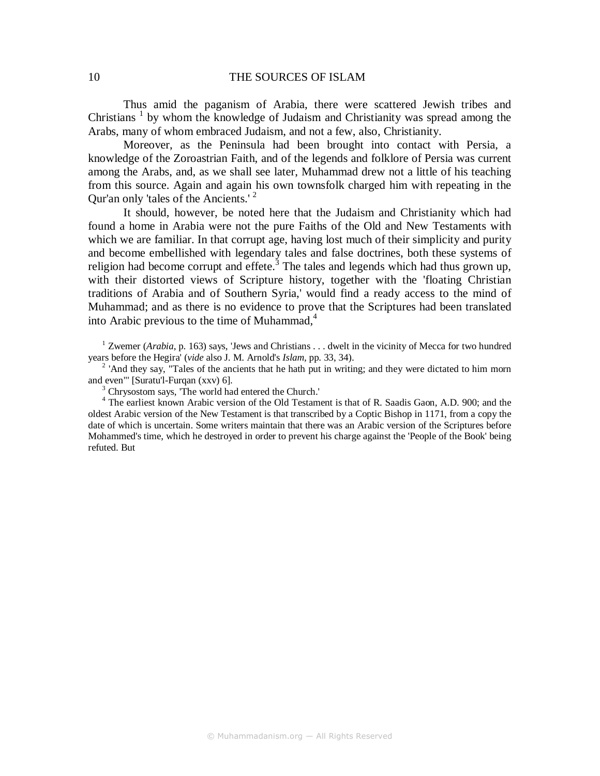Thus amid the paganism of Arabia, there were scattered Jewish tribes and Christians<sup>1</sup> by whom the knowledge of Judaism and Christianity was spread among the Arabs, many of whom embraced Judaism, and not a few, also, Christianity.

Moreover, as the Peninsula had been brought into contact with Persia, a knowledge of the Zoroastrian Faith, and of the legends and folklore of Persia was current among the Arabs, and, as we shall see later, Muhammad drew not a little of his teaching from this source. Again and again his own townsfolk charged him with repeating in the Our'an only 'tales of the Ancients.'<sup>2</sup>

It should, however, be noted here that the Judaism and Christianity which had found a home in Arabia were not the pure Faiths of the Old and New Testaments with which we are familiar. In that corrupt age, having lost much of their simplicity and purity and become embellished with legendary tales and false doctrines, both these systems of religion had become corrupt and effete.<sup>3</sup> The tales and legends which had thus grown up, with their distorted views of Scripture history, together with the 'floating Christian traditions of Arabia and of Southern Syria,' would find a ready access to the mind of Muhammad; and as there is no evidence to prove that the Scriptures had been translated into Arabic previous to the time of Muhammad, $4$ 

<sup>1</sup> Zwemer (*Arabia*, p. 163) says, 'Jews and Christians . . . dwelt in the vicinity of Mecca for two hundred years before the Hegira' (*vide* also J. M. Arnold's *Islam,* pp. 33, 34).

<sup>2</sup> 'And they say, "Tales of the ancients that he hath put in writing; and they were dictated to him morn and even"' [Suratu'l-Furqan (xxv) 6].

<sup>3</sup> Chrysostom says, 'The world had entered the Church.'

<sup>4</sup> The earliest known Arabic version of the Old Testament is that of R. Saadis Gaon, A.D. 900; and the oldest Arabic version of the New Testament is that transcribed by a Coptic Bishop in 1171, from a copy the date of which is uncertain. Some writers maintain that there was an Arabic version of the Scriptures before Mohammed's time, which he destroyed in order to prevent his charge against the 'People of the Book' being refuted. But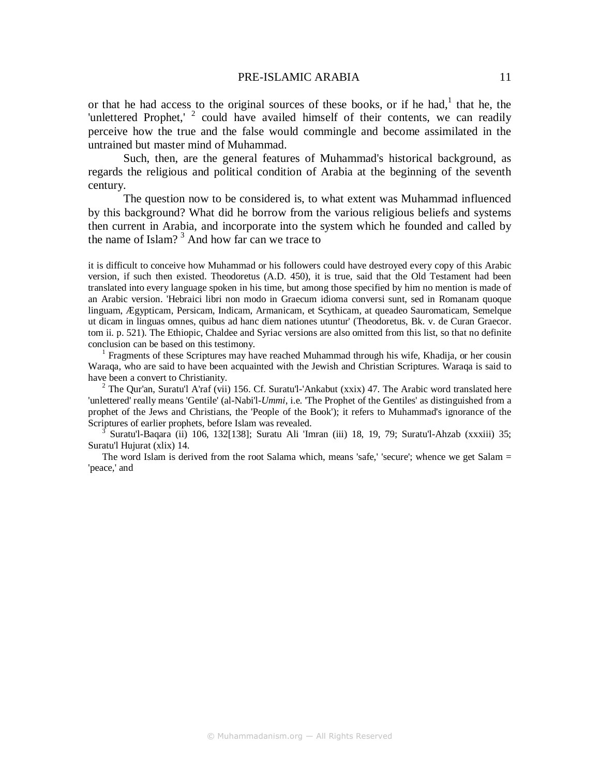#### PRE-ISLAMIC ARABIA 11

or that he had access to the original sources of these books, or if he had, $<sup>1</sup>$  that he, the</sup> 'unlettered Prophet,'  $2$  could have availed himself of their contents, we can readily perceive how the true and the false would commingle and become assimilated in the untrained but master mind of Muhammad.

Such, then, are the general features of Muhammad's historical background, as regards the religious and political condition of Arabia at the beginning of the seventh century.

The question now to be considered is, to what extent was Muhammad influenced by this background? What did he borrow from the various religious beliefs and systems then current in Arabia, and incorporate into the system which he founded and called by the name of Islam?<sup>3</sup> And how far can we trace to

it is difficult to conceive how Muhammad or his followers could have destroyed every copy of this Arabic version, if such then existed. Theodoretus (A.D. 450), it is true, said that the Old Testament had been translated into every language spoken in his time, but among those specified by him no mention is made of an Arabic version. 'Hebraici libri non modo in Graecum idioma conversi sunt, sed in Romanam quoque linguam, Ægypticam, Persicam, Indicam, Armanicam, et Scythicam, at queadeo Sauromaticam, Semelque ut dicam in linguas omnes, quibus ad hanc diem nationes utuntur' (Theodoretus, Bk. v. de Curan Graecor. tom ii. p. 521). The Ethiopic, Chaldee and Syriac versions are also omitted from this list, so that no definite conclusion can be based on this testimony.

<sup>1</sup> Fragments of these Scriptures may have reached Muhammad through his wife, Khadija, or her cousin Waraqa, who are said to have been acquainted with the Jewish and Christian Scriptures. Waraqa is said to have been a convert to Christianity.

<sup>2</sup> The Qur'an, Suratu'l A'raf (vii) 156. Cf. Suratu'l-'Ankabut (xxix) 47. The Arabic word translated here 'unlettered' really means 'Gentile' (al-Nabi'l*-Ummi*, i.e. 'The Prophet of the Gentiles' as distinguished from a prophet of the Jews and Christians, the 'People of the Book'); it refers to Muhammad's ignorance of the Scriptures of earlier prophets, before Islam was revealed.

3 Suratu'l-Baqara (ii) 106, 132[138]; Suratu Ali 'Imran (iii) 18, 19, 79; Suratu'l-Ahzab (xxxiii) 35; Suratu'l Hujurat (xlix) 14.

The word Islam is derived from the root Salama which, means 'safe,' 'secure'; whence we get Salam = 'peace,' and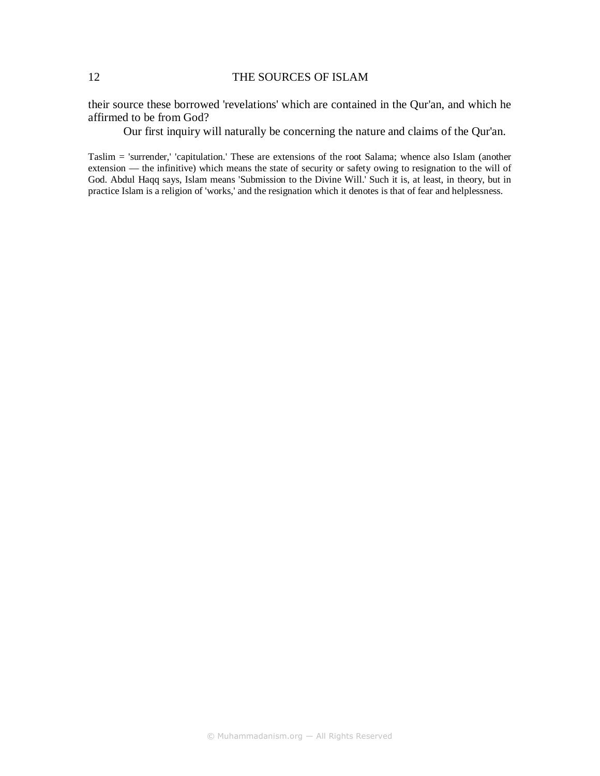their source these borrowed 'revelations' which are contained in the Qur'an, and which he affirmed to be from God?

Our first inquiry will naturally be concerning the nature and claims of the Qur'an.

Taslim = 'surrender,' 'capitulation.' These are extensions of the root Salama; whence also Islam (another extension — the infinitive) which means the state of security or safety owing to resignation to the will of God. Abdul Haqq says, Islam means 'Submission to the Divine Will.' Such it is, at least, in theory, but in practice Islam is a religion of 'works,' and the resignation which it denotes is that of fear and helplessness.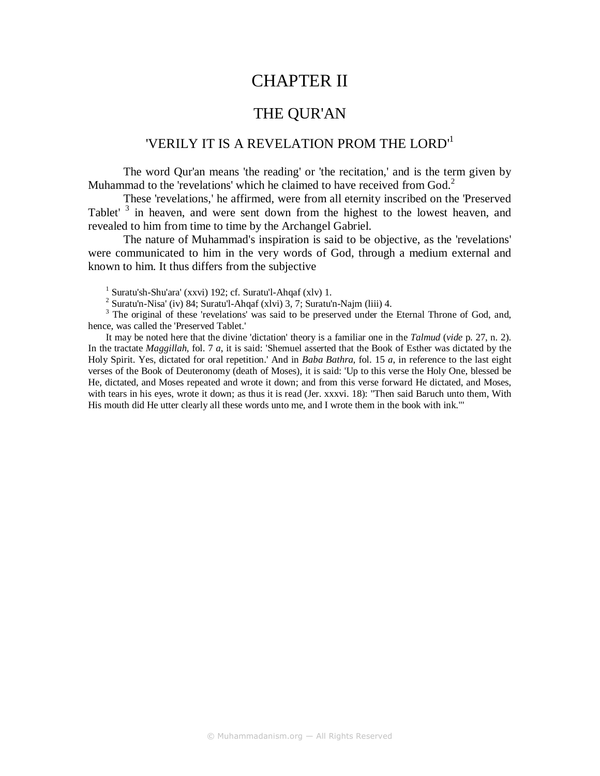## CHAPTER II

## THE QUR'AN

### 'VERILY IT IS A REVELATION PROM THE LORD'<sup>1</sup>

The word Qur'an means 'the reading' or 'the recitation,' and is the term given by Muhammad to the 'revelations' which he claimed to have received from  $God<sup>2</sup>$ .

These 'revelations,' he affirmed, were from all eternity inscribed on the 'Preserved Tablet'<sup>3</sup> in heaven, and were sent down from the highest to the lowest heaven, and revealed to him from time to time by the Archangel Gabriel.

The nature of Muhammad's inspiration is said to be objective, as the 'revelations' were communicated to him in the very words of God, through a medium external and known to him. It thus differs from the subjective

<sup>1</sup> Suratu'sh-Shu'ara' (xxvi) 192; cf. Suratu'l-Ahqaf (xlv) 1.

<sup>2</sup> Suratu'n-Nisa' (iv) 84; Suratu'l-Ahqaf (xlvi) 3, 7; Suratu'n-Najm (liii) 4.

<sup>3</sup> The original of these 'revelations' was said to be preserved under the Eternal Throne of God, and, hence, was called the 'Preserved Tablet.'

It may be noted here that the divine 'dictation' theory is a familiar one in the *Talmud* (*vide* p. 27, n. 2). In the tractate *Maggillah,* fol. 7 *a*, it is said: 'Shemuel asserted that the Book of Esther was dictated by the Holy Spirit. Yes, dictated for oral repetition.' And in *Baba Bathra*, fol. 15 *a*, in reference to the last eight verses of the Book of Deuteronomy (death of Moses), it is said: 'Up to this verse the Holy One, blessed be He, dictated, and Moses repeated and wrote it down; and from this verse forward He dictated, and Moses, with tears in his eyes, wrote it down; as thus it is read (Jer. xxxvi. 18): "Then said Baruch unto them, With His mouth did He utter clearly all these words unto me, and I wrote them in the book with ink."'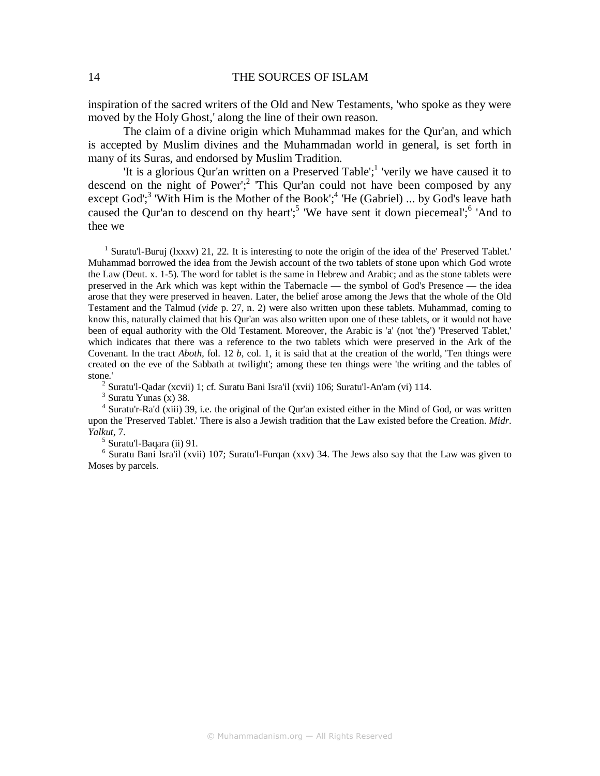inspiration of the sacred writers of the Old and New Testaments, 'who spoke as they were moved by the Holy Ghost,' along the line of their own reason.

The claim of a divine origin which Muhammad makes for the Qur'an, and which is accepted by Muslim divines and the Muhammadan world in general, is set forth in many of its Suras, and endorsed by Muslim Tradition.

'It is a glorious Qur'an written on a Preserved Table';<sup>1</sup> 'verily we have caused it to descend on the night of Power';<sup>2</sup> This Qur'an could not have been composed by any except God';<sup>3</sup> 'With Him is the Mother of the Book';<sup>4</sup> 'He (Gabriel) ... by God's leave hath caused the Qur'an to descend on thy heart';<sup>5</sup> 'We have sent it down piecemeal';<sup>6</sup> 'And to thee we

<sup>1</sup> Suratu'l-Buruj (lxxxv) 21, 22. It is interesting to note the origin of the idea of the' Preserved Tablet.' Muhammad borrowed the idea from the Jewish account of the two tablets of stone upon which God wrote the Law (Deut. x. 1-5). The word for tablet is the same in Hebrew and Arabic; and as the stone tablets were preserved in the Ark which was kept within the Tabernacle — the symbol of God's Presence — the idea arose that they were preserved in heaven. Later, the belief arose among the Jews that the whole of the Old Testament and the Talmud (*vide* p. 27, n. 2) were also written upon these tablets. Muhammad, coming to know this, naturally claimed that his Qur'an was also written upon one of these tablets, or it would not have been of equal authority with the Old Testament. Moreover, the Arabic is 'a' (not 'the') 'Preserved Tablet,' which indicates that there was a reference to the two tablets which were preserved in the Ark of the Covenant. In the tract *Aboth,* fol. 12 *b,* col. 1, it is said that at the creation of the world, 'Ten things were created on the eve of the Sabbath at twilight'; among these ten things were 'the writing and the tables of stone.'

<sup>2</sup> Suratu'l-Qadar (xcvii) 1; cf. Suratu Bani Isra'il (xvii) 106; Suratu'l-An'am (vi) 114.

 $3$  Suratu Yunas (x) 38.

<sup>4</sup> Suratu'r-Ra'd (xiii) 39, i.e. the original of the Qur'an existed either in the Mind of God, or was written upon the 'Preserved Tablet.' There is also a Jewish tradition that the Law existed before the Creation. *Midr*. *Yalkut*, 7.

<sup>5</sup> Suratu'l-Baqara (ii) 91.

<sup>6</sup> Suratu Bani Isra'il (xvii) 107; Suratu'l-Furqan (xxv) 34. The Jews also say that the Law was given to Moses by parcels.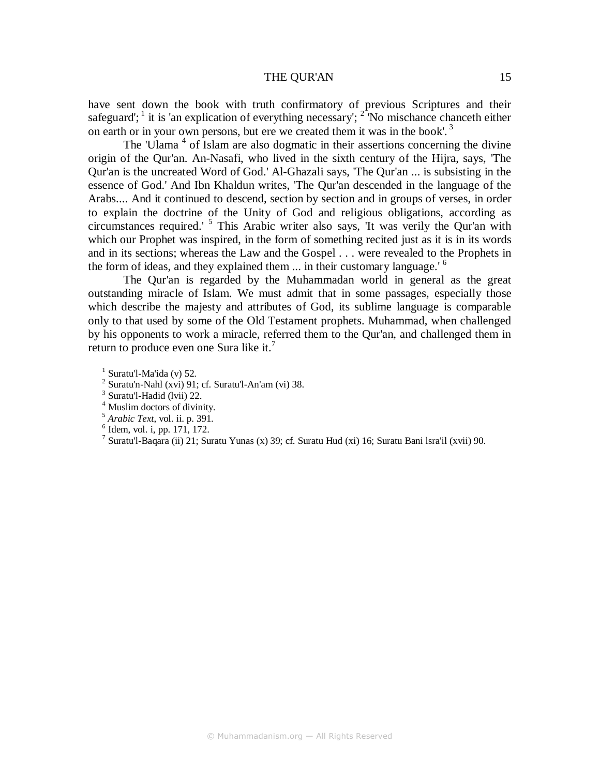#### THE OUR'AN 15

have sent down the book with truth confirmatory of previous Scriptures and their safeguard'; <sup>1</sup> it is 'an explication of everything necessary'; <sup>2</sup> No mischance chance theither on earth or in your own persons, but ere we created them it was in the book'.<sup>3</sup>

The 'Ulama<sup>4</sup> of Islam are also dogmatic in their assertions concerning the divine origin of the Qur'an. An-Nasafi, who lived in the sixth century of the Hijra, says, 'The Qur'an is the uncreated Word of God.' Al-Ghazali says, 'The Qur'an ... is subsisting in the essence of God.' And Ibn Khaldun writes, 'The Qur'an descended in the language of the Arabs.... And it continued to descend, section by section and in groups of verses, in order to explain the doctrine of the Unity of God and religious obligations, according as circumstances required.' <sup>5</sup> This Arabic writer also says, 'It was verily the Qur'an with which our Prophet was inspired, in the form of something recited just as it is in its words and in its sections; whereas the Law and the Gospel . . . were revealed to the Prophets in the form of ideas, and they explained them  $\ldots$  in their customary language.<sup> $\circ$ </sup>

The Qur'an is regarded by the Muhammadan world in general as the great outstanding miracle of Islam. We must admit that in some passages, especially those which describe the majesty and attributes of God, its sublime language is comparable only to that used by some of the Old Testament prophets. Muhammad, when challenged by his opponents to work a miracle, referred them to the Qur'an, and challenged them in return to produce even one Sura like it.<sup>7</sup>

- $<sup>1</sup>$  Suratu'l-Ma'ida (v) 52.</sup>
- $2$  Suratu'n-Nahl (xvi) 91; cf. Suratu'l-An'am (vi) 38.
- <sup>3</sup> Suratu'l-Hadid (lvii) 22.
- 4 Muslim doctors of divinity.
- 5  *Arabic Text*, vol. ii. p. 391.
- 6 Idem, vol. i, pp. 171, 172.
- <sup>7</sup> Suratu'l-Baqara (ii) 21; Suratu Yunas (x) 39; cf. Suratu Hud (xi) 16; Suratu Bani Isra'il (xvii) 90.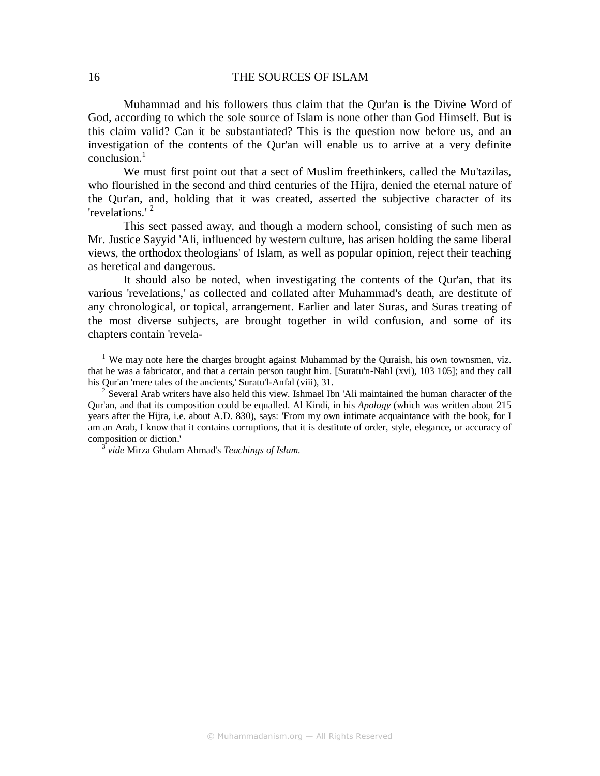Muhammad and his followers thus claim that the Qur'an is the Divine Word of God, according to which the sole source of Islam is none other than God Himself. But is this claim valid? Can it be substantiated? This is the question now before us, and an investigation of the contents of the Qur'an will enable us to arrive at a very definite conclusion. $1$ 

We must first point out that a sect of Muslim freethinkers, called the Mu'tazilas, who flourished in the second and third centuries of the Hijra, denied the eternal nature of the Qur'an, and, holding that it was created, asserted the subjective character of its 'revelations.' <sup>2</sup>

This sect passed away, and though a modern school, consisting of such men as Mr. Justice Sayyid 'Ali, influenced by western culture, has arisen holding the same liberal views, the orthodox theologians' of Islam, as well as popular opinion, reject their teaching as heretical and dangerous.

It should also be noted, when investigating the contents of the Qur'an, that its various 'revelations,' as collected and collated after Muhammad's death, are destitute of any chronological, or topical, arrangement. Earlier and later Suras, and Suras treating of the most diverse subjects, are brought together in wild confusion, and some of its chapters contain 'revela-

<sup>1</sup> We may note here the charges brought against Muhammad by the Quraish, his own townsmen, viz. that he was a fabricator, and that a certain person taught him. [Suratu'n-Nahl (xvi), 103 105]; and they call his Qur'an 'mere tales of the ancients,' Suratu'l-Anfal (viii), 31.

<sup>2</sup> Several Arab writers have also held this view. Ishmael Ibn 'Ali maintained the human character of the Qur'an, and that its composition could be equalled. Al Kindi, in his *Apology* (which was written about 215 years after the Hijra, i.e. about A.D. 830), says: 'From my own intimate acquaintance with the book, for I am an Arab, I know that it contains corruptions, that it is destitute of order, style, elegance, or accuracy of composition or diction.'

3 *vide* Mirza Ghulam Ahmad's *Teachings of Islam.*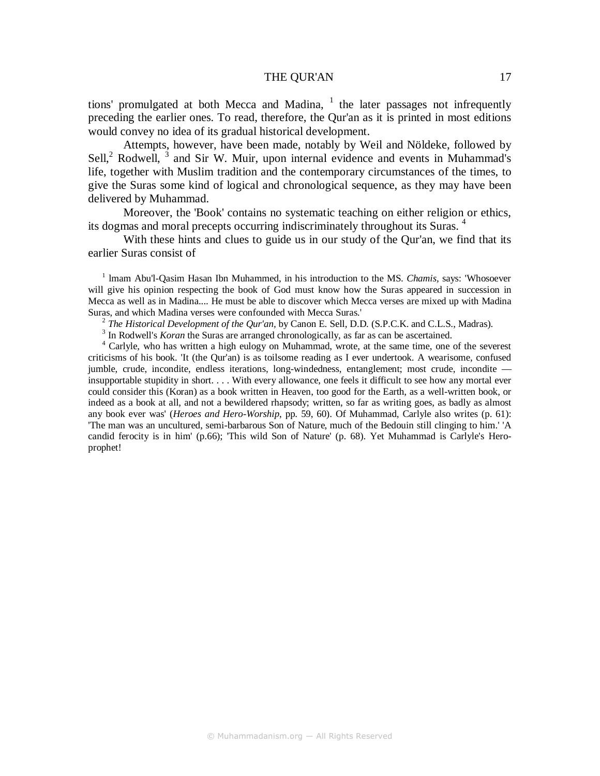#### THE OUR'AN 17

tions' promulgated at both Mecca and Madina,  $1$  the later passages not infrequently preceding the earlier ones. To read, therefore, the Qur'an as it is printed in most editions would convey no idea of its gradual historical development.

Attempts, however, have been made, notably by Weil and Nöldeke, followed by Sell, $^2$  Rodwell,  $^3$  and Sir W. Muir, upon internal evidence and events in Muhammad's life, together with Muslim tradition and the contemporary circumstances of the times, to give the Suras some kind of logical and chronological sequence, as they may have been delivered by Muhammad.

Moreover, the 'Book' contains no systematic teaching on either religion or ethics, its dogmas and moral precepts occurring indiscriminately throughout its Suras.<sup>4</sup>

With these hints and clues to guide us in our study of the Qur'an, we find that its earlier Suras consist of

<sup>1</sup> Imam Abu'l-Qasim Hasan Ibn Muhammed, in his introduction to the MS. *Chamis*, says: 'Whosoever will give his opinion respecting the book of God must know how the Suras appeared in succession in Mecca as well as in Madina.... He must be able to discover which Mecca verses are mixed up with Madina Suras, and which Madina verses were confounded with Mecca Suras.'

2 *The Historical Development of the Qur'an,* by Canon E. Sell, D.D. (S.P.C.K. and C.L.S., Madras).

<sup>3</sup> In Rodwell's *Koran* the Suras are arranged chronologically, as far as can be ascertained.

<sup>4</sup> Carlyle, who has written a high eulogy on Muhammad, wrote, at the same time, one of the severest criticisms of his book. 'It (the Qur'an) is as toilsome reading as I ever undertook. A wearisome, confused jumble, crude, incondite, endless iterations, long-windedness, entanglement; most crude, incondite insupportable stupidity in short. . . . With every allowance, one feels it difficult to see how any mortal ever could consider this (Koran) as a book written in Heaven, too good for the Earth, as a well-written book, or indeed as a book at all, and not a bewildered rhapsody; written, so far as writing goes, as badly as almost any book ever was' (*Heroes and Hero-Worship*, pp. 59, 60). Of Muhammad, Carlyle also writes (p. 61): 'The man was an uncultured, semi-barbarous Son of Nature, much of the Bedouin still clinging to him.' 'A candid ferocity is in him' (p.66); 'This wild Son of Nature' (p. 68). Yet Muhammad is Carlyle's Heroprophet!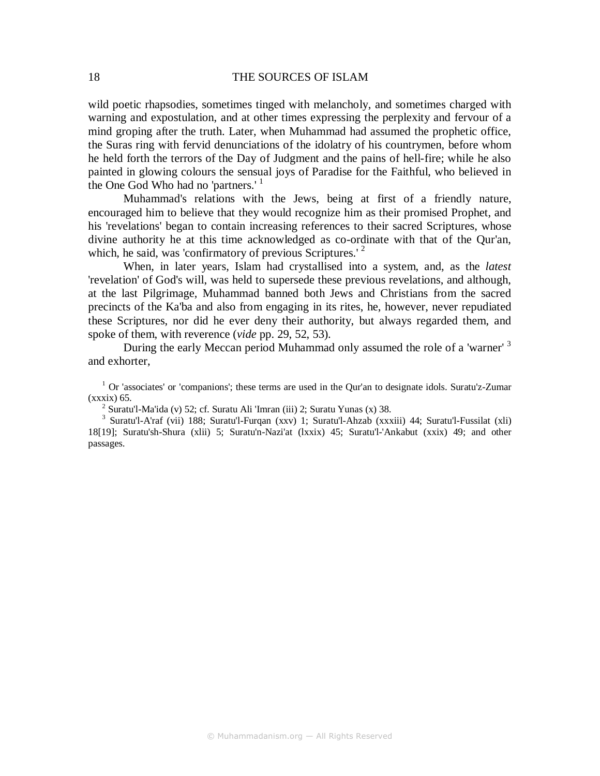wild poetic rhapsodies, sometimes tinged with melancholy, and sometimes charged with warning and expostulation, and at other times expressing the perplexity and fervour of a mind groping after the truth. Later, when Muhammad had assumed the prophetic office, the Suras ring with fervid denunciations of the idolatry of his countrymen, before whom he held forth the terrors of the Day of Judgment and the pains of hell-fire; while he also painted in glowing colours the sensual joys of Paradise for the Faithful, who believed in the One God Who had no 'partners.'<sup>1</sup>

Muhammad's relations with the Jews, being at first of a friendly nature, encouraged him to believe that they would recognize him as their promised Prophet, and his 'revelations' began to contain increasing references to their sacred Scriptures, whose divine authority he at this time acknowledged as co-ordinate with that of the Qur'an, which, he said, was 'confirmatory of previous Scriptures.' $2$ 

When, in later years, Islam had crystallised into a system, and, as the *latest*  'revelation' of God's will, was held to supersede these previous revelations, and although, at the last Pilgrimage, Muhammad banned both Jews and Christians from the sacred precincts of the Ka'ba and also from engaging in its rites, he, however, never repudiated these Scriptures, nor did he ever deny their authority, but always regarded them, and spoke of them, with reverence (*vide* pp. 29, 52, 53).

During the early Meccan period Muhammad only assumed the role of a 'warner' <sup>3</sup> and exhorter,

<sup>1</sup> Or 'associates' or 'companions'; these terms are used in the Qur'an to designate idols. Suratu'z-Zumar (xxxix) 65.

<sup>2</sup> Suratu'l-Ma'ida (v) 52; cf. Suratu Ali 'Imran (iii) 2; Suratu Yunas (x) 38.

3 Suratu'l-A'raf (vii) 188; Suratu'l-Furqan (xxv) 1; Suratu'l-Ahzab (xxxiii) 44; Suratu'l-Fussilat (xli) 18[19]; Suratu'sh-Shura (xlii) 5; Suratu'n-Nazi'at (lxxix) 45; Suratu'l-'Ankabut (xxix) 49; and other passages.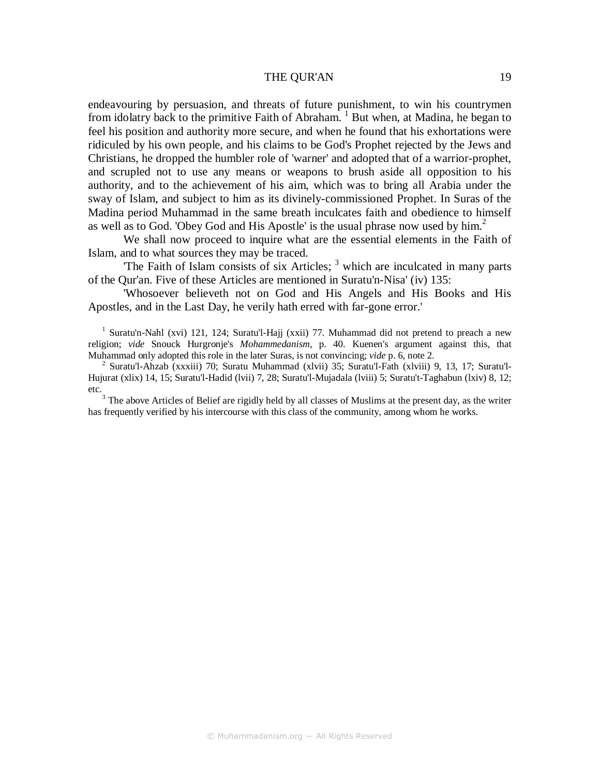#### THE OUR'AN 19

endeavouring by persuasion, and threats of future punishment, to win his countrymen from idolatry back to the primitive Faith of Abraham.<sup>1</sup> But when, at Madina, he began to feel his position and authority more secure, and when he found that his exhortations were ridiculed by his own people, and his claims to be God's Prophet rejected by the Jews and Christians, he dropped the humbler role of 'warner' and adopted that of a warrior-prophet, and scrupled not to use any means or weapons to brush aside all opposition to his authority, and to the achievement of his aim, which was to bring all Arabia under the sway of Islam, and subject to him as its divinely-commissioned Prophet. In Suras of the Madina period Muhammad in the same breath inculcates faith and obedience to himself as well as to God. 'Obey God and His Apostle' is the usual phrase now used by him.<sup>2</sup>

We shall now proceed to inquire what are the essential elements in the Faith of Islam, and to what sources they may be traced.

The Faith of Islam consists of six Articles;  $3$  which are inculcated in many parts of the Qur'an. Five of these Articles are mentioned in Suratu'n-Nisa' (iv) 135:

'Whosoever believeth not on God and His Angels and His Books and His Apostles, and in the Last Day, he verily hath erred with far-gone error.'

<sup>1</sup> Suratu'n-Nahl (xvi) 121, 124; Suratu'l-Hajj (xxii) 77. Muhammad did not pretend to preach a new religion; *vide* Snouck Hurgronje's *Mohammedanism*, p. 40. Kuenen's argument against this, that Muhammad only adopted this role in the later Suras, is not convincing; *vide* p. 6, note 2.

2 Suratu'l-Ahzab (xxxiii) 70; Suratu Muhammad (xlvii) 35; Suratu'l-Fath (xlviii) 9, 13, 17; Suratu'l-Hujurat (xlix) 14, 15; Suratu'l-Hadid (lvii) 7, 28; Suratu'l-Mujadala (lviii) 5; Suratu't-Taghabun (lxiv) 8, 12; etc.

 $3$  The above Articles of Belief are rigidly held by all classes of Muslims at the present day, as the writer has frequently verified by his intercourse with this class of the community, among whom he works.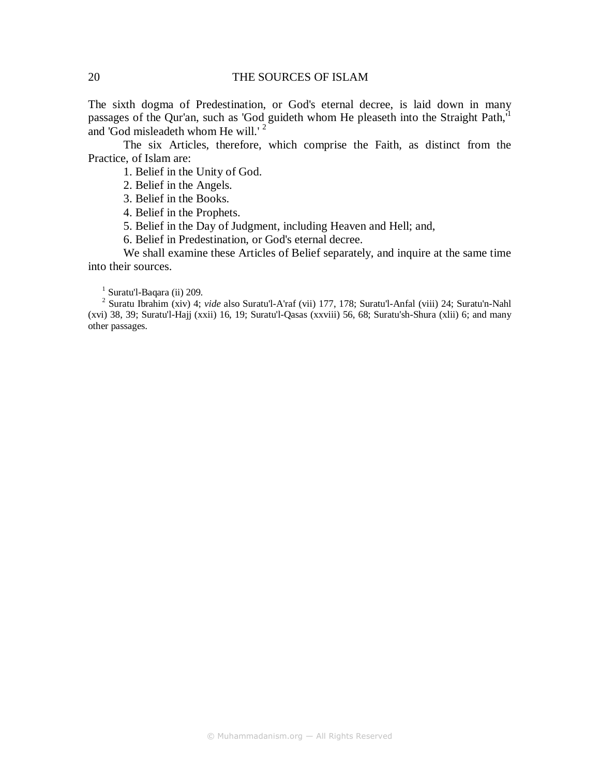The sixth dogma of Predestination, or God's eternal decree, is laid down in many passages of the Qur'an, such as 'God guideth whom He pleaseth into the Straight Path,<sup>1</sup> and 'God misleadeth whom He will.'<sup>2</sup>

The six Articles, therefore, which comprise the Faith, as distinct from the Practice, of Islam are:

1. Belief in the Unity of God.

2. Belief in the Angels.

3. Belief in the Books.

4. Belief in the Prophets.

5. Belief in the Day of Judgment, including Heaven and Hell; and,

6. Belief in Predestination, or God's eternal decree.

We shall examine these Articles of Belief separately, and inquire at the same time into their sources.

<sup>1</sup> Suratu'l-Baqara (ii) 209.

2 Suratu Ibrahim (xiv) 4; *vide* also Suratu'l-A'raf (vii) 177, 178; Suratu'l-Anfal (viii) 24; Suratu'n-Nahl (xvi) 38, 39; Suratu'l-Hajj (xxii) 16, 19; Suratu'l-Qasas (xxviii) 56, 68; Suratu'sh-Shura (xlii) 6; and many other passages.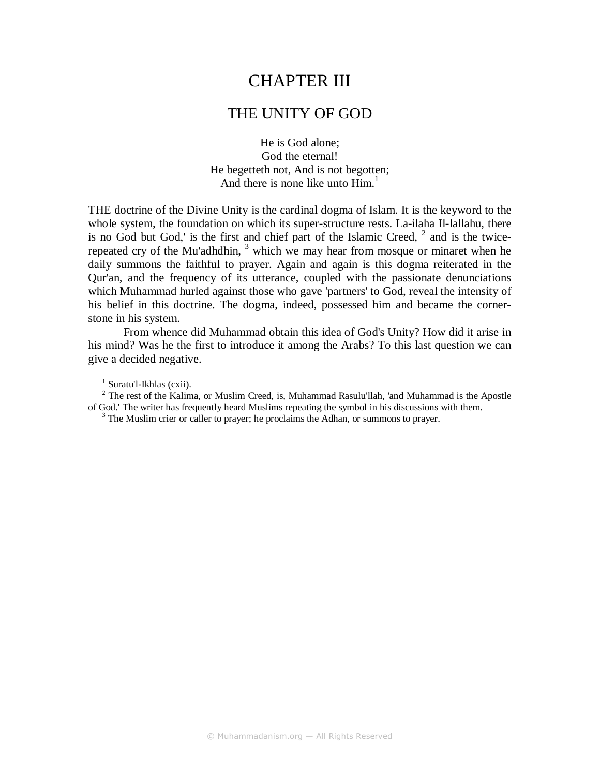## CHAPTER III

### THE UNITY OF GOD

He is God alone; God the eternal! He begetteth not, And is not begotten; And there is none like unto  $\text{Him}^1$ .

THE doctrine of the Divine Unity is the cardinal dogma of Islam. It is the keyword to the whole system, the foundation on which its super-structure rests. La-ilaha Il-lallahu, there is no God but God,' is the first and chief part of the Islamic Creed,  $2$  and is the twicerepeated cry of the Mu'adhdhin,  $3$  which we may hear from mosque or minaret when he daily summons the faithful to prayer. Again and again is this dogma reiterated in the Qur'an, and the frequency of its utterance, coupled with the passionate denunciations which Muhammad hurled against those who gave 'partners' to God, reveal the intensity of his belief in this doctrine. The dogma, indeed, possessed him and became the cornerstone in his system.

From whence did Muhammad obtain this idea of God's Unity? How did it arise in his mind? Was he the first to introduce it among the Arabs? To this last question we can give a decided negative.

<sup>1</sup> Suratu'l-Ikhlas (cxii).

 $2$  The rest of the Kalima, or Muslim Creed, is, Muhammad Rasulu'llah, 'and Muhammad is the Apostle of God.' The writer has frequently heard Muslims repeating the symbol in his discussions with them.

<sup>3</sup> The Muslim crier or caller to prayer; he proclaims the Adhan, or summons to prayer.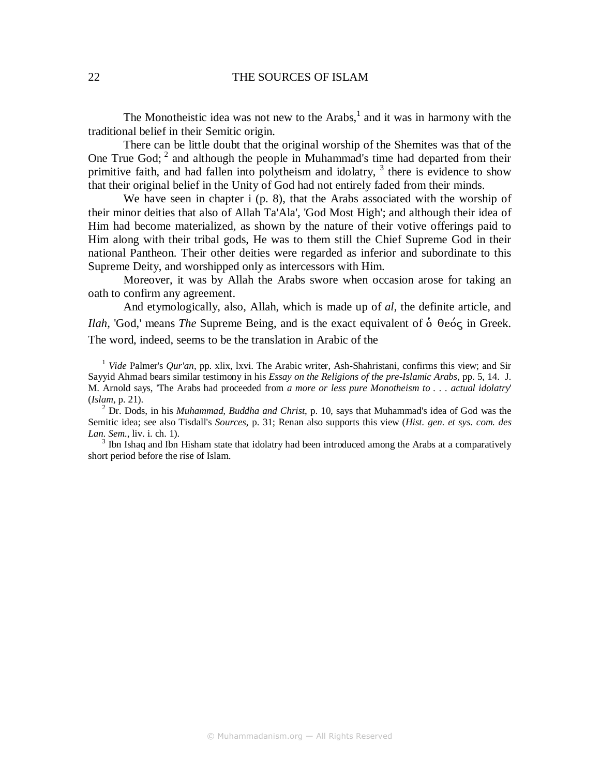The Monotheistic idea was not new to the  $Arabs$ ,<sup>1</sup> and it was in harmony with the traditional belief in their Semitic origin.

There can be little doubt that the original worship of the Shemites was that of the One True God;  $2^{\circ}$  and although the people in Muhammad's time had departed from their primitive faith, and had fallen into polytheism and idolatry, <sup>3</sup> there is evidence to show that their original belief in the Unity of God had not entirely faded from their minds.

We have seen in chapter i (p. 8), that the Arabs associated with the worship of their minor deities that also of Allah Ta'Ala', 'God Most High'; and although their idea of Him had become materialized, as shown by the nature of their votive offerings paid to Him along with their tribal gods, He was to them still the Chief Supreme God in their national Pantheon. Their other deities were regarded as inferior and subordinate to this Supreme Deity, and worshipped only as intercessors with Him.

Moreover, it was by Allah the Arabs swore when occasion arose for taking an oath to confirm any agreement.

And etymologically, also, Allah, which is made up of *al,* the definite article, and *Ilah,* 'God,' means *The* Supreme Being, and is the exact equivalent of ὁ θεός in Greek. The word, indeed, seems to be the translation in Arabic of the

<sup>1</sup> *Vide* Palmer's *Qur'an*, pp. xlix, lxvi. The Arabic writer, Ash-Shahristani, confirms this view; and Sir Sayyid Ahmad bears similar testimony in his *Essay on the Religions of the pre-Islamic Arabs*, pp. 5, 14. J. M. Arnold says, 'The Arabs had proceeded from *a more or less pure Monotheism to . . . actual idolatry*' (*Islam*, p. 21).

2 Dr. Dods, in his *Muhammad, Buddha and Christ*, p. 10, says that Muhammad's idea of God was the Semitic idea; see also Tisdall's *Sources*, p. 31; Renan also supports this view (*Hist. gen. et sys. com. des Lan. Sem*., liv. i. ch. 1).

<sup>3</sup> Ibn Ishaq and Ibn Hisham state that idolatry had been introduced among the Arabs at a comparatively short period before the rise of Islam.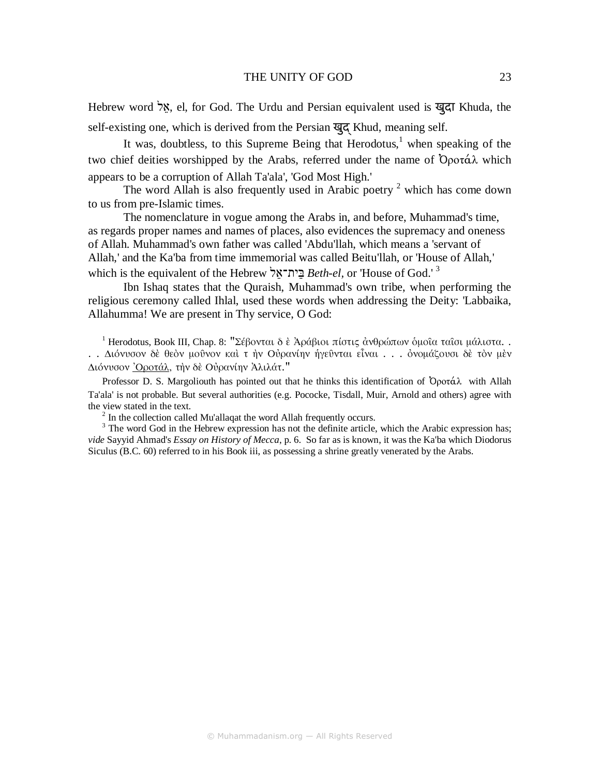#### THE UNITY OF GOD 23

Hebrew word לֵא, el, for God. The Urdu and Persian equivalent used is खुदा Khuda, the self-existing one, which is derived from the Persian खुद Khud, meaning self.

It was, doubtless, to this Supreme Being that Herodotus,<sup>1</sup> when speaking of the two chief deities worshipped by the Arabs, referred under the name of Ὀροτάλ which appears to be a corruption of Allah Ta'ala', 'God Most High.'

The word Allah is also frequently used in Arabic poetry  $2$  which has come down to us from pre-Islamic times.

The nomenclature in vogue among the Arabs in, and before, Muhammad's time, as regards proper names and names of places, also evidences the supremacy and oneness of Allah. Muhammad's own father was called 'Abdu'llah, which means a 'servant of Allah,' and the Ka'ba from time immemorial was called Beitu'llah, or 'House of Allah,' which is the equivalent of the Hebrew לֵית־אֵבּ *Beth-el,* or 'House of God.' <sup>3</sup>

Ibn Ishaq states that the Quraish, Muhammad's own tribe, when performing the religious ceremony called Ihlal, used these words when addressing the Deity: 'Labbaika, Allahumma! We are present in Thy service, O God:

<sup>1</sup> Herodotus, Book III, Chap. 8: "Σέβονται δ ὲ Ἀράβιοι πίστις ἀνθρώπων ὁμοῖα ταῖσι μάλιστα. . . . ∆ιόνυσον δὲ θεὸν µοῦνον καὶ τ ὴν Οὐρανίην ἡγεῦνται εἶναι . . . ὀνοµάζουσι δὲ τὸν µὲν ∆ιόνυσον Ὀροτάλ, τὴν δὲ Οὐρανίην Ἀλιλάτ."

Professor D. S. Margoliouth has pointed out that he thinks this identification of  $\mathcal{O}$ ροτάλ with Allah Ta'ala' is not probable. But several authorities (e.g. Pococke, Tisdall, Muir, Arnold and others) agree with the view stated in the text.

 $2<sup>2</sup>$  In the collection called Mu'allaqat the word Allah frequently occurs.

 $3$  The word God in the Hebrew expression has not the definite article, which the Arabic expression has; *vide* Sayyid Ahmad's *Essay on History of Mecca*, p. 6. So far as is known, it was the Ka'ba which Diodorus Siculus (B.C. 60) referred to in his Book iii, as possessing a shrine greatly venerated by the Arabs.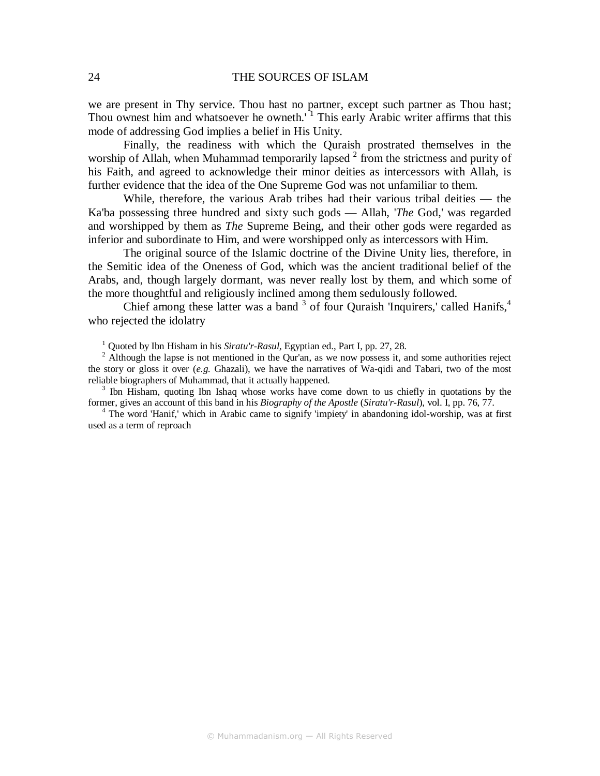we are present in Thy service. Thou hast no partner, except such partner as Thou hast; Thou ownest him and whatsoever he owneth.<sup> $1$ </sup> This early Arabic writer affirms that this mode of addressing God implies a belief in His Unity.

Finally, the readiness with which the Quraish prostrated themselves in the worship of Allah, when Muhammad temporarily lapsed  $2$  from the strictness and purity of his Faith, and agreed to acknowledge their minor deities as intercessors with Allah, is further evidence that the idea of the One Supreme God was not unfamiliar to them.

While, therefore, the various Arab tribes had their various tribal deities — the Ka'ba possessing three hundred and sixty such gods — Allah, '*The* God,' was regarded and worshipped by them as *The* Supreme Being, and their other gods were regarded as inferior and subordinate to Him, and were worshipped only as intercessors with Him.

The original source of the Islamic doctrine of the Divine Unity lies, therefore, in the Semitic idea of the Oneness of God, which was the ancient traditional belief of the Arabs, and, though largely dormant, was never really lost by them, and which some of the more thoughtful and religiously inclined among them sedulously followed.

Chief among these latter was a band  $3$  of four Quraish 'Inquirers,' called Hanifs, $4$ who rejected the idolatry

<sup>1</sup> Quoted by Ibn Hisham in his *Siratu'r-Rasul*, Egyptian ed., Part I, pp. 27, 28.

<sup>3</sup> Ibn Hisham, quoting Ibn Ishaq whose works have come down to us chiefly in quotations by the former, gives an account of this band in his *Biography of the Apostle* (*Siratu'r-Rasul*), vol. I, pp. 76, 77.

<sup>4</sup> The word 'Hanif,' which in Arabic came to signify 'impiety' in abandoning idol-worship, was at first used as a term of reproach

<sup>&</sup>lt;sup>2</sup> Although the lapse is not mentioned in the Qur'an, as we now possess it, and some authorities reject the story or gloss it over (*e.g.* Ghazali), we have the narratives of Wa-qidi and Tabari, two of the most reliable biographers of Muhammad, that it actually happened.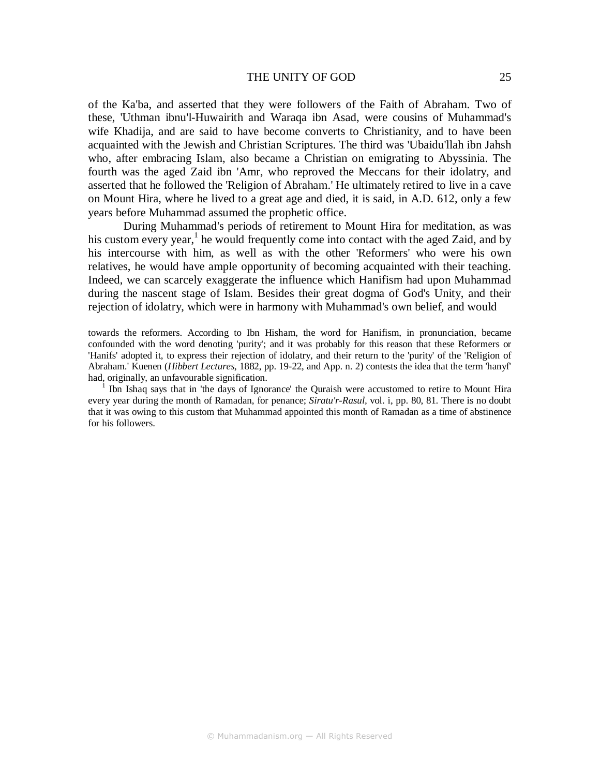#### THE UNITY OF GOD 25

of the Ka'ba, and asserted that they were followers of the Faith of Abraham. Two of these, 'Uthman ibnu'l-Huwairith and Waraqa ibn Asad, were cousins of Muhammad's wife Khadija, and are said to have become converts to Christianity, and to have been acquainted with the Jewish and Christian Scriptures. The third was 'Ubaidu'llah ibn Jahsh who, after embracing Islam, also became a Christian on emigrating to Abyssinia. The fourth was the aged Zaid ibn 'Amr, who reproved the Meccans for their idolatry, and asserted that he followed the 'Religion of Abraham.' He ultimately retired to live in a cave on Mount Hira, where he lived to a great age and died, it is said, in A.D. 612, only a few years before Muhammad assumed the prophetic office.

During Muhammad's periods of retirement to Mount Hira for meditation, as was his custom every year,<sup>1</sup> he would frequently come into contact with the aged Zaid, and by his intercourse with him, as well as with the other 'Reformers' who were his own relatives, he would have ample opportunity of becoming acquainted with their teaching. Indeed, we can scarcely exaggerate the influence which Hanifism had upon Muhammad during the nascent stage of Islam. Besides their great dogma of God's Unity, and their rejection of idolatry, which were in harmony with Muhammad's own belief, and would

towards the reformers. According to Ibn Hisham, the word for Hanifism, in pronunciation, became confounded with the word denoting 'purity'; and it was probably for this reason that these Reformers or 'Hanifs' adopted it, to express their rejection of idolatry, and their return to the 'purity' of the 'Religion of Abraham.' Kuenen (*Hibbert Lectures*, 1882, pp. 19-22, and App. n. 2) contests the idea that the term 'hanyf' had, originally, an unfavourable signification.

1 Ibn Ishaq says that in 'the days of Ignorance' the Quraish were accustomed to retire to Mount Hira every year during the month of Ramadan, for penance; *Siratu'r-Rasul,* vol. i, pp. 80, 81. There is no doubt that it was owing to this custom that Muhammad appointed this month of Ramadan as a time of abstinence for his followers.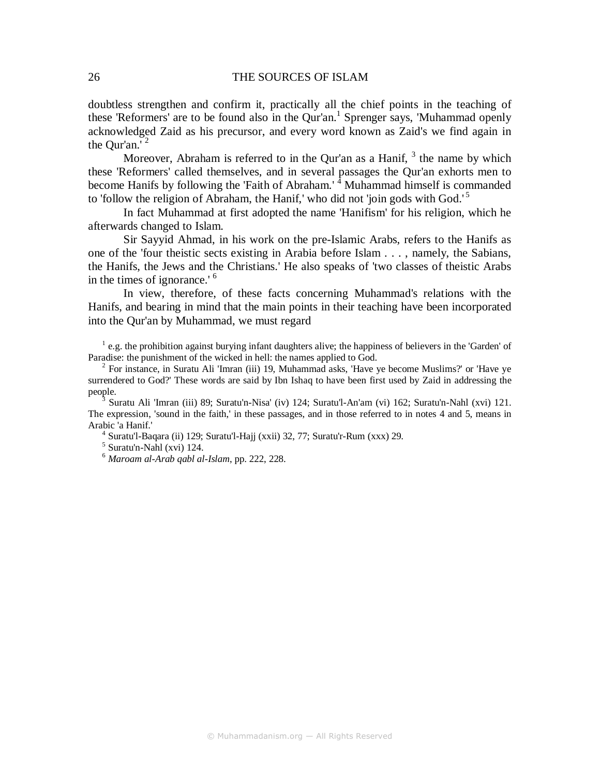doubtless strengthen and confirm it, practically all the chief points in the teaching of these 'Reformers' are to be found also in the Qur'an.<sup>1</sup> Sprenger says, 'Muhammad openly acknowledged Zaid as his precursor, and every word known as Zaid's we find again in the Our'an.'  $2$ 

Moreover, Abraham is referred to in the Qur'an as a Hanif,  $3$  the name by which these 'Reformers' called themselves, and in several passages the Qur'an exhorts men to become Hanifs by following the 'Faith of Abraham.' <sup>4</sup> Muhammad himself is commanded to 'follow the religion of Abraham, the Hanif,' who did not 'join gods with God.'<sup>5</sup>

In fact Muhammad at first adopted the name 'Hanifism' for his religion, which he afterwards changed to Islam.

Sir Sayyid Ahmad, in his work on the pre-Islamic Arabs, refers to the Hanifs as one of the 'four theistic sects existing in Arabia before Islam . . . , namely, the Sabians, the Hanifs, the Jews and the Christians.' He also speaks of 'two classes of theistic Arabs in the times of ignorance.' <sup>6</sup>

In view, therefore, of these facts concerning Muhammad's relations with the Hanifs, and bearing in mind that the main points in their teaching have been incorporated into the Qur'an by Muhammad, we must regard

<sup>1</sup> e.g. the prohibition against burying infant daughters alive; the happiness of believers in the 'Garden' of Paradise: the punishment of the wicked in hell: the names applied to God.

 $2^2$  For instance, in Suratu Ali 'Imran (iii) 19, Muhammad asks, 'Have ye become Muslims?' or 'Have ye surrendered to God?' These words are said by Ibn Ishaq to have been first used by Zaid in addressing the people.

3 Suratu Ali 'Imran (iii) 89; Suratu'n-Nisa' (iv) 124; Suratu'l-An'am (vi) 162; Suratu'n-Nahl (xvi) 121. The expression, 'sound in the faith,' in these passages, and in those referred to in notes 4 and 5, means in Arabic 'a Hanif.'

<sup>4</sup> Suratu'l-Baqara (ii) 129; Suratu'l-Hajj (xxii) 32, 77; Suratu'r-Rum (xxx) 29.

5 Suratu'n-Nahl (xvi) 124.

<sup>6</sup> *Maroam al-Arab qabl al-Islam*, pp. 222, 228.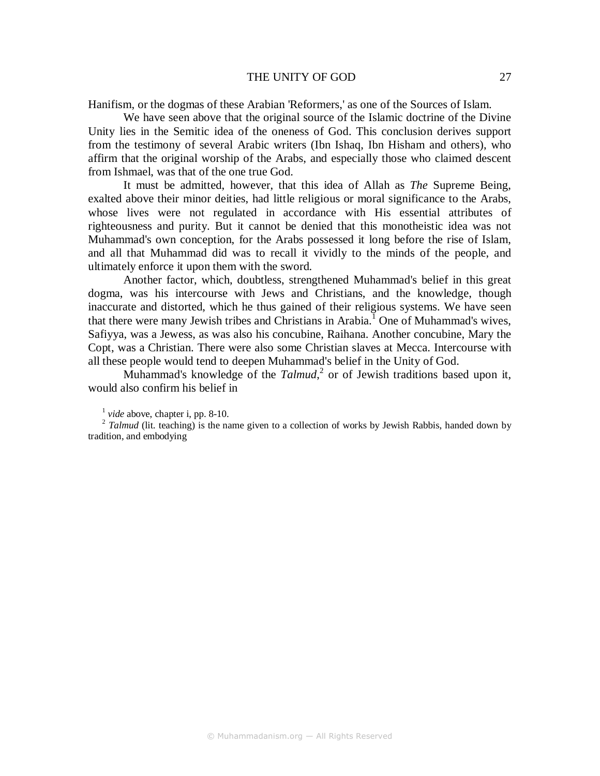#### THE UNITY OF GOD 27

Hanifism, or the dogmas of these Arabian 'Reformers,' as one of the Sources of Islam.

We have seen above that the original source of the Islamic doctrine of the Divine Unity lies in the Semitic idea of the oneness of God. This conclusion derives support from the testimony of several Arabic writers (Ibn Ishaq, Ibn Hisham and others), who affirm that the original worship of the Arabs, and especially those who claimed descent from Ishmael, was that of the one true God.

It must be admitted, however, that this idea of Allah as *The* Supreme Being, exalted above their minor deities, had little religious or moral significance to the Arabs, whose lives were not regulated in accordance with His essential attributes of righteousness and purity. But it cannot be denied that this monotheistic idea was not Muhammad's own conception, for the Arabs possessed it long before the rise of Islam, and all that Muhammad did was to recall it vividly to the minds of the people, and ultimately enforce it upon them with the sword.

Another factor, which, doubtless, strengthened Muhammad's belief in this great dogma, was his intercourse with Jews and Christians, and the knowledge, though inaccurate and distorted, which he thus gained of their religious systems. We have seen that there were many Jewish tribes and Christians in Arabia.<sup>1</sup> One of Muhammad's wives, Safiyya, was a Jewess, as was also his concubine, Raihana. Another concubine, Mary the Copt, was a Christian. There were also some Christian slaves at Mecca. Intercourse with all these people would tend to deepen Muhammad's belief in the Unity of God.

Muhammad's knowledge of the *Talmud*, 2 or of Jewish traditions based upon it, would also confirm his belief in

<sup>&</sup>lt;sup>1</sup> vide above, chapter i, pp. 8-10.

<sup>&</sup>lt;sup>2</sup> Talmud (lit. teaching) is the name given to a collection of works by Jewish Rabbis, handed down by tradition, and embodying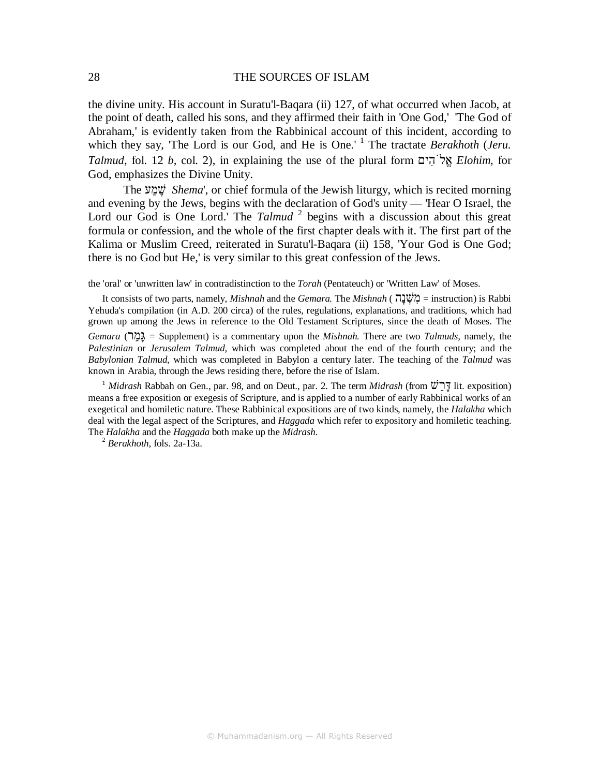the divine unity. His account in Suratu'l-Baqara (ii) 127, of what occurred when Jacob, at the point of death, called his sons, and they affirmed their faith in 'One God,' 'The God of Abraham,' is evidently taken from the Rabbinical account of this incident, according to which they say, 'The Lord is our God, and He is One.'<sup>1</sup> The tractate *Berakhoth* (*Jeru. Talmud,* fol. 12 *b*, col. 2), in explaining the use of the plural form יםִהֹלֱא *Elohim,* for God, emphasizes the Divine Unity.

The עַמ ֶשׁ *Shema*', or chief formula of the Jewish liturgy, which is recited morning and evening by the Jews, begins with the declaration of God's unity — 'Hear O Israel, the Lord our God is One Lord.' The *Talmud*<sup>2</sup> begins with a discussion about this great formula or confession, and the whole of the first chapter deals with it. The first part of the Kalima or Muslim Creed, reiterated in Suratu'l-Baqara (ii) 158, 'Your God is One God; there is no God but He,' is very similar to this great confession of the Jews.

the 'oral' or 'unwritten law' in contradistinction to the *Torah* (Pentateuch) or 'Written Law' of Moses.

It consists of two parts, namely, *Mishnah* and the *Gemara.* The *Mishnah* ( הָנ ְשִׁמ = instruction) is Rabbi Yehuda's compilation (in A.D. 200 circa) of the rules, regulations, explanations, and traditions, which had grown up among the Jews in reference to the Old Testament Scriptures, since the death of Moses. The *Gemara* (רַמָגּ = Supplement) is a commentary upon the *Mishnah.* There are two *Talmuds,* namely, the *Palestinian* or *Jerusalem Talmud,* which was completed about the end of the fourth century; and the *Babylonian Talmud,* which was completed in Babylon a century later. The teaching of the *Talmud* was known in Arabia, through the Jews residing there, before the rise of Islam.

<sup>1</sup> *Midrash* Rabbah on Gen., par. 98, and on Deut., par. 2. The term *Midrash* (from שַׁרָדּ lit. exposition) means a free exposition or exegesis of Scripture, and is applied to a number of early Rabbinical works of an exegetical and homiletic nature. These Rabbinical expositions are of two kinds, namely, the *Halakha* which deal with the legal aspect of the Scriptures, and *Haggada* which refer to expository and homiletic teaching. The *Halakha* and the *Haggada* both make up the *Midrash.* 

2  *Berakhoth,* fols. 2a-13a.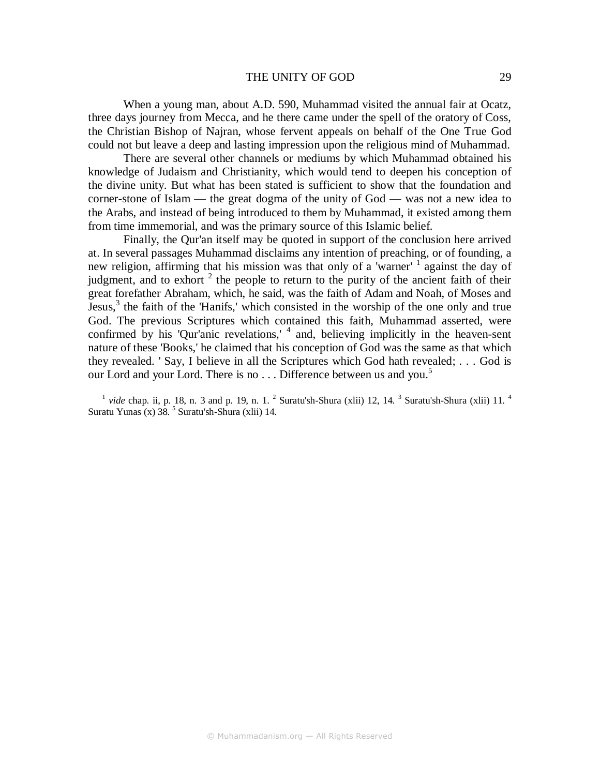## THE UNITY OF GOD 29

When a young man, about A.D. 590, Muhammad visited the annual fair at Ocatz, three days journey from Mecca, and he there came under the spell of the oratory of Coss, the Christian Bishop of Najran, whose fervent appeals on behalf of the One True God could not but leave a deep and lasting impression upon the religious mind of Muhammad.

There are several other channels or mediums by which Muhammad obtained his knowledge of Judaism and Christianity, which would tend to deepen his conception of the divine unity. But what has been stated is sufficient to show that the foundation and corner-stone of Islam — the great dogma of the unity of God — was not a new idea to the Arabs, and instead of being introduced to them by Muhammad, it existed among them from time immemorial, and was the primary source of this Islamic belief.

Finally, the Qur'an itself may be quoted in support of the conclusion here arrived at. In several passages Muhammad disclaims any intention of preaching, or of founding, a new religion, affirming that his mission was that only of a 'warner' <sup>1</sup> against the day of judgment, and to exhort  $2$  the people to return to the purity of the ancient faith of their great forefather Abraham, which, he said, was the faith of Adam and Noah, of Moses and Jesus,<sup>3</sup> the faith of the 'Hanifs,' which consisted in the worship of the one only and true God. The previous Scriptures which contained this faith, Muhammad asserted, were confirmed by his 'Qur'anic revelations,' <sup>4</sup> and, believing implicitly in the heaven-sent nature of these 'Books,' he claimed that his conception of God was the same as that which they revealed. ' Say, I believe in all the Scriptures which God hath revealed; . . . God is our Lord and your Lord. There is no  $\ldots$  Difference between us and you.<sup>5</sup>

<sup>1</sup> vide chap. ii, p. 18, n. 3 and p. 19, n. 1. <sup>2</sup> Suratu'sh-Shura (xlii) 12, 14. <sup>3</sup> Suratu'sh-Shura (xlii) 11. <sup>4</sup> Suratu Yunas (x)  $38.^5$  Suratu'sh-Shura (xlii) 14.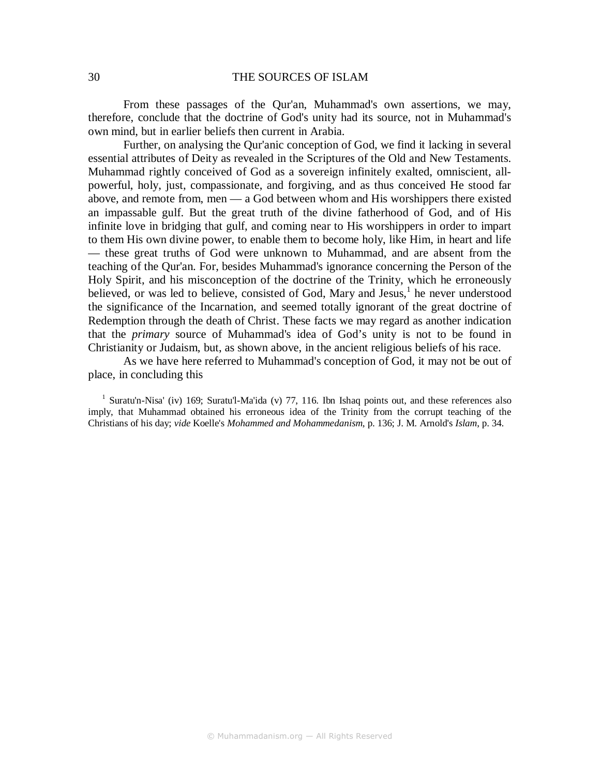From these passages of the Qur'an, Muhammad's own assertions, we may, therefore, conclude that the doctrine of God's unity had its source, not in Muhammad's own mind, but in earlier beliefs then current in Arabia.

Further, on analysing the Qur'anic conception of God, we find it lacking in several essential attributes of Deity as revealed in the Scriptures of the Old and New Testaments. Muhammad rightly conceived of God as a sovereign infinitely exalted, omniscient, allpowerful, holy, just, compassionate, and forgiving, and as thus conceived He stood far above, and remote from, men — a God between whom and His worshippers there existed an impassable gulf. But the great truth of the divine fatherhood of God, and of His infinite love in bridging that gulf, and coming near to His worshippers in order to impart to them His own divine power, to enable them to become holy, like Him, in heart and life — these great truths of God were unknown to Muhammad, and are absent from the teaching of the Qur'an. For, besides Muhammad's ignorance concerning the Person of the Holy Spirit, and his misconception of the doctrine of the Trinity, which he erroneously believed, or was led to believe, consisted of God, Mary and Jesus, $<sup>1</sup>$  he never understood</sup> the significance of the Incarnation, and seemed totally ignorant of the great doctrine of Redemption through the death of Christ. These facts we may regard as another indication that the *primary* source of Muhammad's idea of God's unity is not to be found in Christianity or Judaism, but, as shown above, in the ancient religious beliefs of his race.

As we have here referred to Muhammad's conception of God, it may not be out of place, in concluding this

<sup>1</sup> Suratu'n-Nisa' (iv) 169; Suratu'l-Ma'ida (v) 77, 116. Ibn Ishaq points out, and these references also imply, that Muhammad obtained his erroneous idea of the Trinity from the corrupt teaching of the Christians of his day; *vide* Koelle's *Mohammed and Mohammedanism*, p. 136; J. M. Arnold's *Islam*, p. 34.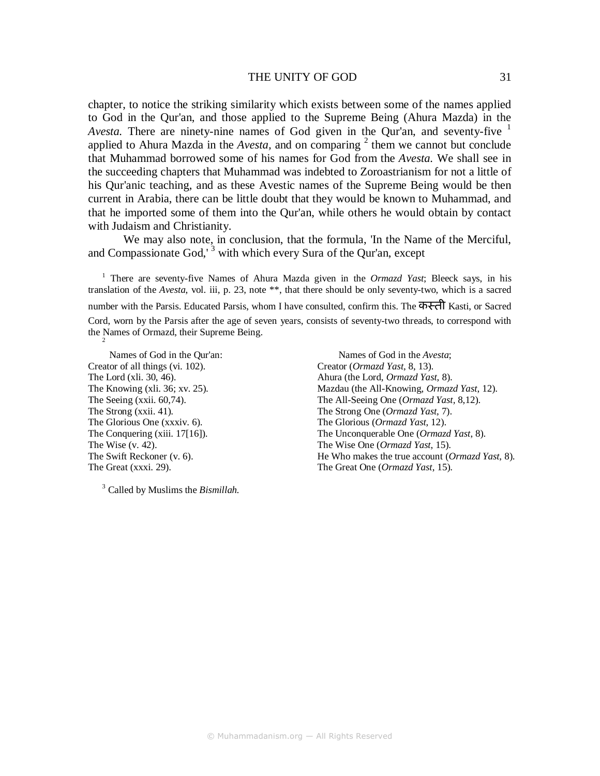## THE UNITY OF GOD 31

chapter, to notice the striking similarity which exists between some of the names applied to God in the Qur'an, and those applied to the Supreme Being (Ahura Mazda) in the *Avesta.* There are ninety-nine names of God given in the Qur'an, and seventy-five <sup>1</sup> applied to Ahura Mazda in the  $Avesta$ , and on comparing  $2$  them we cannot but conclude that Muhammad borrowed some of his names for God from the *Avesta.* We shall see in the succeeding chapters that Muhammad was indebted to Zoroastrianism for not a little of his Qur'anic teaching, and as these Avestic names of the Supreme Being would be then current in Arabia, there can be little doubt that they would be known to Muhammad, and that he imported some of them into the Qur'an, while others he would obtain by contact with Judaism and Christianity.

We may also note, in conclusion, that the formula, 'In the Name of the Merciful, and Compassionate God,<sup> $3$ </sup> with which every Sura of the Qur'an, except

<sup>1</sup> There are seventy-five Names of Ahura Mazda given in the *Ormazd Yast*; Bleeck says, in his translation of the *Avesta*, vol. iii, p. 23, note \*\*, that there should be only seventy-two, which is a sacred number with the Parsis. Educated Parsis, whom I have consulted, confirm this. The कस्ती Kasti, or Sacred Cord, worn by the Parsis after the age of seven years, consists of seventy-two threads, to correspond with the Names of Ormazd, their Supreme Being. 2

Names of God in the Qur'an: Names of God in the *Avesta*; Creator of all things (vi. 102). Creator (*Ormazd Yast*, 8, 13). The Lord (xli. 30, 46).<br>
The Knowing (xli. 36; xv. 25).<br>
Mazdau (the All-Knowing, *Ormazd Yast*, 8).<br>
Mazdau (the All-Knowing, *Ormaz*) The Strong (xxii. 41). The Strong One (*Ormazd Yast*, 7). The Glorious One (xxxiv. 6). The Glorious (*Ormazd Yast*, 12). The Wise (v. 42). The Wise One (*Ormazd Yast*, 15).

3 Called by Muslims the *Bismillah.* 

Mazdau (the All-Knowing, *Ormazd Yast*, 12). The Seeing (xxii. 60,74). The All-Seeing One (*Ormazd Yast,* 8,12). The Conquering (xiii. 17[16]). The Unconquerable One (*Ormazd Yast*, 8). The Swift Reckoner (v. 6). **He Who makes the true account (***Ormazd Yast*, 8). The Great (xxxi. 29). The Great One (*Ormazd Yast*, 15).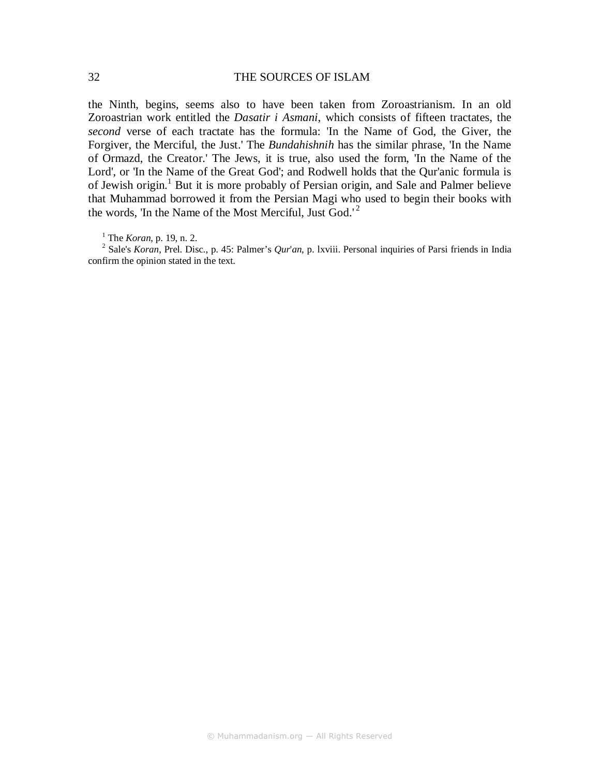the Ninth, begins, seems also to have been taken from Zoroastrianism. In an old Zoroastrian work entitled the *Dasatir i Asmani*, which consists of fifteen tractates, the *second* verse of each tractate has the formula: 'In the Name of God, the Giver, the Forgiver, the Merciful, the Just.' The *Bundahishnih* has the similar phrase, 'In the Name of Ormazd, the Creator.' The Jews, it is true, also used the form, 'In the Name of the Lord', or 'In the Name of the Great God'; and Rodwell holds that the Qur'anic formula is of Jewish origin.<sup>1</sup> But it is more probably of Persian origin, and Sale and Palmer believe that Muhammad borrowed it from the Persian Magi who used to begin their books with the words, 'In the Name of the Most Merciful, Just God.'<sup>2</sup>

1 The *Koran*, p. 19, n. 2.

2 Sale's *Koran*, Prel. Disc., p. 45: Palmer's *Qur*'*an*, p. lxviii. Personal inquiries of Parsi friends in India confirm the opinion stated in the text.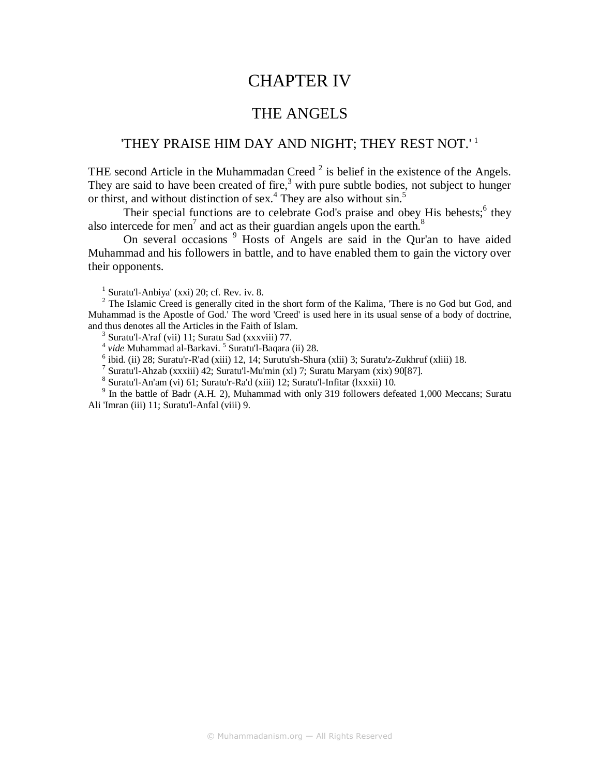# CHAPTER IV

# THE ANGELS

## 'THEY PRAISE HIM DAY AND NIGHT; THEY REST NOT.' <sup>1</sup>

THE second Article in the Muhammadan Creed  $2$  is belief in the existence of the Angels. They are said to have been created of fire,<sup>3</sup> with pure subtle bodies, not subject to hunger or thirst, and without distinction of sex.<sup>4</sup> They are also without sin.<sup>5</sup>

Their special functions are to celebrate God's praise and obey His behests;<sup>6</sup> they also intercede for men<sup>7</sup> and act as their guardian angels upon the earth.<sup>8</sup>

On several occasions<sup>9</sup> Hosts of Angels are said in the Qur'an to have aided Muhammad and his followers in battle, and to have enabled them to gain the victory over their opponents.

1 Suratu'l-Anbiya' (xxi) 20; cf. Rev. iv. 8.

<sup>2</sup> The Islamic Creed is generally cited in the short form of the Kalima, 'There is no God but God, and Muhammad is the Apostle of God.' The word 'Creed' is used here in its usual sense of a body of doctrine, and thus denotes all the Articles in the Faith of Islam.

3 Suratu'l-A'raf (vii) 11; Suratu Sad (xxxviii) 77.

<sup>4</sup> vide Muhammad al-Barkavi. <sup>5</sup> Suratu'l-Baqara (ii) 28.

6 ibid. (ii) 28; Suratu'r-R'ad (xiii) 12, 14; Surutu'sh-Shura (xlii) 3; Suratu'z-Zukhruf (xliii) 18.

<sup>7</sup> Suratu'l-Ahzab (xxxiii) 42; Suratu'l-Mu'min (xl) 7; Suratu Maryam (xix) 90[87].

8 Suratu'l-An'am (vi) 61; Suratu'r-Ra'd (xiii) 12; Suratu'l-Infitar (lxxxii) 10.

<sup>9</sup> In the battle of Badr (A.H. 2), Muhammad with only 319 followers defeated 1,000 Meccans; Suratu Ali 'Imran (iii) 11; Suratu'l-Anfal (viii) 9.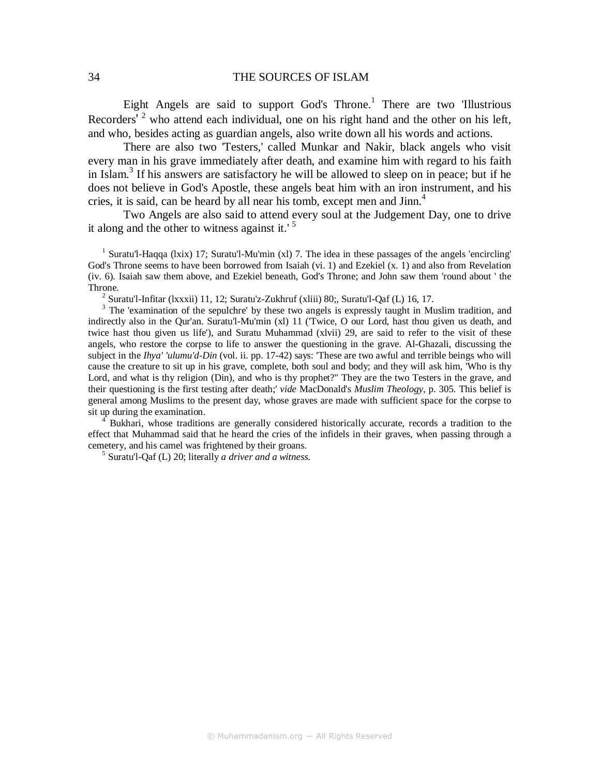Eight Angels are said to support God's Throne.<sup>1</sup> There are two 'Illustrious Recorders'<sup>2</sup> who attend each individual, one on his right hand and the other on his left, and who, besides acting as guardian angels, also write down all his words and actions.

There are also two 'Testers,' called Munkar and Nakir, black angels who visit every man in his grave immediately after death, and examine him with regard to his faith in Islam.<sup>3</sup> If his answers are satisfactory he will be allowed to sleep on in peace; but if he does not believe in God's Apostle, these angels beat him with an iron instrument, and his cries, it is said, can be heard by all near his tomb, except men and  $\text{Jim.}^4$ 

Two Angels are also said to attend every soul at the Judgement Day, one to drive it along and the other to witness against it.' $5$ 

<sup>1</sup> Suratu'l-Haqqa (lxix) 17; Suratu'l-Mu'min (xl) 7. The idea in these passages of the angels 'encircling' God's Throne seems to have been borrowed from Isaiah (vi. 1) and Ezekiel (x. 1) and also from Revelation (iv. 6). Isaiah saw them above, and Ezekiel beneath, God's Throne; and John saw them 'round about ' the Throne.

<sup>2</sup> Suratu'l-Infitar (Ixxxii) 11, 12; Suratu'z-Zukhruf (xliii) 80;, Suratu'l-Qaf (L) 16, 17.<br><sup>3</sup> The 'examination of the sepulchre' by these two angels is expressly taught in Muslim tradition, and indirectly also in the Qur'an. Suratu'l-Mu'min (xl) 11 ('Twice, O our Lord, hast thou given us death, and twice hast thou given us life'), and Suratu Muhammad (xlvii) 29, are said to refer to the visit of these angels, who restore the corpse to life to answer the questioning in the grave. Al-Ghazali, discussing the subject in the *Ihya' 'ulumu'd-Din* (vol. ii. pp. 17-42) says: 'These are two awful and terrible beings who will cause the creature to sit up in his grave, complete, both soul and body; and they will ask him, 'Who is thy Lord, and what is thy religion (Din), and who is thy prophet?" They are the two Testers in the grave, and their questioning is the first testing after death;' *vide* MacDonald's *Muslim Theology*, p. 305. This belief is general among Muslims to the present day, whose graves are made with sufficient space for the corpse to sit up during the examination.

4 Bukhari, whose traditions are generally considered historically accurate, records a tradition to the effect that Muhammad said that he heard the cries of the infidels in their graves, when passing through a cemetery, and his camel was frightened by their groans.

5 Suratu'l-Qaf (L) 20; literally *a driver and a witness.*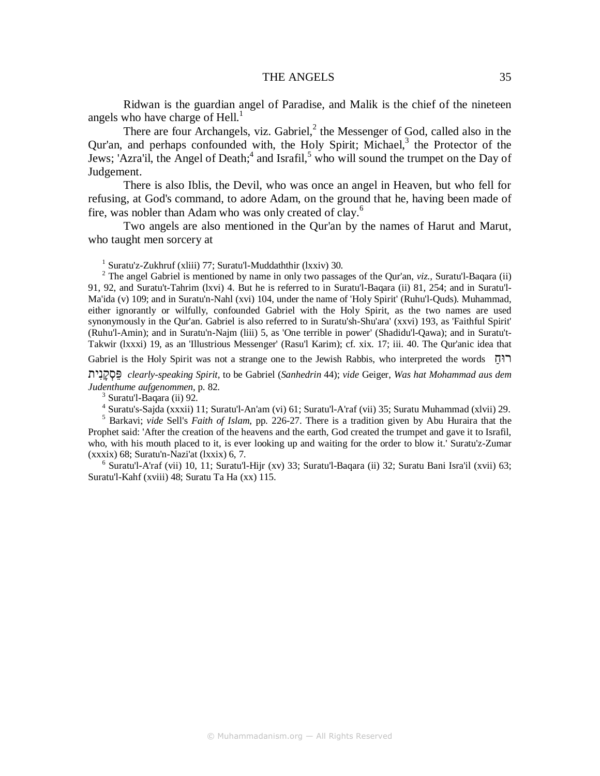#### THE ANGELS 35

Ridwan is the guardian angel of Paradise, and Malik is the chief of the nineteen angels who have charge of  $Hell<sup>1</sup>$ .

There are four Archangels, viz. Gabriel, $^2$  the Messenger of God, called also in the Qur'an, and perhaps confounded with, the Holy Spirit; Michael,<sup>3</sup> the Protector of the Jews; 'Azra'il, the Angel of Death;<sup>4</sup> and Israfil,<sup>5</sup> who will sound the trumpet on the Day of Judgement.

There is also Iblis, the Devil, who was once an angel in Heaven, but who fell for refusing, at God's command, to adore Adam, on the ground that he, having been made of fire, was nobler than Adam who was only created of clay.<sup>6</sup>

Two angels are also mentioned in the Qur'an by the names of Harut and Marut, who taught men sorcery at

1 Suratu'z-Zukhruf (xliii) 77; Suratu'l-Muddaththir (lxxiv) 30.

2 The angel Gabriel is mentioned by name in only two passages of the Qur'an, *viz.,* Suratu'l-Baqara (ii) 91, 92, and Suratu't-Tahrim (lxvi) 4. But he is referred to in Suratu'l-Baqara (ii) 81, 254; and in Suratu'l-Ma'ida (v) 109; and in Suratu'n-Nahl (xvi) 104, under the name of 'Holy Spirit' (Ruhu'l-Quds). Muhammad, either ignorantly or wilfully, confounded Gabriel with the Holy Spirit, as the two names are used synonymously in the Qur'an. Gabriel is also referred to in Suratu'sh-Shu'ara' (xxvi) 193, as 'Faithful Spirit' (Ruhu'l-Amin); and in Suratu'n-Najm (liii) 5, as 'One terrible in power' (Shadidu'l-Qawa); and in Suratu't-Takwir (lxxxi) 19, as an 'Illustrious Messenger' (Rasu'l Karim); cf. xix. 17; iii. 40. The Qur'anic idea that

Gabriel is the Holy Spirit was not a strange one to the Jewish Rabbis, who interpreted the words ַרוּח

יתִנָקְסֵפּ *clearly-speaking Spirit,* to be Gabriel (*Sanhedrin* 44); *vide* Geiger, *Was hat Mohammad aus dem Judenthume aufgenommen*, p. 82.

<sup>3</sup> Suratu'l-Baqara (ii) 92.

4 Suratu's-Sajda (xxxii) 11; Suratu'l-An'am (vi) 61; Suratu'l-A'raf (vii) 35; Suratu Muhammad (xlvii) 29.

5 Barkavi; *vide* Sell's *Faith of Islam*, pp. 226-27. There is a tradition given by Abu Huraira that the Prophet said: 'After the creation of the heavens and the earth, God created the trumpet and gave it to Israfil, who, with his mouth placed to it, is ever looking up and waiting for the order to blow it.' Suratu'z-Zumar  $(xxxix)$  68; Suratu'n-Nazi'at  $(xxix)$  6, 7.

<sup>6</sup> Suratu'l-A'raf (vii) 10, 11; Suratu'l-Hijr (xv) 33; Suratu'l-Baqara (ii) 32; Suratu Bani Isra'il (xvii) 63; Suratu'l-Kahf (xviii) 48; Suratu Ta Ha (xx) 115.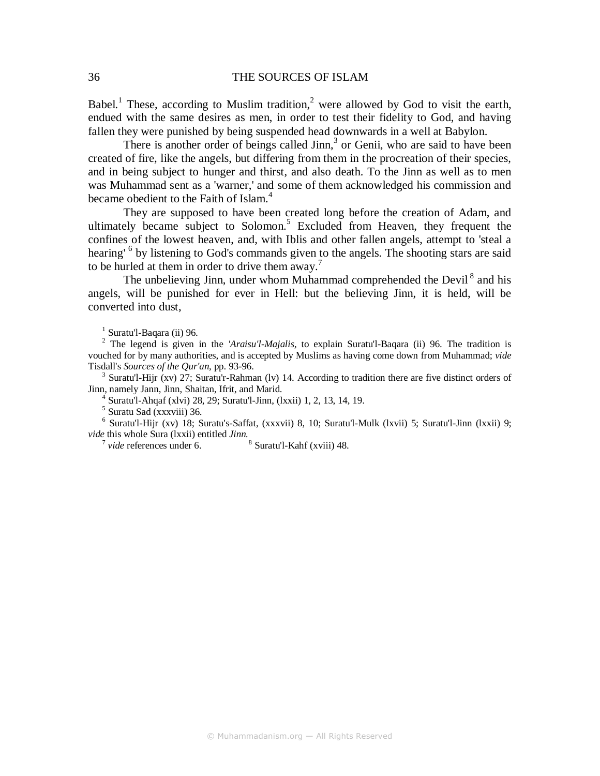Babel.<sup>1</sup> These, according to Muslim tradition,<sup>2</sup> were allowed by God to visit the earth, endued with the same desires as men, in order to test their fidelity to God, and having fallen they were punished by being suspended head downwards in a well at Babylon.

There is another order of beings called Jinn,<sup>3</sup> or Genii, who are said to have been created of fire, like the angels, but differing from them in the procreation of their species, and in being subject to hunger and thirst, and also death. To the Jinn as well as to men was Muhammad sent as a 'warner,' and some of them acknowledged his commission and became obedient to the Faith of Islam.<sup>4</sup>

They are supposed to have been created long before the creation of Adam, and ultimately became subject to Solomon.<sup>5</sup> Excluded from Heaven, they frequent the confines of the lowest heaven, and, with Iblis and other fallen angels, attempt to 'steal a hearing' <sup>6</sup> by listening to God's commands given to the angels. The shooting stars are said to be hurled at them in order to drive them away.<sup>7</sup>

The unbelieving Jinn, under whom Muhammad comprehended the Devil<sup>8</sup> and his angels, will be punished for ever in Hell: but the believing Jinn, it is held, will be converted into dust,

 $<sup>1</sup>$  Suratu'l-Baqara (ii) 96.</sup>

2 The legend is given in the *'Araisu'l-Majalis,* to explain Suratu'l-Baqara (ii) 96. The tradition is vouched for by many authorities, and is accepted by Muslims as having come down from Muhammad; *vide*  Tisdall's *Sources of the Qur'an*, pp. 93-96.

<sup>3</sup> Suratu'l-Hijr (xv) 27; Suratu'r-Rahman (lv) 14. According to tradition there are five distinct orders of Jinn, namely Jann, Jinn, Shaitan, Ifrit, and Marid.

4 Suratu'l-Ahqaf (xlvi) 28, 29; Suratu'l-Jinn, (lxxii) 1, 2, 13, 14, 19.

5 Suratu Sad (xxxviii) 36.

<sup>6</sup> Suratu'l-Hijr (xv) 18; Suratu's-Saffat, (xxxvii) 8, 10; Suratu'l-Mulk (lxvii) 5; Suratu'l-Jinn (lxxii) 9; *vide* this whole Sura (lxxii) entitled *Jinn*.<br>
<sup>7</sup> *vide* references under 6. 8 Suratu'l-Kahf (xviii) 48.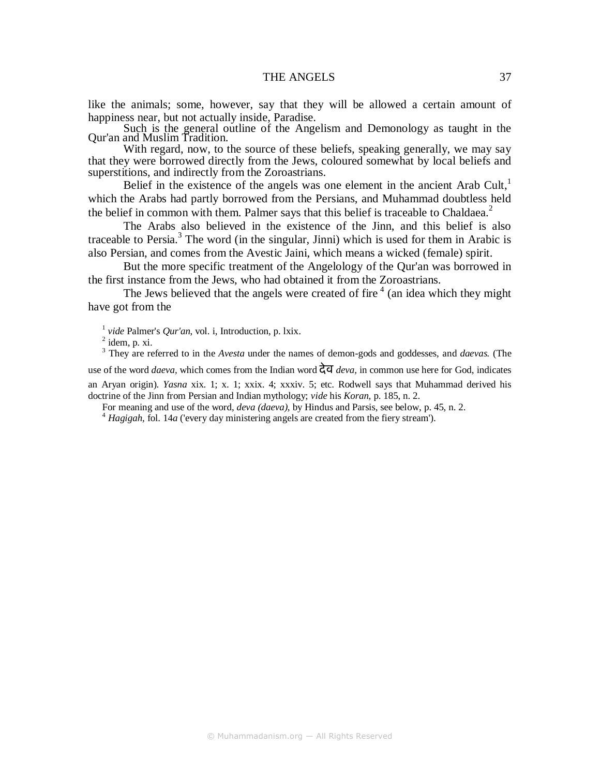like the animals; some, however, say that they will be allowed a certain amount of happiness near, but not actually inside, Paradise.

Such is the general outline of the Angelism and Demonology as taught in the Qur'an and Muslim Tradition.

With regard, now, to the source of these beliefs, speaking generally, we may say that they were borrowed directly from the Jews, coloured somewhat by local beliefs and superstitions, and indirectly from the Zoroastrians.

Belief in the existence of the angels was one element in the ancient Arab Cult, $<sup>1</sup>$ </sup> which the Arabs had partly borrowed from the Persians, and Muhammad doubtless held the belief in common with them. Palmer says that this belief is traceable to Chaldaea. $2$ 

The Arabs also believed in the existence of the Jinn, and this belief is also traceable to Persia.<sup>3</sup> The word (in the singular, Jinni) which is used for them in Arabic is also Persian, and comes from the Avestic Jaini, which means a wicked (female) spirit.

But the more specific treatment of the Angelology of the Qur'an was borrowed in the first instance from the Jews, who had obtained it from the Zoroastrians.

The Jews believed that the angels were created of fire  $4/4$  (an idea which they might have got from the

1 *vide* Palmer's *Qur'an*, vol. i, Introduction, p. lxix.

 $<sup>2</sup>$  idem, p. xi.</sup>

3 They are referred to in the *Avesta* under the names of demon-gods and goddesses, and *daevas.* (The use of the word *daeva,* which comes from the Indian word देव *deva,* in common use here for God, indicates an Aryan origin). *Yasna* xix. 1; x. 1; xxix. 4; xxxiv. 5; etc. Rodwell says that Muhammad derived his doctrine of the Jinn from Persian and Indian mythology; *vide* his *Koran,* p. 185, n. 2.

For meaning and use of the word, *deva (daeva),* by Hindus and Parsis, see below, p. 45, n. 2.

<sup>4</sup> *Hagigah,* fol. 14*a* ('every day ministering angels are created from the fiery stream').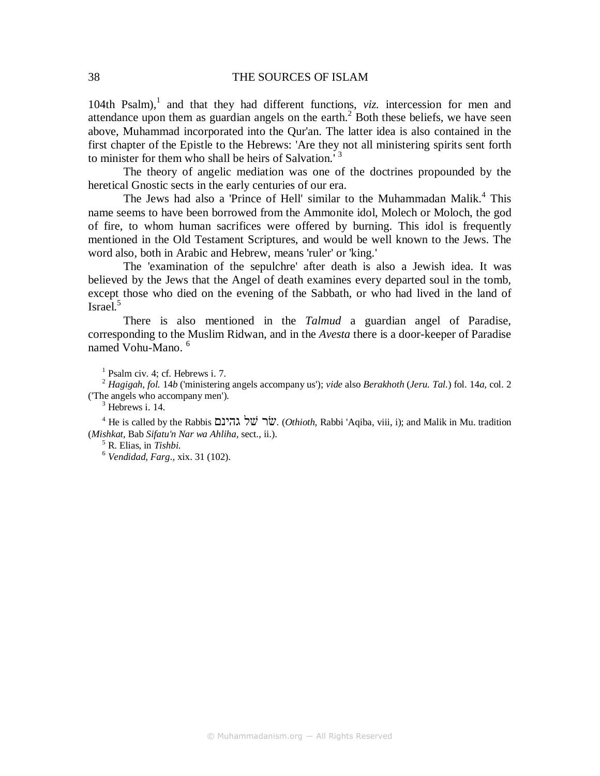104th Psalm),<sup>1</sup> and that they had different functions, *viz.* intercession for men and attendance upon them as guardian angels on the earth. $<sup>2</sup>$  Both these beliefs, we have seen</sup> above, Muhammad incorporated into the Qur'an. The latter idea is also contained in the first chapter of the Epistle to the Hebrews: 'Are they not all ministering spirits sent forth to minister for them who shall be heirs of Salvation.<sup>3</sup>

The theory of angelic mediation was one of the doctrines propounded by the heretical Gnostic sects in the early centuries of our era.

The Jews had also a 'Prince of Hell' similar to the Muhammadan Malik.<sup>4</sup> This name seems to have been borrowed from the Ammonite idol, Molech or Moloch, the god of fire, to whom human sacrifices were offered by burning. This idol is frequently mentioned in the Old Testament Scriptures, and would be well known to the Jews. The word also, both in Arabic and Hebrew, means 'ruler' or 'king.'

The 'examination of the sepulchre' after death is also a Jewish idea. It was believed by the Jews that the Angel of death examines every departed soul in the tomb, except those who died on the evening of the Sabbath, or who had lived in the land of Israel. $5$ 

There is also mentioned in the *Talmud* a guardian angel of Paradise, corresponding to the Muslim Ridwan, and in the *Avesta* there is a door-keeper of Paradise named Vohu-Mano. <sup>6</sup>

1 Psalm civ. 4; cf. Hebrews i. 7.

2  *Hagigah, fol.* 14*b* ('ministering angels accompany us'); *vide* also *Berakhoth* (*Jeru. Tal.*) fol. 14*a,* col. 2 ('The angels who accompany men').

<sup>3</sup> Hebrews i. 14.

4 He is called by the Rabbis גהינם שׁל שׂר.) *Othioth,* Rabbi 'Aqiba, viii, i); and Malik in Mu. tradition (*Mishkat,* Bab *Sifatu'n Nar wa Ahliha,* sect., ii.).

5 R. Elias, in *Tishbi.* 

6  *Vendidad, Farg*., xix. 31 (102).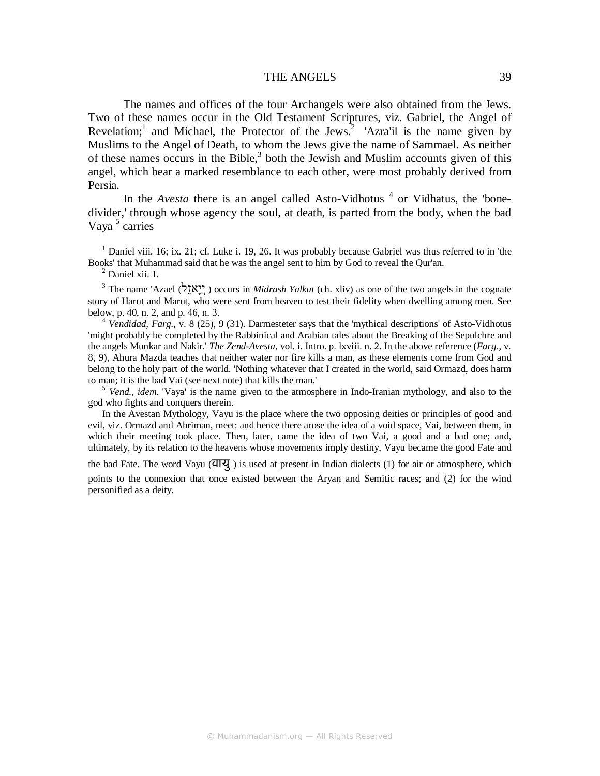## THE ANGELS 39

The names and offices of the four Archangels were also obtained from the Jews. Two of these names occur in the Old Testament Scriptures, viz. Gabriel, the Angel of Revelation;<sup>1</sup> and Michael, the Protector of the Jews.<sup>2</sup> 'Azra'il is the name given by Muslims to the Angel of Death, to whom the Jews give the name of Sammael. As neither of these names occurs in the Bible, $3$  both the Jewish and Muslim accounts given of this angel, which bear a marked resemblance to each other, were most probably derived from Persia.

In the *Avesta* there is an angel called Asto-Vidhotus<sup>4</sup> or Vidhatus, the 'bonedivider,' through whose agency the soul, at death, is parted from the body, when the bad Vaya<sup>5</sup> carries

<sup>1</sup> Daniel viii. 16; ix. 21; cf. Luke i. 19, 26. It was probably because Gabriel was thus referred to in 'the Books' that Muhammad said that he was the angel sent to him by God to reveal the Qur'an.

2 Daniel xii. 1.

<sup>3</sup> The name 'Azael (לְאָזֶל) occurs in *Midrash Yalkut* (ch. xliv) as one of the two angels in the cognate story of Harut and Marut, who were sent from heaven to test their fidelity when dwelling among men. See below, p. 40, n. 2, and p. 46, n. 3.

<sup>4</sup> Vendidad, Farg., v. 8 (25), 9 (31). Darmesteter says that the 'mythical descriptions' of Asto-Vidhotus 'might probably be completed by the Rabbinical and Arabian tales about the Breaking of the Sepulchre and the angels Munkar and Nakir.' *The Zend-Avesta*, vol. i. Intro. p. lxviii. n. 2. In the above reference (*Farg*., v. 8, 9), Ahura Mazda teaches that neither water nor fire kills a man, as these elements come from God and belong to the holy part of the world. 'Nothing whatever that I created in the world, said Ormazd, does harm to man; it is the bad Vai (see next note) that kills the man.'

<sup>5</sup> Vend., idem. 'Vaya' is the name given to the atmosphere in Indo-Iranian mythology, and also to the god who fights and conquers therein.

In the Avestan Mythology, Vayu is the place where the two opposing deities or principles of good and evil, viz. Ormazd and Ahriman, meet: and hence there arose the idea of a void space, Vai, between them, in which their meeting took place. Then, later, came the idea of two Vai, a good and a bad one; and, ultimately, by its relation to the heavens whose movements imply destiny, Vayu became the good Fate and

the bad Fate. The word Vayu (वायु ) is used at present in Indian dialects (1) for air or atmosphere, which points to the connexion that once existed between the Aryan and Semitic races; and (2) for the wind personified as a deity.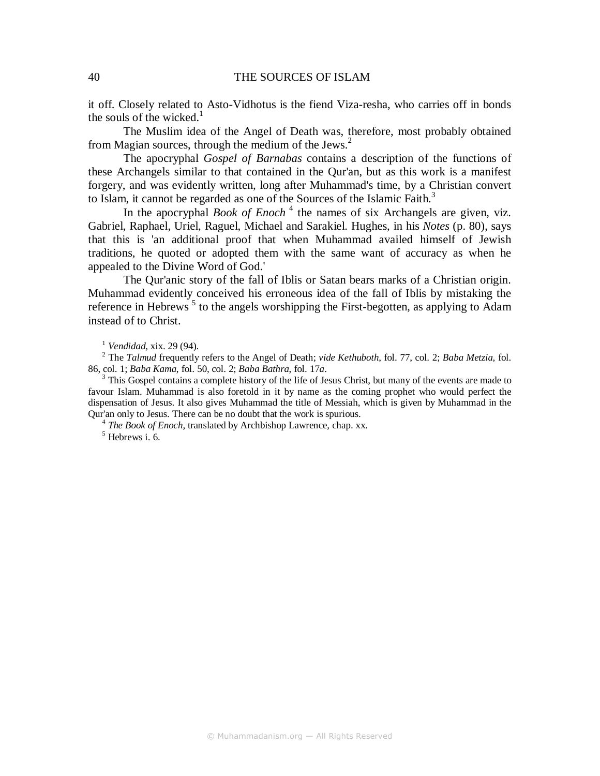it off. Closely related to Asto-Vidhotus is the fiend Viza-resha, who carries off in bonds the souls of the wicked. $<sup>1</sup>$ </sup>

The Muslim idea of the Angel of Death was, therefore, most probably obtained from Magian sources, through the medium of the Jews.<sup>2</sup>

The apocryphal *Gospel of Barnabas* contains a description of the functions of these Archangels similar to that contained in the Qur'an, but as this work is a manifest forgery, and was evidently written, long after Muhammad's time, by a Christian convert to Islam, it cannot be regarded as one of the Sources of the Islamic Faith.<sup>3</sup>

In the apocryphal *Book of Enoch*<sup>4</sup> the names of six Archangels are given, viz. Gabriel, Raphael, Uriel, Raguel, Michael and Sarakiel. Hughes, in his *Notes* (p. 80), says that this is 'an additional proof that when Muhammad availed himself of Jewish traditions, he quoted or adopted them with the same want of accuracy as when he appealed to the Divine Word of God.'

The Qur'anic story of the fall of Iblis or Satan bears marks of a Christian origin. Muhammad evidently conceived his erroneous idea of the fall of Iblis by mistaking the reference in Hebrews<sup>5</sup> to the angels worshipping the First-begotten, as applying to Adam instead of to Christ.

<sup>1</sup> *Vendidad*, xix. 29 (94).

<sup>2</sup> The *Talmud* frequently refers to the Angel of Death; *vide Kethuboth*, fol. 77, col. 2; *Baba Metzia,* fol. 86, col. 1; *Baba Kama*, fol. 50, col. 2; *Baba Bathra*, fol. 17*a*.

<sup>3</sup> This Gospel contains a complete history of the life of Jesus Christ, but many of the events are made to favour Islam. Muhammad is also foretold in it by name as the coming prophet who would perfect the dispensation of Jesus. It also gives Muhammad the title of Messiah, which is given by Muhammad in the Qur'an only to Jesus. There can be no doubt that the work is spurious.

<sup>4</sup> The Book of Enoch, translated by Archbishop Lawrence, chap. xx. 5 Hebrews i. 6.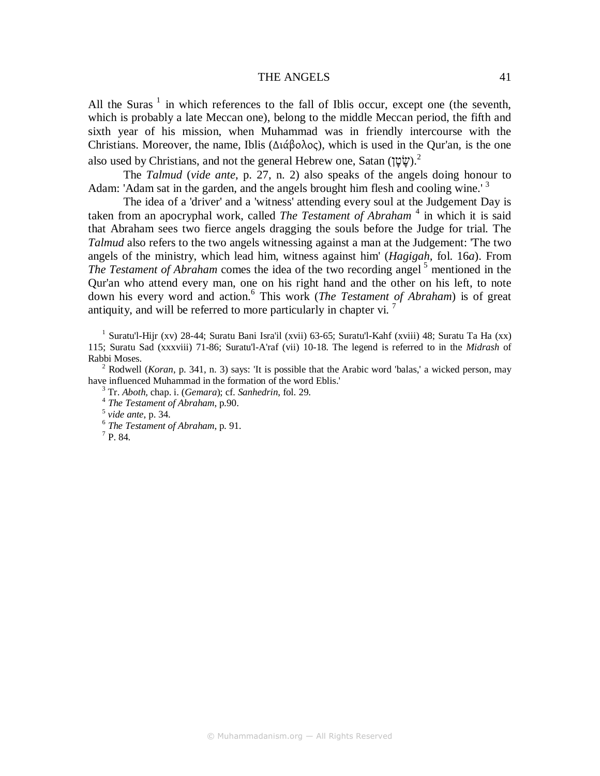#### THE ANGELS 41

All the Suras<sup>1</sup> in which references to the fall of Iblis occur, except one (the seventh, which is probably a late Meccan one), belong to the middle Meccan period, the fifth and sixth year of his mission, when Muhammad was in friendly intercourse with the Christians. Moreover, the name, Iblis (∆ιάβολος), which is used in the Qur'an, is the one also used by Christians, and not the general Hebrew one, Satan ( $\psi$ ָשׂטָן).<sup>2</sup>

The *Talmud* (*vide ante*, p. 27, n. 2) also speaks of the angels doing honour to Adam: 'Adam sat in the garden, and the angels brought him flesh and cooling wine.'<sup>3</sup>

The idea of a 'driver' and a 'witness' attending every soul at the Judgement Day is taken from an apocryphal work, called *The Testament of Abraham*<sup>4</sup> in which it is said that Abraham sees two fierce angels dragging the souls before the Judge for trial. The *Talmud* also refers to the two angels witnessing against a man at the Judgement: 'The two angels of the ministry, which lead him, witness against him' (*Hagigah,* fol. 16*a*). From *The Testament of Abraham* comes the idea of the two recording angel<sup>5</sup> mentioned in the Qur'an who attend every man, one on his right hand and the other on his left, to note down his every word and action.<sup>6</sup> This work (*The Testament of Abraham*) is of great antiquity, and will be referred to more particularly in chapter vi.  $\frac{7}{10}$ 

<sup>1</sup> Suratu'l-Hijr (xv) 28-44; Suratu Bani Isra'il (xvii) 63-65; Suratu'l-Kahf (xviii) 48; Suratu Ta Ha (xx) 115; Suratu Sad (xxxviii) 71-86; Suratu'l-A'raf (vii) 10-18. The legend is referred to in the *Midrash* of Rabbi Moses.

<sup>2</sup> Rodwell (*Koran*, p. 341, n. 3) says: 'It is possible that the Arabic word 'balas,' a wicked person, may have influenced Muhammad in the formation of the word Eblis.'

3 Tr. *Aboth,* chap. i. (*Gemara*); cf. *Sanhedrin*, fol. 29.

 $^7$  P. 84.

<sup>4</sup>  *The Testament of Abraham*, p.90.

<sup>5</sup>  *vide ante*, p. 34.

<sup>6</sup>  *The Testament of Abraham*, p. 91.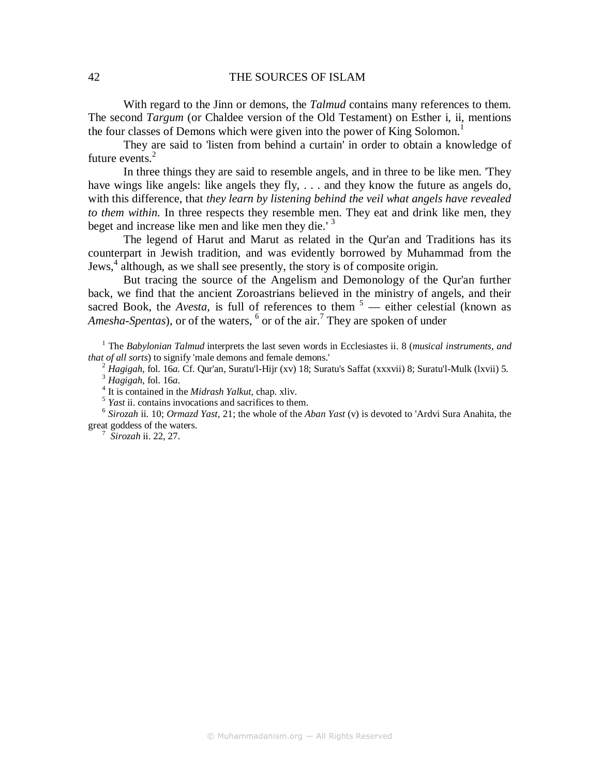With regard to the Jinn or demons, the *Talmud* contains many references to them. The second *Targum* (or Chaldee version of the Old Testament) on Esther i, ii, mentions the four classes of Demons which were given into the power of King Solomon.<sup>1</sup>

They are said to 'listen from behind a curtain' in order to obtain a knowledge of future events.<sup>2</sup>

In three things they are said to resemble angels, and in three to be like men. 'They have wings like angels: like angels they fly, ... and they know the future as angels do, with this difference, that *they learn by listening behind the veil what angels have revealed to them within.* In three respects they resemble men. They eat and drink like men, they beget and increase like men and like men they die.<sup>'3</sup>

The legend of Harut and Marut as related in the Qur'an and Traditions has its counterpart in Jewish tradition, and was evidently borrowed by Muhammad from the Jews,<sup>4</sup> although, as we shall see presently, the story is of composite origin.

But tracing the source of the Angelism and Demonology of the Qur'an further back, we find that the ancient Zoroastrians believed in the ministry of angels, and their sacred Book, the *Avesta*, is full of references to them <sup>5</sup> — either celestial (known as Amesha-Spentas), or of the waters, <sup>6</sup> or of the air.<sup>7</sup> They are spoken of under

<sup>1</sup> The *Babylonian Talmud* interprets the last seven words in Ecclesiastes ii. 8 (*musical instruments, and that of all sorts*) to signify 'male demons and female demons.'

2  *Hagigah*, fol. 16*a.* Cf. Qur'an, Suratu'l-Hijr (xv) 18; Suratu's Saffat (xxxvii) 8; Suratu'l-Mulk (lxvii) 5.

<sup>3</sup> *Hagigah*, fol. 16*a*.

4 It is contained in the *Midrash Yalkut,* chap. xliv.

<sup>5</sup> *Yast* ii. contains invocations and sacrifices to them.

6 *Sirozah* ii. 10; *Ormazd Yast,* 21; the whole of the *Aban Yast* (v) is devoted to 'Ardvi Sura Anahita, the great goddess of the waters.

7  *Sirozah* ii. 22, 27.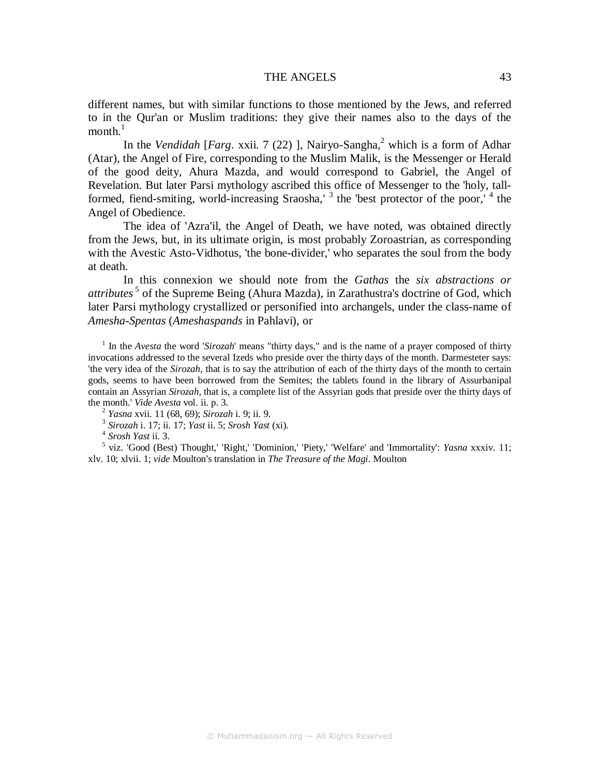#### THE ANGELS 43

different names, but with similar functions to those mentioned by the Jews, and referred to in the Qur'an or Muslim traditions: they give their names also to the days of the month. $^1$ 

In the *Vendidah* [*Farg. xxii.* 7 (22)], Nairyo-Sangha,<sup>2</sup> which is a form of Adhar (Atar), the Angel of Fire, corresponding to the Muslim Malik, is the Messenger or Herald of the good deity, Ahura Mazda, and would correspond to Gabriel, the Angel of Revelation. But later Parsi mythology ascribed this office of Messenger to the 'holy, tallformed, fiend-smiting, world-increasing Sraosha,<sup>13</sup> the 'best protector of the poor,<sup>14</sup> the Angel of Obedience.

The idea of 'Azra'il, the Angel of Death, we have noted, was obtained directly from the Jews, but, in its ultimate origin, is most probably Zoroastrian, as corresponding with the Avestic Asto-Vidhotus, 'the bone-divider,' who separates the soul from the body at death.

In this connexion we should note from the *Gathas* the *six abstractions or attributes*<sup>5</sup> of the Supreme Being (Ahura Mazda), in Zarathustra's doctrine of God, which later Parsi mythology crystallized or personified into archangels, under the class-name of *Amesha-Spentas* (*Ameshaspands* in Pahlavi), or

<sup>1</sup> In the *Avesta* the word '*Sirozah*' means "thirty days," and is the name of a prayer composed of thirty invocations addressed to the several Izeds who preside over the thirty days of the month. Darmesteter says: 'the very idea of the *Sirozah,* that is to say the attribution of each of the thirty days of the month to certain gods, seems to have been borrowed from the Semites; the tablets found in the library of Assurbanipal contain an Assyrian *Sirozah,* that is, a complete list of the Assyrian gods that preside over the thirty days of the month.' *Vide Avesta* vol. ii. p. 3.

2  *Yasna* xvii. 11 (68, 69); *Sirozah* i. 9; ii. 9. 3  *Sirozah* i. 17; ii. 17; *Yast* ii. 5; *Srosh Yast* (xi).

4  *Srosh Yast* ii. 3.

5 viz. 'Good (Best) Thought,' 'Right,' 'Dominion,' 'Piety,' 'Welfare' and 'Immortality': *Yasna* xxxiv. 11; xlv. 10; xlvii. 1; *vide* Moulton's translation in *The Treasure of the Magi*. Moulton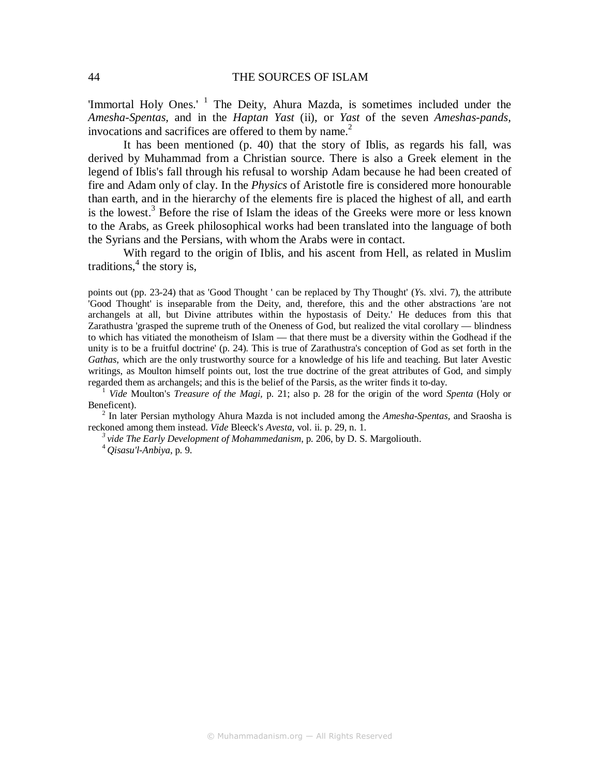'Immortal Holy Ones.' <sup>1</sup> The Deity, Ahura Mazda, is sometimes included under the *Amesha-Spentas,* and in the *Haptan Yast* (ii), or *Yast* of the seven *Ameshas-pands,* invocations and sacrifices are offered to them by name.<sup>2</sup>

It has been mentioned (p. 40) that the story of Iblis, as regards his fall, was derived by Muhammad from a Christian source. There is also a Greek element in the legend of Iblis's fall through his refusal to worship Adam because he had been created of fire and Adam only of clay. In the *Physics* of Aristotle fire is considered more honourable than earth, and in the hierarchy of the elements fire is placed the highest of all, and earth is the lowest.<sup>3</sup> Before the rise of Islam the ideas of the Greeks were more or less known to the Arabs, as Greek philosophical works had been translated into the language of both the Syrians and the Persians, with whom the Arabs were in contact.

With regard to the origin of Iblis, and his ascent from Hell, as related in Muslim traditions,  $4$  the story is,

points out (pp. 23-24) that as 'Good Thought ' can be replaced by Thy Thought' (*Y*s. xlvi. 7), the attribute 'Good Thought' is inseparable from the Deity, and, therefore, this and the other abstractions 'are not archangels at all, but Divine attributes within the hypostasis of Deity.' He deduces from this that Zarathustra 'grasped the supreme truth of the Oneness of God, but realized the vital corollary — blindness to which has vitiated the monotheism of Islam — that there must be a diversity within the Godhead if the unity is to be a fruitful doctrine' (p. 24). This is true of Zarathustra's conception of God as set forth in the *Gathas,* which are the only trustworthy source for a knowledge of his life and teaching. But later Avestic writings, as Moulton himself points out, lost the true doctrine of the great attributes of God, and simply regarded them as archangels; and this is the belief of the Parsis, as the writer finds it to-day.

<sup>1</sup> *Vide* Moulton's *Treasure of the Magi,* p. 21; also p. 28 for the origin of the word *Spenta* (Holy or Beneficent).

2 In later Persian mythology Ahura Mazda is not included among the *Amesha-Spentas,* and Sraosha is reckoned among them instead. *Vide* Bleeck's *Avesta,* vol. ii. p. 29, n. 1.

*<sup>3</sup>vide The Early Development of Mohammedanism*, p. 206, by D. S. Margoliouth.

<sup>4</sup> *Qisasu'l-Anbiya*, p. 9.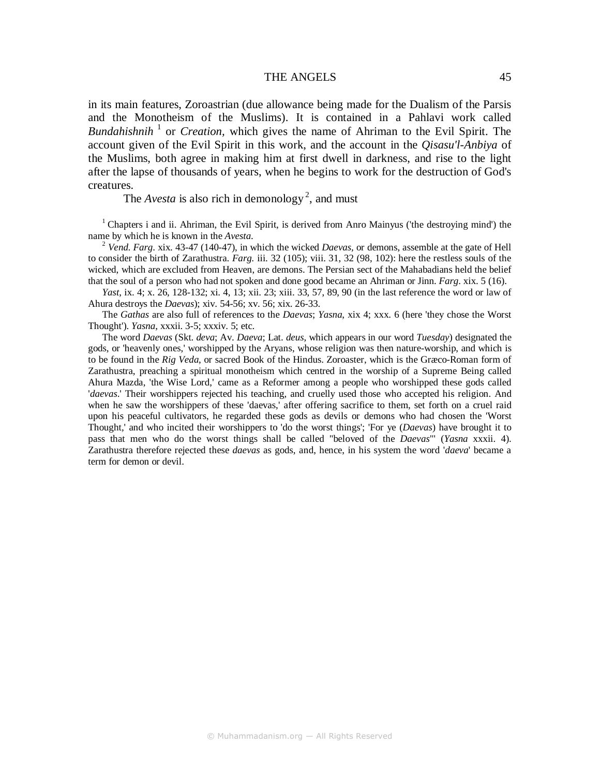#### THE ANGELS 45

in its main features, Zoroastrian (due allowance being made for the Dualism of the Parsis and the Monotheism of the Muslims). It is contained in a Pahlavi work called Bundahishnih<sup>1</sup> or *Creation*, which gives the name of Ahriman to the Evil Spirit. The account given of the Evil Spirit in this work, and the account in the *Qisasu'l-Anbiya* of the Muslims, both agree in making him at first dwell in darkness, and rise to the light after the lapse of thousands of years, when he begins to work for the destruction of God's creatures.

The *Avesta* is also rich in demonology<sup>2</sup>, and must

<sup>1</sup> Chapters i and ii. Ahriman, the Evil Spirit, is derived from Anro Mainyus ('the destroying mind') the name by which he is known in the *Avesta*.

2  *Vend*. *Farg*. xix. 43-47 (140-47), in which the wicked *Daevas,* or demons, assemble at the gate of Hell to consider the birth of Zarathustra. *Farg.* iii. 32 (105); viii. 31, 32 (98, 102): here the restless souls of the wicked, which are excluded from Heaven, are demons. The Persian sect of the Mahabadians held the belief that the soul of a person who had not spoken and done good became an Ahriman or Jinn. *Farg*. xix. 5 (16).

*Yast*, ix. 4; x. 26, 128-132; xi. 4, 13; xii. 23; xiii. 33, 57, 89, 90 (in the last reference the word or law of Ahura destroys the *Daevas*); xiv. 54-56; xv. 56; xix. 26-33.

The *Gathas* are also full of references to the *Daevas*; *Yasna*, xix 4; xxx. 6 (here 'they chose the Worst Thought'). *Yasna*, xxxii. 3-5; xxxiv. 5; etc.

The word *Daevas* (Skt. *deva*; Av. *Daeva*; Lat. *deus,* which appears in our word *Tuesday*) designated the gods, or 'heavenly ones,' worshipped by the Aryans, whose religion was then nature-worship, and which is to be found in the *Rig Veda*, or sacred Book of the Hindus. Zoroaster, which is the Græco-Roman form of Zarathustra, preaching a spiritual monotheism which centred in the worship of a Supreme Being called Ahura Mazda, 'the Wise Lord,' came as a Reformer among a people who worshipped these gods called '*daevas*.' Their worshippers rejected his teaching, and cruelly used those who accepted his religion. And when he saw the worshippers of these 'daevas,' after offering sacrifice to them, set forth on a cruel raid upon his peaceful cultivators, he regarded these gods as devils or demons who had chosen the 'Worst Thought,' and who incited their worshippers to 'do the worst things'; 'For ye (*Daevas*) have brought it to pass that men who do the worst things shall be called "beloved of the *Daevas*"' (*Yasna* xxxii. 4). Zarathustra therefore rejected these *daevas* as gods, and, hence, in his system the word '*daeva*' became a term for demon or devil.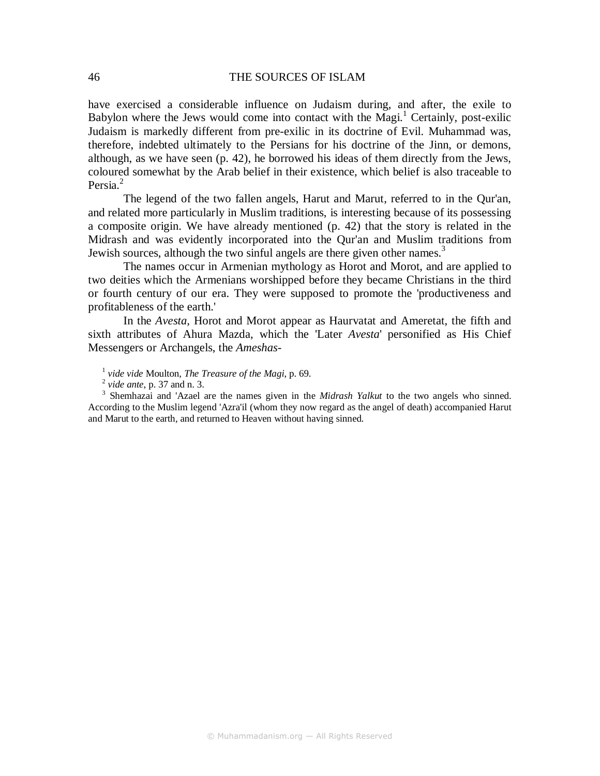have exercised a considerable influence on Judaism during, and after, the exile to Babylon where the Jews would come into contact with the Magi. $<sup>1</sup>$  Certainly, post-exilic</sup> Judaism is markedly different from pre-exilic in its doctrine of Evil. Muhammad was, therefore, indebted ultimately to the Persians for his doctrine of the Jinn, or demons, although, as we have seen (p. 42), he borrowed his ideas of them directly from the Jews, coloured somewhat by the Arab belief in their existence, which belief is also traceable to Persia.<sup>2</sup>

The legend of the two fallen angels, Harut and Marut, referred to in the Qur'an, and related more particularly in Muslim traditions, is interesting because of its possessing a composite origin. We have already mentioned (p. 42) that the story is related in the Midrash and was evidently incorporated into the Qur'an and Muslim traditions from Jewish sources, although the two sinful angels are there given other names.<sup>3</sup>

The names occur in Armenian mythology as Horot and Morot, and are applied to two deities which the Armenians worshipped before they became Christians in the third or fourth century of our era. They were supposed to promote the 'productiveness and profitableness of the earth.'

In the *Avesta,* Horot and Morot appear as Haurvatat and Ameretat, the fifth and sixth attributes of Ahura Mazda, which the 'Later *Avesta*' personified as His Chief Messengers or Archangels, the *Ameshas-*

1 *vide vide* Moulton, *The Treasure of the Magi*, p. 69.

2  *vide ante*, p. 37 and n. 3.

3 Shemhazai and 'Azael are the names given in the *Midrash Yalkut* to the two angels who sinned. According to the Muslim legend 'Azra'il (whom they now regard as the angel of death) accompanied Harut and Marut to the earth, and returned to Heaven without having sinned.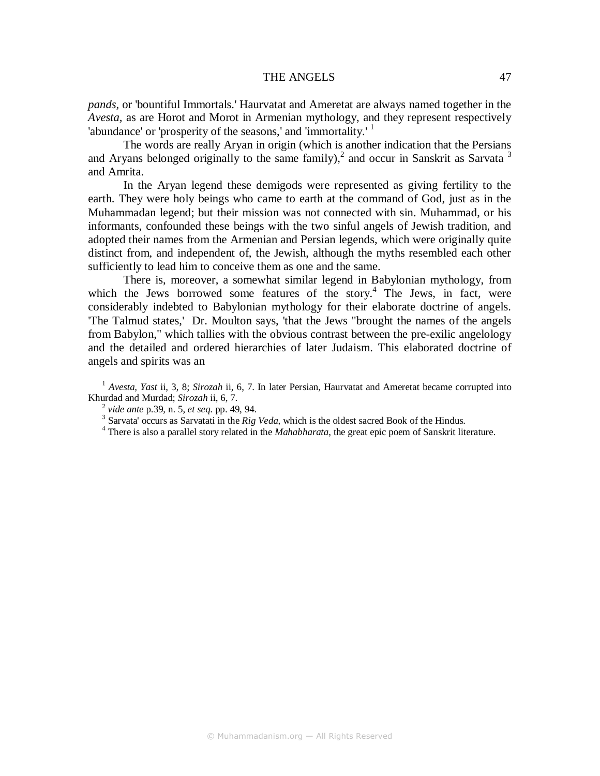## THE ANGELS 47

*pands,* or 'bountiful Immortals.' Haurvatat and Ameretat are always named together in the *Avesta,* as are Horot and Morot in Armenian mythology, and they represent respectively 'abundance' or 'prosperity of the seasons,' and 'immortality.'  $<sup>1</sup>$ </sup>

The words are really Aryan in origin (which is another indication that the Persians and Aryans belonged originally to the same family),<sup>2</sup> and occur in Sanskrit as Sarvata<sup>3</sup> and Amrita.

In the Aryan legend these demigods were represented as giving fertility to the earth. They were holy beings who came to earth at the command of God, just as in the Muhammadan legend; but their mission was not connected with sin. Muhammad, or his informants, confounded these beings with the two sinful angels of Jewish tradition, and adopted their names from the Armenian and Persian legends, which were originally quite distinct from, and independent of, the Jewish, although the myths resembled each other sufficiently to lead him to conceive them as one and the same.

There is, moreover, a somewhat similar legend in Babylonian mythology, from which the Jews borrowed some features of the story.<sup>4</sup> The Jews, in fact, were considerably indebted to Babylonian mythology for their elaborate doctrine of angels. 'The Talmud states,' Dr. Moulton says, 'that the Jews "brought the names of the angels from Babylon," which tallies with the obvious contrast between the pre-exilic angelology and the detailed and ordered hierarchies of later Judaism. This elaborated doctrine of angels and spirits was an

<sup>1</sup> *Avesta, Yast ii, 3, 8; Sirozah ii, 6, 7. In later Persian, Haurvatat and Ameretat became corrupted into* Khurdad and Murdad; *Sirozah* ii, 6, 7.

<sup>2</sup> *vide ante* p.39, n. 5, *et seq*. pp. 49, 94.

<sup>&</sup>lt;sup>3</sup> Sarvata' occurs as Sarvatati in the *Rig Veda*, which is the oldest sacred Book of the Hindus.

<sup>&</sup>lt;sup>4</sup> There is also a parallel story related in the *Mahabharata*, the great epic poem of Sanskrit literature.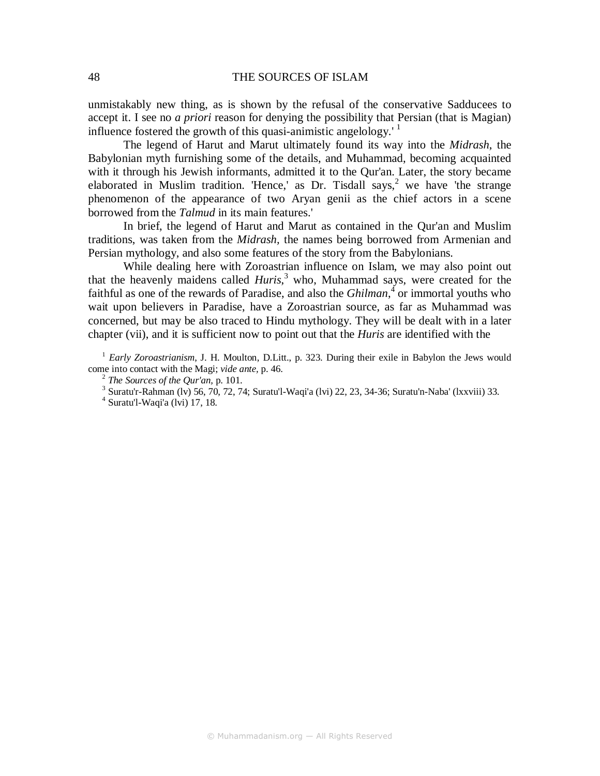unmistakably new thing, as is shown by the refusal of the conservative Sadducees to accept it. I see no *a priori* reason for denying the possibility that Persian (that is Magian) influence fostered the growth of this quasi-animistic angelology.<sup> $\frac{1}{1}$ </sup>

The legend of Harut and Marut ultimately found its way into the *Midrash*, the Babylonian myth furnishing some of the details, and Muhammad, becoming acquainted with it through his Jewish informants, admitted it to the Qur'an. Later, the story became elaborated in Muslim tradition. 'Hence,' as Dr. Tisdall says,<sup>2</sup> we have 'the strange phenomenon of the appearance of two Aryan genii as the chief actors in a scene borrowed from the *Talmud* in its main features.'

In brief, the legend of Harut and Marut as contained in the Qur'an and Muslim traditions, was taken from the *Midrash,* the names being borrowed from Armenian and Persian mythology, and also some features of the story from the Babylonians.

While dealing here with Zoroastrian influence on Islam, we may also point out that the heavenly maidens called *Huris*,<sup>3</sup> who, Muhammad says, were created for the faithful as one of the rewards of Paradise, and also the *Ghilman*,  $\frac{4}{3}$  or immortal youths who wait upon believers in Paradise, have a Zoroastrian source, as far as Muhammad was concerned, but may be also traced to Hindu mythology. They will be dealt with in a later chapter (vii), and it is sufficient now to point out that the *Huris* are identified with the

<sup>1</sup> *Early Zoroastrianism*, J. H. Moulton, D.Litt., p. 323. During their exile in Babylon the Jews would come into contact with the Magi; *vide ante,* p. 46.

<sup>2</sup> *The Sources of the Qur'an,* p. 101.

 $3$  Suratu'r-Rahman (lv) 56, 70, 72, 74; Suratu'l-Waqi'a (lvi) 22, 23, 34-36; Suratu'n-Naba' (lxxviii) 33.

<sup>4</sup> Suratu'l-Waqi'a (lvi) 17, 18.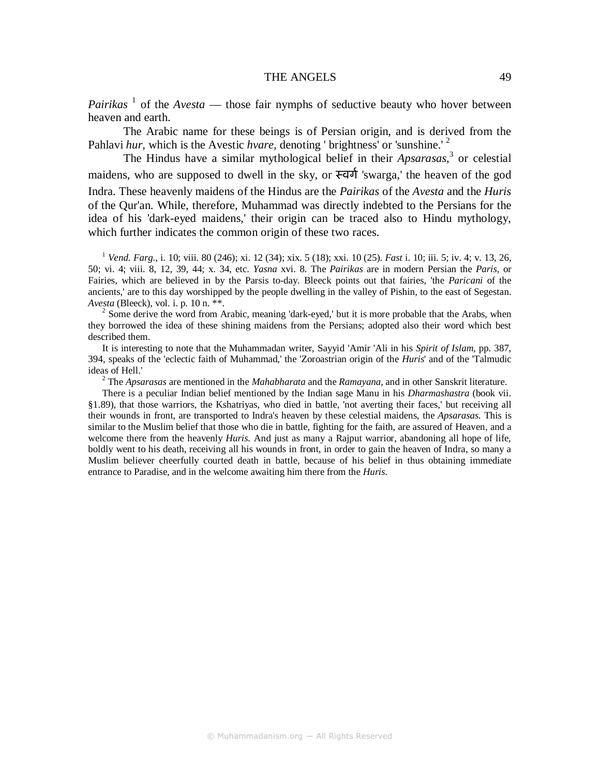## THE ANGELS 49

*Pairikas*  $<sup>1</sup>$  of the *Avesta* — those fair nymphs of seductive beauty who hover between</sup> heaven and earth.

The Arabic name for these beings is of Persian origin, and is derived from the Pahlavi *hur*, which is the Avestic *hvare*, denoting ' brightness' or 'sunshine.' <sup>2</sup>

The Hindus have a similar mythological belief in their *Apsarasas*, 3 or celestial maidens, who are supposed to dwell in the sky, or  $\overline{\tau}$  and 'swarga,' the heaven of the god Indra. These heavenly maidens of the Hindus are the *Pairikas* of the *Avesta* and the *Huris*  of the Qur'an. While, therefore, Muhammad was directly indebted to the Persians for the idea of his 'dark-eyed maidens,' their origin can be traced also to Hindu mythology, which further indicates the common origin of these two races.

<sup>1</sup> *Vend. Farg*., i. 10; viii. 80 (246); xi. 12 (34); xix. 5 (18); xxi. 10 (25). *Fast* i. 10; iii. 5; iv. 4; v. 13, 26, 50; vi. 4; viii. 8, 12, 39, 44; x. 34, etc. *Yasna* xvi. 8. The *Pairikas* are in modern Persian the *Paris*, or Fairies, which are believed in by the Parsis to-day. Bleeck points out that fairies, 'the *Paricani* of the ancients,' are to this day worshipped by the people dwelling in the valley of Pishin, to the east of Segestan. *Avesta* (Bleeck), vol. i. p. 10 n. \*\*.

 $2^{2}$  Some derive the word from Arabic, meaning 'dark-eyed,' but it is more probable that the Arabs, when they borrowed the idea of these shining maidens from the Persians; adopted also their word which best described them.

It is interesting to note that the Muhammadan writer, Sayyid 'Amir 'Ali in his *Spirit of Islam,* pp. 387, 394, speaks of the 'eclectic faith of Muhammad,' the 'Zoroastrian origin of the *Huris*' and of the 'Talmudic ideas of Hell.'

2 The *Apsarasas* are mentioned in the *Mahabharata* and the *Ramayana*, and in other Sanskrit literature.

There is a peculiar Indian belief mentioned by the Indian sage Manu in his *Dharmashastra* (book vii. §1.89), that those warriors, the Kshatriyas, who died in battle, 'not averting their faces,' but receiving all their wounds in front, are transported to Indra's heaven by these celestial maidens, the *Apsarasas.* This is similar to the Muslim belief that those who die in battle, fighting for the faith, are assured of Heaven, and a welcome there from the heavenly *Huris.* And just as many a Rajput warrior, abandoning all hope of life, boldly went to his death, receiving all his wounds in front, in order to gain the heaven of Indra, so many a Muslim believer cheerfully courted death in battle, because of his belief in thus obtaining immediate entrance to Paradise, and in the welcome awaiting him there from the *Huris*.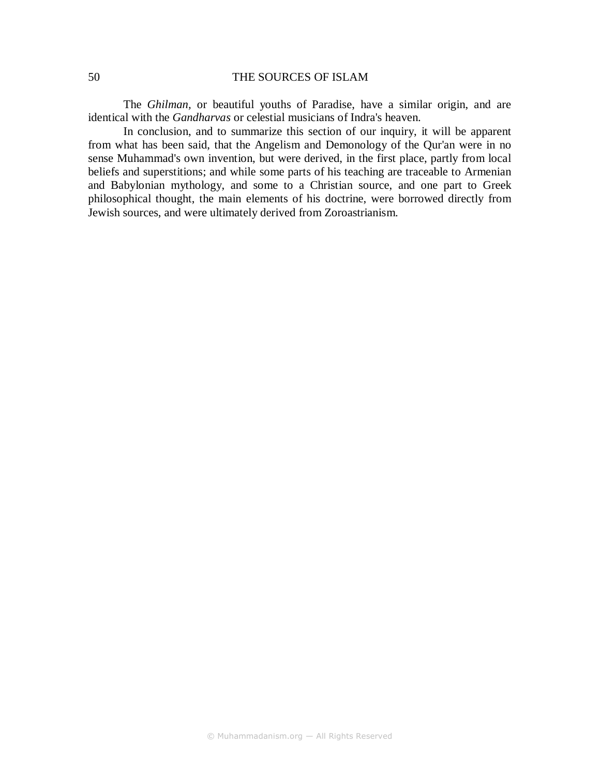The *Ghilman,* or beautiful youths of Paradise, have a similar origin, and are identical with the *Gandharvas* or celestial musicians of Indra's heaven.

In conclusion, and to summarize this section of our inquiry, it will be apparent from what has been said, that the Angelism and Demonology of the Qur'an were in no sense Muhammad's own invention, but were derived, in the first place, partly from local beliefs and superstitions; and while some parts of his teaching are traceable to Armenian and Babylonian mythology, and some to a Christian source, and one part to Greek philosophical thought, the main elements of his doctrine, were borrowed directly from Jewish sources, and were ultimately derived from Zoroastrianism.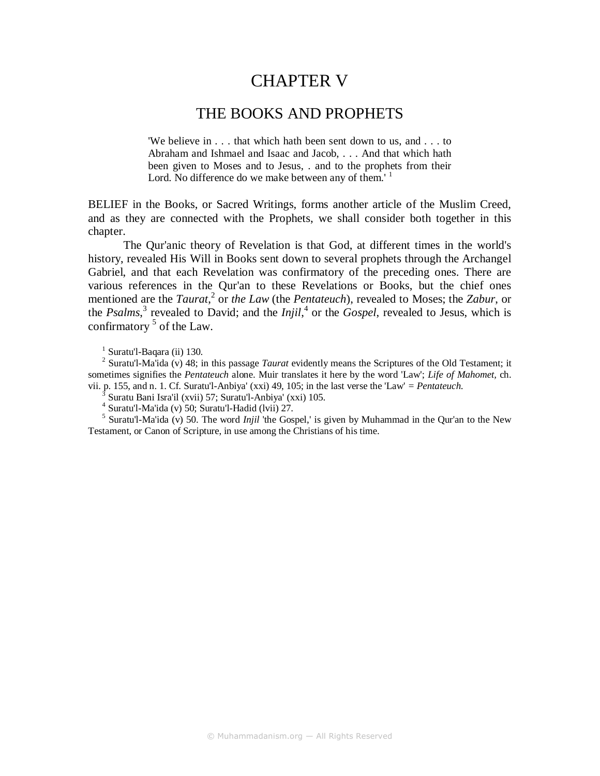# CHAPTER V

## THE BOOKS AND PROPHETS

'We believe in . . . that which hath been sent down to us, and . . . to Abraham and Ishmael and Isaac and Jacob, . . . And that which hath been given to Moses and to Jesus, . and to the prophets from their Lord. No difference do we make between any of them.<sup>'1</sup>

BELIEF in the Books, or Sacred Writings, forms another article of the Muslim Creed, and as they are connected with the Prophets, we shall consider both together in this chapter.

The Qur'anic theory of Revelation is that God, at different times in the world's history, revealed His Will in Books sent down to several prophets through the Archangel Gabriel, and that each Revelation was confirmatory of the preceding ones. There are various references in the Qur'an to these Revelations or Books, but the chief ones mentioned are the *Taurat*, 2 or *the Law* (the *Pentateuch*), revealed to Moses; the *Zabur*, or the *Psalms*,<sup>3</sup> revealed to David; and the *Injil*,<sup>4</sup> or the *Gospel*, revealed to Jesus, which is confirmatory <sup>5</sup> of the Law.

2 Suratu'l-Ma'ida (v) 48; in this passage *Taurat* evidently means the Scriptures of the Old Testament; it sometimes signifies the *Pentateuch* alone. Muir translates it here by the word 'Law'; *Life of Mahomet,* ch. vii. p. 155, and n. 1. Cf. Suratu'l-Anbiya' (xxi) 49, 105; in the last verse the 'Law' *= Pentateuch*.

 $\frac{3}{3}$  Suratu Bani Isra'il (xvii) 57; Suratu'l-Anbiya' (xxi) 105.

4 Suratu'l-Ma'ida (v) 50; Suratu'l-Hadid (lvii) 27.

<sup>5</sup> Suratu'l-Ma'ida (v) 50. The word *Injil* 'the Gospel,' is given by Muhammad in the Qur'an to the New Testament, or Canon of Scripture, in use among the Christians of his time.

<sup>&</sup>lt;sup>1</sup> Suratu'l-Baqara (ii) 130.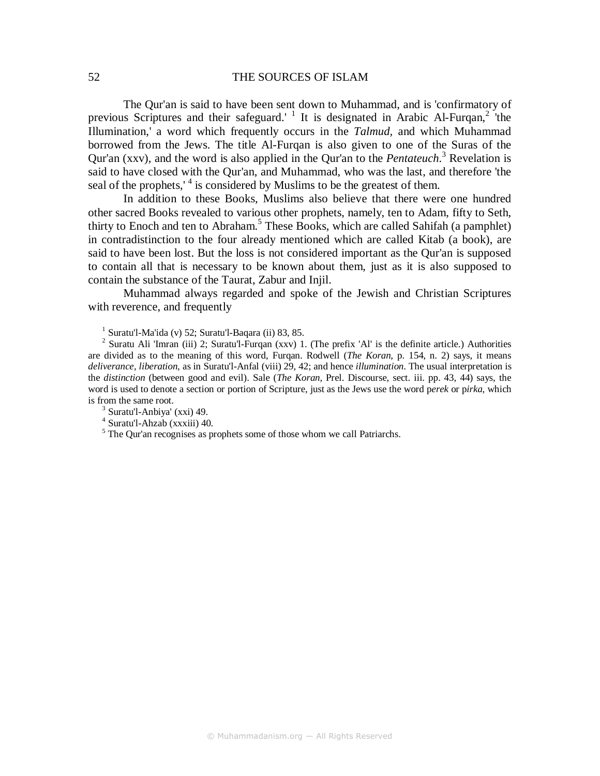The Qur'an is said to have been sent down to Muhammad, and is 'confirmatory of previous Scriptures and their safeguard.<sup>1</sup> It is designated in Arabic Al-Furqan,<sup>2</sup> the Illumination,' a word which frequently occurs in the *Talmud,* and which Muhammad borrowed from the Jews. The title Al-Furqan is also given to one of the Suras of the Qur'an (xxv), and the word is also applied in the Qur'an to the *Pentateuch*. <sup>3</sup> Revelation is said to have closed with the Qur'an, and Muhammad, who was the last, and therefore 'the seal of the prophets,<sup> $4$ </sup> is considered by Muslims to be the greatest of them.

In addition to these Books, Muslims also believe that there were one hundred other sacred Books revealed to various other prophets, namely, ten to Adam, fifty to Seth, thirty to Enoch and ten to Abraham.<sup>5</sup> These Books, which are called Sahifah (a pamphlet) in contradistinction to the four already mentioned which are called Kitab (a book), are said to have been lost. But the loss is not considered important as the Qur'an is supposed to contain all that is necessary to be known about them, just as it is also supposed to contain the substance of the Taurat, Zabur and Injil.

Muhammad always regarded and spoke of the Jewish and Christian Scriptures with reverence, and frequently

 $<sup>1</sup>$  Suratu'l-Ma'ida (v) 52; Suratu'l-Baqara (ii) 83, 85.</sup>

<sup>2</sup> Suratu Ali 'Imran (iii) 2; Suratu'l-Furqan (xxv) 1. (The prefix 'Al' is the definite article.) Authorities are divided as to the meaning of this word, Furqan. Rodwell (*The Koran*, p. 154, n. 2) says, it means *deliverance, liberation,* as in Suratu'l-Anfal (viii) 29, 42; and hence *illumination*. The usual interpretation is the *distinction* (between good and evil). Sale (*The Koran,* Prel. Discourse, sect. iii. pp. 43, 44) says, the word is used to denote a section or portion of Scripture, just as the Jews use the word p*erek* or p*irka,* which is from the same root.

 $3$  Suratu'l-Anbiya' (xxi) 49.

4 Suratu'l-Ahzab (xxxiii) 40.

<sup>5</sup> The Qur'an recognises as prophets some of those whom we call Patriarchs.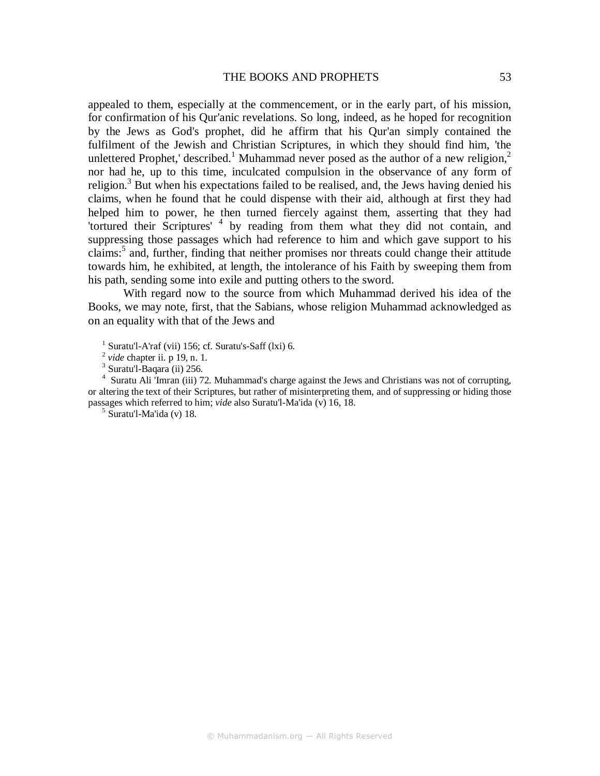appealed to them, especially at the commencement, or in the early part, of his mission, for confirmation of his Qur'anic revelations. So long, indeed, as he hoped for recognition by the Jews as God's prophet, did he affirm that his Qur'an simply contained the fulfilment of the Jewish and Christian Scriptures, in which they should find him, 'the unlettered Prophet,' described.<sup>1</sup> Muhammad never posed as the author of a new religion,<sup>2</sup> nor had he, up to this time, inculcated compulsion in the observance of any form of religion.<sup>3</sup> But when his expectations failed to be realised, and, the Jews having denied his claims, when he found that he could dispense with their aid, although at first they had helped him to power, he then turned fiercely against them, asserting that they had 'tortured their Scriptures'<sup>4</sup> by reading from them what they did not contain, and suppressing those passages which had reference to him and which gave support to his claims:<sup>5</sup> and, further, finding that neither promises nor threats could change their attitude towards him, he exhibited, at length, the intolerance of his Faith by sweeping them from his path, sending some into exile and putting others to the sword.

With regard now to the source from which Muhammad derived his idea of the Books, we may note, first, that the Sabians, whose religion Muhammad acknowledged as on an equality with that of the Jews and

 $<sup>1</sup>$  Suratu'l-A'raf (vii) 156; cf. Suratu's-Saff (lxi) 6.</sup>

2 *vide* chapter ii. p 19, n. 1.

<sup>3</sup> Suratu'l-Baqara (ii) 256.

<sup>4</sup> Suratu Ali 'Imran (iii) 72. Muhammad's charge against the Jews and Christians was not of corrupting, or altering the text of their Scriptures, but rather of misinterpreting them, and of suppressing or hiding those passages which referred to him; *vide* also Suratu'l-Ma'ida (v) 16, 18.

5 Suratu'l-Ma'ida (v) 18.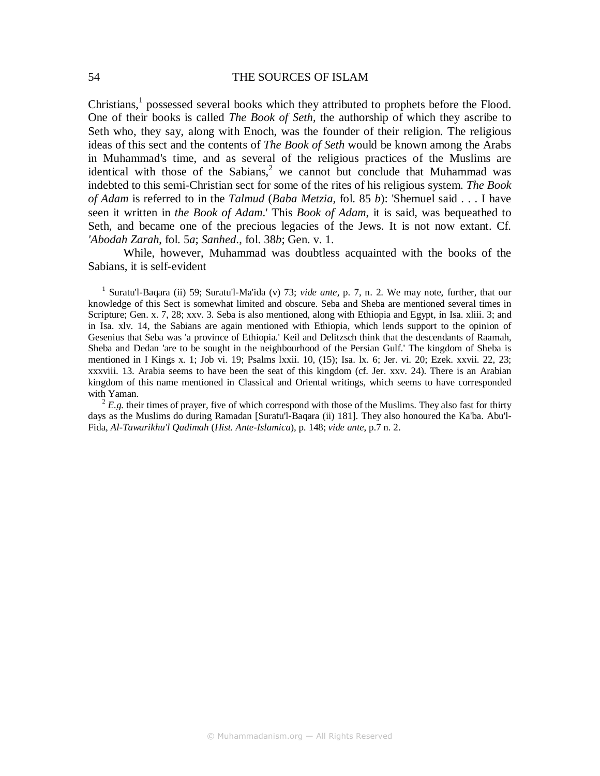Christians, $<sup>1</sup>$  possessed several books which they attributed to prophets before the Flood.</sup> One of their books is called *The Book of Seth,* the authorship of which they ascribe to Seth who, they say, along with Enoch, was the founder of their religion. The religious ideas of this sect and the contents of *The Book of Seth* would be known among the Arabs in Muhammad's time, and as several of the religious practices of the Muslims are identical with those of the Sabians,<sup>2</sup> we cannot but conclude that Muhammad was indebted to this semi-Christian sect for some of the rites of his religious system. *The Book of Adam* is referred to in the *Talmud* (*Baba Metzia,* fol. 85 *b*): 'Shemuel said . . . I have seen it written in *the Book of Adam*.' This *Book of Adam*, it is said, was bequeathed to Seth, and became one of the precious legacies of the Jews. It is not now extant. Cf. *'Abodah Zarah*, fol. 5*a*; *Sanhed*., fol. 38*b*; Gen. v. 1.

While, however, Muhammad was doubtless acquainted with the books of the Sabians, it is self-evident

<sup>1</sup> Suratu'l-Baqara (ii) 59; Suratu'l-Ma'ida (v) 73; *vide ante*, p. 7, n. 2. We may note, further, that our knowledge of this Sect is somewhat limited and obscure. Seba and Sheba are mentioned several times in Scripture; Gen. x. 7, 28; xxv. 3. Seba is also mentioned, along with Ethiopia and Egypt, in Isa. xliii. 3; and in Isa. xlv. 14, the Sabians are again mentioned with Ethiopia, which lends support to the opinion of Gesenius that Seba was 'a province of Ethiopia.' Keil and Delitzsch think that the descendants of Raamah, Sheba and Dedan 'are to be sought in the neighbourhood of the Persian Gulf.' The kingdom of Sheba is mentioned in I Kings x. 1; Job vi. 19; Psalms lxxii. 10, (15); Isa. lx. 6; Jer. vi. 20; Ezek. xxvii. 22, 23; xxxviii. 13. Arabia seems to have been the seat of this kingdom (cf. Jer. xxv. 24). There is an Arabian kingdom of this name mentioned in Classical and Oriental writings, which seems to have corresponded with Yaman.

 $2 E.g.$  their times of prayer, five of which correspond with those of the Muslims. They also fast for thirty days as the Muslims do during Ramadan [Suratu'l-Baqara (ii) 181]. They also honoured the Ka'ba. Abu'l-Fida, *Al-Tawarikhu'l Qadimah* (*Hist. Ante-Islamica*), p*.* 148; *vide ante*, p.7 n. 2.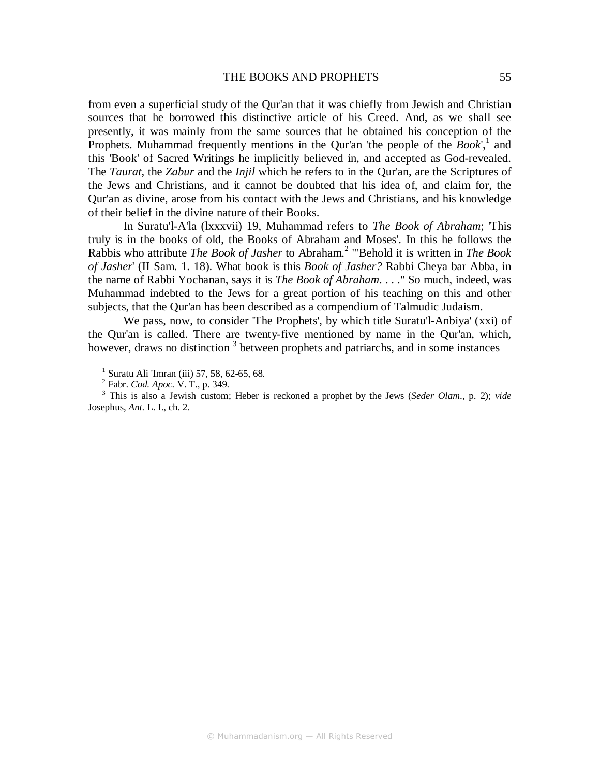from even a superficial study of the Qur'an that it was chiefly from Jewish and Christian sources that he borrowed this distinctive article of his Creed. And, as we shall see presently, it was mainly from the same sources that he obtained his conception of the Prophets. Muhammad frequently mentions in the Qur'an 'the people of the *Book*',<sup>1</sup> and this 'Book' of Sacred Writings he implicitly believed in, and accepted as God-revealed. The *Taurat,* the *Zabur* and the *Injil* which he refers to in the Qur'an, are the Scriptures of the Jews and Christians, and it cannot be doubted that his idea of, and claim for, the Qur'an as divine, arose from his contact with the Jews and Christians, and his knowledge of their belief in the divine nature of their Books.

In Suratu'l-A'la (lxxxvii) 19, Muhammad refers to *The Book of Abraham*; 'This truly is in the books of old, the Books of Abraham and Moses'. In this he follows the Rabbis who attribute *The Book of Jasher* to Abraham.<sup>2</sup> "'Behold it is written in *The Book of Jasher*' (II Sam. 1. 18). What book is this *Book of Jasher?* Rabbi Cheya bar Abba, in the name of Rabbi Yochanan, says it is *The Book of Abraham*. . . ." So much, indeed, was Muhammad indebted to the Jews for a great portion of his teaching on this and other subjects, that the Qur'an has been described as a compendium of Talmudic Judaism.

We pass, now, to consider 'The Prophets', by which title Suratu'l-Anbiya' (xxi) of the Qur'an is called. There are twenty-five mentioned by name in the Qur'an, which, however, draws no distinction<sup>3</sup> between prophets and patriarchs, and in some instances

1 Suratu Ali 'Imran (iii) 57, 58, 62-65, 68.

2 Fabr. *Cod. Apoc*. V. T., p. 349.

3 This is also a Jewish custom; Heber is reckoned a prophet by the Jews (*Seder Olam*., p. 2); *vide*  Josephus, *Ant.* L. I., ch. 2.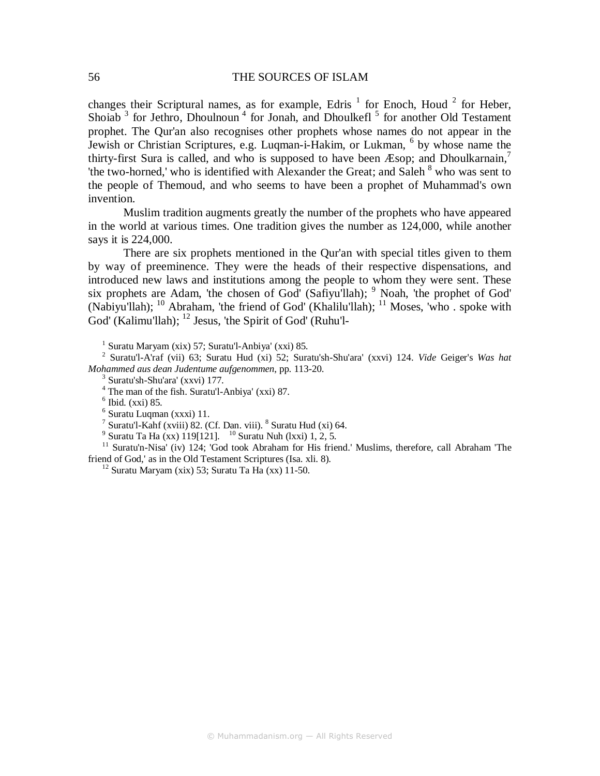changes their Scriptural names, as for example, Edris<sup>1</sup> for Enoch, Houd<sup>2</sup> for Heber, Shoiab<sup>3</sup> for Jethro, Dhoulnoun<sup>4</sup> for Jonah, and Dhoulkefl<sup>5</sup> for another Old Testament prophet. The Qur'an also recognises other prophets whose names do not appear in the Jewish or Christian Scriptures, e.g. Luqman-i-Hakim, or Lukman, <sup>6</sup> by whose name the thirty-first Sura is called, and who is supposed to have been Æsop; and Dhoulkarnain,<sup>7</sup> 'the two-horned,' who is identified with Alexander the Great; and Saleh  $8$  who was sent to the people of Themoud, and who seems to have been a prophet of Muhammad's own invention.

Muslim tradition augments greatly the number of the prophets who have appeared in the world at various times. One tradition gives the number as 124,000, while another says it is 224,000.

There are six prophets mentioned in the Qur'an with special titles given to them by way of preeminence. They were the heads of their respective dispensations, and introduced new laws and institutions among the people to whom they were sent. These six prophets are Adam, 'the chosen of God' (Safiyu'llah);  $9$  Noah, 'the prophet of God' (Nabiyu'llah); <sup>10</sup> Abraham, 'the friend of God' (Khalilu'llah); <sup>11</sup> Moses, 'who . spoke with  $\text{God' (Kalimu'llah)}$ ;  $^{12}$  Jesus, 'the Spirit of God' (Ruhu'l-

1 Suratu Maryam (xix) 57; Suratu'l-Anbiya' (xxi) 85.

2 Suratu'l-A'raf (vii) 63; Suratu Hud (xi) 52; Suratu'sh-Shu'ara' (xxvi) 124. *Vide* Geiger's *Was hat Mohammed aus dean Judentume aufgenommen*, pp. 113-20.

 $4$  The man of the fish. Suratu'l-Anbiya' (xxi) 87.

6 Suratu Luqman (xxxi) 11.

 $^7$  Suratu'l-Kahf (xviii) 82. (Cf. Dan. viii).  $^8$  Suratu Hud (xi) 64.

<sup>9</sup> Suratu Ta Ha (xx) 119[121]. <sup>10</sup> Suratu Nuh (lxxi) 1, 2, 5.

<sup>11</sup> Suratu'n-Nisa' (iv) 124; 'God took Abraham for His friend.' Muslims, therefore, call Abraham 'The friend of God,' as in the Old Testament Scriptures (Isa. xli. 8).

 $12$  Suratu Maryam (xix) 53; Suratu Ta Ha (xx) 11-50.

<sup>3</sup> Suratu'sh-Shu'ara' (xxvi) 177.

 $6$  Ibid. (xxi) 85.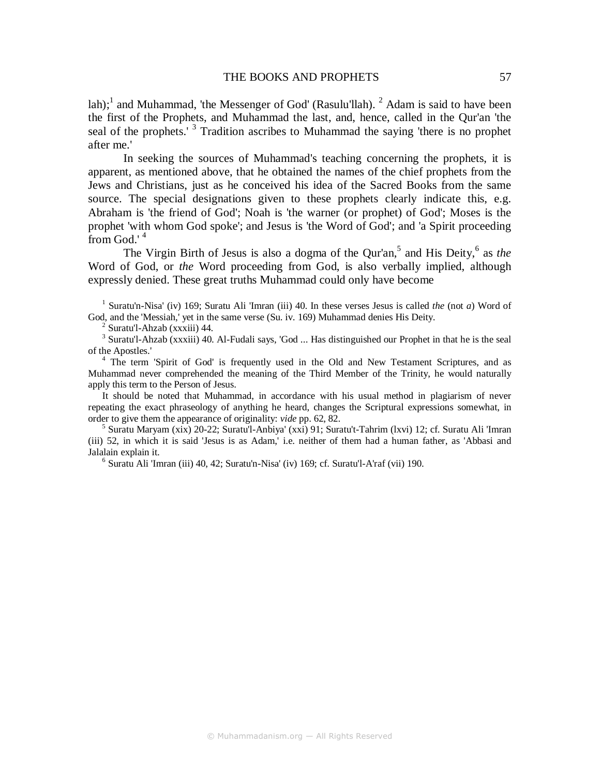lah);<sup>1</sup> and Muhammad, 'the Messenger of God' (Rasulu'llah). <sup>2</sup> Adam is said to have been the first of the Prophets, and Muhammad the last, and, hence, called in the Qur'an 'the seal of the prophets.<sup>3</sup> Tradition ascribes to Muhammad the saying 'there is no prophet after me.'

In seeking the sources of Muhammad's teaching concerning the prophets, it is apparent, as mentioned above, that he obtained the names of the chief prophets from the Jews and Christians, just as he conceived his idea of the Sacred Books from the same source. The special designations given to these prophets clearly indicate this, e.g. Abraham is 'the friend of God'; Noah is 'the warner (or prophet) of God'; Moses is the prophet 'with whom God spoke'; and Jesus is 'the Word of God'; and 'a Spirit proceeding from God.' 4

The Virgin Birth of Jesus is also a dogma of the Qur'an,<sup>5</sup> and His Deity,<sup>6</sup> as *the* Word of God, or *the* Word proceeding from God, is also verbally implied, although expressly denied. These great truths Muhammad could only have become

 1 Suratu'n-Nisa' (iv) 169; Suratu Ali 'Imran (iii) 40. In these verses Jesus is called *the* (not *a*) Word of God, and the 'Messiah,' yet in the same verse (Su. iv. 169) Muhammad denies His Deity.

2 Suratu'l-Ahzab (xxxiii) 44.

<sup>3</sup> Suratu'l-Ahzab (xxxiii) 40. Al-Fudali says, 'God ... Has distinguished our Prophet in that he is the seal of the Apostles.'

<sup>4</sup> The term 'Spirit of God' is frequently used in the Old and New Testament Scriptures, and as Muhammad never comprehended the meaning of the Third Member of the Trinity, he would naturally apply this term to the Person of Jesus.

It should be noted that Muhammad, in accordance with his usual method in plagiarism of never repeating the exact phraseology of anything he heard, changes the Scriptural expressions somewhat, in order to give them the appearance of originality: *vide* pp. 62, 82.

5 Suratu Maryam (xix) 20-22; Suratu'l-Anbiya' (xxi) 91; Suratu't-Tahrim (lxvi) 12; cf. Suratu Ali 'Imran (iii) 52, in which it is said 'Jesus is as Adam,' i.e. neither of them had a human father, as 'Abbasi and Jalalain explain it.

6 Suratu Ali 'Imran (iii) 40, 42; Suratu'n-Nisa' (iv) 169; cf. Suratu'l-A'raf (vii) 190.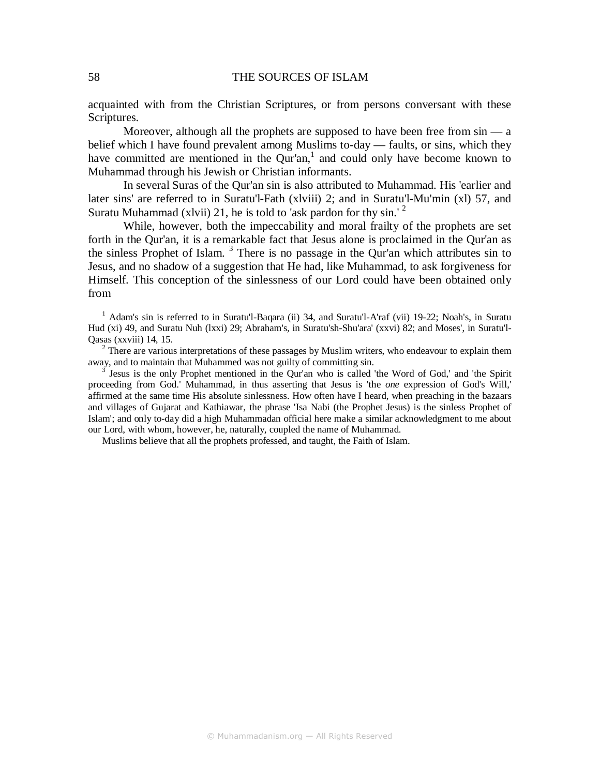acquainted with from the Christian Scriptures, or from persons conversant with these Scriptures.

Moreover, although all the prophets are supposed to have been free from  $sin - a$ belief which I have found prevalent among Muslims to-day — faults, or sins, which they have committed are mentioned in the Qur'an, $<sup>1</sup>$  and could only have become known to</sup> Muhammad through his Jewish or Christian informants.

In several Suras of the Qur'an sin is also attributed to Muhammad. His 'earlier and later sins' are referred to in Suratu'l-Fath (xlviii) 2; and in Suratu'l-Mu'min (xl) 57, and Suratu Muhammad (xlvii) 21, he is told to 'ask pardon for thy  $\sin^{-2}$ 

While, however, both the impeccability and moral frailty of the prophets are set forth in the Qur'an, it is a remarkable fact that Jesus alone is proclaimed in the Qur'an as the sinless Prophet of Islam.  $3$  There is no passage in the Qur'an which attributes sin to Jesus, and no shadow of a suggestion that He had, like Muhammad, to ask forgiveness for Himself. This conception of the sinlessness of our Lord could have been obtained only from

<sup>1</sup> Adam's sin is referred to in Suratu'l-Baqara (ii) 34, and Suratu'l-A'raf (vii) 19-22; Noah's, in Suratu Hud (xi) 49, and Suratu Nuh (lxxi) 29; Abraham's, in Suratu'sh-Shu'ara' (xxvi) 82; and Moses', in Suratu'l-Qasas (xxviii) 14, 15.

 $2$  There are various interpretations of these passages by Muslim writers, who endeavour to explain them away, and to maintain that Muhammed was not guilty of committing sin.

 $3$  Jesus is the only Prophet mentioned in the Qur'an who is called 'the Word of God,' and 'the Spirit proceeding from God.' Muhammad, in thus asserting that Jesus is 'the *one* expression of God's Will,' affirmed at the same time His absolute sinlessness. How often have I heard, when preaching in the bazaars and villages of Gujarat and Kathiawar, the phrase 'Isa Nabi (the Prophet Jesus) is the sinless Prophet of Islam'; and only to-day did a high Muhammadan official here make a similar acknowledgment to me about our Lord, with whom, however, he, naturally, coupled the name of Muhammad.

Muslims believe that all the prophets professed, and taught, the Faith of Islam.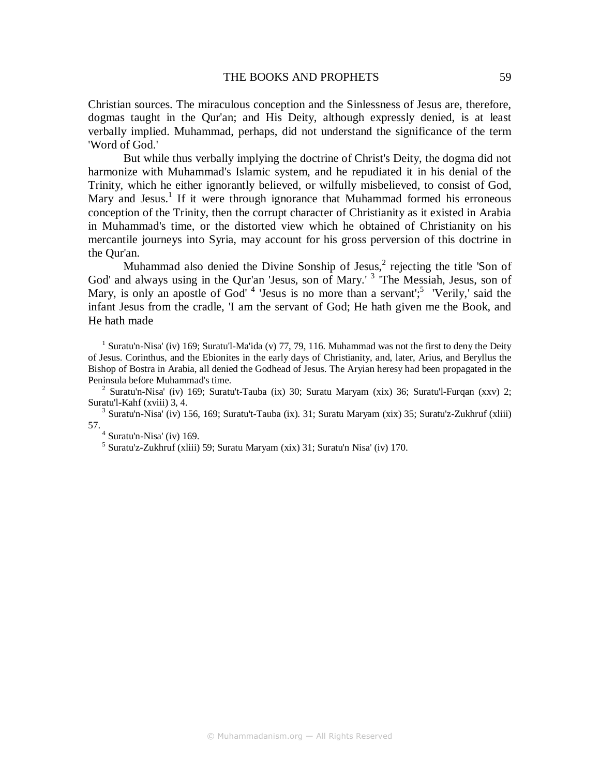Christian sources. The miraculous conception and the Sinlessness of Jesus are, therefore, dogmas taught in the Qur'an; and His Deity, although expressly denied, is at least verbally implied. Muhammad, perhaps, did not understand the significance of the term 'Word of God.'

But while thus verbally implying the doctrine of Christ's Deity, the dogma did not harmonize with Muhammad's Islamic system, and he repudiated it in his denial of the Trinity, which he either ignorantly believed, or wilfully misbelieved, to consist of God, Mary and Jesus.<sup>1</sup> If it were through ignorance that Muhammad formed his erroneous conception of the Trinity, then the corrupt character of Christianity as it existed in Arabia in Muhammad's time, or the distorted view which he obtained of Christianity on his mercantile journeys into Syria, may account for his gross perversion of this doctrine in the Qur'an.

Muhammad also denied the Divine Sonship of Jesus, $^2$  rejecting the title 'Son of God' and always using in the Qur'an 'Jesus, son of Mary.'<sup>3</sup> 'The Messiah, Jesus, son of Mary, is only an apostle of God'<sup>4</sup> 'Jesus is no more than a servant';<sup>5</sup> 'Verily,' said the infant Jesus from the cradle, 'I am the servant of God; He hath given me the Book, and He hath made

<sup>1</sup> Suratu'n-Nisa' (iv) 169; Suratu'l-Ma'ida (v) 77, 79, 116. Muhammad was not the first to deny the Deity of Jesus. Corinthus, and the Ebionites in the early days of Christianity, and, later, Arius, and Beryllus the Bishop of Bostra in Arabia, all denied the Godhead of Jesus. The Aryian heresy had been propagated in the Peninsula before Muhammad's time.

<sup>2</sup> Suratu'n-Nisa' (iv) 169; Suratu't-Tauba (ix) 30; Suratu Maryam (xix) 36; Suratu'l-Furqan (xxv) 2; Suratu'l-Kahf (xviii) 3, 4.

<sup>3</sup> Suratu'n-Nisa' (iv) 156, 169; Suratu't-Tauba (ix). 31; Suratu Maryam (xix) 35; Suratu'z-Zukhruf (xliii) 57.<br> $\frac{4}{5}$  Suratu'n-Nisa' (iv) 169.<br> $\frac{5}{5}$  Suratu'z Zulchmf (yliji)

 $5$  Suratu'z-Zukhruf (xliii) 59; Suratu Maryam (xix) 31; Suratu'n Nisa' (iv) 170.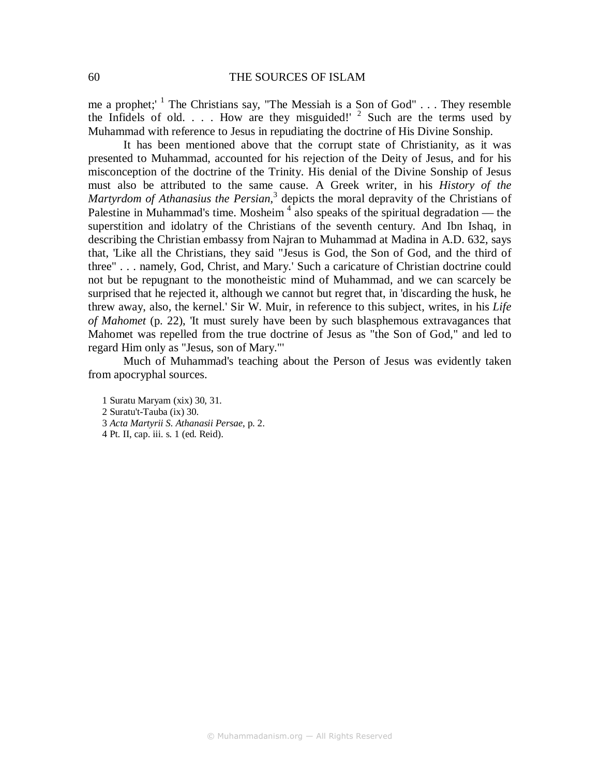me a prophet;  $1$  The Christians say, "The Messiah is a Son of God" . . . They resemble the Infidels of old.  $\ldots$  How are they misguided!' <sup>2</sup> Such are the terms used by Muhammad with reference to Jesus in repudiating the doctrine of His Divine Sonship.

It has been mentioned above that the corrupt state of Christianity, as it was presented to Muhammad, accounted for his rejection of the Deity of Jesus, and for his misconception of the doctrine of the Trinity. His denial of the Divine Sonship of Jesus must also be attributed to the same cause. A Greek writer, in his *History of the*  Martyrdom of Athanasius the Persian,<sup>3</sup> depicts the moral depravity of the Christians of Palestine in Muhammad's time. Mosheim<sup>4</sup> also speaks of the spiritual degradation — the superstition and idolatry of the Christians of the seventh century. And Ibn Ishaq, in describing the Christian embassy from Najran to Muhammad at Madina in A.D. 632, says that, 'Like all the Christians, they said "Jesus is God, the Son of God, and the third of three" . . . namely, God, Christ, and Mary.' Such a caricature of Christian doctrine could not but be repugnant to the monotheistic mind of Muhammad, and we can scarcely be surprised that he rejected it, although we cannot but regret that, in 'discarding the husk, he threw away, also, the kernel.' Sir W. Muir, in reference to this subject, writes, in his *Life of Mahomet* (p. 22), 'It must surely have been by such blasphemous extravagances that Mahomet was repelled from the true doctrine of Jesus as "the Son of God," and led to regard Him only as "Jesus, son of Mary."'

Much of Muhammad's teaching about the Person of Jesus was evidently taken from apocryphal sources.

1 Suratu Maryam (xix) 30, 31. 2 Suratu't-Tauba (ix) 30. 3 *Acta Martyrii S. Athanasii Persae*, p. 2. 4 Pt. II, cap. iii. s. 1 (ed. Reid).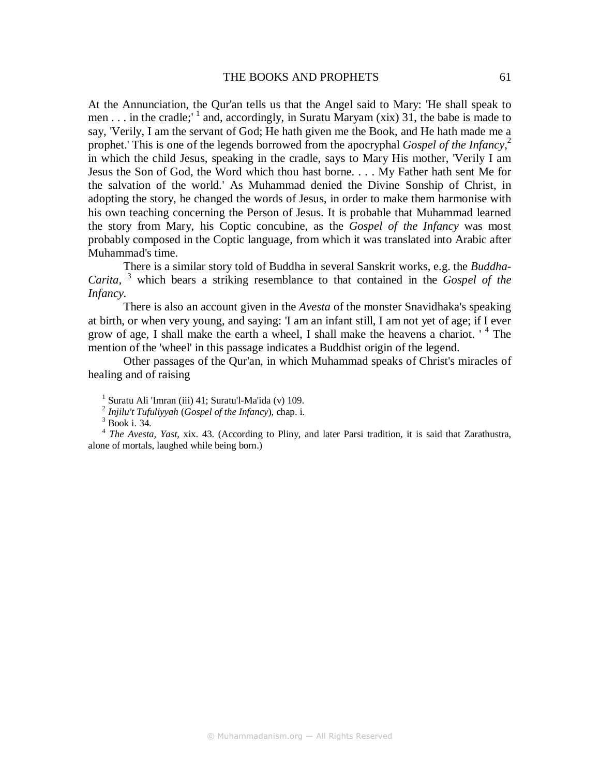#### THE BOOKS AND PROPHETS 61

At the Annunciation, the Qur'an tells us that the Angel said to Mary: 'He shall speak to men . . . in the cradle;  $\frac{1}{1}$  and, accordingly, in Suratu Maryam (xix) 31, the babe is made to say, 'Verily, I am the servant of God; He hath given me the Book, and He hath made me a prophet.' This is one of the legends borrowed from the apocryphal *Gospel of the Infancy*, 2 in which the child Jesus, speaking in the cradle, says to Mary His mother, 'Verily I am Jesus the Son of God, the Word which thou hast borne. . . . My Father hath sent Me for the salvation of the world.' As Muhammad denied the Divine Sonship of Christ, in adopting the story, he changed the words of Jesus, in order to make them harmonise with his own teaching concerning the Person of Jesus. It is probable that Muhammad learned the story from Mary, his Coptic concubine, as the *Gospel of the Infancy* was most probably composed in the Coptic language, from which it was translated into Arabic after Muhammad's time.

There is a similar story told of Buddha in several Sanskrit works, e.g. the *Buddha-Carita,* <sup>3</sup> which bears a striking resemblance to that contained in the *Gospel of the Infancy*.

There is also an account given in the *Avesta* of the monster Snavidhaka's speaking at birth, or when very young, and saying: 'I am an infant still, I am not yet of age; if I ever grow of age, I shall make the earth a wheel, I shall make the heavens a chariot. '<sup>4</sup> The mention of the 'wheel' in this passage indicates a Buddhist origin of the legend.

Other passages of the Qur'an, in which Muhammad speaks of Christ's miracles of healing and of raising

3 Book i. 34.

4 *The Avesta, Yast*, xix. 43. (According to Pliny, and later Parsi tradition, it is said that Zarathustra, alone of mortals, laughed while being born.)

<sup>&</sup>lt;sup>1</sup> Suratu Ali 'Imran (iii) 41; Suratu'l-Ma'ida (v) 109.

<sup>2</sup>  *Injilu't Tufuliyyah* (*Gospel of the Infancy*), chap. i.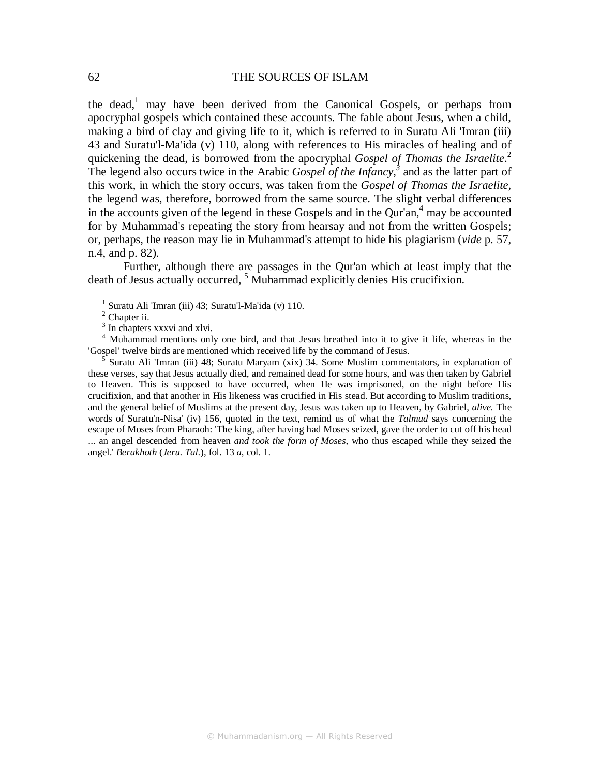the dead,<sup>1</sup> may have been derived from the Canonical Gospels, or perhaps from apocryphal gospels which contained these accounts. The fable about Jesus, when a child, making a bird of clay and giving life to it, which is referred to in Suratu Ali 'Imran (iii) 43 and Suratu'l-Ma'ida (v) 110, along with references to His miracles of healing and of quickening the dead, is borrowed from the apocryphal *Gospel of Thomas the Israelite*. 2 The legend also occurs twice in the Arabic *Gospel of the Infancy*,<sup>3</sup> and as the latter part of this work, in which the story occurs, was taken from the *Gospel of Thomas the Israelite,*  the legend was, therefore, borrowed from the same source. The slight verbal differences in the accounts given of the legend in these Gospels and in the Qur'an, $4$  may be accounted for by Muhammad's repeating the story from hearsay and not from the written Gospels; or, perhaps, the reason may lie in Muhammad's attempt to hide his plagiarism (*vide* p. 57, n.4, and p. 82).

Further, although there are passages in the Qur'an which at least imply that the death of Jesus actually occurred, <sup>5</sup> Muhammad explicitly denies His crucifixion.

<sup>1</sup> Suratu Ali 'Imran (iii) 43; Suratu'l-Ma'ida (v) 110.

<sup>2</sup> Chapter ii.

<sup>3</sup> In chapters xxxvi and xlvi.

<sup>4</sup> Muhammad mentions only one bird, and that Jesus breathed into it to give it life, whereas in the 'Gospel' twelve birds are mentioned which received life by the command of Jesus.

5 Suratu Ali 'Imran (iii) 48; Suratu Maryam (xix) 34. Some Muslim commentators, in explanation of these verses, say that Jesus actually died, and remained dead for some hours, and was then taken by Gabriel to Heaven. This is supposed to have occurred, when He was imprisoned, on the night before His crucifixion, and that another in His likeness was crucified in His stead. But according to Muslim traditions, and the general belief of Muslims at the present day, Jesus was taken up to Heaven, by Gabriel, *alive.* The words of Suratu'n-Nisa' (iv) 156, quoted in the text, remind us of what the *Talmud* says concerning the escape of Moses from Pharaoh: 'The king, after having had Moses seized, gave the order to cut off his head ... an angel descended from heaven *and took the form of Moses,* who thus escaped while they seized the angel.' *Berakhoth* (*Jeru. Tal*.), fol. 13 *a*, col. 1.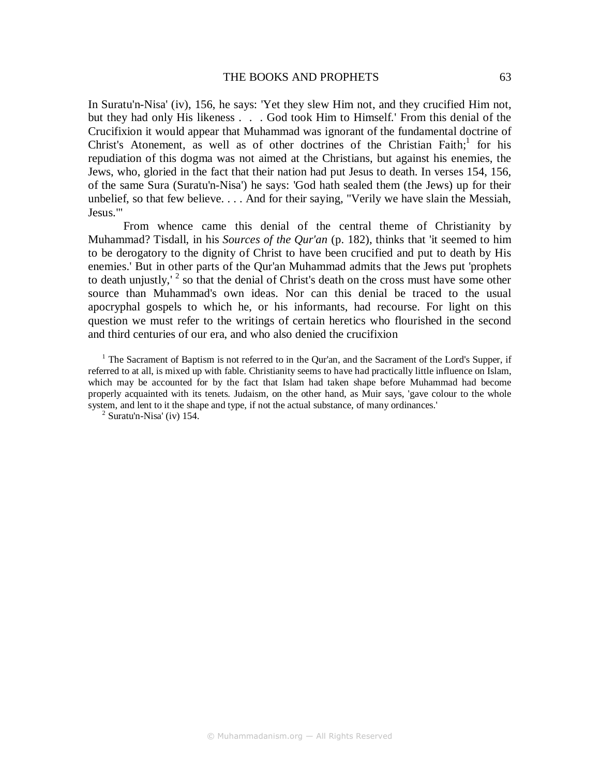#### THE BOOKS AND PROPHETS 63

In Suratu'n-Nisa' (iv), 156, he says: 'Yet they slew Him not, and they crucified Him not, but they had only His likeness . . . God took Him to Himself.' From this denial of the Crucifixion it would appear that Muhammad was ignorant of the fundamental doctrine of Christ's Atonement, as well as of other doctrines of the Christian Faith;<sup>1</sup> for his repudiation of this dogma was not aimed at the Christians, but against his enemies, the Jews, who, gloried in the fact that their nation had put Jesus to death. In verses 154, 156, of the same Sura (Suratu'n-Nisa') he says: 'God hath sealed them (the Jews) up for their unbelief, so that few believe. . . . And for their saying, "Verily we have slain the Messiah, Jesus."'

From whence came this denial of the central theme of Christianity by Muhammad? Tisdall, in his *Sources of the Qur'an* (p. 182), thinks that 'it seemed to him to be derogatory to the dignity of Christ to have been crucified and put to death by His enemies.' But in other parts of the Qur'an Muhammad admits that the Jews put 'prophets to death unjustly,<sup>2</sup> so that the denial of Christ's death on the cross must have some other source than Muhammad's own ideas. Nor can this denial be traced to the usual apocryphal gospels to which he, or his informants, had recourse. For light on this question we must refer to the writings of certain heretics who flourished in the second and third centuries of our era, and who also denied the crucifixion

<sup>1</sup> The Sacrament of Baptism is not referred to in the Qur'an, and the Sacrament of the Lord's Supper, if referred to at all, is mixed up with fable. Christianity seems to have had practically little influence on Islam, which may be accounted for by the fact that Islam had taken shape before Muhammad had become properly acquainted with its tenets. Judaism, on the other hand, as Muir says, 'gave colour to the whole system, and lent to it the shape and type, if not the actual substance, of many ordinances.'

 $2$  Suratu'n-Nisa' (iv) 154.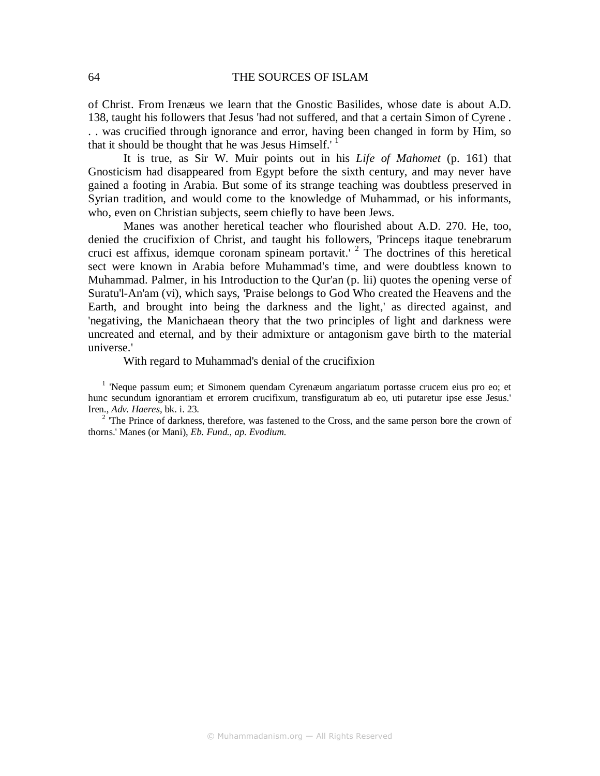of Christ. From Irenæus we learn that the Gnostic Basilides, whose date is about A.D. 138, taught his followers that Jesus 'had not suffered, and that a certain Simon of Cyrene . . . was crucified through ignorance and error, having been changed in form by Him, so that it should be thought that he was Jesus Himself.<sup> $1$ </sup>

It is true, as Sir W. Muir points out in his *Life of Mahomet* (p. 161) that Gnosticism had disappeared from Egypt before the sixth century, and may never have gained a footing in Arabia. But some of its strange teaching was doubtless preserved in Syrian tradition, and would come to the knowledge of Muhammad, or his informants, who, even on Christian subjects, seem chiefly to have been Jews.

Manes was another heretical teacher who flourished about A.D. 270. He, too, denied the crucifixion of Christ, and taught his followers, 'Princeps itaque tenebrarum cruci est affixus, idemque coronam spineam portavit.<sup> $2$ </sup> The doctrines of this heretical sect were known in Arabia before Muhammad's time, and were doubtless known to Muhammad. Palmer, in his Introduction to the Qur'an (p. lii) quotes the opening verse of Suratu'l-An'am (vi), which says, 'Praise belongs to God Who created the Heavens and the Earth, and brought into being the darkness and the light,' as directed against, and 'negativing, the Manichaean theory that the two principles of light and darkness were uncreated and eternal, and by their admixture or antagonism gave birth to the material universe.'

#### With regard to Muhammad's denial of the crucifixion

<sup>1</sup> 'Neque passum eum; et Simonem quendam Cyrenæum angariatum portasse crucem eius pro eo; et hunc secundum ignorantiam et errorem crucifixum, transfiguratum ab eo, uti putaretur ipse esse Jesus.' Iren., *Adv. Haeres*, bk. i. 23.

<sup>2</sup> The Prince of darkness, therefore, was fastened to the Cross, and the same person bore the crown of thorns.' Manes (or Mani), *Eb. Fund., ap. Evodium.*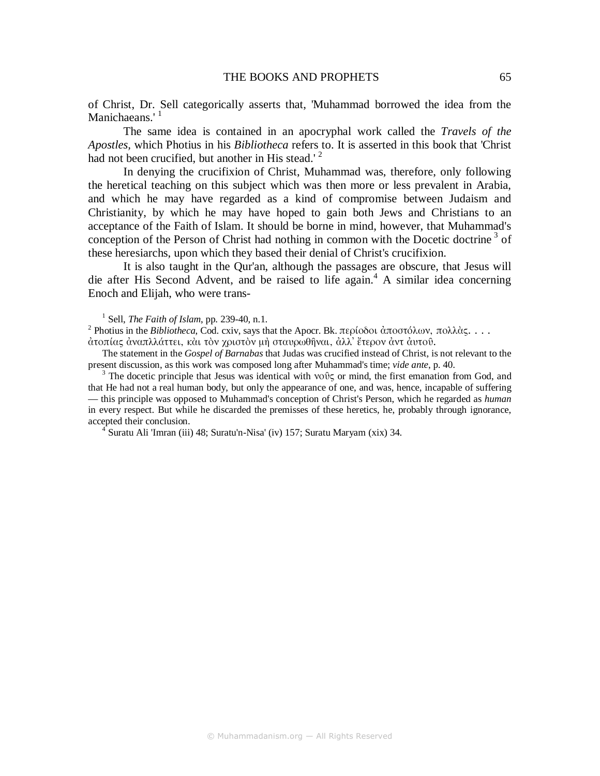of Christ, Dr. Sell categorically asserts that, 'Muhammad borrowed the idea from the Manichaeans.'<sup>1</sup>

The same idea is contained in an apocryphal work called the *Travels of the Apostles,* which Photius in his *Bibliotheca* refers to. It is asserted in this book that 'Christ had not been crucified, but another in His stead.' $^2$ 

In denying the crucifixion of Christ, Muhammad was, therefore, only following the heretical teaching on this subject which was then more or less prevalent in Arabia, and which he may have regarded as a kind of compromise between Judaism and Christianity, by which he may have hoped to gain both Jews and Christians to an acceptance of the Faith of Islam. It should be borne in mind, however, that Muhammad's conception of the Person of Christ had nothing in common with the Docetic doctrine<sup>3</sup> of these heresiarchs, upon which they based their denial of Christ's crucifixion.

It is also taught in the Qur'an, although the passages are obscure, that Jesus will die after His Second Advent, and be raised to life again.<sup>4</sup> A similar idea concerning Enoch and Elijah, who were trans-

1 Sell, *The Faith of Islam*, pp. 239-40, n.1.

<sup>2</sup> Photius in the *Bibliotheca*, Cod. cxiv, says that the Apocr. Bk. περίοδοι ἀποστόλων, πολλὰς. . . . ἀτοπίας ἀναπλλάττει, κὰι τὸν χριστὸν µὴ σταυρωθῆναι, ἀλλ᾽ ἔτερον ἀντ ἀυτοῦ.

The statement in the *Gospel of Barnabas* that Judas was crucified instead of Christ, is not relevant to the present discussion, as this work was composed long after Muhammad's time; *vide ante*, p. 40.

<sup>3</sup> The docetic principle that Jesus was identical with νοῦς or mind, the first emanation from God, and that He had not a real human body, but only the appearance of one, and was, hence, incapable of suffering — this principle was opposed to Muhammad's conception of Christ's Person, which he regarded as *human*  in every respect. But while he discarded the premisses of these heretics, he, probably through ignorance, accepted their conclusion.

4 Suratu Ali 'Imran (iii) 48; Suratu'n-Nisa' (iv) 157; Suratu Maryam (xix) 34.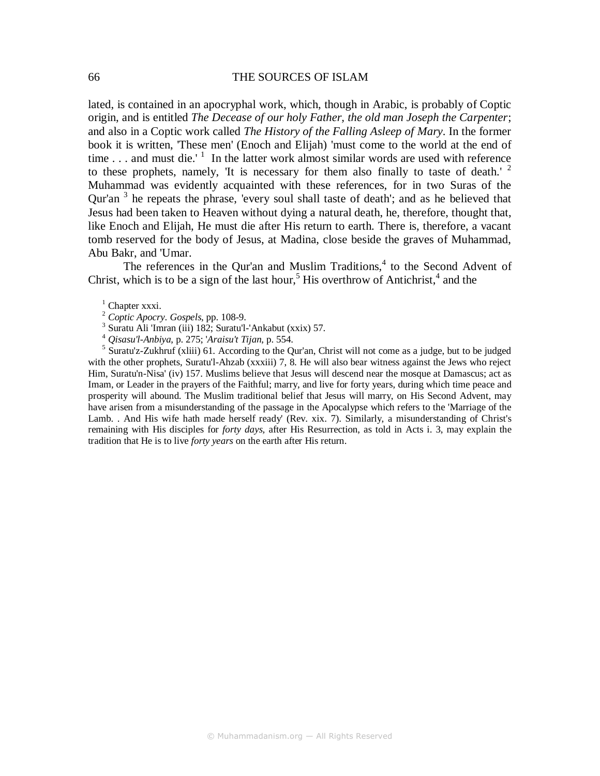lated, is contained in an apocryphal work, which, though in Arabic, is probably of Coptic origin, and is entitled *The Decease of our holy Father, the old man Joseph the Carpenter*; and also in a Coptic work called *The History of the Falling Asleep of Mary*. In the former book it is written, 'These men' (Enoch and Elijah) 'must come to the world at the end of time . . . and must die.'  $\frac{1}{1}$  In the latter work almost similar words are used with reference to these prophets, namely, Tt is necessary for them also finally to taste of death.<sup>' 2</sup> Muhammad was evidently acquainted with these references, for in two Suras of the Qur'an  $3$  he repeats the phrase, 'every soul shall taste of death'; and as he believed that Jesus had been taken to Heaven without dying a natural death, he, therefore, thought that, like Enoch and Elijah, He must die after His return to earth. There is, therefore, a vacant tomb reserved for the body of Jesus, at Madina, close beside the graves of Muhammad, Abu Bakr, and 'Umar.

The references in the Qur'an and Muslim Traditions, $4$  to the Second Advent of Christ, which is to be a sign of the last hour,<sup>5</sup> His overthrow of Antichrist,<sup>4</sup> and the

<sup>1</sup> Chapter xxxi.

- 3 Suratu Ali 'Imran (iii) 182; Suratu'l-'Ankabut (xxix) 57.
- <sup>4</sup> *Qisasu'l-Anbiya*, p. 275; '*Araisu't Tijan*, p. 554.

<sup>5</sup> Suratu'z-Zukhruf (xliii) 61. According to the Qur'an, Christ will not come as a judge, but to be judged with the other prophets, Suratu'l-Ahzab (xxxiii) 7, 8. He will also bear witness against the Jews who reject Him, Suratu'n-Nisa' (iv) 157. Muslims believe that Jesus will descend near the mosque at Damascus; act as Imam, or Leader in the prayers of the Faithful; marry, and live for forty years, during which time peace and prosperity will abound. The Muslim traditional belief that Jesus will marry, on His Second Advent, may have arisen from a misunderstanding of the passage in the Apocalypse which refers to the 'Marriage of the Lamb. . And His wife hath made herself ready' (Rev. xix. 7). Similarly, a misunderstanding of Christ's remaining with His disciples for *forty days,* after His Resurrection, as told in Acts i. 3, may explain the tradition that He is to live *forty years* on the earth after His return.

<sup>2</sup> *Coptic Apocry*. *Gospels*, pp. 108-9.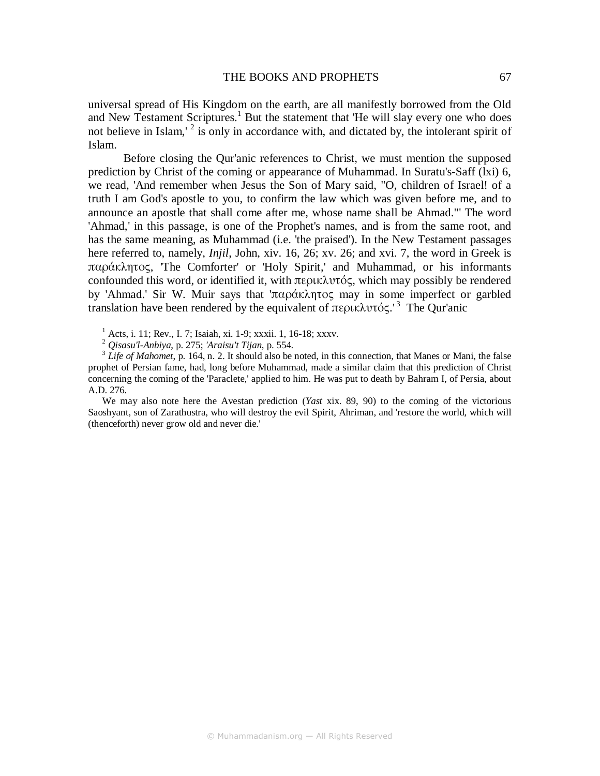universal spread of His Kingdom on the earth, are all manifestly borrowed from the Old and New Testament Scriptures.<sup>1</sup> But the statement that 'He will slay every one who does not believe in Islam,<sup>2</sup> is only in accordance with, and dictated by, the intolerant spirit of Islam.

Before closing the Qur'anic references to Christ, we must mention the supposed prediction by Christ of the coming or appearance of Muhammad. In Suratu's-Saff (lxi) 6, we read, 'And remember when Jesus the Son of Mary said, "O, children of Israel! of a truth I am God's apostle to you, to confirm the law which was given before me, and to announce an apostle that shall come after me, whose name shall be Ahmad."' The word 'Ahmad,' in this passage, is one of the Prophet's names, and is from the same root, and has the same meaning, as Muhammad (i.e. 'the praised'). In the New Testament passages here referred to, namely, *Injil*, John, xiv. 16, 26; xv. 26; and xvi. 7, the word in Greek is παράκλητος, 'The Comforter' or 'Holy Spirit,' and Muhammad, or his informants confounded this word, or identified it, with περικλυτός, which may possibly be rendered by 'Ahmad.' Sir W. Muir says that 'παράκλητος may in some imperfect or garbled translation have been rendered by the equivalent of περικλυτός.<sup>3</sup> The Our'anic

1 Acts, i. 11; Rev., I. 7; Isaiah, xi. 1-9; xxxii. 1, 16-18; xxxv.

<sup>2</sup> *Qisasu'l-Anbiya*, p. 275; *'Araisu't Tijan*, p. 554.

 $3^3$  *Life of Mahomet*, p. 164, n. 2. It should also be noted, in this connection, that Manes or Mani, the false prophet of Persian fame, had, long before Muhammad, made a similar claim that this prediction of Christ concerning the coming of the 'Paraclete,' applied to him. He was put to death by Bahram I, of Persia, about A.D. 276.

We may also note here the Avestan prediction (*Yast* xix. 89, 90) to the coming of the victorious Saoshyant, son of Zarathustra, who will destroy the evil Spirit, Ahriman, and 'restore the world, which will (thenceforth) never grow old and never die.'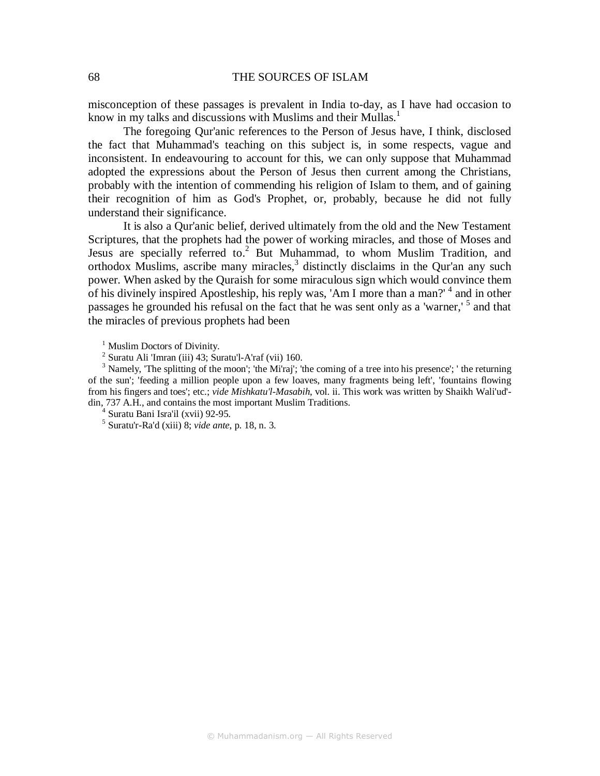misconception of these passages is prevalent in India to-day, as I have had occasion to know in my talks and discussions with Muslims and their Mullas.<sup>1</sup>

The foregoing Qur'anic references to the Person of Jesus have, I think, disclosed the fact that Muhammad's teaching on this subject is, in some respects, vague and inconsistent. In endeavouring to account for this, we can only suppose that Muhammad adopted the expressions about the Person of Jesus then current among the Christians, probably with the intention of commending his religion of Islam to them, and of gaining their recognition of him as God's Prophet, or, probably, because he did not fully understand their significance.

It is also a Qur'anic belief, derived ultimately from the old and the New Testament Scriptures, that the prophets had the power of working miracles, and those of Moses and Jesus are specially referred to.<sup>2</sup> But Muhammad, to whom Muslim Tradition, and orthodox Muslims, ascribe many miracles, $3$  distinctly disclaims in the Qur'an any such power. When asked by the Quraish for some miraculous sign which would convince them of his divinely inspired Apostleship, his reply was, 'Am I more than a man?' <sup>4</sup> and in other passages he grounded his refusal on the fact that he was sent only as a 'warner,' <sup>5</sup> and that the miracles of previous prophets had been

<sup>1</sup> Muslim Doctors of Divinity.

 $2$  Suratu Ali 'Imran (iii) 43; Suratu'l-A'raf (vii) 160.

 $3$  Namely, 'The splitting of the moon'; 'the Mi'raj'; 'the coming of a tree into his presence'; ' the returning of the sun'; 'feeding a million people upon a few loaves, many fragments being left', 'fountains flowing from his fingers and toes'; etc.; *vide Mishkatu'l-Masabih*, vol. ii. This work was written by Shaikh Wali'ud' din, 737 A.H., and contains the most important Muslim Traditions.

4 Suratu Bani Isra'il (xvii) 92-95.

5 Suratu'r-Ra'd (xiii) 8; *vide ante*, p. 18, n. 3.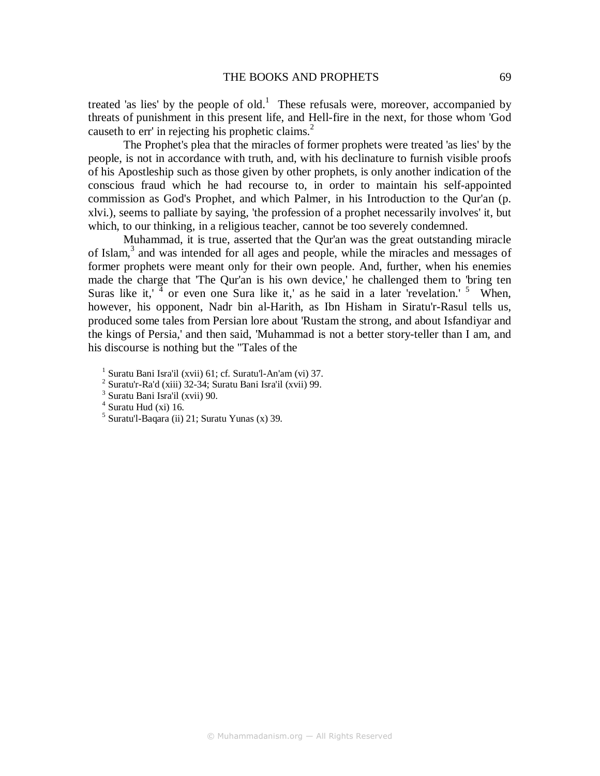treated 'as lies' by the people of old.<sup>1</sup> These refusals were, moreover, accompanied by threats of punishment in this present life, and Hell-fire in the next, for those whom 'God causeth to err' in rejecting his prophetic claims.<sup>2</sup>

The Prophet's plea that the miracles of former prophets were treated 'as lies' by the people, is not in accordance with truth, and, with his declinature to furnish visible proofs of his Apostleship such as those given by other prophets, is only another indication of the conscious fraud which he had recourse to, in order to maintain his self-appointed commission as God's Prophet, and which Palmer, in his Introduction to the Qur'an (p. xlvi.), seems to palliate by saying, 'the profession of a prophet necessarily involves' it, but which, to our thinking, in a religious teacher, cannot be too severely condemned.

Muhammad, it is true, asserted that the Qur'an was the great outstanding miracle of Islam,<sup>3</sup> and was intended for all ages and people, while the miracles and messages of former prophets were meant only for their own people. And, further, when his enemies made the charge that 'The Qur'an is his own device,' he challenged them to 'bring ten Suras like it,  $\frac{1}{4}$  or even one Sura like it,' as he said in a later 'revelation.' <sup>5</sup> When, however, his opponent, Nadr bin al-Harith, as Ibn Hisham in Siratu'r-Rasul tells us, produced some tales from Persian lore about 'Rustam the strong, and about Isfandiyar and the kings of Persia,' and then said, 'Muhammad is not a better story-teller than I am, and his discourse is nothing but the "Tales of the

1 Suratu Bani Isra'il (xvii) 61; cf. Suratu'l-An'am (vi) 37.

 $2$  Suratu'r-Ra'd (xiii) 32-34; Suratu Bani Isra'il (xvii) 99.

<sup>3</sup> Suratu Bani Isra'il (xvii) 90.

<sup>4</sup> Suratu Hud (xi) 16.

<sup>5</sup> Suratu'l-Baqara (ii) 21; Suratu Yunas (x) 39.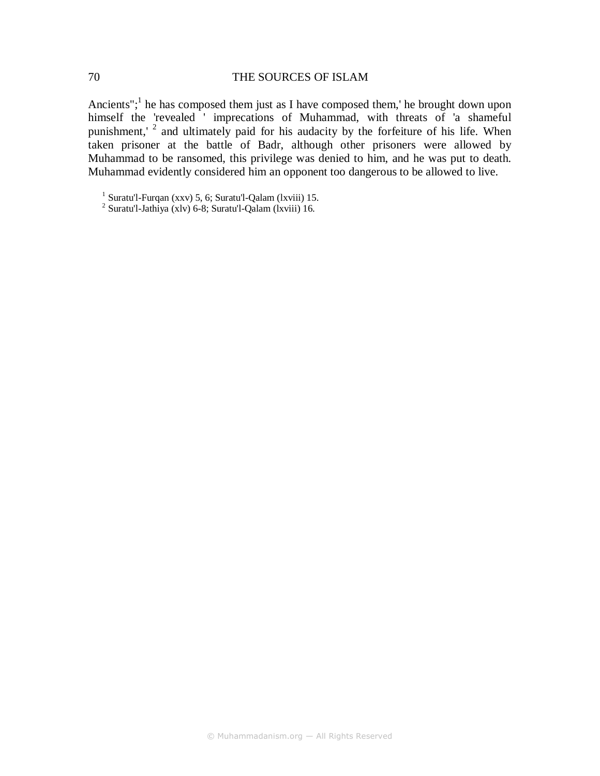Ancients";<sup>1</sup> he has composed them just as I have composed them,' he brought down upon himself the 'revealed ' imprecations of Muhammad, with threats of 'a shameful punishment,'  $2$  and ultimately paid for his audacity by the forfeiture of his life. When taken prisoner at the battle of Badr, although other prisoners were allowed by Muhammad to be ransomed, this privilege was denied to him, and he was put to death. Muhammad evidently considered him an opponent too dangerous to be allowed to live.

<sup>&</sup>lt;sup>1</sup> Suratu'l-Furqan (xxv) 5, 6; Suratu'l-Qalam (lxviii) 15.

<sup>2</sup> Suratu'l-Jathiya (xlv) 6-8; Suratu'l-Qalam (lxviii) 16.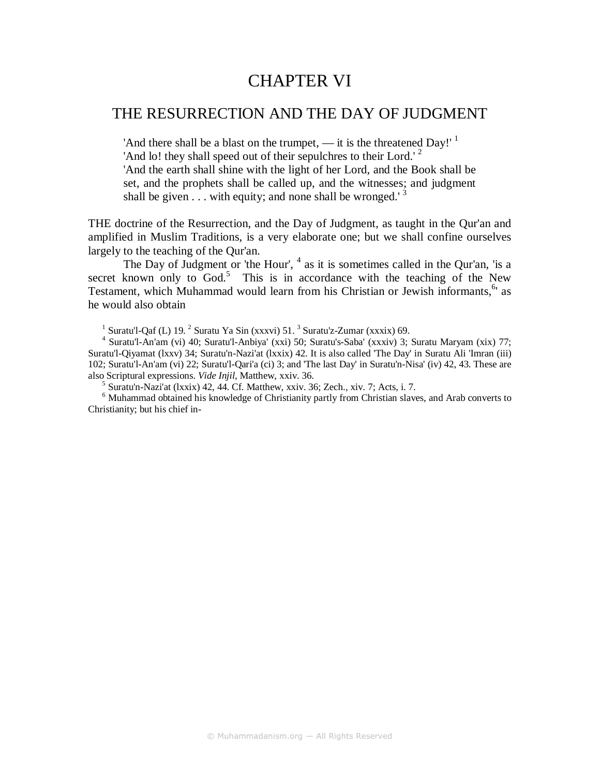# CHAPTER VI

## THE RESURRECTION AND THE DAY OF JUDGMENT

'And there shall be a blast on the trumpet,  $-$  it is the threatened Day!'  $<sup>1</sup>$ </sup> 'And lo! they shall speed out of their sepulchres to their Lord.'<sup>2</sup> 'And the earth shall shine with the light of her Lord, and the Book shall be set, and the prophets shall be called up, and the witnesses; and judgment shall be given  $\ldots$  with equity; and none shall be wronged.<sup>3</sup>

THE doctrine of the Resurrection, and the Day of Judgment, as taught in the Qur'an and amplified in Muslim Traditions, is a very elaborate one; but we shall confine ourselves largely to the teaching of the Qur'an.

The Day of Judgment or 'the Hour',  $4$  as it is sometimes called in the Qur'an, 'is a secret known only to  $God.5$  This is in accordance with the teaching of the New Testament, which Muhammad would learn from his Christian or Jewish informants, <sup>6</sup> as he would also obtain

5 Suratu'n-Nazi'at (lxxix) 42, 44. Cf. Matthew, xxiv. 36; Zech., xiv. 7; Acts, i. 7.

<sup>6</sup> Muhammad obtained his knowledge of Christianity partly from Christian slaves, and Arab converts to Christianity; but his chief in-

<sup>&</sup>lt;sup>1</sup> Suratu'l-Qaf (L) 19.  $^2$  Suratu Ya Sin (xxxvi) 51.  $^3$  Suratu'z-Zumar (xxxix) 69.

<sup>4</sup> Suratu'l-An'am (vi) 40; Suratu'l-Anbiya' (xxi) 50; Suratu's-Saba' (xxxiv) 3; Suratu Maryam (xix) 77; Suratu'l-Qiyamat (lxxv) 34; Suratu'n-Nazi'at (lxxix) 42. It is also called 'The Day' in Suratu Ali 'Imran (iii) 102; Suratu'l-An'am (vi) 22; Suratu'l-Qari'a (ci) 3; and 'The last Day' in Suratu'n-Nisa' (iv) 42, 43. These are also Scriptural expressions. *Vide Injil*, Matthew, xxiv. 36.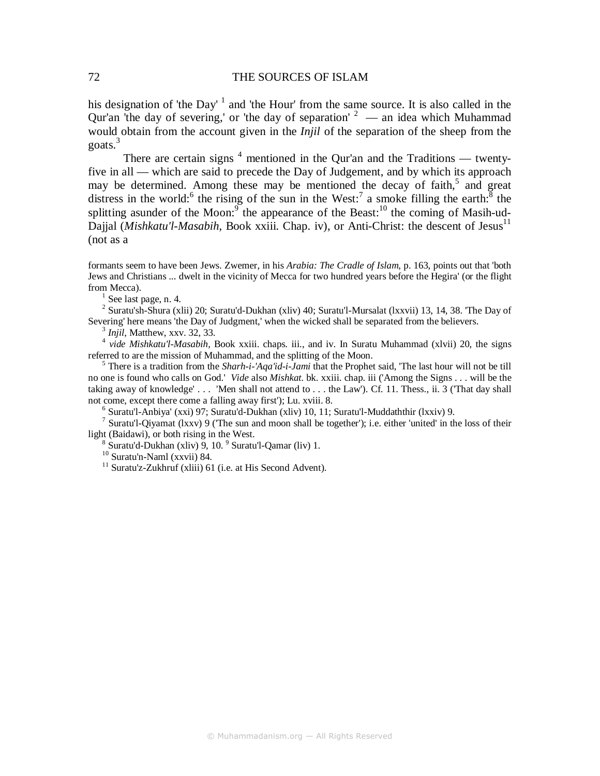his designation of 'the Day'  $1$  and 'the Hour' from the same source. It is also called in the Qur'an 'the day of severing,' or 'the day of separation'  $2 \ \text{m}$  an idea which Muhammad would obtain from the account given in the *Injil* of the separation of the sheep from the goats.<sup>3</sup>

There are certain signs  $<sup>4</sup>$  mentioned in the Qur'an and the Traditions — twenty-</sup> five in all — which are said to precede the Day of Judgement, and by which its approach may be determined. Among these may be mentioned the decay of faith,<sup>5</sup> and great distress in the world:<sup>6</sup> the rising of the sun in the West:<sup>7</sup> a smoke filling the earth: $^8$  the splitting asunder of the Moon: $\overline{9}$  the appearance of the Beast:<sup>10</sup> the coming of Masih-ud-Dajjal (Mishkatu'l-Masabih, Book xxiii. Chap. iv), or Anti-Christ: the descent of Jesus<sup>11</sup> (not as a

formants seem to have been Jews. Zwemer, in his *Arabia: The Cradle of Islam*, p. 163, points out that 'both Jews and Christians ... dwelt in the vicinity of Mecca for two hundred years before the Hegira' (or the flight from Mecca).

 $<sup>1</sup>$  See last page, n. 4.</sup>

<sup>2</sup> Suratu'sh-Shura (xlii) 20; Suratu'd-Dukhan (xliv) 40; Suratu'l-Mursalat (lxxvii) 13, 14, 38. 'The Day of Severing' here means 'the Day of Judgment,' when the wicked shall be separated from the believers.

3 *Injil*, Matthew, xxv. 32, 33.

<sup>4</sup> vide Mishkatu'l-Masabih, Book xxiii. chaps. iii., and iv. In Suratu Muhammad (xlvii) 20, the signs referred to are the mission of Muhammad, and the splitting of the Moon.

<sup>5</sup> There is a tradition from the *Sharh-i-'Aqa'id-i-Jami* that the Prophet said, 'The last hour will not be till no one is found who calls on God.' *Vide* also *Mishkat*. bk. xxiii. chap. iii ('Among the Signs . . . will be the taking away of knowledge' . . . 'Men shall not attend to . . . the Law'). Cf. 11. Thess., ii. 3 ('That day shall not come, except there come a falling away first'); Lu. xviii. 8.

6 Suratu'l-Anbiya' (xxi) 97; Suratu'd-Dukhan (xliv) 10, 11; Suratu'l-Muddaththir (lxxiv) 9.

<sup>7</sup> Suratu'l-Qiyamat (lxxv) 9 ('The sun and moon shall be together'); i.e. either 'united' in the loss of their light (Baidawi), or both rising in the West.

 $8$  Suratu'd-Dukhan (xliv) 9, 10.  $9$  Suratu'l-Qamar (liv) 1.

 $^{10}$  Suratu'n-Naml (xxvii) 84.

 $11$  Suratu'z-Zukhruf (xliii) 61 (i.e. at His Second Advent).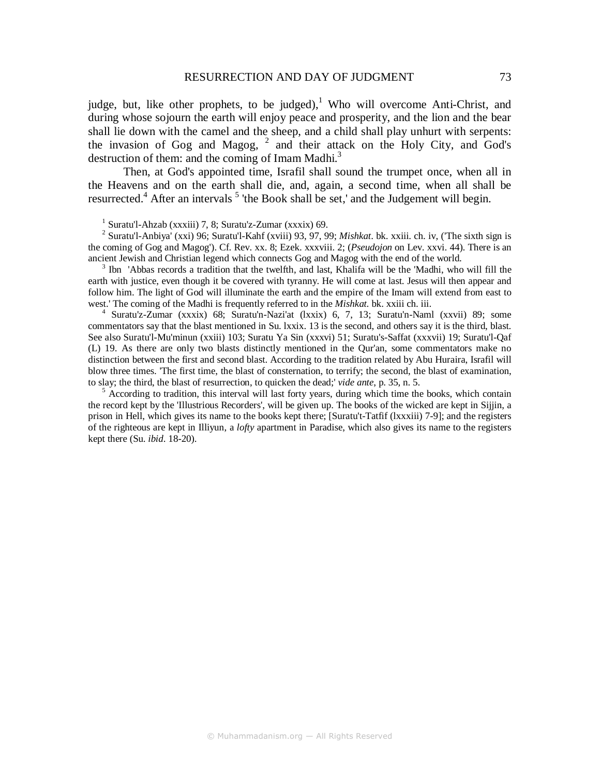judge, but, like other prophets, to be judged),<sup>1</sup> Who will overcome Anti-Christ, and during whose sojourn the earth will enjoy peace and prosperity, and the lion and the bear shall lie down with the camel and the sheep, and a child shall play unhurt with serpents: the invasion of Gog and Magog,  $2$  and their attack on the Holy City, and God's destruction of them: and the coming of Imam Madhi.<sup>3</sup>

Then, at God's appointed time, Israfil shall sound the trumpet once, when all in the Heavens and on the earth shall die, and, again, a second time, when all shall be resurrected.<sup>4</sup> After an intervals  $<sup>5</sup>$  'the Book shall be set,' and the Judgement will begin.</sup>

1 Suratu'l-Ahzab (xxxiii) 7, 8; Suratu'z-Zumar (xxxix) 69.

2 Suratu'l-Anbiya' (xxi) 96; Suratu'l-Kahf (xviii) 93, 97, 99; *Mishkat*. bk. xxiii. ch. iv, ('The sixth sign is the coming of Gog and Magog'). Cf. Rev. xx. 8; Ezek. xxxviii. 2; (*Pseudojon* on Lev. xxvi. 44). There is an ancient Jewish and Christian legend which connects Gog and Magog with the end of the world.

<sup>3</sup> Ibn 'Abbas records a tradition that the twelfth, and last, Khalifa will be the 'Madhi, who will fill the earth with justice, even though it be covered with tyranny. He will come at last. Jesus will then appear and follow him. The light of God will illuminate the earth and the empire of the Imam will extend from east to west.' The coming of the Madhi is frequently referred to in the *Mishkat.* bk. xxiii ch. iii.

4 Suratu'z-Zumar (xxxix) 68; Suratu'n-Nazi'at (lxxix) 6, 7, 13; Suratu'n-Naml (xxvii) 89; some commentators say that the blast mentioned in Su. lxxix. 13 is the second, and others say it is the third, blast. See also Suratu'l-Mu'minun (xxiii) 103; Suratu Ya Sin (xxxvi) 51; Suratu's-Saffat (xxxvii) 19; Suratu'l-Qaf (L) 19. As there are only two blasts distinctly mentioned in the Qur'an, some commentators make no distinction between the first and second blast. According to the tradition related by Abu Huraira, Israfil will blow three times. 'The first time, the blast of consternation, to terrify; the second, the blast of examination, to slay; the third, the blast of resurrection, to quicken the dead;' *vide ante*, p. 35, n. 5.

<sup>5</sup> According to tradition, this interval will last forty years, during which time the books, which contain the record kept by the 'Illustrious Recorders', will be given up. The books of the wicked are kept in Sijjin, a prison in Hell, which gives its name to the books kept there; [Suratu't-Tatfif (lxxxiii) 7-9]; and the registers of the righteous are kept in Illiyun, a *lofty* apartment in Paradise, which also gives its name to the registers kept there (Su. *ibid*. 18-20).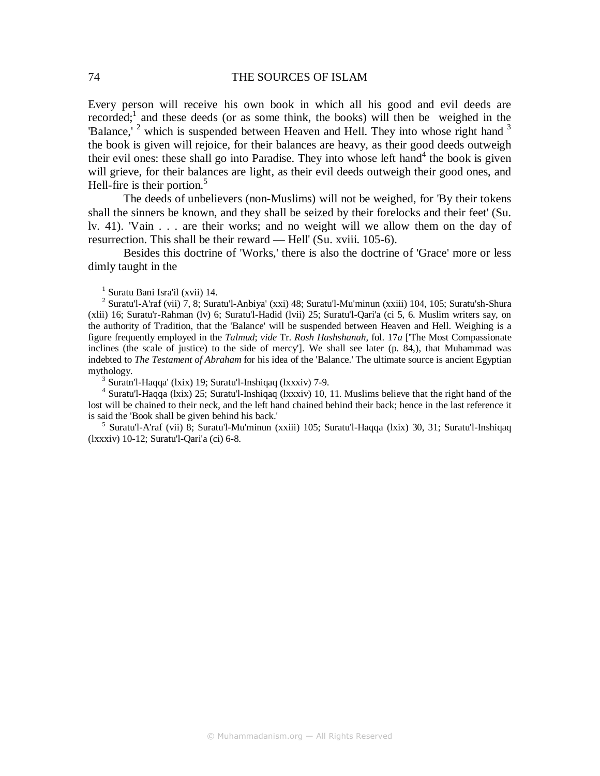Every person will receive his own book in which all his good and evil deeds are recorded;<sup>1</sup> and these deeds (or as some think, the books) will then be weighed in the 'Balance,'  $2$  which is suspended between Heaven and Hell. They into whose right hand  $3$ the book is given will rejoice, for their balances are heavy, as their good deeds outweigh their evil ones: these shall go into Paradise. They into whose left hand<sup>4</sup> the book is given will grieve, for their balances are light, as their evil deeds outweigh their good ones, and Hell-fire is their portion. $5$ 

The deeds of unbelievers (non-Muslims) will not be weighed, for 'By their tokens shall the sinners be known, and they shall be seized by their forelocks and their feet' (Su. lv. 41). 'Vain . . . are their works; and no weight will we allow them on the day of resurrection. This shall be their reward — Hell' (Su. xviii. 105-6).

Besides this doctrine of 'Works,' there is also the doctrine of 'Grace' more or less dimly taught in the

1 Suratu Bani Isra'il (xvii) 14.

<sup>2</sup> Suratu'l-A'raf (vii) 7, 8; Suratu'l-Anbiya' (xxi) 48; Suratu'l-Mu'minun (xxiii) 104, 105; Suratu'sh-Shura (xlii) 16; Suratu'r-Rahman (lv) 6; Suratu'l-Hadid (lvii) 25; Suratu'l-Qari'a (ci 5, 6. Muslim writers say, on the authority of Tradition, that the 'Balance' will be suspended between Heaven and Hell. Weighing is a figure frequently employed in the *Talmud*; *vide* Tr. *Rosh Hashshanah,* fol. 17*a* ['The Most Compassionate inclines (the scale of justice) to the side of mercy']. We shall see later (p. 84,), that Muhammad was indebted to *The Testament of Abraham* for his idea of the 'Balance.' The ultimate source is ancient Egyptian mythology.

3 Suratn'l-Haqqa' (lxix) 19; Suratu'l-Inshiqaq (lxxxiv) 7-9.

<sup>4</sup> Suratu'l-Haqqa (lxix) 25; Suratu'l-Inshiqaq (lxxxiv) 10, 11. Muslims believe that the right hand of the lost will be chained to their neck, and the left hand chained behind their back; hence in the last reference it is said the 'Book shall be given behind his back.'

5 Suratu'l-A'raf (vii) 8; Suratu'l-Mu'minun (xxiii) 105; Suratu'l-Haqqa (lxix) 30, 31; Suratu'l-Inshiqaq (lxxxiv) 10-12; Suratu'l-Qari'a (ci) 6-8.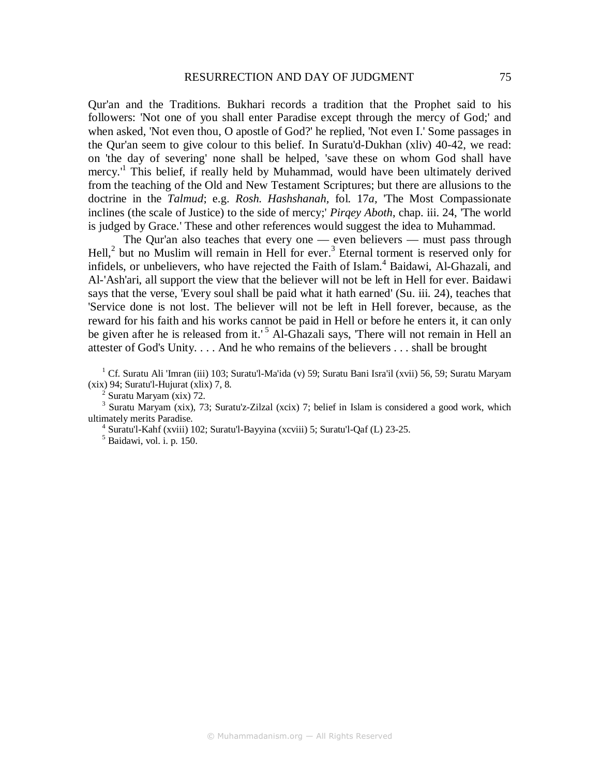Qur'an and the Traditions. Bukhari records a tradition that the Prophet said to his followers: 'Not one of you shall enter Paradise except through the mercy of God;' and when asked, 'Not even thou, O apostle of God?' he replied, 'Not even I.' Some passages in the Qur'an seem to give colour to this belief. In Suratu'd-Dukhan (xliv) 40-42, we read: on 'the day of severing' none shall be helped, 'save these on whom God shall have mercy.<sup>1</sup> This belief, if really held by Muhammad, would have been ultimately derived from the teaching of the Old and New Testament Scriptures; but there are allusions to the doctrine in the *Talmud*; e.g. *Rosh. Hashshanah,* fol. 17*a,* 'The Most Compassionate inclines (the scale of Justice) to the side of mercy;' *Pirqey Aboth*, chap. iii. 24, 'The world is judged by Grace.' These and other references would suggest the idea to Muhammad.

The Qur'an also teaches that every one — even believers — must pass through Hell, $^2$  but no Muslim will remain in Hell for ever.<sup>3</sup> Eternal torment is reserved only for infidels, or unbelievers, who have rejected the Faith of Islam.<sup>4</sup> Baidawi, Al-Ghazali, and Al-'Ash'ari, all support the view that the believer will not be left in Hell for ever. Baidawi says that the verse, 'Every soul shall be paid what it hath earned' (Su. iii. 24), teaches that 'Service done is not lost. The believer will not be left in Hell forever, because, as the reward for his faith and his works cannot be paid in Hell or before he enters it, it can only be given after he is released from it.'<sup>5</sup> Al-Ghazali says, 'There will not remain in Hell an attester of God's Unity. . . . And he who remains of the believers . . . shall be brought

<sup>1</sup> Cf. Suratu Ali 'Imran (iii) 103; Suratu'l-Ma'ida (v) 59; Suratu Bani Isra'il (xvii) 56, 59; Suratu Maryam (xix) 94; Suratu'l-Hujurat (xlix) 7, 8.

<sup>3</sup> Suratu Maryam (xix), 73; Suratu'z-Zilzal (xcix) 7; belief in Islam is considered a good work, which ultimately merits Paradise.

<sup>4</sup> Suratu'l-Kahf (xviii) 102; Suratu'l-Bayyina (xcviii) 5; Suratu'l-Qaf (L) 23-25.<br><sup>5</sup> Baidawi, vol. i. p. 150.

 $2$  Suratu Maryam (xix) 72.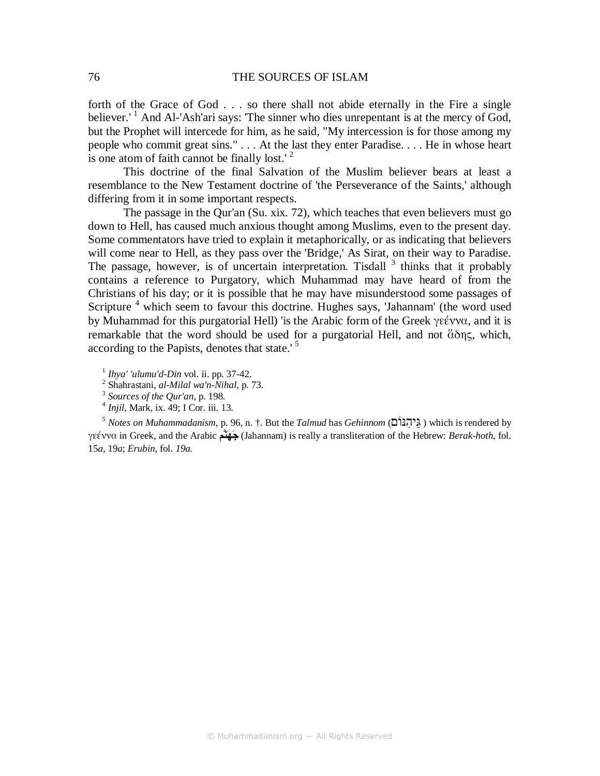forth of the Grace of God . . . so there shall not abide eternally in the Fire a single believer.<sup>1</sup> And Al-'Ash'ari says: 'The sinner who dies unrepentant is at the mercy of God, but the Prophet will intercede for him, as he said, "My intercession is for those among my people who commit great sins." . . . At the last they enter Paradise. . . . He in whose heart is one atom of faith cannot be finally lost.<sup> $2$ </sup>

This doctrine of the final Salvation of the Muslim believer bears at least a resemblance to the New Testament doctrine of 'the Perseverance of the Saints,' although differing from it in some important respects.

The passage in the Qur'an (Su. xix. 72), which teaches that even believers must go down to Hell, has caused much anxious thought among Muslims, even to the present day. Some commentators have tried to explain it metaphorically, or as indicating that believers will come near to Hell, as they pass over the 'Bridge,' As Sirat, on their way to Paradise. The passage, however, is of uncertain interpretation. Tisdall  $3$  thinks that it probably contains a reference to Purgatory, which Muhammad may have heard of from the Christians of his day; or it is possible that he may have misunderstood some passages of Scripture<sup>4</sup> which seem to favour this doctrine. Hughes says, 'Jahannam' (the word used by Muhammad for this purgatorial Hell) 'is the Arabic form of the Greek γεέννα, and it is remarkable that the word should be used for a purgatorial Hell, and not ἅδης, which, according to the Papists, denotes that state.'<sup>5</sup>

- 1 *Ihya' 'ulumu'd-Din* vol. ii. pp. 37-42.
- 2 Shahrastani, *al-Milal wa'n-Nihal*, p. 73.
- 3  *Sources of the Qur'an*, p. 198.
- 4 *Injil,* Mark, ix. 49; I Cor. iii. 13.

<sup>5</sup> *Notes on Muhammadanism*, p. 96*,* n. †. But the *Talmud* has *Gehinnom* (נּוֹםִיהֵגּ ( which is rendered by γεέννα in Greek, and the Arabic نَّمهج) Jahannam) is really a transliteration of the Hebrew: *Berak-hoth,* fol. 15*a*, 19*a*; *Erubin,* fol. *19a.*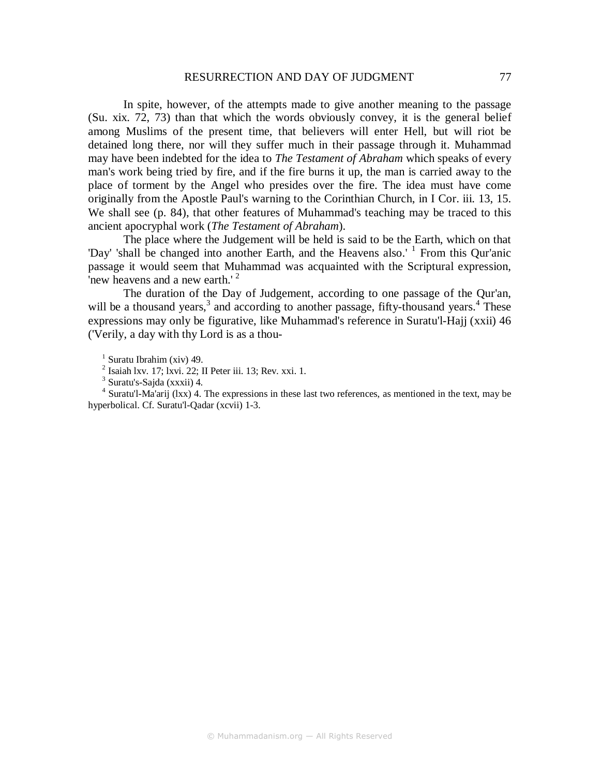#### RESURRECTION AND DAY OF JUDGMENT 77

In spite, however, of the attempts made to give another meaning to the passage (Su. xix. 72, 73) than that which the words obviously convey, it is the general belief among Muslims of the present time, that believers will enter Hell, but will riot be detained long there, nor will they suffer much in their passage through it. Muhammad may have been indebted for the idea to *The Testament of Abraham* which speaks of every man's work being tried by fire, and if the fire burns it up, the man is carried away to the place of torment by the Angel who presides over the fire. The idea must have come originally from the Apostle Paul's warning to the Corinthian Church, in I Cor. iii. 13, 15. We shall see (p. 84), that other features of Muhammad's teaching may be traced to this ancient apocryphal work (*The Testament of Abraham*).

The place where the Judgement will be held is said to be the Earth, which on that "Day' 'shall be changed into another Earth, and the Heavens also.' <sup>1</sup> From this Qur'anic passage it would seem that Muhammad was acquainted with the Scriptural expression, 'new heavens and a new earth.'<sup>2</sup>

The duration of the Day of Judgement, according to one passage of the Qur'an, will be a thousand years,<sup>3</sup> and according to another passage, fifty-thousand years.<sup>4</sup> These expressions may only be figurative, like Muhammad's reference in Suratu'l-Hajj (xxii) 46 ('Verily, a day with thy Lord is as a thou-

 $<sup>1</sup>$  Suratu Ibrahim (xiv) 49.</sup>

 $2$  Isaiah lxv. 17; lxvi. 22; II Peter iii. 13; Rev. xxi. 1.

<sup>3</sup> Suratu's-Sajda (xxxii) 4.

<sup>4</sup> Suratu'l-Ma'arij (lxx) 4. The expressions in these last two references, as mentioned in the text, may be hyperbolical. Cf. Suratu'l-Qadar (xcvii) 1-3.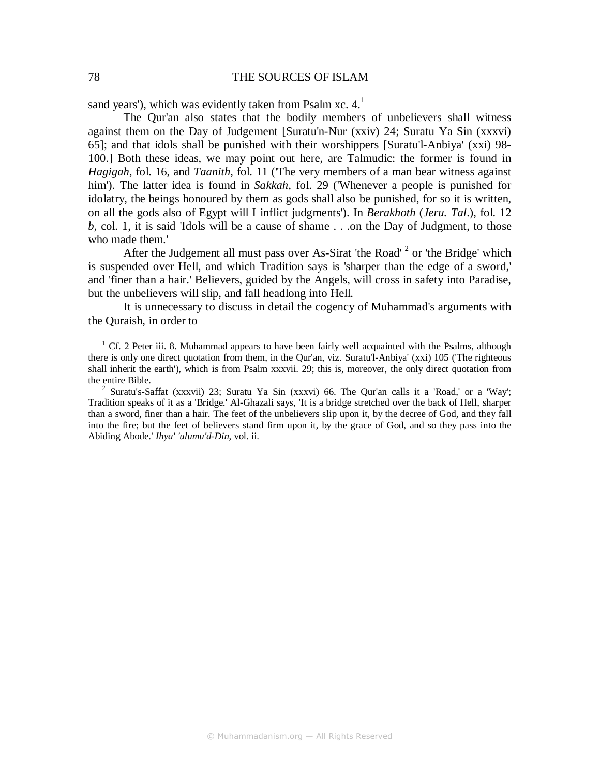sand years'), which was evidently taken from Psalm xc.  $4<sup>1</sup>$ 

The Qur'an also states that the bodily members of unbelievers shall witness against them on the Day of Judgement [Suratu'n-Nur (xxiv) 24; Suratu Ya Sin (xxxvi) 65]; and that idols shall be punished with their worshippers [Suratu'l-Anbiya' (xxi) 98- 100.] Both these ideas, we may point out here, are Talmudic: the former is found in *Hagigah*, fol. 16, and *Taanith*, fol. 11 ('The very members of a man bear witness against him'). The latter idea is found in *Sakkah,* fol. 29 ('Whenever a people is punished for idolatry, the beings honoured by them as gods shall also be punished, for so it is written, on all the gods also of Egypt will I inflict judgments'). In *Berakhoth* (*Jeru. Tal*.), fol. 12 *b*, col. 1, it is said 'Idols will be a cause of shame . . .on the Day of Judgment, to those who made them.'

After the Judgement all must pass over As-Sirat 'the Road'  $2$  or 'the Bridge' which is suspended over Hell, and which Tradition says is 'sharper than the edge of a sword,' and 'finer than a hair.' Believers, guided by the Angels, will cross in safety into Paradise, but the unbelievers will slip, and fall headlong into Hell.

It is unnecessary to discuss in detail the cogency of Muhammad's arguments with the Quraish, in order to

<sup>1</sup> Cf. 2 Peter iii. 8. Muhammad appears to have been fairly well acquainted with the Psalms, although there is only one direct quotation from them, in the Qur'an, viz. Suratu'l-Anbiya' (xxi) 105 ('The righteous shall inherit the earth'), which is from Psalm xxxvii. 29; this is, moreover, the only direct quotation from the entire Bible.

<sup>2</sup> Suratu's-Saffat (xxxvii) 23; Suratu Ya Sin (xxxvi) 66. The Qur'an calls it a 'Road,' or a 'Way'; Tradition speaks of it as a 'Bridge.' Al-Ghazali says, 'It is a bridge stretched over the back of Hell, sharper than a sword, finer than a hair. The feet of the unbelievers slip upon it, by the decree of God, and they fall into the fire; but the feet of believers stand firm upon it, by the grace of God, and so they pass into the Abiding Abode.' *Ihya' 'ulumu'd-Din*, vol. ii.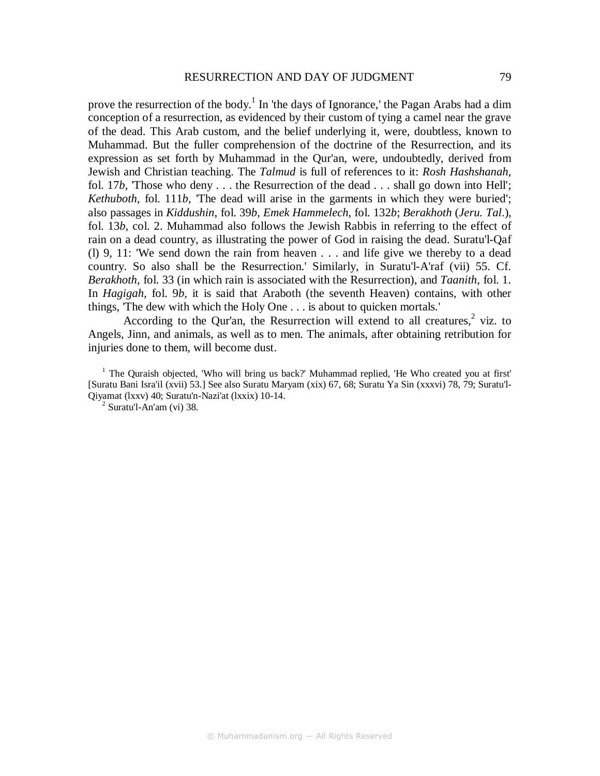prove the resurrection of the body.<sup>1</sup> In 'the days of Ignorance,' the Pagan Arabs had a dim conception of a resurrection, as evidenced by their custom of tying a camel near the grave of the dead. This Arab custom, and the belief underlying it, were, doubtless, known to Muhammad. But the fuller comprehension of the doctrine of the Resurrection, and its expression as set forth by Muhammad in the Qur'an, were, undoubtedly, derived from Jewish and Christian teaching. The *Talmud* is full of references to it: *Rosh Hashshanah,*  fol. 17*b,* 'Those who deny . . . the Resurrection of the dead . . . shall go down into Hell'; *Kethuboth*, fol. 111*b*, 'The dead will arise in the garments in which they were buried'; also passages in *Kiddushin*, fol. 39*b*, *Emek Hammelech*, fol. 132*b*; *Berakhoth* (*Jeru. Tal*.), fol. 13*b*, col. 2. Muhammad also follows the Jewish Rabbis in referring to the effect of rain on a dead country, as illustrating the power of God in raising the dead. Suratu'l-Qaf (l) 9, 11: 'We send down the rain from heaven . . . and life give we thereby to a dead country. So also shall be the Resurrection.' Similarly, in Suratu'l-A'raf (vii) 55. Cf. *Berakhoth,* fol. 33 (in which rain is associated with the Resurrection), and *Taanith,* fol. 1. In *Hagigah,* fol. 9*b,* it is said that Araboth (the seventh Heaven) contains, with other things, 'The dew with which the Holy One . . . is about to quicken mortals.'

According to the Qur'an, the Resurrection will extend to all creatures, $2$  viz. to Angels, Jinn, and animals, as well as to men. The animals, after obtaining retribution for injuries done to them, will become dust.

<sup>1</sup> The Quraish objected, 'Who will bring us back?' Muhammad replied, 'He Who created you at first' [Suratu Bani Isra'il (xvii) 53.] See also Suratu Maryam (xix) 67, 68; Suratu Ya Sin (xxxvi) 78, 79; Suratu'l-Qiyamat (lxxv) 40; Suratu'n-Nazi'at (lxxix) 10-14.

 $2$  Suratu'l-An'am (vi) 38.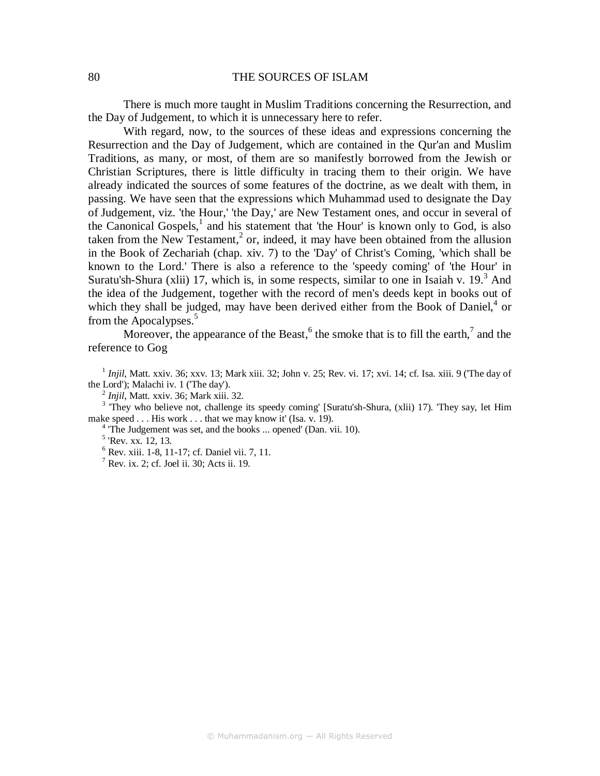There is much more taught in Muslim Traditions concerning the Resurrection, and the Day of Judgement, to which it is unnecessary here to refer.

With regard, now, to the sources of these ideas and expressions concerning the Resurrection and the Day of Judgement, which are contained in the Qur'an and Muslim Traditions, as many, or most, of them are so manifestly borrowed from the Jewish or Christian Scriptures, there is little difficulty in tracing them to their origin. We have already indicated the sources of some features of the doctrine, as we dealt with them, in passing. We have seen that the expressions which Muhammad used to designate the Day of Judgement, viz. 'the Hour,' 'the Day,' are New Testament ones, and occur in several of the Canonical Gospels, $<sup>1</sup>$  and his statement that 'the Hour' is known only to God, is also</sup> taken from the New Testament,<sup>2</sup> or, indeed, it may have been obtained from the allusion in the Book of Zechariah (chap. xiv. 7) to the 'Day' of Christ's Coming, 'which shall be known to the Lord.' There is also a reference to the 'speedy coming' of 'the Hour' in Suratu'sh-Shura (xlii) 17, which is, in some respects, similar to one in Isaiah v. 19. $3$  And the idea of the Judgement, together with the record of men's deeds kept in books out of which they shall be judged, may have been derived either from the Book of Daniel, $4$  or from the Apocalypses.<sup>5</sup>

Moreover, the appearance of the Beast,  $6$  the smoke that is to fill the earth, $7$  and the reference to Gog

<sup>1</sup> Injil, Matt. xxiv. 36; xxv. 13; Mark xiii. 32; John v. 25; Rev. vi. 17; xvi. 14; cf. Isa. xiii. 9 ('The day of the Lord'); Malachi iv. 1 ('The day').

2 *Injil*, Matt. xxiv. 36; Mark xiii. 32.

<sup>3</sup> They who believe not, challenge its speedy coming' [Suratu'sh-Shura, (xlii) 17). 'They say, let Him make speed . . . His work . . . that we may know it' (Isa. v. 19).

<sup>4</sup> The Judgement was set, and the books ... opened' (Dan. vii. 10).

<sup>5</sup> 'Rev. xx. 12, 13.

6 Rev. xiii. 1-8, 11-17; cf. Daniel vii. 7, 11.

 $^7$  Rev. ix. 2; cf. Joel ii. 30; Acts ii. 19.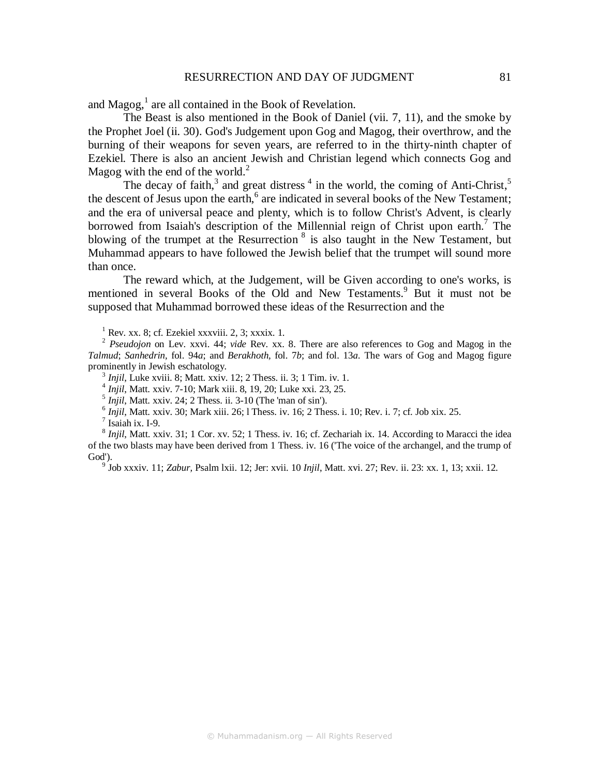#### RESURRECTION AND DAY OF JUDGMENT 81

and  $Magog<sup>1</sup>$ , are all contained in the Book of Revelation.

The Beast is also mentioned in the Book of Daniel (vii. 7, 11), and the smoke by the Prophet Joel (ii. 30). God's Judgement upon Gog and Magog, their overthrow, and the burning of their weapons for seven years, are referred to in the thirty-ninth chapter of Ezekiel. There is also an ancient Jewish and Christian legend which connects Gog and Magog with the end of the world. $^{2}$ 

The decay of faith,<sup>3</sup> and great distress<sup>4</sup> in the world, the coming of Anti-Christ,<sup>5</sup> the descent of Jesus upon the earth, $6$  are indicated in several books of the New Testament; and the era of universal peace and plenty, which is to follow Christ's Advent, is clearly borrowed from Isaiah's description of the Millennial reign of Christ upon earth.<sup>7</sup> The blowing of the trumpet at the Resurrection  $\frac{8}{3}$  is also taught in the New Testament, but Muhammad appears to have followed the Jewish belief that the trumpet will sound more than once.

The reward which, at the Judgement, will be Given according to one's works, is mentioned in several Books of the Old and New Testaments.<sup>9</sup> But it must not be supposed that Muhammad borrowed these ideas of the Resurrection and the

 $1$  Rev. xx. 8; cf. Ezekiel xxxviii. 2, 3; xxxix. 1.

<sup>2</sup> Pseudojon on Lev. xxvi. 44; vide Rev. xx. 8. There are also references to Gog and Magog in the *Talmud*; *Sanhedrin,* fol. 94*a*; and *Berakhoth,* fol. 7*b*; and fol. 13*a.* The wars of Gog and Magog figure prominently in Jewish eschatology.

<sup>3</sup> *Injil*, Luke xviii. 8; Matt. xxiv. 12; 2 Thess. ii. 3; 1 Tim. iv. 1.<br><sup>4</sup> *Injil*, Matt. xxiv. 7-10; Mark xiii. 8, 19, 20; Luke xxi. 23, 25.

 $<sup>5</sup> Injil, Matt. xxiv. 24; 2 Thesis. ii. 3-10 (The 'man of sin').$ </sup>

 $<sup>6</sup> Injil$ , Matt. xxiv. 30; Mark xiii. 26; l Thess. iv. 16; 2 Thess. i. 10; Rev. i. 7; cf. Job xix. 25.</sup>

 $<sup>7</sup>$  Isaiah ix. I-9.</sup>

<sup>8</sup> Injil, Matt. xxiv. 31; 1 Cor. xv. 52; 1 Thess. iv. 16; cf. Zechariah ix. 14. According to Maracci the idea of the two blasts may have been derived from 1 Thess. iv. 16 ('The voice of the archangel, and the trump of God').

9 Job xxxiv. 11; *Zabur,* Psalm lxii. 12; Jer: xvii. 10 *Injil*, Matt. xvi. 27; Rev. ii. 23: xx. 1, 13; xxii. 12.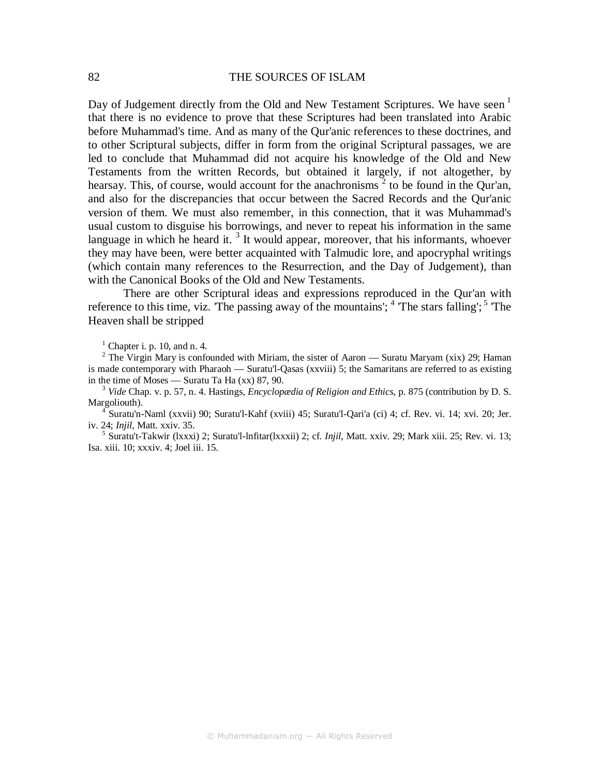Day of Judgement directly from the Old and New Testament Scriptures. We have seen  $<sup>1</sup>$ </sup> that there is no evidence to prove that these Scriptures had been translated into Arabic before Muhammad's time. And as many of the Qur'anic references to these doctrines, and to other Scriptural subjects, differ in form from the original Scriptural passages, we are led to conclude that Muhammad did not acquire his knowledge of the Old and New Testaments from the written Records, but obtained it largely, if not altogether, by hearsay. This, of course, would account for the anachronisms  $2$  to be found in the Qur'an, and also for the discrepancies that occur between the Sacred Records and the Qur'anic version of them. We must also remember, in this connection, that it was Muhammad's usual custom to disguise his borrowings, and never to repeat his information in the same language in which he heard it.<sup>3</sup> It would appear, moreover, that his informants, whoever they may have been, were better acquainted with Talmudic lore, and apocryphal writings (which contain many references to the Resurrection, and the Day of Judgement), than with the Canonical Books of the Old and New Testaments.

There are other Scriptural ideas and expressions reproduced in the Qur'an with reference to this time, viz. The passing away of the mountains';  $4$  'The stars falling';  $5$  'The Heaven shall be stripped

 $<sup>1</sup>$  Chapter i. p. 10, and n. 4.</sup>

<sup>2</sup> The Virgin Mary is confounded with Miriam, the sister of Aaron — Suratu Maryam (xix) 29; Haman is made contemporary with Pharaoh — Suratu'l-Qasas (xxviii) 5; the Samaritans are referred to as existing in the time of Moses — Suratu Ta Ha (xx) 87, 90.

3  *Vide* Chap. v. p. 57, n. 4. Hastings, *Encyclopædia of Religion and Ethics*, p. 875 (contribution by D. S. Margoliouth).

4 Suratu'n-Naml (xxvii) 90; Suratu'l-Kahf (xviii) 45; Suratu'l-Qari'a (ci) 4; cf. Rev. vi. 14; xvi. 20; Jer. iv. 24; *Injil*, Matt. xxiv. 35.

5 Suratu't-Takwir (lxxxi) 2; Suratu'l-lnfitar(lxxxii) 2; cf. *Injil*, Matt. xxiv. 29; Mark xiii. 25; Rev. vi. 13; Isa. xiii. 10; xxxiv. 4; Joel iii. 15.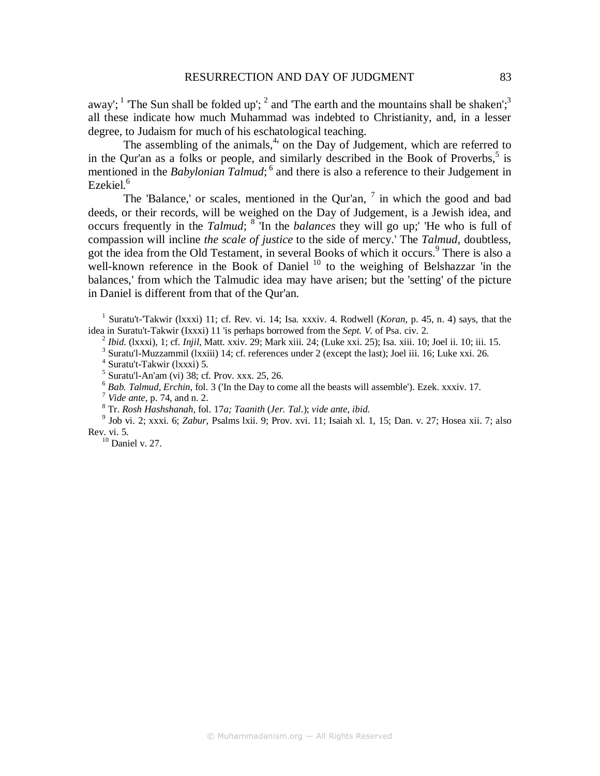away'; <sup>1</sup> The Sun shall be folded up'; <sup>2</sup> and 'The earth and the mountains shall be shaken';<sup>3</sup> all these indicate how much Muhammad was indebted to Christianity, and, in a lesser degree, to Judaism for much of his eschatological teaching.

The assembling of the animals,<sup>4</sup> on the Day of Judgement, which are referred to in the Qur'an as a folks or people, and similarly described in the Book of Proverbs,  $5$  is mentioned in the *Babylonian Talmud*; <sup>6</sup> and there is also a reference to their Judgement in Ezekiel. $6$ 

The 'Balance,' or scales, mentioned in the Qur'an,  $7$  in which the good and bad deeds, or their records, will be weighed on the Day of Judgement, is a Jewish idea, and occurs frequently in the *Talmud*; <sup>8</sup> In the *balances* they will go up; 'He who is full of compassion will incline *the scale of justice* to the side of mercy.' The *Talmud,* doubtless, got the idea from the Old Testament, in several Books of which it occurs.<sup>9</sup> There is also a well-known reference in the Book of Daniel<sup>10</sup> to the weighing of Belshazzar 'in the balances,' from which the Talmudic idea may have arisen; but the 'setting' of the picture in Daniel is different from that of the Qur'an.

<sup>1</sup> Suratu't-'Takwir (lxxxi) 11; cf. Rev. vi. 14; Isa. xxxiv. 4. Rodwell (*Koran*, p. 45, n. 4) says, that the idea in Suratu't-Takwir (Ixxxi) 11 'is perhaps borrowed from the *Sept. V.* of Psa. civ. 2.

2  *Ibid*. (lxxxi), 1; cf. *Injil*, Matt. xxiv. 29; Mark xiii. 24; (Luke xxi. 25); Isa. xiii. 10; Joel ii. 10; iii. 15.

<sup>3</sup> Suratu'l-Muzzammil (lxxiii) 14; cf. references under 2 (except the last); Joel iii. 16; Luke xxi. 26.

4 Suratu't-Takwir (lxxxi) 5.

 $<sup>5</sup>$  Suratu'l-An'am (vi) 38; cf. Prov. xxx. 25, 26.</sup>

<sup>6</sup> Bab. Talmud, Erchin, fol. 3 ('In the Day to come all the beasts will assemble'). Ezek. xxxiv. 17.

7  *Vide ante*, p. 74, and n. 2.

8 Tr. *Rosh Hashshanah,* fol. 17*a; Taanith* (*Jer. Tal*.); *vide ante*, *ibid*.

9 Job vi. 2; xxxi. 6; *Zabur*, Psalms lxii. 9; Prov. xvi. 11; Isaiah xl. 1, 15; Dan. v. 27; Hosea xii. 7; also Rev. vi. 5.

 $10$  Daniel v. 27.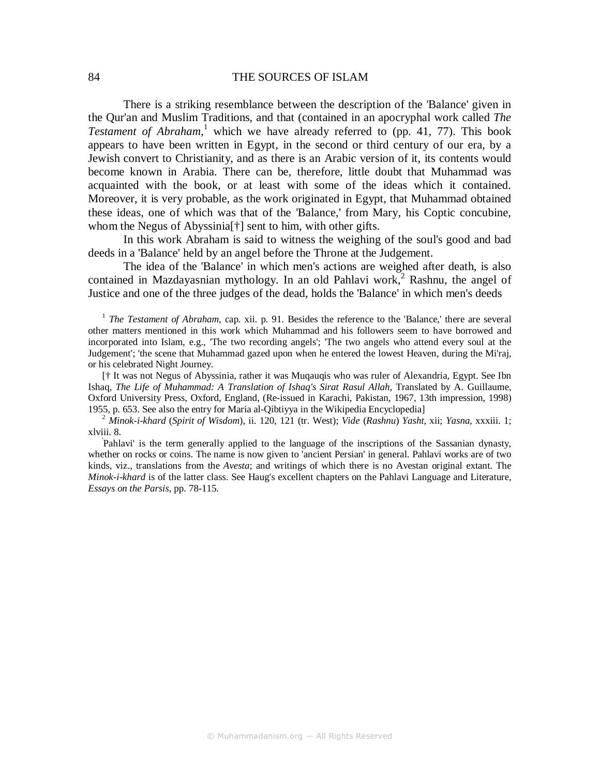There is a striking resemblance between the description of the 'Balance' given in the Qur'an and Muslim Traditions, and that (contained in an apocryphal work called *The*  Testament of Abraham,<sup>1</sup> which we have already referred to (pp. 41, 77). This book appears to have been written in Egypt, in the second or third century of our era, by a Jewish convert to Christianity, and as there is an Arabic version of it, its contents would become known in Arabia. There can be, therefore, little doubt that Muhammad was acquainted with the book, or at least with some of the ideas which it contained. Moreover, it is very probable, as the work originated in Egypt, that Muhammad obtained these ideas, one of which was that of the 'Balance,' from Mary, his Coptic concubine, whom the Negus of Abyssinia[†] sent to him, with other gifts.

In this work Abraham is said to witness the weighing of the soul's good and bad deeds in a 'Balance' held by an angel before the Throne at the Judgement.

The idea of the 'Balance' in which men's actions are weighed after death, is also contained in Mazdayasnian mythology. In an old Pahlavi work,<sup>2</sup> Rashnu, the angel of Justice and one of the three judges of the dead, holds the 'Balance' in which men's deeds

<sup>1</sup> The Testament of Abraham, cap. xii. p. 91. Besides the reference to the 'Balance,' there are several other matters mentioned in this work which Muhammad and his followers seem to have borrowed and incorporated into Islam, e.g., 'The two recording angels'; 'The two angels who attend every soul at the Judgement'; 'the scene that Muhammad gazed upon when he entered the lowest Heaven, during the Mi'raj, or his celebrated Night Journey.

[† It was not Negus of Abyssinia, rather it was Muqauqis who was ruler of Alexandria, Egypt. See Ibn Ishaq, *The Life of Muhammad: A Translation of Ishaq's Sirat Rasul Allah*, Translated by A. Guillaume, Oxford University Press, Oxford, England, (Re-issued in Karachi, Pakistan, 1967, 13th impression, 1998) 1955, p. 653. See also the entry for Maria al-Qibtiyya in the Wikipedia Encyclopedia]

<sup>2</sup> *Minok-i-khard* (*Spirit of Wisdom*), ii. 120, 121 (tr. West); *Vide* (*Rashnu*) *Yasht*, xii; *Yasna,* xxxiii. 1; xlviii. 8.

' Pahlavi' is the term generally applied to the language of the inscriptions of the Sassanian dynasty, whether on rocks or coins. The name is now given to 'ancient Persian' in general. Pahlavi works are of two kinds, viz., translations from the *Avesta*; and writings of which there is no Avestan original extant. The *Minok-i-khard* is of the latter class. See Haug's excellent chapters on the Pahlavi Language and Literature, *Essays on the Parsis*, pp. 78-115.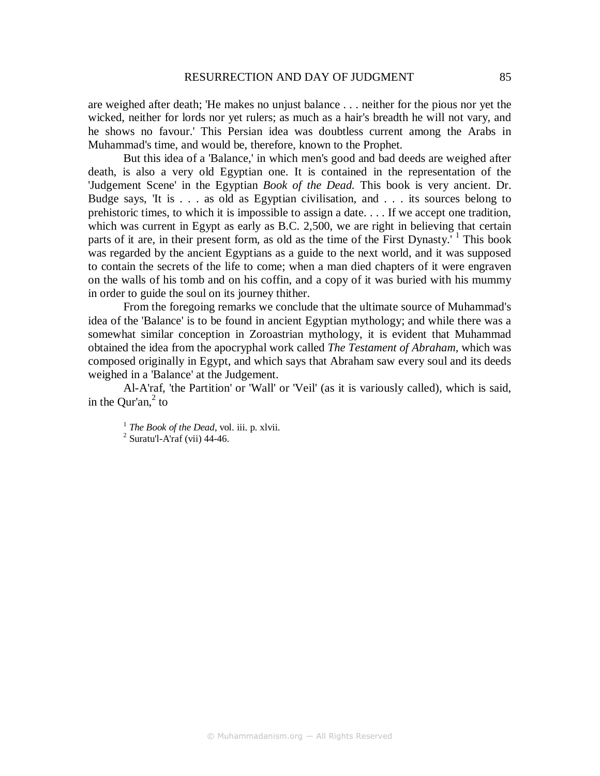are weighed after death; 'He makes no unjust balance . . . neither for the pious nor yet the wicked, neither for lords nor yet rulers; as much as a hair's breadth he will not vary, and he shows no favour.' This Persian idea was doubtless current among the Arabs in Muhammad's time, and would be, therefore, known to the Prophet.

But this idea of a 'Balance,' in which men's good and bad deeds are weighed after death, is also a very old Egyptian one. It is contained in the representation of the 'Judgement Scene' in the Egyptian *Book of the Dead.* This book is very ancient. Dr. Budge says, 'It is . . . as old as Egyptian civilisation, and . . . its sources belong to prehistoric times, to which it is impossible to assign a date. . . . If we accept one tradition, which was current in Egypt as early as B.C. 2,500, we are right in believing that certain parts of it are, in their present form, as old as the time of the First Dynasty.<sup>' 1</sup> This book was regarded by the ancient Egyptians as a guide to the next world, and it was supposed to contain the secrets of the life to come; when a man died chapters of it were engraven on the walls of his tomb and on his coffin, and a copy of it was buried with his mummy in order to guide the soul on its journey thither.

From the foregoing remarks we conclude that the ultimate source of Muhammad's idea of the 'Balance' is to be found in ancient Egyptian mythology; and while there was a somewhat similar conception in Zoroastrian mythology, it is evident that Muhammad obtained the idea from the apocryphal work called *The Testament of Abraham,* which was composed originally in Egypt, and which says that Abraham saw every soul and its deeds weighed in a 'Balance' at the Judgement.

Al-A'raf, 'the Partition' or 'Wall' or 'Veil' (as it is variously called), which is said, in the  $Qur'an, <sup>2</sup>$  to

<sup>1</sup> *The Book of the Dead*, vol. iii. p. xlvii.

 $2$  Suratu'l-A'raf (vii) 44-46.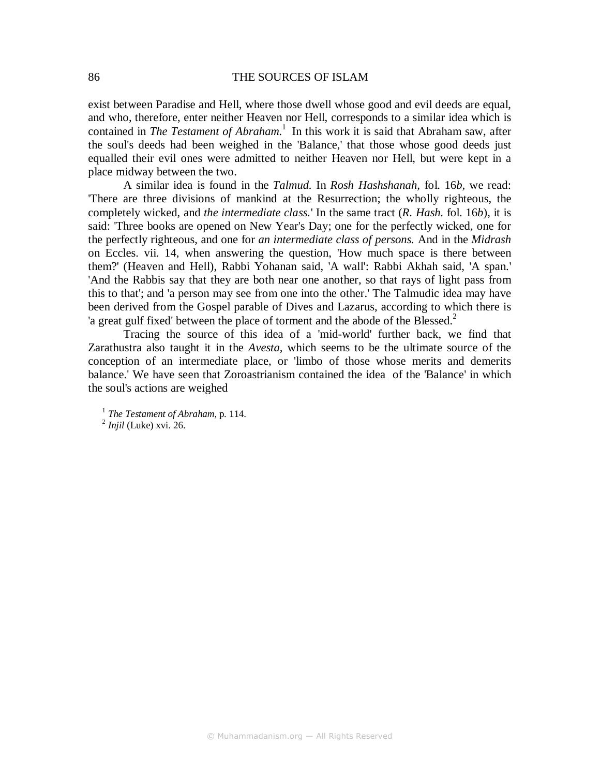exist between Paradise and Hell, where those dwell whose good and evil deeds are equal, and who, therefore, enter neither Heaven nor Hell, corresponds to a similar idea which is contained in *The Testament of Abraham*.<sup>1</sup> In this work it is said that Abraham saw, after the soul's deeds had been weighed in the 'Balance,' that those whose good deeds just equalled their evil ones were admitted to neither Heaven nor Hell, but were kept in a place midway between the two.

A similar idea is found in the *Talmud.* In *Rosh Hashshanah,* fol. 16*b,* we read: 'There are three divisions of mankind at the Resurrection; the wholly righteous, the completely wicked, and *the intermediate class.*' In the same tract (*R. Hash.* fol. 16*b*), it is said: 'Three books are opened on New Year's Day; one for the perfectly wicked, one for the perfectly righteous, and one for *an intermediate class of persons.* And in the *Midrash*  on Eccles. vii. 14, when answering the question, 'How much space is there between them?' (Heaven and Hell), Rabbi Yohanan said, 'A wall': Rabbi Akhah said, 'A span.' 'And the Rabbis say that they are both near one another, so that rays of light pass from this to that'; and 'a person may see from one into the other.' The Talmudic idea may have been derived from the Gospel parable of Dives and Lazarus, according to which there is 'a great gulf fixed' between the place of torment and the abode of the Blessed. $^2$ 

Tracing the source of this idea of a 'mid-world' further back, we find that Zarathustra also taught it in the *Avesta,* which seems to be the ultimate source of the conception of an intermediate place, or 'limbo of those whose merits and demerits balance.' We have seen that Zoroastrianism contained the idea of the 'Balance' in which the soul's actions are weighed

<sup>1</sup> *The Testament of Abraham*, p. 114. 2 *Injil* (Luke) xvi. 26.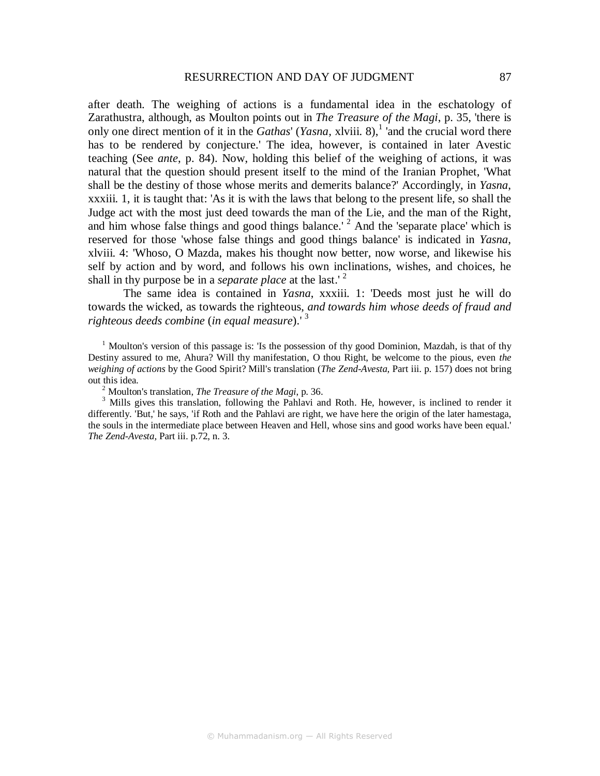after death. The weighing of actions is a fundamental idea in the eschatology of Zarathustra, although, as Moulton points out in *The Treasure of the Magi*, p. 35, 'there is only one direct mention of it in the *Gathas' (Yasna, xlviii.* 8),<sup>1</sup> and the crucial word there has to be rendered by conjecture.' The idea, however, is contained in later Avestic teaching (See *ante*, p. 84). Now, holding this belief of the weighing of actions, it was natural that the question should present itself to the mind of the Iranian Prophet, 'What shall be the destiny of those whose merits and demerits balance?' Accordingly, in *Yasna*, xxxiii. 1, it is taught that: 'As it is with the laws that belong to the present life, so shall the Judge act with the most just deed towards the man of the Lie, and the man of the Right, and him whose false things and good things balance.<sup> $2$ </sup> And the 'separate place' which is reserved for those 'whose false things and good things balance' is indicated in *Yasna*, xlviii. 4: 'Whoso, O Mazda, makes his thought now better, now worse, and likewise his self by action and by word, and follows his own inclinations, wishes, and choices, he shall in thy purpose be in a *separate place* at the last.' <sup>2</sup>

The same idea is contained in *Yasna*, xxxiii. 1: 'Deeds most just he will do towards the wicked, as towards the righteous, *and towards him whose deeds of fraud and righteous deeds combine* (*in equal measure*).' <sup>3</sup>

<sup>1</sup> Moulton's version of this passage is: 'Is the possession of thy good Dominion, Mazdah, is that of thy Destiny assured to me, Ahura? Will thy manifestation, O thou Right, be welcome to the pious, even *the weighing of actions* by the Good Spirit? Mill's translation (*The Zend-Avesta,* Part iii. p. 157) does not bring out this idea.

2 Moulton's translation, *The Treasure of the Magi*, p. 36.

<sup>3</sup> Mills gives this translation, following the Pahlavi and Roth. He, however, is inclined to render it differently. 'But,' he says, 'if Roth and the Pahlavi are right, we have here the origin of the later hamestaga, the souls in the intermediate place between Heaven and Hell, whose sins and good works have been equal.' *The Zend-Avesta,* Part iii. p.72, n. 3.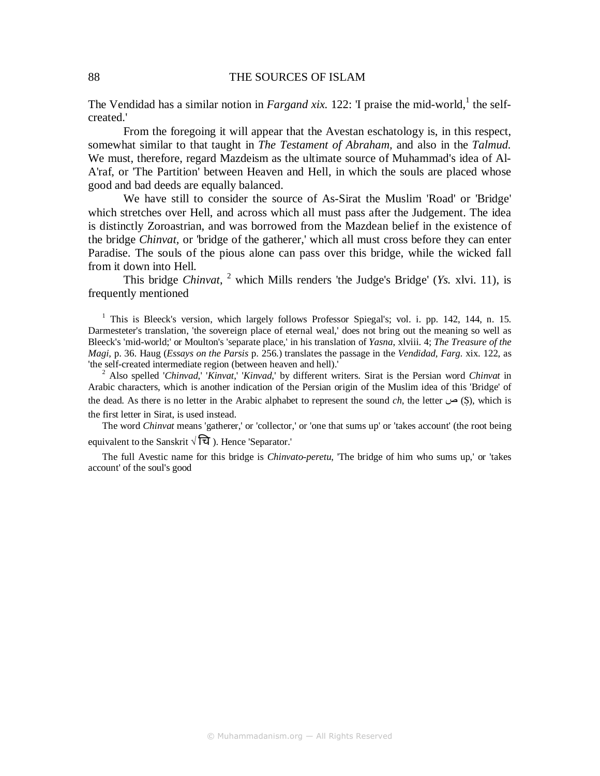The Vendidad has a similar notion in *Fargand xix*. 122: T praise the mid-world,<sup>1</sup> the selfcreated.'

From the foregoing it will appear that the Avestan eschatology is, in this respect, somewhat similar to that taught in *The Testament of Abraham,* and also in the *Talmud.*  We must, therefore, regard Mazdeism as the ultimate source of Muhammad's idea of Al-A'raf, or 'The Partition' between Heaven and Hell, in which the souls are placed whose good and bad deeds are equally balanced.

We have still to consider the source of As-Sirat the Muslim 'Road' or 'Bridge' which stretches over Hell, and across which all must pass after the Judgement. The idea is distinctly Zoroastrian, and was borrowed from the Mazdean belief in the existence of the bridge *Chinvat,* or 'bridge of the gatherer,' which all must cross before they can enter Paradise. The souls of the pious alone can pass over this bridge, while the wicked fall from it down into Hell.

This bridge *Chinvat*, <sup>2</sup> which Mills renders 'the Judge's Bridge' (*Ys.* xlvi. 11), is frequently mentioned

<sup>1</sup> This is Bleeck's version, which largely follows Professor Spiegal's; vol. i. pp. 142, 144, n. 15. Darmesteter's translation, 'the sovereign place of eternal weal,' does not bring out the meaning so well as Bleeck's 'mid-world;' or Moulton's 'separate place,' in his translation of *Yasna*, xlviii. 4; *The Treasure of the Magi*, p. 36. Haug (*Essays on the Parsis* p. 256.) translates the passage in the *Vendidad, Farg.* xix. 122, as 'the self-created intermediate region (between heaven and hell).'

2 Also spelled '*Chinvad*,' '*Kinvat*,' '*Kinvad*,' by different writers. Sirat is the Persian word *Chinvat* in Arabic characters, which is another indication of the Persian origin of the Muslim idea of this 'Bridge' of the dead. As there is no letter in the Arabic alphabet to represent the sound *ch*, the letter  $\omega$  (S), which is the first letter in Sirat, is used instead.

The word *Chinvat* means 'gatherer,' or 'collector,' or 'one that sums up' or 'takes account' (the root being equivalent to the Sanskrit  $\sqrt{z}$ ). Hence 'Separator.'

The full Avestic name for this bridge is *Chinvato-peretu*, 'The bridge of him who sums up,' or 'takes account' of the soul's good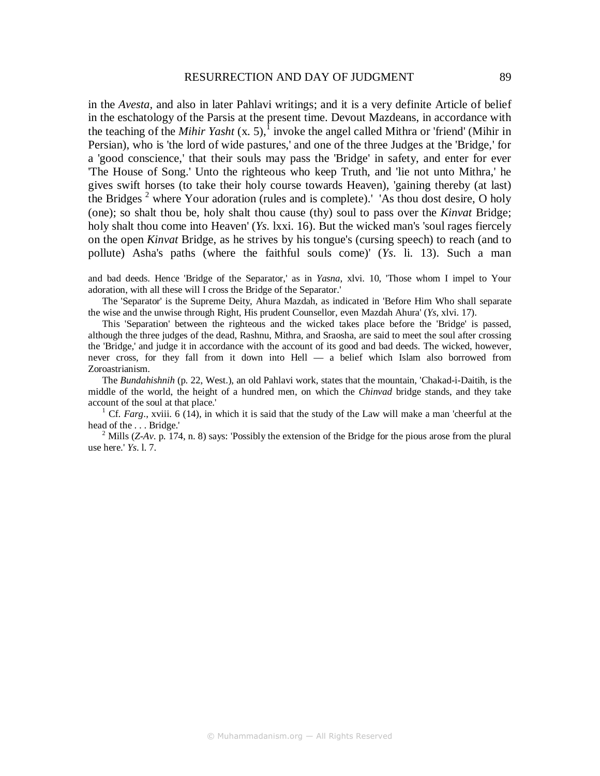in the *Avesta,* and also in later Pahlavi writings; and it is a very definite Article of belief in the eschatology of the Parsis at the present time. Devout Mazdeans, in accordance with the teaching of the *Mihir Yasht*  $(x, 5)$ ,<sup>1</sup> invoke the angel called Mithra or 'friend' (Mihir in Persian), who is 'the lord of wide pastures,' and one of the three Judges at the 'Bridge,' for a 'good conscience,' that their souls may pass the 'Bridge' in safety, and enter for ever 'The House of Song.' Unto the righteous who keep Truth, and 'lie not unto Mithra,' he gives swift horses (to take their holy course towards Heaven), 'gaining thereby (at last) the Bridges<sup>2</sup> where Your adoration (rules and is complete).' 'As thou dost desire, O holy (one); so shalt thou be, holy shalt thou cause (thy) soul to pass over the *Kinvat* Bridge; holy shalt thou come into Heaven' (*Ys*. lxxi. 16). But the wicked man's 'soul rages fiercely on the open *Kinvat* Bridge, as he strives by his tongue's (cursing speech) to reach (and to pollute) Asha's paths (where the faithful souls come)' (*Ys*. li. 13). Such a man

and bad deeds. Hence 'Bridge of the Separator,' as in *Yasna*, xlvi. 10, 'Those whom I impel to Your adoration, with all these will I cross the Bridge of the Separator.'

The 'Separator' is the Supreme Deity, Ahura Mazdah, as indicated in 'Before Him Who shall separate the wise and the unwise through Right, His prudent Counsellor, even Mazdah Ahura' (*Ys*, xlvi. 17).

This 'Separation' between the righteous and the wicked takes place before the 'Bridge' is passed, although the three judges of the dead, Rashnu, Mithra, and Sraosha, are said to meet the soul after crossing the 'Bridge,' and judge it in accordance with the account of its good and bad deeds. The wicked, however, never cross, for they fall from it down into Hell — a belief which Islam also borrowed from Zoroastrianism.

The *Bundahishnih* (p. 22, West.), an old Pahlavi work, states that the mountain, 'Chakad-i-Daitih, is the middle of the world, the height of a hundred men, on which the *Chinvad* bridge stands, and they take account of the soul at that place.'

<sup>1</sup> Cf. *Farg.*, xviii. 6 (14), in which it is said that the study of the Law will make a man 'cheerful at the head of the . . . Bridge.'

<sup>2</sup> Mills (*Z-Av*. p. 174, n. 8) says: 'Possibly the extension of the Bridge for the pious arose from the plural use here.' *Ys*. l. 7.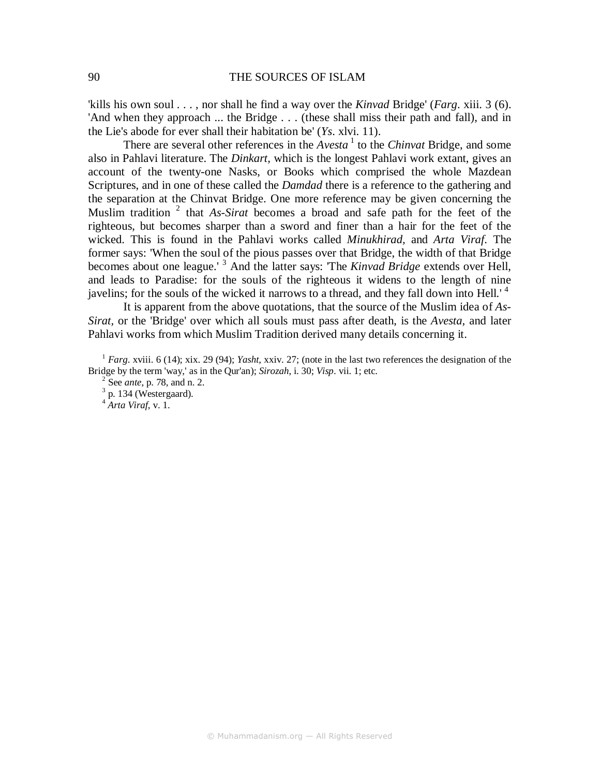'kills his own soul . . . , nor shall he find a way over the *Kinvad* Bridge' (*Farg*. xiii. 3 (6). 'And when they approach ... the Bridge . . . (these shall miss their path and fall), and in the Lie's abode for ever shall their habitation be' (*Ys*. xlvi. 11).

There are several other references in the  $Avesta<sup>1</sup>$  to the *Chinvat* Bridge, and some also in Pahlavi literature. The *Dinkart,* which is the longest Pahlavi work extant, gives an account of the twenty-one Nasks, or Books which comprised the whole Mazdean Scriptures, and in one of these called the *Damdad* there is a reference to the gathering and the separation at the Chinvat Bridge. One more reference may be given concerning the Muslim tradition <sup>2</sup> that *As-Sirat* becomes a broad and safe path for the feet of the righteous, but becomes sharper than a sword and finer than a hair for the feet of the wicked. This is found in the Pahlavi works called *Minukhirad,* and *Arta Viraf.* The former says: 'When the soul of the pious passes over that Bridge, the width of that Bridge becomes about one league.' <sup>3</sup> And the latter says: 'The *Kinvad Bridge* extends over Hell, and leads to Paradise: for the souls of the righteous it widens to the length of nine javelins; for the souls of the wicked it narrows to a thread, and they fall down into Hell.<sup>'4</sup>

It is apparent from the above quotations, that the source of the Muslim idea of *As-Sirat,* or the 'Bridge' over which all souls must pass after death, is the *Avesta,* and later Pahlavi works from which Muslim Tradition derived many details concerning it.

2 See *ante*, p. 78, and n. 2.

 $3$  p. 134 (Westergaard).

<sup>4</sup> *Arta Viraf*, v. 1.

<sup>1</sup> *Farg*. xviii. 6 (14); xix. 29 (94); *Yasht*, xxiv. 27; (note in the last two references the designation of the Bridge by the term 'way,' as in the Qur'an); *Sirozah*, i. 30; *Visp*. vii. 1; etc.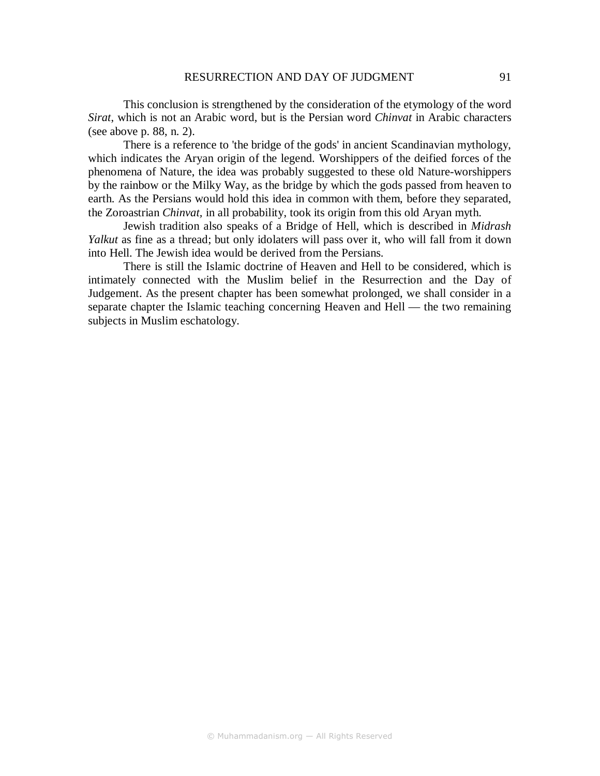This conclusion is strengthened by the consideration of the etymology of the word *Sirat*, which is not an Arabic word, but is the Persian word *Chinvat* in Arabic characters (see above p. 88, n. 2).

There is a reference to 'the bridge of the gods' in ancient Scandinavian mythology, which indicates the Aryan origin of the legend. Worshippers of the deified forces of the phenomena of Nature, the idea was probably suggested to these old Nature-worshippers by the rainbow or the Milky Way, as the bridge by which the gods passed from heaven to earth. As the Persians would hold this idea in common with them, before they separated, the Zoroastrian *Chinvat,* in all probability, took its origin from this old Aryan myth.

Jewish tradition also speaks of a Bridge of Hell, which is described in *Midrash Yalkut* as fine as a thread; but only idolaters will pass over it, who will fall from it down into Hell. The Jewish idea would be derived from the Persians.

There is still the Islamic doctrine of Heaven and Hell to be considered, which is intimately connected with the Muslim belief in the Resurrection and the Day of Judgement. As the present chapter has been somewhat prolonged, we shall consider in a separate chapter the Islamic teaching concerning Heaven and Hell — the two remaining subjects in Muslim eschatology.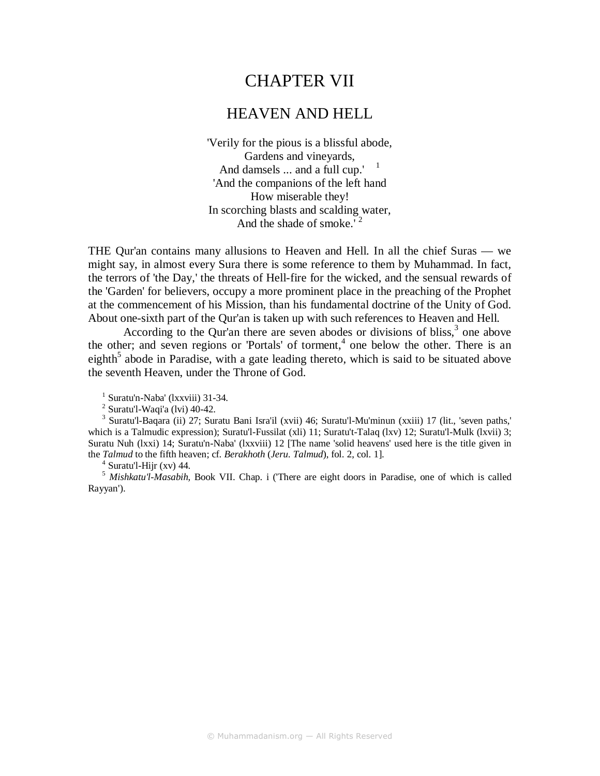# CHAPTER VII

## HEAVEN AND HELL

'Verily for the pious is a blissful abode, Gardens and vineyards, And damsels  $\dots$  and a full cup.'  $^{-1}$ 'And the companions of the left hand How miserable they! In scorching blasts and scalding water, And the shade of smoke.<sup>72</sup>

THE Qur'an contains many allusions to Heaven and Hell. In all the chief Suras — we might say, in almost every Sura there is some reference to them by Muhammad. In fact, the terrors of 'the Day,' the threats of Hell-fire for the wicked, and the sensual rewards of the 'Garden' for believers, occupy a more prominent place in the preaching of the Prophet at the commencement of his Mission, than his fundamental doctrine of the Unity of God. About one-sixth part of the Qur'an is taken up with such references to Heaven and Hell.

According to the Qur'an there are seven abodes or divisions of bliss, $3$  one above the other; and seven regions or 'Portals' of torment, $4$  one below the other. There is an eighth<sup>5</sup> abode in Paradise, with a gate leading thereto, which is said to be situated above the seventh Heaven, under the Throne of God.

1 Suratu'n-Naba' (lxxviii) 31-34.

 $2$  Suratu'l-Waqi'a (lvi) 40-42.

3 Suratu'l-Baqara (ii) 27; Suratu Bani Isra'il (xvii) 46; Suratu'l-Mu'minun (xxiii) 17 (lit., 'seven paths,' which is a Talmudic expression); Suratu'l-Fussilat (xli) 11; Suratu't-Talaq (lxv) 12; Suratu'l-Mulk (lxvii) 3; Suratu Nuh (lxxi) 14; Suratu'n-Naba' (lxxviii) 12 [The name 'solid heavens' used here is the title given in the *Talmud* to the fifth heaven; cf. *Berakhoth* (*Jeru. Talmud*), fol. 2, col. 1].

 $4$  Suratu'l-Hijr (xv) 44.

5  *Mishkatu'l-Masabih,* Book VII. Chap. i ('There are eight doors in Paradise, one of which is called Rayyan').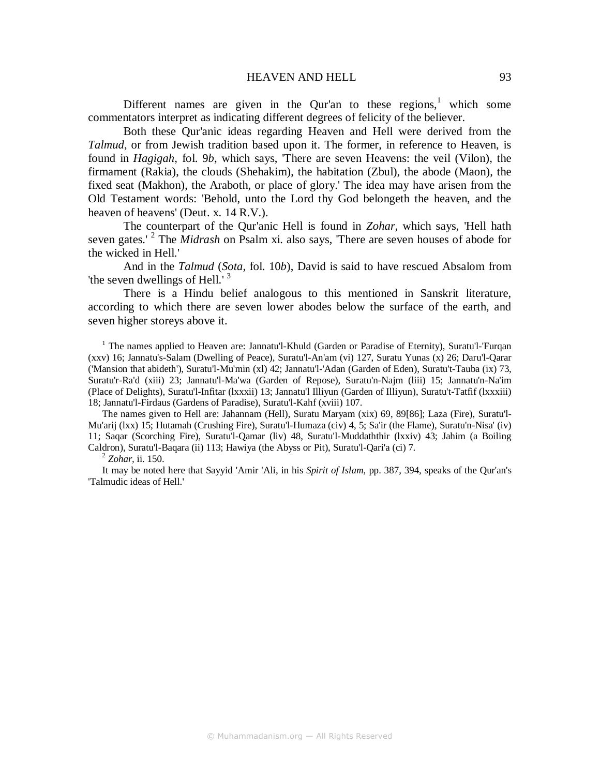#### HEAVEN AND HELL 93

Different names are given in the Qur'an to these regions,<sup>1</sup> which some commentators interpret as indicating different degrees of felicity of the believer.

Both these Qur'anic ideas regarding Heaven and Hell were derived from the *Talmud*, or from Jewish tradition based upon it. The former, in reference to Heaven, is found in *Hagigah,* fol. 9*b*, which says, 'There are seven Heavens: the veil (Vilon), the firmament (Rakia), the clouds (Shehakim), the habitation (Zbul), the abode (Maon), the fixed seat (Makhon), the Araboth, or place of glory.' The idea may have arisen from the Old Testament words: 'Behold, unto the Lord thy God belongeth the heaven, and the heaven of heavens' (Deut. x. 14 R.V.).

The counterpart of the Qur'anic Hell is found in *Zohar,* which says, 'Hell hath seven gates.<sup>' 2</sup> The *Midrash* on Psalm xi. also says, 'There are seven houses of abode for the wicked in Hell.'

And in the *Talmud* (*Sota,* fol. 10*b*), David is said to have rescued Absalom from 'the seven dwellings of Hell.'<sup>3</sup>

There is a Hindu belief analogous to this mentioned in Sanskrit literature, according to which there are seven lower abodes below the surface of the earth, and seven higher storeys above it.

<sup>1</sup> The names applied to Heaven are: Jannatu'l-Khuld (Garden or Paradise of Eternity), Suratu'l-'Furqan (xxv) 16; Jannatu's-Salam (Dwelling of Peace), Suratu'l-An'am (vi) 127, Suratu Yunas (x) 26; Daru'l-Qarar ('Mansion that abideth'), Suratu'l-Mu'min (xl) 42; Jannatu'l-'Adan (Garden of Eden), Suratu't-Tauba (ix) 73, Suratu'r-Ra'd (xiii) 23; Jannatu'l-Ma'wa (Garden of Repose), Suratu'n-Najm (liii) 15; Jannatu'n-Na'im (Place of Delights), Suratu'l-Infitar (lxxxii) 13; Jannatu'l Illiyun (Garden of Illiyun), Suratu't-Tatfif (lxxxiii) 18; Jannatu'l-Firdaus (Gardens of Paradise), Suratu'l-Kahf (xviii) 107.

The names given to Hell are: Jahannam (Hell), Suratu Maryam (xix) 69, 89[86]; Laza (Fire), Suratu'l-Mu'arij (lxx) 15; Hutamah (Crushing Fire), Suratu'l-Humaza (civ) 4, 5; Sa'ir (the Flame), Suratu'n-Nisa' (iv) 11; Saqar (Scorching Fire), Suratu'l-Qamar (liv) 48, Suratu'l-Muddaththir (lxxiv) 43; Jahim (a Boiling Caldron), Suratu'l-Baqara (ii) 113; Hawiya (the Abyss or Pit), Suratu'l-Qari'a (ci) 7.

2 *Zohar,* ii. 150.

It may be noted here that Sayyid 'Amir 'Ali, in his *Spirit of Islam,* pp. 387, 394, speaks of the Qur'an's 'Talmudic ideas of Hell.'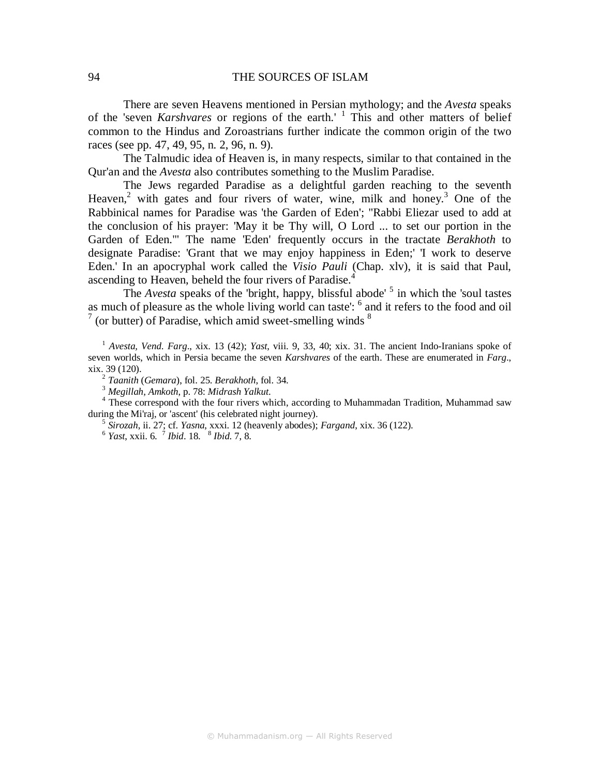There are seven Heavens mentioned in Persian mythology; and the *Avesta* speaks of the 'seven *Karshvares* or regions of the earth.' <sup>1</sup> This and other matters of belief common to the Hindus and Zoroastrians further indicate the common origin of the two races (see pp. 47, 49, 95, n. 2, 96, n. 9).

The Talmudic idea of Heaven is, in many respects, similar to that contained in the Qur'an and the *Avesta* also contributes something to the Muslim Paradise.

The Jews regarded Paradise as a delightful garden reaching to the seventh Heaven,<sup>2</sup> with gates and four rivers of water, wine, milk and honey.<sup>3</sup> One of the Rabbinical names for Paradise was 'the Garden of Eden'; "Rabbi Eliezar used to add at the conclusion of his prayer: 'May it be Thy will, O Lord ... to set our portion in the Garden of Eden.'" The name 'Eden' frequently occurs in the tractate *Berakhoth* to designate Paradise: 'Grant that we may enjoy happiness in Eden;' 'I work to deserve Eden.' In an apocryphal work called the *Visio Pauli* (Chap. xlv), it is said that Paul, ascending to Heaven, beheld the four rivers of Paradise.<sup>4</sup>

The *Avesta* speaks of the 'bright, happy, blissful abode' <sup>5</sup> in which the 'soul tastes as much of pleasure as the whole living world can taste': <sup>6</sup> and it refers to the food and oil 7 (or butter) of Paradise, which amid sweet-smelling winds  $8$ 

<sup>1</sup> *Avesta, Vend. Farg*., xix. 13 (42); *Yast*, viii. 9, 33, 40; xix. 31. The ancient Indo-Iranians spoke of seven worlds, which in Persia became the seven *Karshvares* of the earth. These are enumerated in *Farg*., xix. 39 (120).

2 *Taanith* (*Gemara*), fol. 25. *Berakhoth*, fol. 34.

<sup>4</sup> These correspond with the four rivers which, according to Muhammadan Tradition, Muhammad saw during the Mi'raj, or 'ascent' (his celebrated night journey).

5 *Sirozah*, ii. 27; cf. *Yasna*, xxxi. 12 (heavenly abodes); *Fargand*, xix. 36 (122).

6 *Yast*, xxii. 6. <sup>7</sup> *Ibid*. 18. <sup>8</sup> *Ibid*. 7, 8.

<sup>3</sup> *Megillah, Amkoth*, p. 78: *Midrash Yalkut*.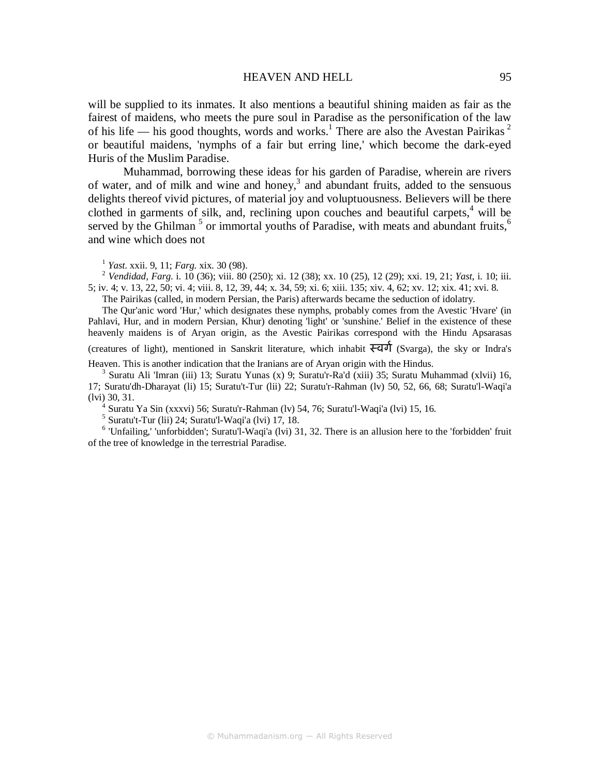#### HEAVEN AND HELL 95

will be supplied to its inmates. It also mentions a beautiful shining maiden as fair as the fairest of maidens, who meets the pure soul in Paradise as the personification of the law of his life — his good thoughts, words and works.<sup>1</sup> There are also the Avestan Pairikas<sup>2</sup> or beautiful maidens, 'nymphs of a fair but erring line,' which become the dark-eyed Huris of the Muslim Paradise.

Muhammad, borrowing these ideas for his garden of Paradise, wherein are rivers of water, and of milk and wine and honey, $3$  and abundant fruits, added to the sensuous delights thereof vivid pictures, of material joy and voluptuousness. Believers will be there clothed in garments of silk, and, reclining upon couches and beautiful carpets, $4$  will be served by the Ghilman<sup>5</sup> or immortal youths of Paradise, with meats and abundant fruits,<sup>6</sup> and wine which does not

1 *Yast*. xxii. 9, 11; *Farg*. xix. 30 (98).

<sup>2</sup> *Vendidad, Farg*. i. 10 (36); viii. 80 (250); xi. 12 (38); xx. 10 (25), 12 (29); xxi. 19, 21; *Yast*, i. 10; iii. 5; iv. 4; v. 13, 22, 50; vi. 4; viii. 8, 12, 39, 44; x. 34, 59; xi. 6; xiii. 135; xiv. 4, 62; xv. 12; xix. 41; xvi. 8.

The Pairikas (called, in modern Persian, the Paris) afterwards became the seduction of idolatry.

The Qur'anic word 'Hur,' which designates these nymphs, probably comes from the Avestic 'Hvare' (in Pahlavi, Hur, and in modern Persian, Khur) denoting 'light' or 'sunshine.' Belief in the existence of these heavenly maidens is of Aryan origin, as the Avestic Pairikas correspond with the Hindu Apsarasas

(creatures of light), mentioned in Sanskrit literature, which inhabit  $\overline{\mathcal{F}}$ d $\overline{\mathcal{F}}$  (Svarga), the sky or Indra's Heaven. This is another indication that the Iranians are of Aryan origin with the Hindus.

3 Suratu Ali 'Imran (iii) 13; Suratu Yunas (x) 9; Suratu'r-Ra'd (xiii) 35; Suratu Muhammad (xlvii) 16,

17; Suratu'dh-Dharayat (li) 15; Suratu't-Tur (lii) 22; Suratu'r-Rahman (lv) 50, 52, 66, 68; Suratu'l-Waqi'a (lvi) 30, 31.

4 Suratu Ya Sin (xxxvi) 56; Suratu'r-Rahman (lv) 54, 76; Suratu'l-Waqi'a (lvi) 15, 16.

 $<sup>5</sup>$  Suratu't-Tur (lii) 24; Suratu'l-Waqi'a (lvi) 17, 18.</sup>

<sup>6</sup> 'Unfailing,' 'unforbidden'; Suratu'l-Waqi'a (lvi) 31, 32. There is an allusion here to the 'forbidden' fruit of the tree of knowledge in the terrestrial Paradise.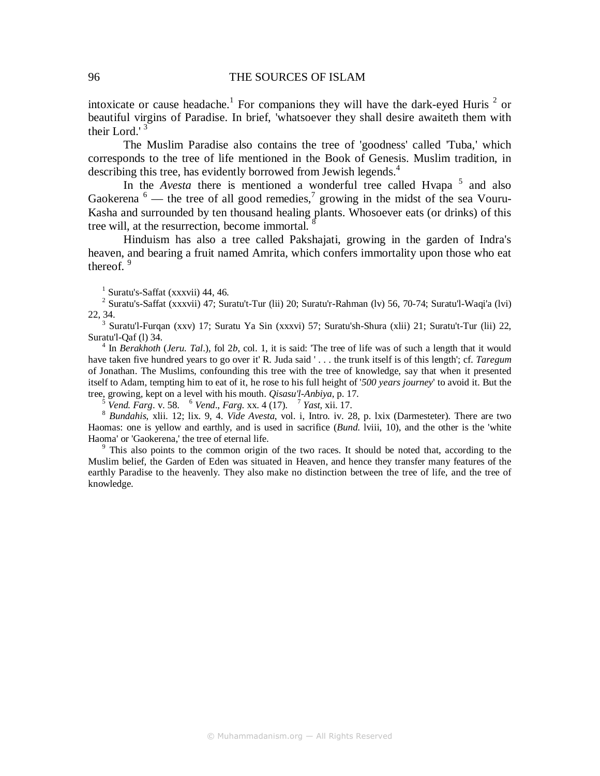intoxicate or cause headache.<sup>1</sup> For companions they will have the dark-eyed Huris<sup>2</sup> or beautiful virgins of Paradise. In brief, 'whatsoever they shall desire awaiteth them with their Lord.' $3$ 

The Muslim Paradise also contains the tree of 'goodness' called 'Tuba,' which corresponds to the tree of life mentioned in the Book of Genesis. Muslim tradition, in describing this tree, has evidently borrowed from Jewish legends.<sup>4</sup>

In the *Avesta* there is mentioned a wonderful tree called Hvapa<sup>5</sup> and also Gaokerena  $\delta$  — the tree of all good remedies,<sup>7</sup> growing in the midst of the sea Vouru-Kasha and surrounded by ten thousand healing plants. Whosoever eats (or drinks) of this tree will, at the resurrection, become immortal. <sup>8</sup>

Hinduism has also a tree called Pakshajati, growing in the garden of Indra's heaven, and bearing a fruit named Amrita, which confers immortality upon those who eat thereof.  $9$ 

1 Suratu's-Saffat (xxxvii) 44, 46.

<sup>2</sup> Suratu's-Saffat (xxxvii) 47; Suratu't-Tur (lii) 20; Suratu'r-Rahman (lv) 56, 70-74; Suratu'l-Waqi'a (lvi) 22, 34.

<sup>3</sup> Suratu'l-Furqan (xxv) 17; Suratu Ya Sin (xxxvi) 57; Suratu'sh-Shura (xlii) 21; Suratu't-Tur (lii) 22, Suratu'l-Qaf (l) 34.

<sup>4</sup> In *Berakhoth (Jeru. Tal.)*, fol 2*b*, col. 1, it is said: 'The tree of life was of such a length that it would have taken five hundred years to go over it' R. Juda said ' . . . the trunk itself is of this length'; cf. *Taregum*  of Jonathan. The Muslims, confounding this tree with the tree of knowledge, say that when it presented itself to Adam, tempting him to eat of it, he rose to his full height of '*500 years journey*' to avoid it. But the tree, growing, kept on a level with his mouth. *Qisasu'l-Anbiya*, p. 17.

5  *Vend. Farg*. v. 58. <sup>6</sup>  *Vend*., *Farg*. xx. 4 (17). <sup>7</sup> *Yast*, xii. 17.

8  *Bundahis*, xlii. 12; lix. 9, 4. *Vide Avesta*, vol. i, Intro. iv. 28, p. lxix (Darmesteter). There are two Haomas: one is yellow and earthly, and is used in sacrifice (*Bund*. lviii, 10), and the other is the 'white Haoma' or 'Gaokerena,' the tree of eternal life.

<sup>9</sup> This also points to the common origin of the two races. It should be noted that, according to the Muslim belief, the Garden of Eden was situated in Heaven, and hence they transfer many features of the earthly Paradise to the heavenly. They also make no distinction between the tree of life, and the tree of knowledge.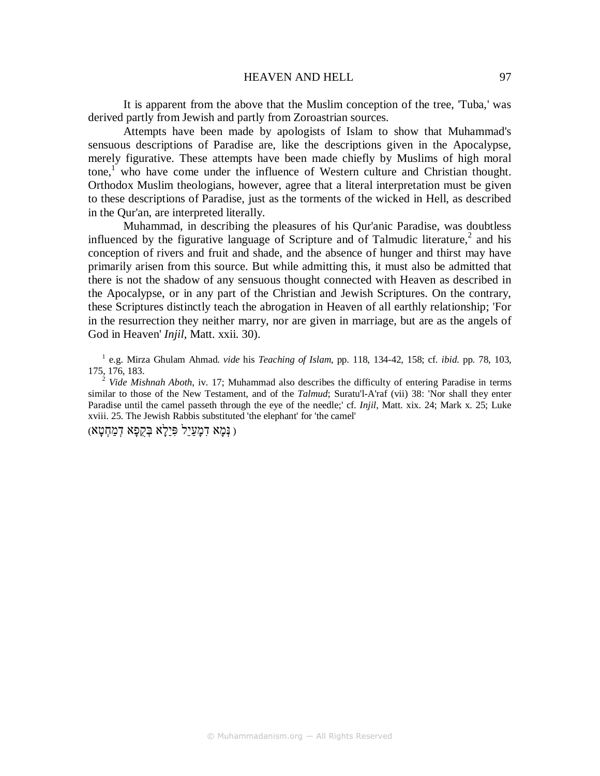It is apparent from the above that the Muslim conception of the tree, 'Tuba,' was derived partly from Jewish and partly from Zoroastrian sources.

Attempts have been made by apologists of Islam to show that Muhammad's sensuous descriptions of Paradise are, like the descriptions given in the Apocalypse, merely figurative. These attempts have been made chiefly by Muslims of high moral tone,<sup>1</sup> who have come under the influence of Western culture and Christian thought. Orthodox Muslim theologians, however, agree that a literal interpretation must be given to these descriptions of Paradise, just as the torments of the wicked in Hell, as described in the Qur'an, are interpreted literally.

Muhammad, in describing the pleasures of his Qur'anic Paradise, was doubtless influenced by the figurative language of Scripture and of Talmudic literature,<sup>2</sup> and his conception of rivers and fruit and shade, and the absence of hunger and thirst may have primarily arisen from this source. But while admitting this, it must also be admitted that there is not the shadow of any sensuous thought connected with Heaven as described in the Apocalypse, or in any part of the Christian and Jewish Scriptures. On the contrary, these Scriptures distinctly teach the abrogation in Heaven of all earthly relationship; 'For in the resurrection they neither marry, nor are given in marriage, but are as the angels of God in Heaven' *Injil*, Matt. xxii. 30).

1 e.g. Mirza Ghulam Ahmad. *vide* his *Teaching of Islam*, pp. 118, 134-42, 158; cf. *ibid*. pp. 78, 103, 175, 176, 183.

<sup>2</sup> *Vide Mishnah Aboth*, iv. 17; Muhammad also describes the difficulty of entering Paradise in terms similar to those of the New Testament, and of the *Talmud*; Suratu'l-A'raf (vii) 38: 'Nor shall they enter Paradise until the camel passeth through the eye of the needle;' cf. *Injil*, Matt. xix. 24; Mark x. 25; Luke xviii. 25. The Jewish Rabbis substituted 'the elephant' for 'the camel'

( נְּמָא דִמָעַיֵל פִּיַלָא בְּקֻפָא דְמַחְטָא)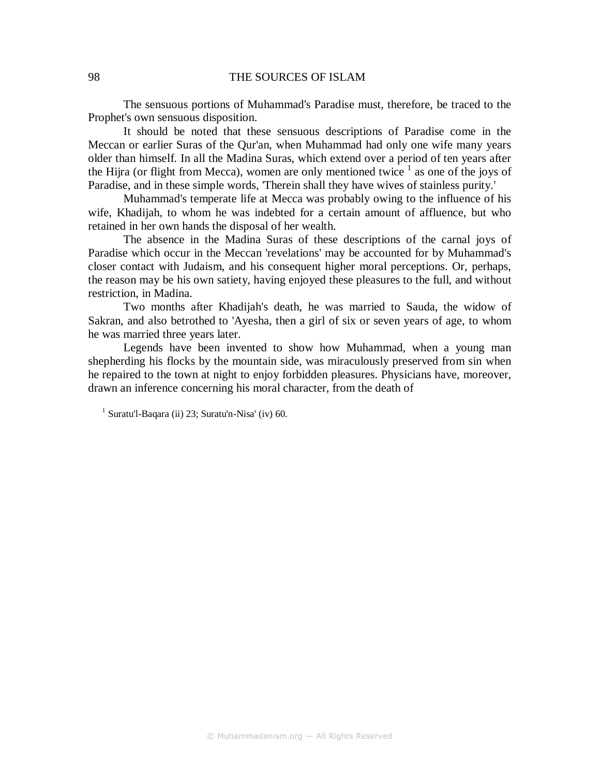### 98 THE SOURCES OF ISLAM

The sensuous portions of Muhammad's Paradise must, therefore, be traced to the Prophet's own sensuous disposition.

It should be noted that these sensuous descriptions of Paradise come in the Meccan or earlier Suras of the Qur'an, when Muhammad had only one wife many years older than himself. In all the Madina Suras, which extend over a period of ten years after the Hijra (or flight from Mecca), women are only mentioned twice  $\frac{1}{1}$  as one of the joys of Paradise, and in these simple words, 'Therein shall they have wives of stainless purity.'

Muhammad's temperate life at Mecca was probably owing to the influence of his wife, Khadijah, to whom he was indebted for a certain amount of affluence, but who retained in her own hands the disposal of her wealth.

The absence in the Madina Suras of these descriptions of the carnal joys of Paradise which occur in the Meccan 'revelations' may be accounted for by Muhammad's closer contact with Judaism, and his consequent higher moral perceptions. Or, perhaps, the reason may be his own satiety, having enjoyed these pleasures to the full, and without restriction, in Madina.

Two months after Khadijah's death, he was married to Sauda, the widow of Sakran, and also betrothed to 'Ayesha, then a girl of six or seven years of age, to whom he was married three years later.

Legends have been invented to show how Muhammad, when a young man shepherding his flocks by the mountain side, was miraculously preserved from sin when he repaired to the town at night to enjoy forbidden pleasures. Physicians have, moreover, drawn an inference concerning his moral character, from the death of

<sup>&</sup>lt;sup>1</sup> Suratu'l-Baqara (ii) 23; Suratu'n-Nisa' (iv) 60.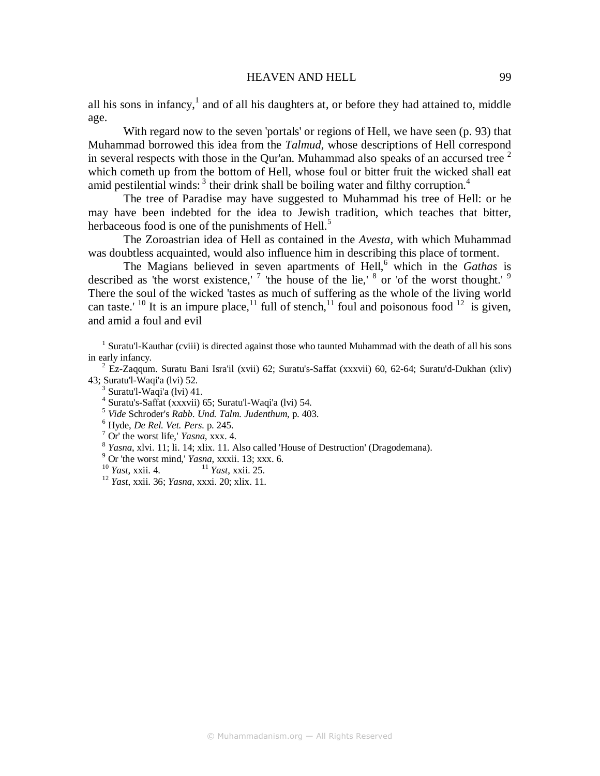all his sons in infancy, $<sup>1</sup>$  and of all his daughters at, or before they had attained to, middle</sup> age.

With regard now to the seven 'portals' or regions of Hell, we have seen (p. 93) that Muhammad borrowed this idea from the *Talmud,* whose descriptions of Hell correspond in several respects with those in the Qur'an. Muhammad also speaks of an accursed tree  $2$ which cometh up from the bottom of Hell, whose foul or bitter fruit the wicked shall eat amid pestilential winds:  $3$  their drink shall be boiling water and filthy corruption.<sup>4</sup>

The tree of Paradise may have suggested to Muhammad his tree of Hell: or he may have been indebted for the idea to Jewish tradition, which teaches that bitter, herbaceous food is one of the punishments of Hell.<sup>5</sup>

The Zoroastrian idea of Hell as contained in the *Avesta,* with which Muhammad was doubtless acquainted, would also influence him in describing this place of torment.

The Magians believed in seven apartments of Hell,<sup>6</sup> which in the *Gathas* is described as 'the worst existence,'  $7$  'the house of the lie,'  $8$  or 'of the worst thought.'  $9$ There the soul of the wicked 'tastes as much of suffering as the whole of the living world can taste.' <sup>10</sup> It is an impure place,<sup>11</sup> full of stench,<sup>11</sup> foul and poisonous food <sup>12</sup> is given, and amid a foul and evil

<sup>1</sup> Suratu'l-Kauthar (cviii) is directed against those who taunted Muhammad with the death of all his sons in early infancy.

<sup>2</sup> Ez-Zaqqum. Suratu Bani Isra'il (xvii) 62; Suratu's-Saffat (xxxvii) 60, 62-64; Suratu'd-Dukhan (xliv) 43; Suratu'l-Waqi'a (lvi) 52.

- 3 Suratu'l-Waqi'a (lvi) 41.
- 4 Suratu's-Saffat (xxxvii) 65; Suratu'l-Waqi'a (lvi) 54.
- 5  *Vide* Schroder's *Rabb. Und. Talm. Judenthum*, p. 403.
- 6 Hyde, *De Rel. Vet. Pers*. p. 245.
- 7 Or' the worst life,' *Yasna*, xxx. 4.
- 8 *Yasna*, xlvi. 11; li. 14; xlix. 11. Also called 'House of Destruction' (Dragodemana).

9 Or 'the worst mind,' *Yasna*, xxxii. 13; xxx. 6.

- <sup>10</sup> *Yast*, xxii. 4. <sup>11</sup> *Yast*, xxii. 25.
- <sup>12</sup> *Yast*, xxii. 36; *Yasna*, xxxi. 20; xlix. 11.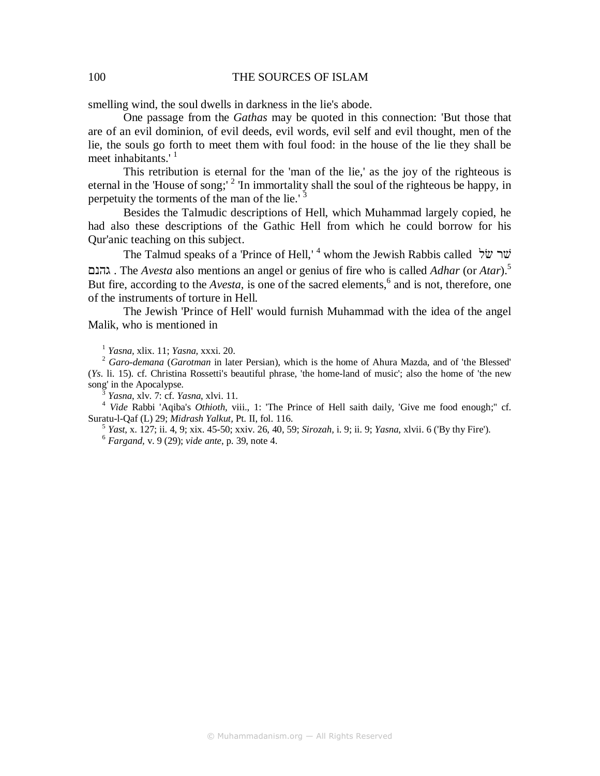### 100 THE SOURCES OF ISLAM

smelling wind, the soul dwells in darkness in the lie's abode.

One passage from the *Gathas* may be quoted in this connection: 'But those that are of an evil dominion, of evil deeds, evil words, evil self and evil thought, men of the lie, the souls go forth to meet them with foul food: in the house of the lie they shall be meet inhabitants. $1$ 

This retribution is eternal for the 'man of the lie,' as the joy of the righteous is eternal in the 'House of song;'  $2 \text{ 'In}$  immortality shall the soul of the righteous be happy, in perpetuity the torments of the man of the lie.' <sup>3</sup>

Besides the Talmudic descriptions of Hell, which Muhammad largely copied, he had also these descriptions of the Gathic Hell from which he could borrow for his Qur'anic teaching on this subject.

The Talmud speaks of a 'Prince of Hell,' <sup>4</sup> whom the Jewish Rabbis called שׂל ש גהנם . The *Avesta* also mentions an angel or genius of fire who is called *Adhar* (or *Atar*).<sup>5</sup> But fire, according to the *Avesta*, is one of the sacred elements,<sup>6</sup> and is not, therefore, one of the instruments of torture in Hell.

The Jewish 'Prince of Hell' would furnish Muhammad with the idea of the angel Malik, who is mentioned in

1  *Yasna,* xlix. 11; *Yasna,* xxxi. 20.

2  *Garo-demana* (*Garotman* in later Persian), which is the home of Ahura Mazda, and of 'the Blessed' (*Ys*. li. 15). cf. Christina Rossetti's beautiful phrase, 'the home-land of music'; also the home of 'the new song' in the Apocalypse.

3  *Yasna*, xlv. 7: cf. *Yasna*, xlvi. 11.

<sup>4</sup> Vide Rabbi 'Aqiba's *Othioth*, viii., 1: 'The Prince of Hell saith daily, 'Give me food enough;" cf. Suratu-l-Qaf (L) 29; *Midrash Yalkut,* Pt. II, fol. 116.

5  *Yast*, x. 127; ii. 4, 9; xix. 45-50; xxiv. 26, 40, 59; *Sirozah,* i. 9; ii. 9; *Yasna*, xlvii. 6 ('By thy Fire'). 6  *Fargand,* v. 9 (29); *vide ante*, p. 39, note 4.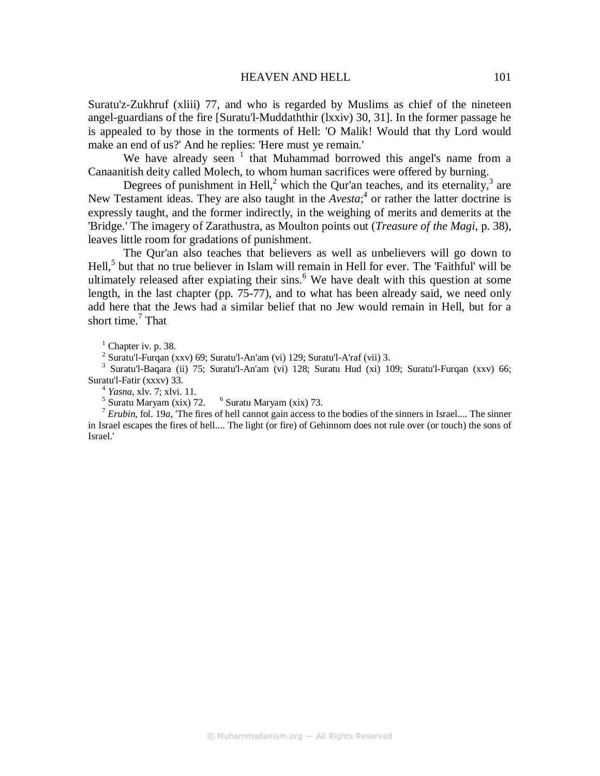Suratu'z-Zukhruf (xliii) 77, and who is regarded by Muslims as chief of the nineteen angel-guardians of the fire [Suratu'l-Muddaththir (lxxiv) 30, 31]. In the former passage he is appealed to by those in the torments of Hell: 'O Malik! Would that thy Lord would make an end of us?' And he replies: 'Here must ye remain.'

We have already seen  $1$  that Muhammad borrowed this angel's name from a Canaanitish deity called Molech, to whom human sacrifices were offered by burning.

Degrees of punishment in Hell,<sup>2</sup> which the Qur'an teaches, and its eternality,<sup>3</sup> are New Testament ideas. They are also taught in the *Avesta*;<sup>4</sup> or rather the latter doctrine is expressly taught, and the former indirectly, in the weighing of merits and demerits at the 'Bridge.' The imagery of Zarathustra, as Moulton points out (*Treasure of the Magi*, p. 38), leaves little room for gradations of punishment.

The Qur'an also teaches that believers as well as unbelievers will go down to Hell,<sup>5</sup> but that no true believer in Islam will remain in Hell for ever. The 'Faithful' will be ultimately released after expiating their sins.<sup>6</sup> We have dealt with this question at some length, in the last chapter (pp. 75-77), and to what has been already said, we need only add here that the Jews had a similar belief that no Jew would remain in Hell, but for a short time.<sup>7</sup> That

 $<sup>1</sup>$  Chapter iv. p. 38.</sup>

2 Suratu'l-Furqan (xxv) 69; Suratu'l-An'am (vi) 129; Suratu'l-A'raf (vii) 3.

<sup>3</sup> Suratu'l-Baqara (ii) 75; Suratu'l-An'am (vi) 128; Suratu Hud (xi) 109; Suratu'l-Furqan (xxv) 66; Suratu'l-Fatir (xxxv) 33.

4 *Yasna*, xlv. 7; xlvi. 11.

 $<sup>5</sup>$  Suratu Maryam (xix) 72.  $<sup>6</sup>$  Suratu Maryam (xix) 73.</sup></sup>

<sup>7</sup> *Erubin*, fol. 19*a*, 'The fires of hell cannot gain access to the bodies of the sinners in Israel.... The sinner in Israel escapes the fires of hell.... The light (or fire) of Gehinnom does not rule over (or touch) the sons of Israel.'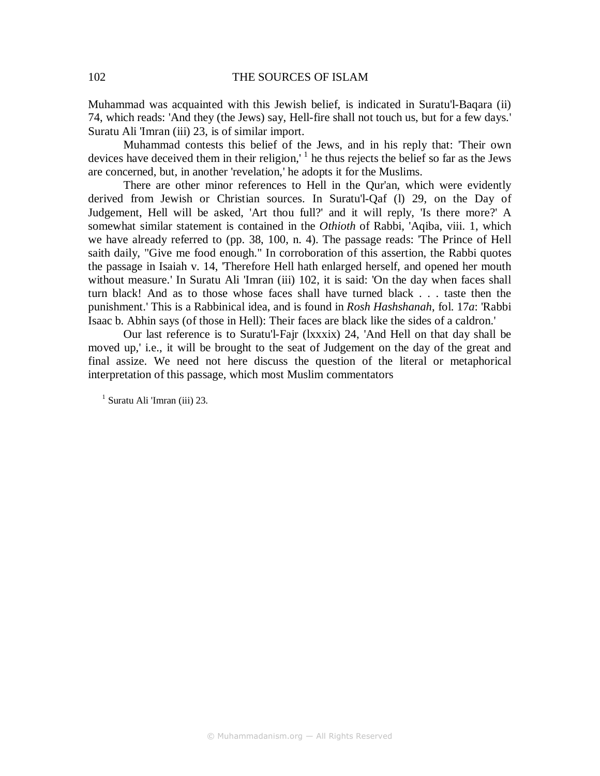Muhammad was acquainted with this Jewish belief, is indicated in Suratu'l-Baqara (ii) 74, which reads: 'And they (the Jews) say, Hell-fire shall not touch us, but for a few days.' Suratu Ali 'Imran (iii) 23, is of similar import.

Muhammad contests this belief of the Jews, and in his reply that: 'Their own devices have deceived them in their religion,  $\frac{1}{1}$  he thus rejects the belief so far as the Jews are concerned, but, in another 'revelation,' he adopts it for the Muslims.

There are other minor references to Hell in the Qur'an, which were evidently derived from Jewish or Christian sources. In Suratu'l-Qaf (l) 29, on the Day of Judgement, Hell will be asked, 'Art thou full?' and it will reply, 'Is there more?' A somewhat similar statement is contained in the *Othioth* of Rabbi, 'Aqiba, viii. 1, which we have already referred to (pp. 38, 100, n. 4). The passage reads: 'The Prince of Hell saith daily, "Give me food enough." In corroboration of this assertion, the Rabbi quotes the passage in Isaiah v. 14, 'Therefore Hell hath enlarged herself, and opened her mouth without measure.' In Suratu Ali 'Imran (iii) 102, it is said: 'On the day when faces shall turn black! And as to those whose faces shall have turned black . . . taste then the punishment.' This is a Rabbinical idea, and is found in *Rosh Hashshanah*, fol. 17*a*: 'Rabbi Isaac b. Abhin says (of those in Hell): Their faces are black like the sides of a caldron.'

Our last reference is to Suratu'l-Fajr (lxxxix) 24, 'And Hell on that day shall be moved up,' i.e., it will be brought to the seat of Judgement on the day of the great and final assize. We need not here discuss the question of the literal or metaphorical interpretation of this passage, which most Muslim commentators

<sup>1</sup> Suratu Ali 'Imran (iii) 23.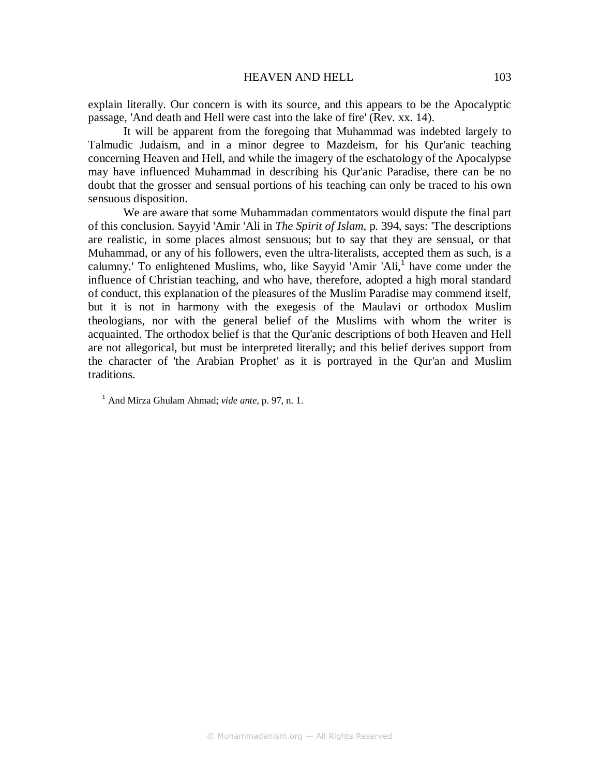### HEAVEN AND HELL 103

explain literally. Our concern is with its source, and this appears to be the Apocalyptic passage, 'And death and Hell were cast into the lake of fire' (Rev. xx. 14).

It will be apparent from the foregoing that Muhammad was indebted largely to Talmudic Judaism, and in a minor degree to Mazdeism, for his Qur'anic teaching concerning Heaven and Hell, and while the imagery of the eschatology of the Apocalypse may have influenced Muhammad in describing his Qur'anic Paradise, there can be no doubt that the grosser and sensual portions of his teaching can only be traced to his own sensuous disposition.

We are aware that some Muhammadan commentators would dispute the final part of this conclusion. Sayyid 'Amir 'Ali in *The Spirit of Islam*, p. 394, says: 'The descriptions are realistic, in some places almost sensuous; but to say that they are sensual, or that Muhammad, or any of his followers, even the ultra-literalists, accepted them as such, is a calumny.' To enlightened Muslims, who, like Sayyid 'Amir 'Ali,<sup>1</sup> have come under the influence of Christian teaching, and who have, therefore, adopted a high moral standard of conduct, this explanation of the pleasures of the Muslim Paradise may commend itself, but it is not in harmony with the exegesis of the Maulavi or orthodox Muslim theologians, nor with the general belief of the Muslims with whom the writer is acquainted. The orthodox belief is that the Qur'anic descriptions of both Heaven and Hell are not allegorical, but must be interpreted literally; and this belief derives support from the character of 'the Arabian Prophet' as it is portrayed in the Qur'an and Muslim traditions.

<sup>1</sup> And Mirza Ghulam Ahmad; *vide ante*, p. 97, n. 1.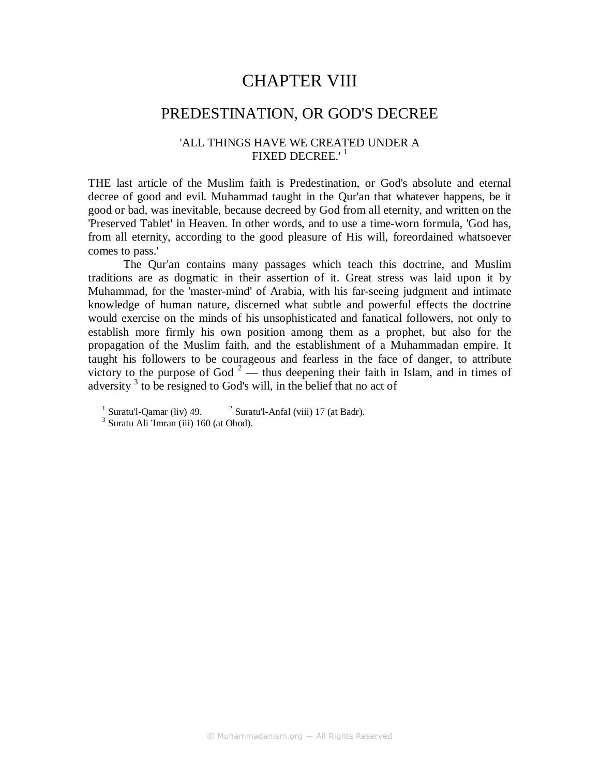## CHAPTER VIII

### PREDESTINATION, OR GOD'S DECREE

### 'ALL THINGS HAVE WE CREATED UNDER A FIXED DECREE.'<sup>1</sup>

THE last article of the Muslim faith is Predestination, or God's absolute and eternal decree of good and evil. Muhammad taught in the Qur'an that whatever happens, be it good or bad, was inevitable, because decreed by God from all eternity, and written on the 'Preserved Tablet' in Heaven. In other words, and to use a time-worn formula, 'God has, from all eternity, according to the good pleasure of His will, foreordained whatsoever comes to pass.'

The Qur'an contains many passages which teach this doctrine, and Muslim traditions are as dogmatic in their assertion of it. Great stress was laid upon it by Muhammad, for the 'master-mind' of Arabia, with his far-seeing judgment and intimate knowledge of human nature, discerned what subtle and powerful effects the doctrine would exercise on the minds of his unsophisticated and fanatical followers, not only to establish more firmly his own position among them as a prophet, but also for the propagation of the Muslim faith, and the establishment of a Muhammadan empire. It taught his followers to be courageous and fearless in the face of danger, to attribute victory to the purpose of God<sup>2</sup> — thus deepening their faith in Islam, and in times of adversity<sup>3</sup> to be resigned to God's will, in the belief that no act of

 $1$  Suratu'l-Qamar (liv) 49.  $2$  $2$  Suratu'l-Anfal (viii) 17 (at Badr).

<sup>3</sup> Suratu Ali 'Imran (iii) 160 (at Ohod).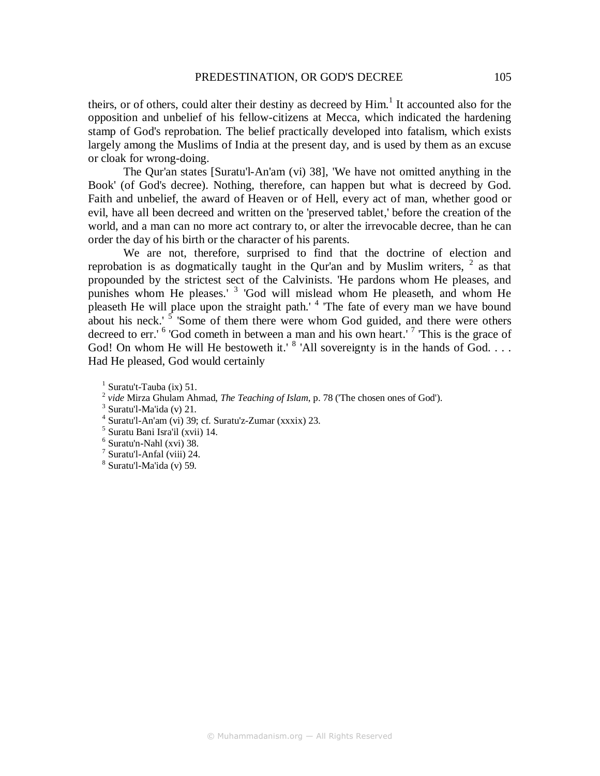theirs, or of others, could alter their destiny as decreed by Him.<sup>1</sup> It accounted also for the opposition and unbelief of his fellow-citizens at Mecca, which indicated the hardening stamp of God's reprobation. The belief practically developed into fatalism, which exists largely among the Muslims of India at the present day, and is used by them as an excuse or cloak for wrong-doing.

The Qur'an states [Suratu'l-An'am (vi) 38], 'We have not omitted anything in the Book' (of God's decree). Nothing, therefore, can happen but what is decreed by God. Faith and unbelief, the award of Heaven or of Hell, every act of man, whether good or evil, have all been decreed and written on the 'preserved tablet,' before the creation of the world, and a man can no more act contrary to, or alter the irrevocable decree, than he can order the day of his birth or the character of his parents.

We are not, therefore, surprised to find that the doctrine of election and reprobation is as dogmatically taught in the Qur'an and by Muslim writers,  $2$  as that propounded by the strictest sect of the Calvinists. 'He pardons whom He pleases, and punishes whom He pleases.' <sup>3</sup> 'God will mislead whom He pleaseth, and whom He pleaseth He will place upon the straight path.'<sup>4</sup> 'The fate of every man we have bound about his neck.<sup> $5$ </sup> 'Some of them there were whom God guided, and there were others decreed to err.' <sup>6</sup> 'God cometh in between a man and his own heart.' <sup>7</sup> 'This is the grace of God! On whom He will He bestoweth it.'  $8$  'All sovereignty is in the hands of God.... Had He pleased, God would certainly

<sup>&</sup>lt;sup>1</sup> Suratu't-Tauba (ix) 51.

<sup>2</sup> *vide* Mirza Ghulam Ahmad, *The Teaching of Islam*, p. 78 ('The chosen ones of God').

 $3$  Suratu'l-Ma'ida (v) 21.

<sup>4</sup> Suratu'l-An'am (vi) 39; cf. Suratu'z-Zumar (xxxix) 23.

<sup>5</sup> Suratu Bani Isra'il (xvii) 14.

<sup>6</sup> Suratu'n-Nahl (xvi) 38.

<sup>7</sup> Suratu'l-Anfal (viii) 24.

<sup>8</sup> Suratu'l-Ma'ida (v) 59.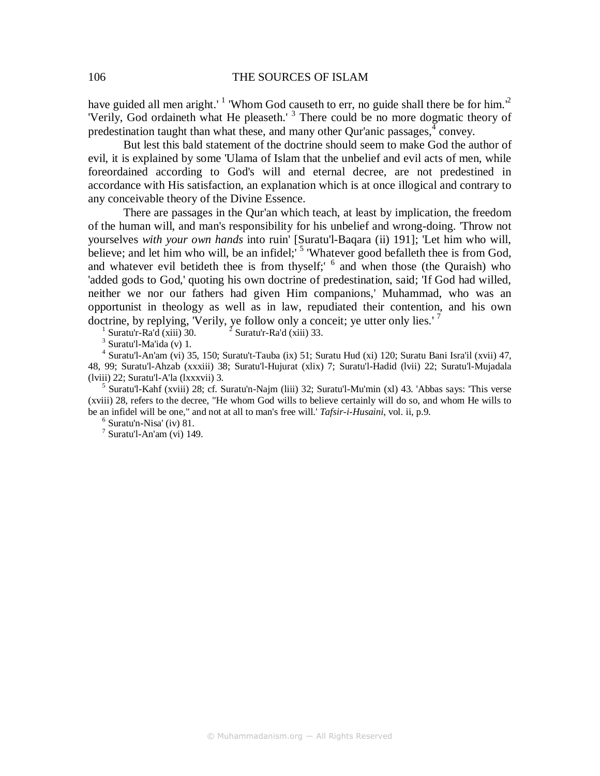have guided all men aright.'<sup>1</sup> 'Whom God causeth to err, no guide shall there be for him.<sup>2</sup> 'Verily, God ordaineth what He pleaseth.' <sup>3</sup> There could be no more dogmatic theory of predestination taught than what these, and many other Qur'anic passages,  $\frac{4}{3}$  convey.

But lest this bald statement of the doctrine should seem to make God the author of evil, it is explained by some 'Ulama of Islam that the unbelief and evil acts of men, while foreordained according to God's will and eternal decree, are not predestined in accordance with His satisfaction, an explanation which is at once illogical and contrary to any conceivable theory of the Divine Essence.

There are passages in the Qur'an which teach, at least by implication, the freedom of the human will, and man's responsibility for his unbelief and wrong-doing. 'Throw not yourselves *with your own hands* into ruin' [Suratu'l-Baqara (ii) 191]; 'Let him who will, believe; and let him who will, be an infidel;<sup>5</sup> 'Whatever good befalleth thee is from God, and whatever evil betideth thee is from thyself;' <sup>6</sup> and when those (the Quraish) who 'added gods to God,' quoting his own doctrine of predestination, said; 'If God had willed, neither we nor our fathers had given Him companions,' Muhammad, who was an opportunist in theology as well as in law, repudiated their contention, and his own doctrine, by replying, 'Verily, ye follow only a conceit; ye utter only lies.' <sup>7</sup> 1

Suratu'r-Ra'd (xiii) 30. Suratu'r-Ra'd (xiii) 33.

 $3$  Suratu'l-Ma'ida (v) 1.

4 Suratu'l-An'am (vi) 35, 150; Suratu't-Tauba (ix) 51; Suratu Hud (xi) 120; Suratu Bani Isra'il (xvii) 47, 48, 99; Suratu'l-Ahzab (xxxiii) 38; Suratu'l-Hujurat (xlix) 7; Suratu'l-Hadid (lvii) 22; Suratu'l-Mujadala (lviii) 22; Suratu'l-A'la (lxxxvii) 3.

<sup>5</sup> Suratu'l-Kahf (xviii) 28; cf. Suratu'n-Najm (liii) 32; Suratu'l-Mu'min (xl) 43. 'Abbas says: 'This verse (xviii) 28, refers to the decree, "He whom God wills to believe certainly will do so, and whom He wills to be an infidel will be one," and not at all to man's free will.' *Tafsir-i-Husaini*, vol. ii, p.9.

6 Suratu'n-Nisa' (iv) 81.

 $7$  Suratu'l-An'am (vi) 149.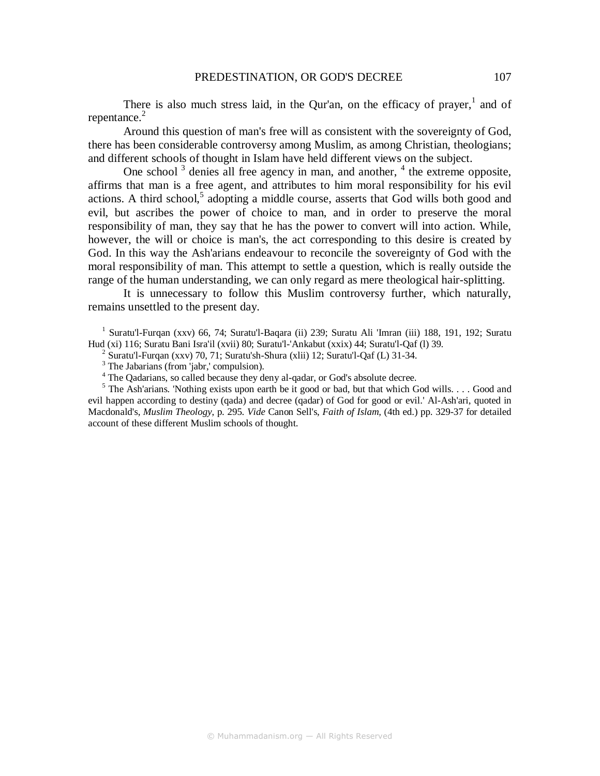There is also much stress laid, in the Qur'an, on the efficacy of prayer, $<sup>1</sup>$  and of</sup> repentance. $2$ 

Around this question of man's free will as consistent with the sovereignty of God, there has been considerable controversy among Muslim, as among Christian, theologians; and different schools of thought in Islam have held different views on the subject.

One school<sup>3</sup> denies all free agency in man, and another,  $4$  the extreme opposite, affirms that man is a free agent, and attributes to him moral responsibility for his evil  $actions. A third school<sup>5</sup> adopting a middle course, asserts that God wills both good and$ evil, but ascribes the power of choice to man, and in order to preserve the moral responsibility of man, they say that he has the power to convert will into action. While, however, the will or choice is man's, the act corresponding to this desire is created by God. In this way the Ash'arians endeavour to reconcile the sovereignty of God with the moral responsibility of man. This attempt to settle a question, which is really outside the range of the human understanding, we can only regard as mere theological hair-splitting.

It is unnecessary to follow this Muslim controversy further, which naturally, remains unsettled to the present day.

<sup>1</sup> Suratu'l-Furqan (xxv) 66, 74; Suratu'l-Baqara (ii) 239; Suratu Ali 'Imran (iii) 188, 191, 192; Suratu Hud (xi) 116; Suratu Bani Isra'il (xvii) 80; Suratu'l-'Ankabut (xxix) 44; Suratu'l-Qaf (l) 39.

<sup>2</sup> Suratu'l-Furqan (xxv) 70, 71; Suratu'sh-Shura (xlii) 12; Suratu'l-Qaf (L) 31-34.

<sup>3</sup> The Jabarians (from 'jabr,' compulsion).

<sup>4</sup> The Qadarians, so called because they deny al-qadar, or God's absolute decree.

 $<sup>5</sup>$  The Ash'arians. 'Nothing exists upon earth be it good or bad, but that which God wills. . . . Good and</sup> evil happen according to destiny (qada) and decree (qadar) of God for good or evil.' Al-Ash'ari, quoted in Macdonald's, *Muslim Theology*, p. 295. *Vide* Canon Sell's, *Faith of Islam,* (4th ed.) pp. 329-37 for detailed account of these different Muslim schools of thought.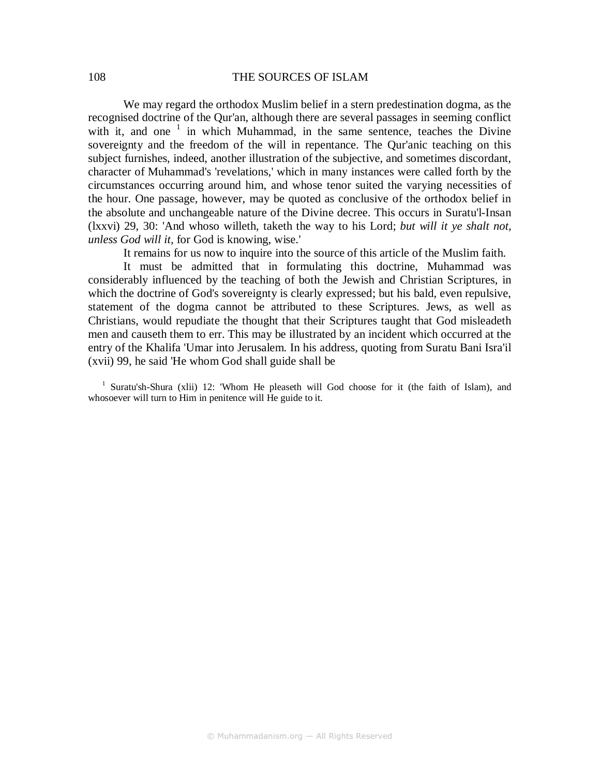### 108 THE SOURCES OF ISLAM

We may regard the orthodox Muslim belief in a stern predestination dogma, as the recognised doctrine of the Qur'an, although there are several passages in seeming conflict with it, and one  $1$  in which Muhammad, in the same sentence, teaches the Divine sovereignty and the freedom of the will in repentance. The Qur'anic teaching on this subject furnishes, indeed, another illustration of the subjective, and sometimes discordant, character of Muhammad's 'revelations,' which in many instances were called forth by the circumstances occurring around him, and whose tenor suited the varying necessities of the hour. One passage, however, may be quoted as conclusive of the orthodox belief in the absolute and unchangeable nature of the Divine decree. This occurs in Suratu'l-Insan (lxxvi) 29, 30: 'And whoso willeth, taketh the way to his Lord; *but will it ye shalt not, unless God will it,* for God is knowing, wise.'

It remains for us now to inquire into the source of this article of the Muslim faith.

It must be admitted that in formulating this doctrine, Muhammad was considerably influenced by the teaching of both the Jewish and Christian Scriptures, in which the doctrine of God's sovereignty is clearly expressed; but his bald, even repulsive, statement of the dogma cannot be attributed to these Scriptures. Jews, as well as Christians, would repudiate the thought that their Scriptures taught that God misleadeth men and causeth them to err. This may be illustrated by an incident which occurred at the entry of the Khalifa 'Umar into Jerusalem. In his address, quoting from Suratu Bani Isra'il (xvii) 99, he said 'He whom God shall guide shall be

<sup>1</sup> Suratu'sh-Shura (xlii) 12: 'Whom He pleaseth will God choose for it (the faith of Islam), and whosoever will turn to Him in penitence will He guide to it.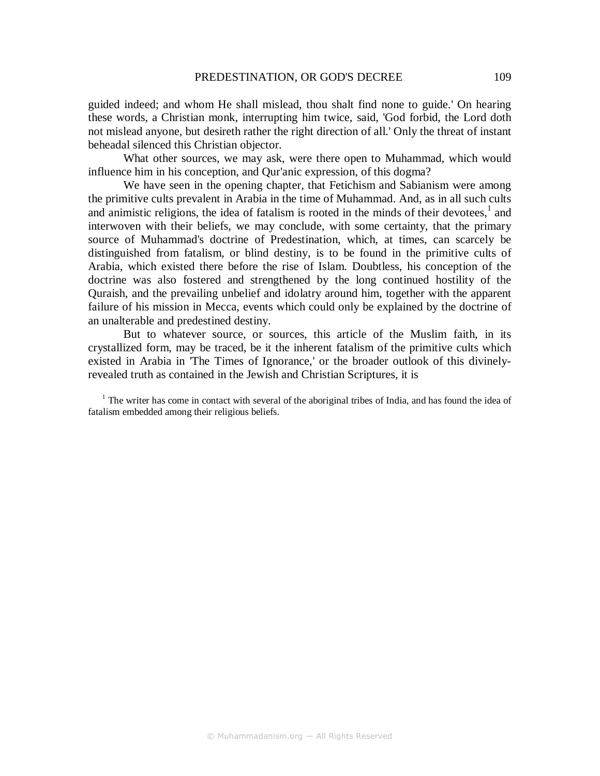guided indeed; and whom He shall mislead, thou shalt find none to guide.' On hearing these words, a Christian monk, interrupting him twice, said, 'God forbid, the Lord doth not mislead anyone, but desireth rather the right direction of all.' Only the threat of instant beheadal silenced this Christian objector.

What other sources, we may ask, were there open to Muhammad, which would influence him in his conception, and Qur'anic expression, of this dogma?

We have seen in the opening chapter, that Fetichism and Sabianism were among the primitive cults prevalent in Arabia in the time of Muhammad. And, as in all such cults and animistic religions, the idea of fatalism is rooted in the minds of their devotees, $<sup>1</sup>$  and</sup> interwoven with their beliefs, we may conclude, with some certainty, that the primary source of Muhammad's doctrine of Predestination, which, at times, can scarcely be distinguished from fatalism, or blind destiny, is to be found in the primitive cults of Arabia, which existed there before the rise of Islam. Doubtless, his conception of the doctrine was also fostered and strengthened by the long continued hostility of the Quraish, and the prevailing unbelief and idolatry around him, together with the apparent failure of his mission in Mecca, events which could only be explained by the doctrine of an unalterable and predestined destiny.

But to whatever source, or sources, this article of the Muslim faith, in its crystallized form, may be traced, be it the inherent fatalism of the primitive cults which existed in Arabia in 'The Times of Ignorance,' or the broader outlook of this divinelyrevealed truth as contained in the Jewish and Christian Scriptures, it is

<sup>1</sup> The writer has come in contact with several of the aboriginal tribes of India, and has found the idea of fatalism embedded among their religious beliefs.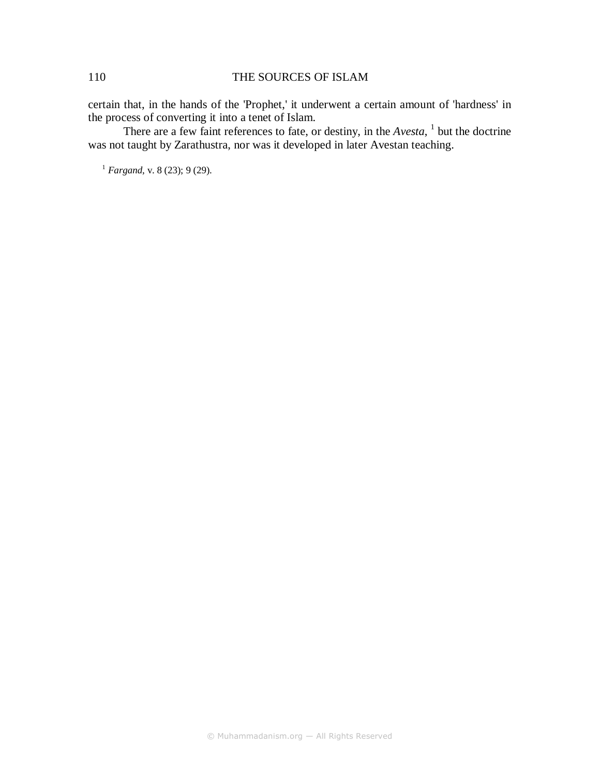### 110 THE SOURCES OF ISLAM

certain that, in the hands of the 'Prophet,' it underwent a certain amount of 'hardness' in the process of converting it into a tenet of Islam.

There are a few faint references to fate, or destiny, in the *Avesta*, <sup>1</sup> but the doctrine was not taught by Zarathustra, nor was it developed in later Avestan teaching.

<sup>1</sup> *Fargand*, v. 8 (23); 9 (29).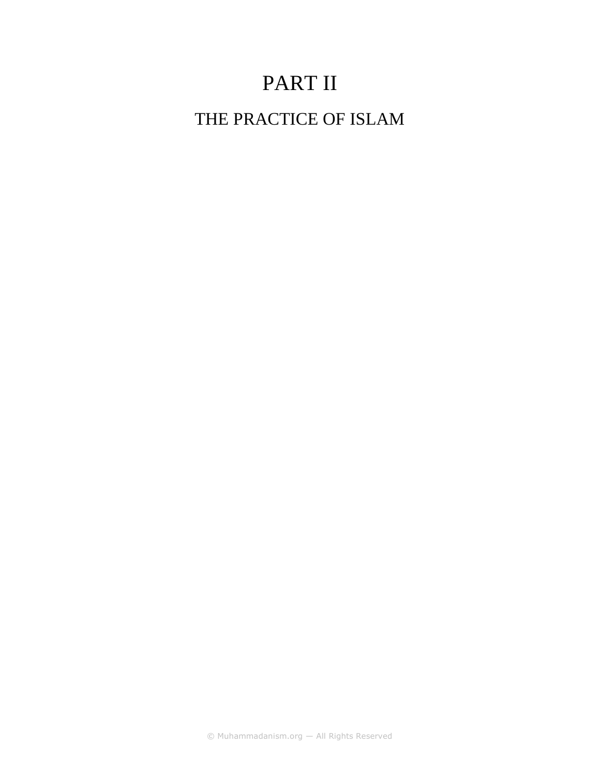# PART II

THE PRACTICE OF ISLAM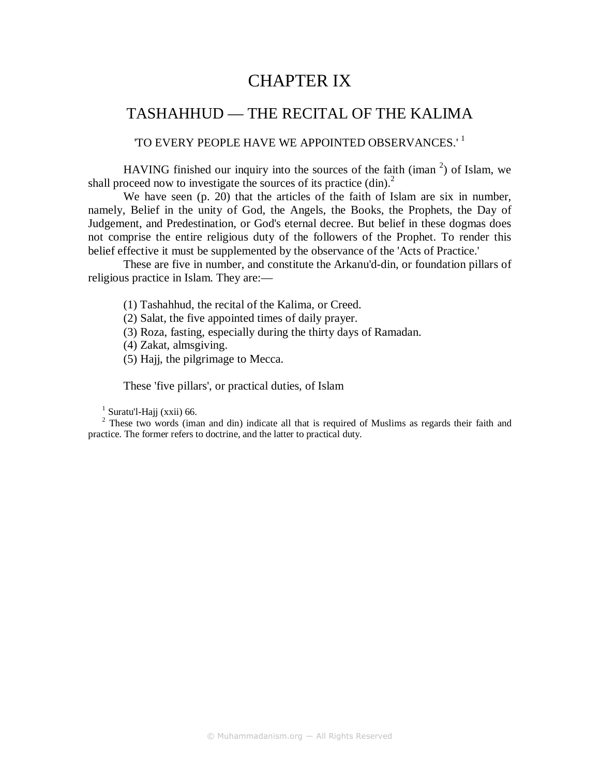# CHAPTER IX

### TASHAHHUD — THE RECITAL OF THE KALIMA

### 'TO EVERY PEOPLE HAVE WE APPOINTED OBSERVANCES.' <sup>1</sup>

HAVING finished our inquiry into the sources of the faith (iman  $2$ ) of Islam, we shall proceed now to investigate the sources of its practice (din).<sup>2</sup>

We have seen (p. 20) that the articles of the faith of Islam are six in number, namely, Belief in the unity of God, the Angels, the Books, the Prophets, the Day of Judgement, and Predestination, or God's eternal decree. But belief in these dogmas does not comprise the entire religious duty of the followers of the Prophet. To render this belief effective it must be supplemented by the observance of the 'Acts of Practice.'

These are five in number, and constitute the Arkanu'd-din, or foundation pillars of religious practice in Islam. They are:—

(1) Tashahhud, the recital of the Kalima, or Creed.

(2) Salat, the five appointed times of daily prayer.

(3) Roza, fasting, especially during the thirty days of Ramadan.

(4) Zakat, almsgiving.

(5) Hajj, the pilgrimage to Mecca.

These 'five pillars', or practical duties, of Islam

 $<sup>1</sup>$  Suratu'l-Hajj (xxii) 66.</sup>

 $2$  These two words (iman and din) indicate all that is required of Muslims as regards their faith and practice. The former refers to doctrine, and the latter to practical duty.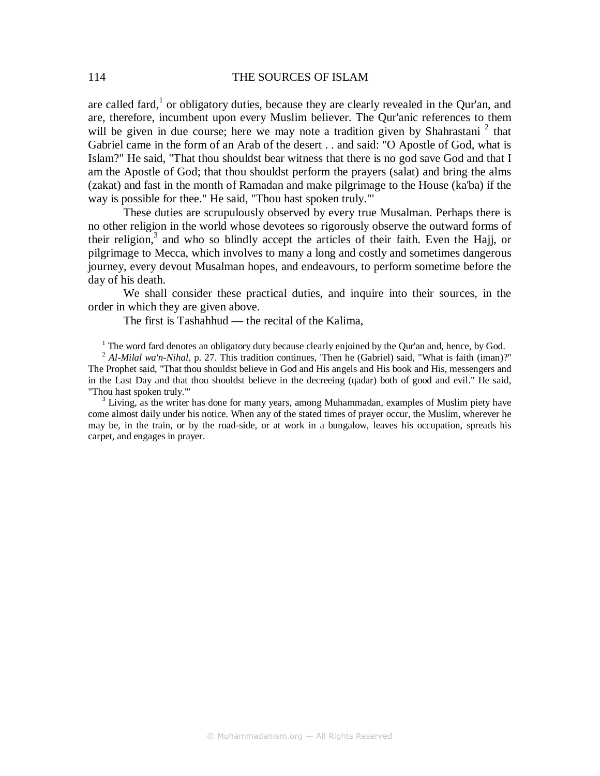are called fard,<sup>1</sup> or obligatory duties, because they are clearly revealed in the Qur'an, and are, therefore, incumbent upon every Muslim believer. The Qur'anic references to them will be given in due course; here we may note a tradition given by Shahrastani<sup>2</sup> that Gabriel came in the form of an Arab of the desert . . and said: "O Apostle of God, what is Islam?" He said, "That thou shouldst bear witness that there is no god save God and that I am the Apostle of God; that thou shouldst perform the prayers (salat) and bring the alms (zakat) and fast in the month of Ramadan and make pilgrimage to the House (ka'ba) if the way is possible for thee." He said, "Thou hast spoken truly."'

These duties are scrupulously observed by every true Musalman. Perhaps there is no other religion in the world whose devotees so rigorously observe the outward forms of their religion, $3$  and who so blindly accept the articles of their faith. Even the Hajj, or pilgrimage to Mecca, which involves to many a long and costly and sometimes dangerous journey, every devout Musalman hopes, and endeavours, to perform sometime before the day of his death.

We shall consider these practical duties, and inquire into their sources, in the order in which they are given above.

The first is Tashahhud — the recital of the Kalima,

 $<sup>1</sup>$  The word fard denotes an obligatory duty because clearly enjoined by the Qur'an and, hence, by God.</sup>

<sup>2</sup> Al-Milal wa'n-Nihal, p. 27. This tradition continues, 'Then he (Gabriel) said, "What is faith (iman)?" The Prophet said, "That thou shouldst believe in God and His angels and His book and His, messengers and in the Last Day and that thou shouldst believe in the decreeing (qadar) both of good and evil." He said, "Thou hast spoken truly."'

 $3$  Living, as the writer has done for many years, among Muhammadan, examples of Muslim piety have come almost daily under his notice. When any of the stated times of prayer occur, the Muslim, wherever he may be, in the train, or by the road-side, or at work in a bungalow, leaves his occupation, spreads his carpet, and engages in prayer.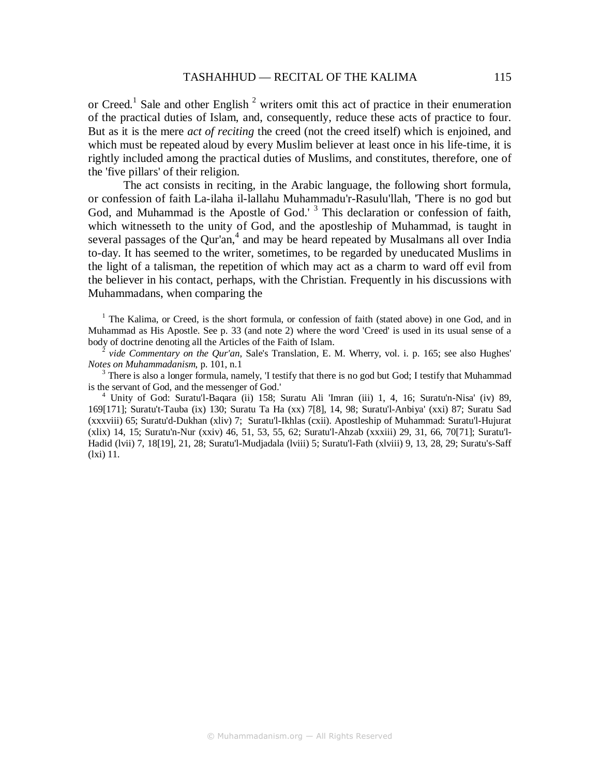or Creed.<sup>1</sup> Sale and other English<sup>2</sup> writers omit this act of practice in their enumeration of the practical duties of Islam, and, consequently, reduce these acts of practice to four. But as it is the mere *act of reciting* the creed (not the creed itself) which is enjoined, and which must be repeated aloud by every Muslim believer at least once in his life-time, it is rightly included among the practical duties of Muslims, and constitutes, therefore, one of the 'five pillars' of their religion.

The act consists in reciting, in the Arabic language, the following short formula, or confession of faith La-ilaha il-lallahu Muhammadu'r-Rasulu'llah, 'There is no god but God, and Muhammad is the Apostle of God.'<sup>3</sup> This declaration or confession of faith, which witnesseth to the unity of God, and the apostleship of Muhammad, is taught in several passages of the Qur'an, $4$  and may be heard repeated by Musalmans all over India to-day. It has seemed to the writer, sometimes, to be regarded by uneducated Muslims in the light of a talisman, the repetition of which may act as a charm to ward off evil from the believer in his contact, perhaps, with the Christian. Frequently in his discussions with Muhammadans, when comparing the

<sup>1</sup> The Kalima, or Creed, is the short formula, or confession of faith (stated above) in one God, and in Muhammad as His Apostle. See p. 33 (and note 2) where the word 'Creed' is used in its usual sense of a body of doctrine denoting all the Articles of the Faith of Islam.

 $\bar{2}$  *vide Commentary on the Qur'an*, Sale's Translation, E. M. Wherry, vol. i. p. 165; see also Hughes' *Notes on Muhammadanism*, p. 101, n.1

 $3$  There is also a longer formula, namely, 'I testify that there is no god but God; I testify that Muhammad is the servant of God, and the messenger of God.'

4 Unity of God: Suratu'l-Baqara (ii) 158; Suratu Ali 'Imran (iii) 1, 4, 16; Suratu'n-Nisa' (iv) 89, 169[171]; Suratu't-Tauba (ix) 130; Suratu Ta Ha (xx) 7[8], 14, 98; Suratu'l-Anbiya' (xxi) 87; Suratu Sad (xxxviii) 65; Suratu'd-Dukhan (xliv) 7; Suratu'l-Ikhlas (cxii). Apostleship of Muhammad: Suratu'l-Hujurat (xlix) 14, 15; Suratu'n-Nur (xxiv) 46, 51, 53, 55, 62; Suratu'l-Ahzab (xxxiii) 29, 31, 66, 70[71]; Suratu'l-Hadid (lvii) 7, 18[19], 21, 28; Suratu'l-Mudjadala (lviii) 5; Suratu'l-Fath (xlviii) 9, 13, 28, 29; Suratu's-Saff (lxi) 11.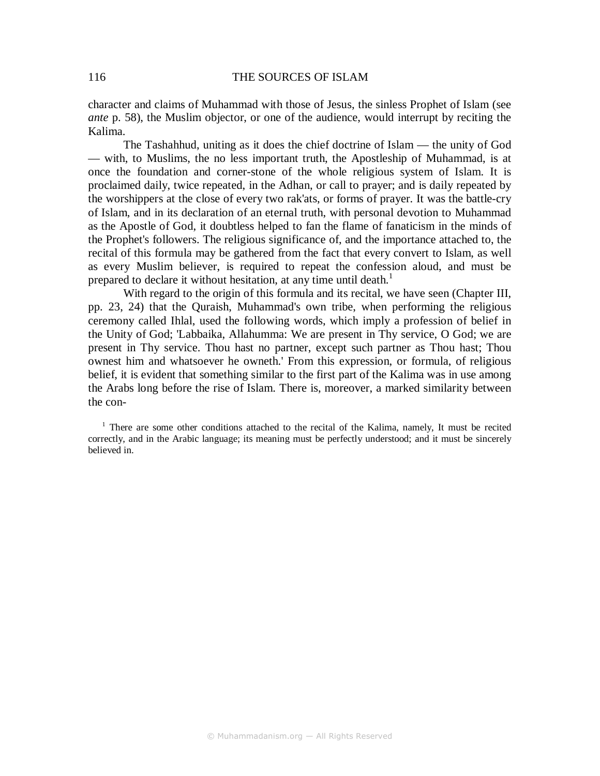character and claims of Muhammad with those of Jesus, the sinless Prophet of Islam (see *ante* p. 58), the Muslim objector, or one of the audience, would interrupt by reciting the Kalima.

The Tashahhud, uniting as it does the chief doctrine of Islam — the unity of God — with, to Muslims, the no less important truth, the Apostleship of Muhammad, is at once the foundation and corner-stone of the whole religious system of Islam. It is proclaimed daily, twice repeated, in the Adhan, or call to prayer; and is daily repeated by the worshippers at the close of every two rak'ats, or forms of prayer. It was the battle-cry of Islam, and in its declaration of an eternal truth, with personal devotion to Muhammad as the Apostle of God, it doubtless helped to fan the flame of fanaticism in the minds of the Prophet's followers. The religious significance of, and the importance attached to, the recital of this formula may be gathered from the fact that every convert to Islam, as well as every Muslim believer, is required to repeat the confession aloud, and must be prepared to declare it without hesitation, at any time until death.<sup>1</sup>

With regard to the origin of this formula and its recital, we have seen (Chapter III, pp. 23, 24) that the Quraish, Muhammad's own tribe, when performing the religious ceremony called Ihlal, used the following words, which imply a profession of belief in the Unity of God; 'Labbaika, Allahumma: We are present in Thy service, O God; we are present in Thy service. Thou hast no partner, except such partner as Thou hast; Thou ownest him and whatsoever he owneth.' From this expression, or formula, of religious belief, it is evident that something similar to the first part of the Kalima was in use among the Arabs long before the rise of Islam. There is, moreover, a marked similarity between the con-

<sup>&</sup>lt;sup>1</sup> There are some other conditions attached to the recital of the Kalima, namely, It must be recited correctly, and in the Arabic language; its meaning must be perfectly understood; and it must be sincerely believed in.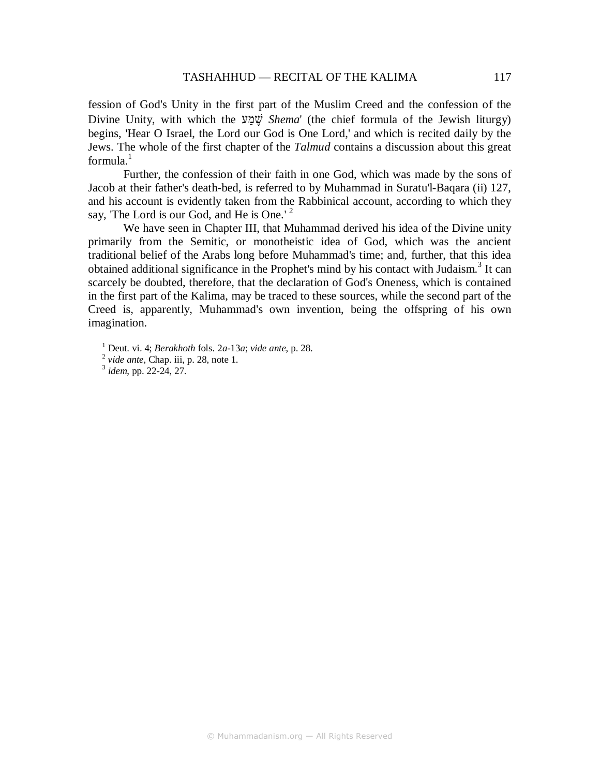fession of God's Unity in the first part of the Muslim Creed and the confession of the Divine Unity, with which the עַמ ֶשׁ *Shema*' (the chief formula of the Jewish liturgy) begins, 'Hear O Israel, the Lord our God is One Lord,' and which is recited daily by the Jews. The whole of the first chapter of the *Talmud* contains a discussion about this great  $formula<sup>1</sup>$ 

Further, the confession of their faith in one God, which was made by the sons of Jacob at their father's death-bed, is referred to by Muhammad in Suratu'l-Baqara (ii) 127, and his account is evidently taken from the Rabbinical account, according to which they say, 'The Lord is our God, and He is One.'<sup>2</sup>

We have seen in Chapter III, that Muhammad derived his idea of the Divine unity primarily from the Semitic, or monotheistic idea of God, which was the ancient traditional belief of the Arabs long before Muhammad's time; and, further, that this idea obtained additional significance in the Prophet's mind by his contact with Judaism.<sup>3</sup> It can scarcely be doubted, therefore, that the declaration of God's Oneness, which is contained in the first part of the Kalima, may be traced to these sources, while the second part of the Creed is, apparently, Muhammad's own invention, being the offspring of his own imagination.

3 *idem*, pp. 22-24, 27.

<sup>1</sup> Deut. vi. 4; *Berakhoth* fols. 2*a-*13*a*; *vide ante*, p. 28.

<sup>&</sup>lt;sup>2</sup> vide ante, Chap. iii, p. 28, note 1.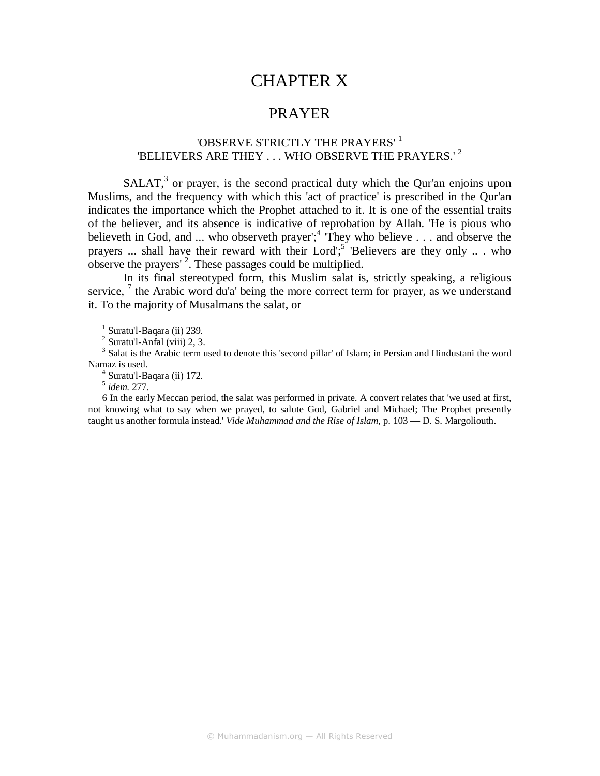# CHAPTER X

### PRAYER

### 'OBSERVE STRICTLY THE PRAYERS' 1 'BELIEVERS ARE THEY . . . WHO OBSERVE THE PRAYERS.' <sup>2</sup>

 $SALAT$ ,<sup>3</sup> or prayer, is the second practical duty which the Qur'an enjoins upon Muslims, and the frequency with which this 'act of practice' is prescribed in the Qur'an indicates the importance which the Prophet attached to it. It is one of the essential traits of the believer, and its absence is indicative of reprobation by Allah. 'He is pious who believeth in God, and ... who observeth prayer';<sup>4</sup> They who believe . . . and observe the prayers ... shall have their reward with their Lord';<sup>5</sup> Believers are they only ... who observe the prayers'<sup>2</sup>. These passages could be multiplied.

In its final stereotyped form, this Muslim salat is, strictly speaking, a religious service,  $^7$  the Arabic word du'a' being the more correct term for prayer, as we understand it. To the majority of Musalmans the salat, or

<sup>1</sup> Suratu'l-Baqara (ii) 239.

 $<sup>2</sup>$  Suratu'l-Anfal (viii) 2, 3.</sup>

<sup>3</sup> Salat is the Arabic term used to denote this 'second pillar' of Islam; in Persian and Hindustani the word Namaz is used.

4 Suratu'l-Baqara (ii) 172.

5 *idem*. 277.

6 In the early Meccan period, the salat was performed in private. A convert relates that 'we used at first, not knowing what to say when we prayed, to salute God, Gabriel and Michael; The Prophet presently taught us another formula instead.' *Vide Muhammad and the Rise of Islam*, p. 103 — D. S. Margoliouth.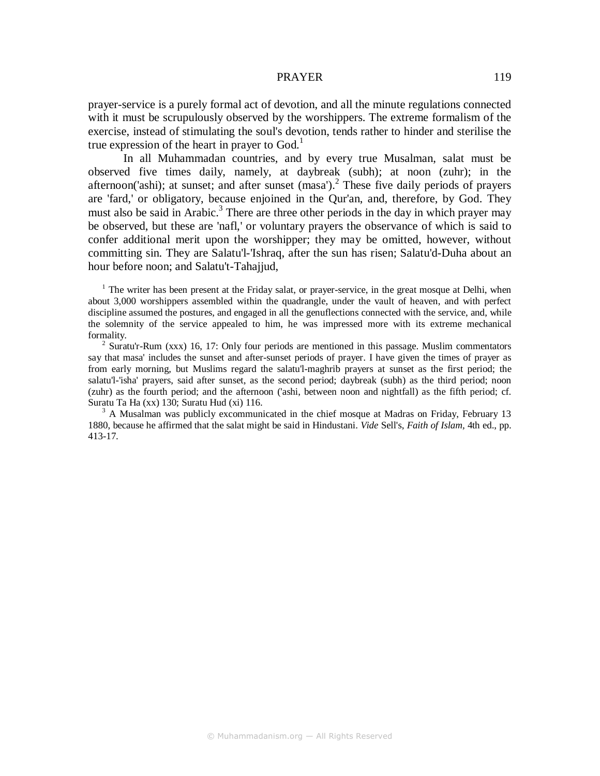prayer-service is a purely formal act of devotion, and all the minute regulations connected with it must be scrupulously observed by the worshippers. The extreme formalism of the exercise, instead of stimulating the soul's devotion, tends rather to hinder and sterilise the true expression of the heart in prayer to  $God.1$ 

In all Muhammadan countries, and by every true Musalman, salat must be observed five times daily, namely, at daybreak (subh); at noon (zuhr); in the afternoon('ashi); at sunset; and after sunset  $(masa')$ .<sup>2</sup> These five daily periods of prayers are 'fard,' or obligatory, because enjoined in the Qur'an, and, therefore, by God. They must also be said in Arabic.<sup>3</sup> There are three other periods in the day in which prayer may be observed, but these are 'nafl,' or voluntary prayers the observance of which is said to confer additional merit upon the worshipper; they may be omitted, however, without committing sin. They are Salatu'l-'Ishraq, after the sun has risen; Salatu'd-Duha about an hour before noon; and Salatu't-Tahajjud,

<sup>2</sup> Suratu'r-Rum (xxx) 16, 17: Only four periods are mentioned in this passage. Muslim commentators say that masa' includes the sunset and after-sunset periods of prayer. I have given the times of prayer as from early morning, but Muslims regard the salatu'l-maghrib prayers at sunset as the first period; the salatu'l-'isha' prayers, said after sunset, as the second period; daybreak (subh) as the third period; noon (zuhr) as the fourth period; and the afternoon ('ashi, between noon and nightfall) as the fifth period; cf. Suratu Ta Ha (xx) 130; Suratu Hud (xi) 116.

<sup>3</sup> A Musalman was publicly excommunicated in the chief mosque at Madras on Friday, February 13 1880, because he affirmed that the salat might be said in Hindustani. *Vide* Sell's, *Faith of Islam,* 4th ed., pp. 413-17.

<sup>&</sup>lt;sup>1</sup> The writer has been present at the Friday salat, or prayer-service, in the great mosque at Delhi, when about 3,000 worshippers assembled within the quadrangle, under the vault of heaven, and with perfect discipline assumed the postures, and engaged in all the genuflections connected with the service, and, while the solemnity of the service appealed to him, he was impressed more with its extreme mechanical formality.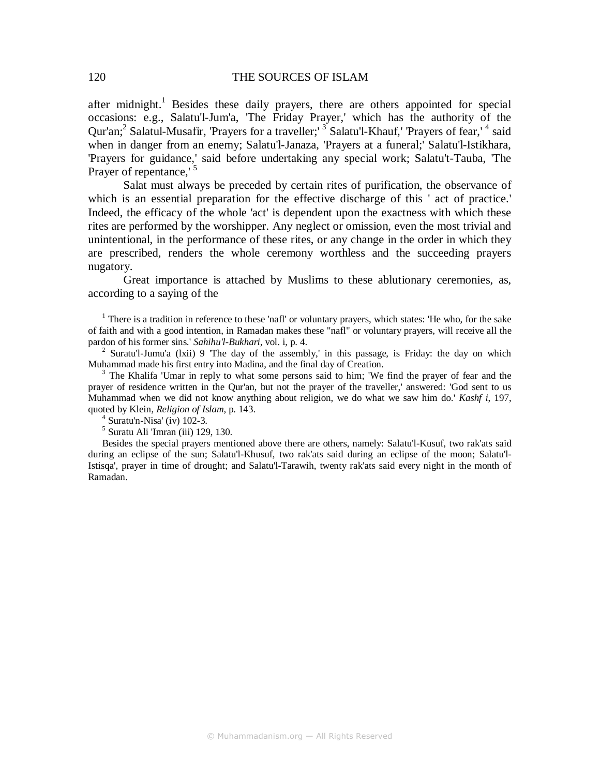after midnight.<sup>1</sup> Besides these daily prayers, there are others appointed for special occasions: e.g., Salatu'l-Jum'a, 'The Friday Prayer,' which has the authority of the Qur'an;<sup>2</sup> Salatul-Musafir, 'Prayers for a traveller;' <sup>3</sup> Salatu'l-Khauf,' 'Prayers of fear,' <sup>4</sup> said when in danger from an enemy; Salatu'l-Janaza, 'Prayers at a funeral;' Salatu'l-Istikhara, 'Prayers for guidance,' said before undertaking any special work; Salatu't-Tauba, 'The Prayer of repentance,<sup>15</sup>

Salat must always be preceded by certain rites of purification, the observance of which is an essential preparation for the effective discharge of this ' act of practice.' Indeed, the efficacy of the whole 'act' is dependent upon the exactness with which these rites are performed by the worshipper. Any neglect or omission, even the most trivial and unintentional, in the performance of these rites, or any change in the order in which they are prescribed, renders the whole ceremony worthless and the succeeding prayers nugatory.

Great importance is attached by Muslims to these ablutionary ceremonies, as, according to a saying of the

<sup>1</sup> There is a tradition in reference to these 'nafl' or voluntary prayers, which states: 'He who, for the sake of faith and with a good intention, in Ramadan makes these "nafl" or voluntary prayers, will receive all the pardon of his former sins.' *Sahihu'l-Bukhari*, vol. i, p. 4.

<sup>2</sup> Suratu'l-Jumu'a (lxii) 9 'The day of the assembly,' in this passage, is Friday: the day on which Muhammad made his first entry into Madina, and the final day of Creation.

<sup>3</sup> The Khalifa 'Umar in reply to what some persons said to him; 'We find the prayer of fear and the prayer of residence written in the Qur'an, but not the prayer of the traveller,' answered: 'God sent to us Muhammad when we did not know anything about religion, we do what we saw him do.' *Kashf i*, 197, quoted by Klein, *Religion of Islam*, p. 143.

4 Suratu'n-Nisa' (iv) 102-3.

5 Suratu Ali 'Imran (iii) 129, 130.

Besides the special prayers mentioned above there are others, namely: Salatu'l-Kusuf, two rak'ats said during an eclipse of the sun; Salatu'l-Khusuf, two rak'ats said during an eclipse of the moon; Salatu'l-Istisqa', prayer in time of drought; and Salatu'l-Tarawih, twenty rak'ats said every night in the month of Ramadan.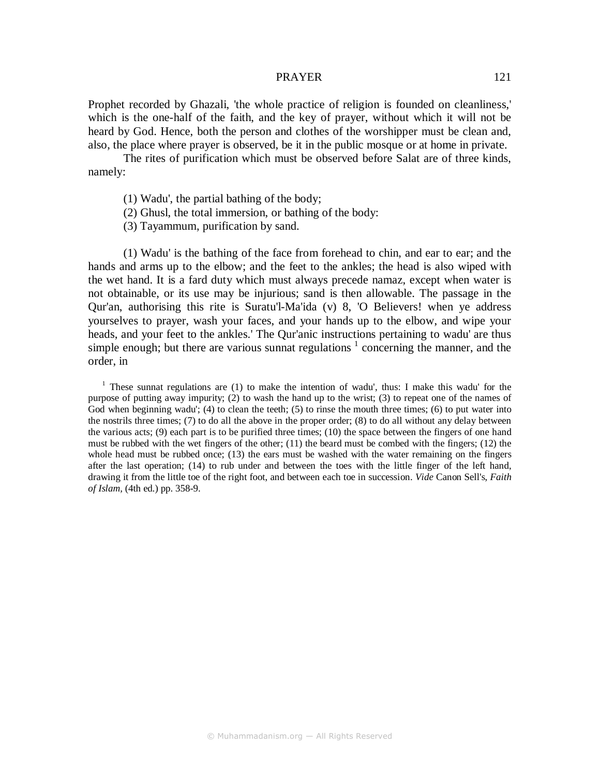Prophet recorded by Ghazali, 'the whole practice of religion is founded on cleanliness,' which is the one-half of the faith, and the key of prayer, without which it will not be heard by God. Hence, both the person and clothes of the worshipper must be clean and, also, the place where prayer is observed, be it in the public mosque or at home in private.

The rites of purification which must be observed before Salat are of three kinds, namely:

- (1) Wadu', the partial bathing of the body;
- (2) Ghusl, the total immersion, or bathing of the body:
- (3) Tayammum, purification by sand.

(1) Wadu' is the bathing of the face from forehead to chin, and ear to ear; and the hands and arms up to the elbow; and the feet to the ankles; the head is also wiped with the wet hand. It is a fard duty which must always precede namaz, except when water is not obtainable, or its use may be injurious; sand is then allowable. The passage in the Qur'an, authorising this rite is Suratu'l-Ma'ida (v) 8, 'O Believers! when ye address yourselves to prayer, wash your faces, and your hands up to the elbow, and wipe your heads, and your feet to the ankles.' The Qur'anic instructions pertaining to wadu' are thus simple enough; but there are various sunnat regulations  $1$  concerning the manner, and the order, in

<sup>1</sup> These sunnat regulations are (1) to make the intention of wadu', thus: I make this wadu' for the purpose of putting away impurity; (2) to wash the hand up to the wrist; (3) to repeat one of the names of God when beginning wadu'; (4) to clean the teeth; (5) to rinse the mouth three times; (6) to put water into the nostrils three times; (7) to do all the above in the proper order; (8) to do all without any delay between the various acts; (9) each part is to be purified three times; (10) the space between the fingers of one hand must be rubbed with the wet fingers of the other; (11) the beard must be combed with the fingers; (12) the whole head must be rubbed once; (13) the ears must be washed with the water remaining on the fingers after the last operation; (14) to rub under and between the toes with the little finger of the left hand, drawing it from the little toe of the right foot, and between each toe in succession. *Vide* Canon Sell's, *Faith of Islam,* (4th ed.) pp. 358-9.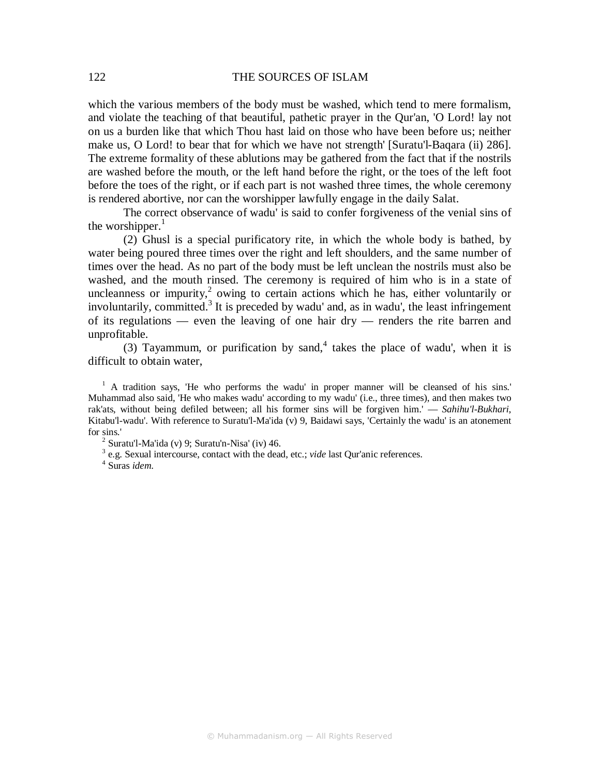which the various members of the body must be washed, which tend to mere formalism, and violate the teaching of that beautiful, pathetic prayer in the Qur'an, 'O Lord! lay not on us a burden like that which Thou hast laid on those who have been before us; neither make us, O Lord! to bear that for which we have not strength' [Suratu'l-Baqara (ii) 286]. The extreme formality of these ablutions may be gathered from the fact that if the nostrils are washed before the mouth, or the left hand before the right, or the toes of the left foot before the toes of the right, or if each part is not washed three times, the whole ceremony is rendered abortive, nor can the worshipper lawfully engage in the daily Salat.

The correct observance of wadu' is said to confer forgiveness of the venial sins of the worshipper. $<sup>1</sup>$ </sup>

(2) Ghusl is a special purificatory rite, in which the whole body is bathed, by water being poured three times over the right and left shoulders, and the same number of times over the head. As no part of the body must be left unclean the nostrils must also be washed, and the mouth rinsed. The ceremony is required of him who is in a state of uncleanness or impurity, $2$  owing to certain actions which he has, either voluntarily or involuntarily, committed.<sup>3</sup> It is preceded by wadu' and, as in wadu', the least infringement of its regulations — even the leaving of one hair dry — renders the rite barren and unprofitable.

(3) Tayammum, or purification by sand,  $4$  takes the place of wadu', when it is difficult to obtain water,

<sup>1</sup> A tradition says, 'He who performs the wadu' in proper manner will be cleansed of his sins.' Muhammad also said, 'He who makes wadu' according to my wadu' (i.e., three times), and then makes two rak'ats, without being defiled between; all his former sins will be forgiven him.' — *Sahihu'l-Bukhari*, Kitabu'l-wadu'. With reference to Suratu'l-Ma'ida (v) 9, Baidawi says, 'Certainly the wadu' is an atonement for sins.'

 $2$  Suratu'l-Ma'ida (v) 9; Suratu'n-Nisa' (iv) 46.

3 e.g. Sexual intercourse, contact with the dead, etc.; *vide* last Qur'anic references.

4 Suras *idem*.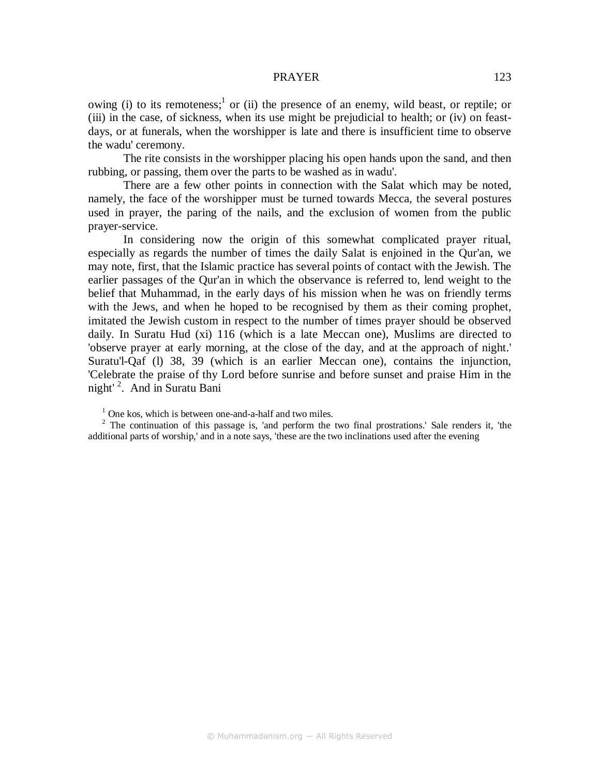owing (i) to its remoteness;<sup>1</sup> or (ii) the presence of an enemy, wild beast, or reptile; or (iii) in the case, of sickness, when its use might be prejudicial to health; or (iv) on feastdays, or at funerals, when the worshipper is late and there is insufficient time to observe the wadu' ceremony.

The rite consists in the worshipper placing his open hands upon the sand, and then rubbing, or passing, them over the parts to be washed as in wadu'.

There are a few other points in connection with the Salat which may be noted, namely, the face of the worshipper must be turned towards Mecca, the several postures used in prayer, the paring of the nails, and the exclusion of women from the public prayer-service.

In considering now the origin of this somewhat complicated prayer ritual, especially as regards the number of times the daily Salat is enjoined in the Qur'an, we may note, first, that the Islamic practice has several points of contact with the Jewish. The earlier passages of the Qur'an in which the observance is referred to, lend weight to the belief that Muhammad, in the early days of his mission when he was on friendly terms with the Jews, and when he hoped to be recognised by them as their coming prophet, imitated the Jewish custom in respect to the number of times prayer should be observed daily. In Suratu Hud (xi) 116 (which is a late Meccan one), Muslims are directed to 'observe prayer at early morning, at the close of the day, and at the approach of night.' Suratu'l-Qaf (l) 38, 39 (which is an earlier Meccan one), contains the injunction, 'Celebrate the praise of thy Lord before sunrise and before sunset and praise Him in the night<sup>' 2</sup>. And in Suratu Bani

<sup>&</sup>lt;sup>1</sup> One kos, which is between one-and-a-half and two miles.

 $2$  The continuation of this passage is, 'and perform the two final prostrations.' Sale renders it, 'the additional parts of worship,' and in a note says, 'these are the two inclinations used after the evening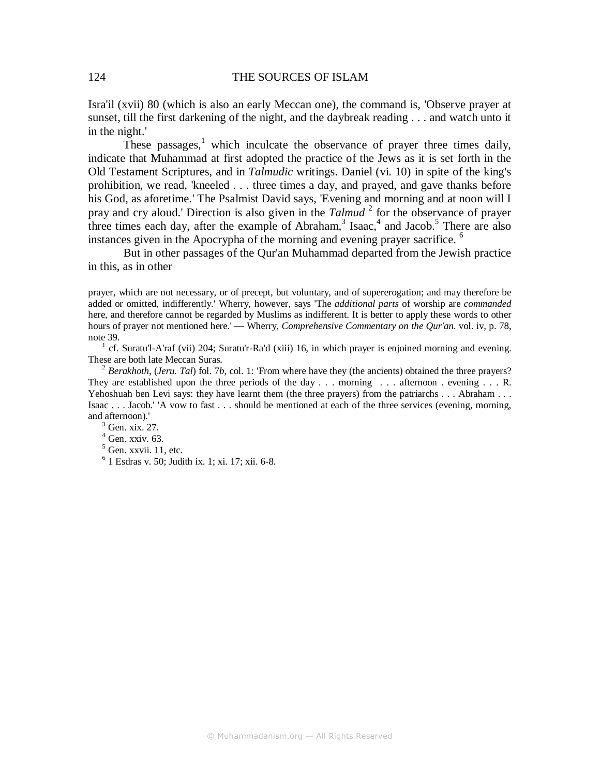Isra'il (xvii) 80 (which is also an early Meccan one), the command is, 'Observe prayer at sunset, till the first darkening of the night, and the daybreak reading . . . and watch unto it in the night.'

These passages,<sup>1</sup> which inculcate the observance of prayer three times daily, indicate that Muhammad at first adopted the practice of the Jews as it is set forth in the Old Testament Scriptures, and in *Talmudic* writings. Daniel (vi. 10) in spite of the king's prohibition, we read, 'kneeled . . . three times a day, and prayed, and gave thanks before his God, as aforetime.' The Psalmist David says, 'Evening and morning and at noon will I pray and cry aloud.' Direction is also given in the *Talmud* <sup>2</sup> for the observance of prayer three times each day, after the example of Abraham,<sup>3</sup> Isaac,<sup>4</sup> and Jacob.<sup>5</sup> There are also instances given in the Apocrypha of the morning and evening prayer sacrifice. <sup>6</sup>

But in other passages of the Qur'an Muhammad departed from the Jewish practice in this, as in other

prayer, which are not necessary, or of precept, but voluntary, and of supererogation; and may therefore be added or omitted, indifferently.' Wherry, however, says 'The *additional parts* of worship are *commanded*  here, and therefore cannot be regarded by Muslims as indifferent. It is better to apply these words to other hours of prayer not mentioned here.' — Wherry, *Comprehensive Commentary on the Qur'an*. vol. iv, p. 78, note 39.

1 cf. Suratu'l-A'raf (vii) 204; Suratu'r-Ra'd (xiii) 16, in which prayer is enjoined morning and evening. These are both late Meccan Suras.

<sup>2</sup> *Berakhoth, (Jeru. Tal)* fol. 7*b*, col. 1: 'From where have they (the ancients) obtained the three prayers? They are established upon the three periods of the day  $\ldots$  morning  $\ldots$  afternoon . evening  $\ldots$  R. Yehoshuah ben Levi says: they have learnt them (the three prayers) from the patriarchs . . . Abraham . . . Isaac . . . Jacob.' 'A vow to fast . . . should be mentioned at each of the three services (evening, morning, and afternoon).'

 $3$  Gen. xix. 27.

 $4$  Gen. xxiv. 63.

6 1 Esdras v. 50; Judith ix. 1; xi. 17; xii. 6-8.

 $<sup>5</sup>$  Gen. xxvii. 11, etc.</sup>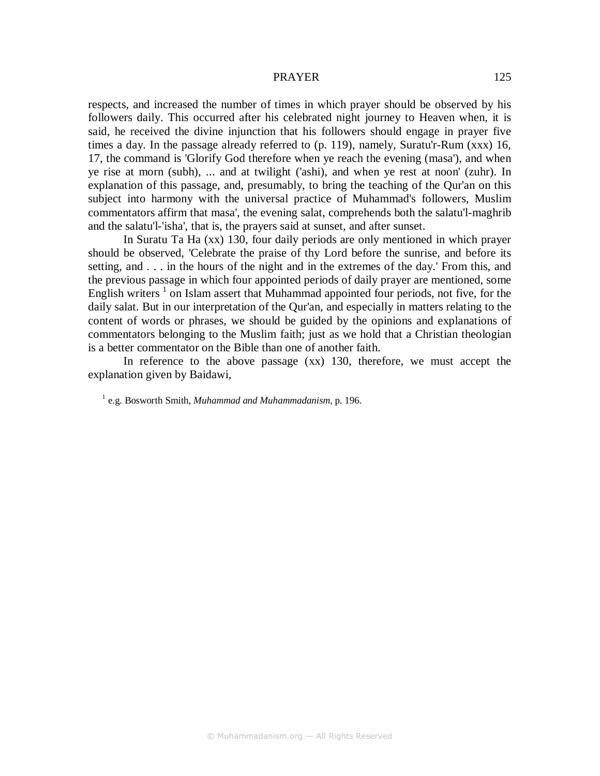respects, and increased the number of times in which prayer should be observed by his followers daily. This occurred after his celebrated night journey to Heaven when, it is said, he received the divine injunction that his followers should engage in prayer five times a day. In the passage already referred to (p. 119), namely, Suratu'r-Rum (xxx) 16, 17, the command is 'Glorify God therefore when ye reach the evening (masa'), and when ye rise at morn (subh), ... and at twilight ('ashi), and when ye rest at noon' (zuhr). In explanation of this passage, and, presumably, to bring the teaching of the Qur'an on this subject into harmony with the universal practice of Muhammad's followers, Muslim commentators affirm that masa', the evening salat, comprehends both the salatu'l-maghrib and the salatu'l-'isha', that is, the prayers said at sunset, and after sunset.

In Suratu Ta Ha (xx) 130, four daily periods are only mentioned in which prayer should be observed, 'Celebrate the praise of thy Lord before the sunrise, and before its setting, and . . . in the hours of the night and in the extremes of the day.' From this, and the previous passage in which four appointed periods of daily prayer are mentioned, some English writers  $1$  on Islam assert that Muhammad appointed four periods, not five, for the daily salat. But in our interpretation of the Qur'an, and especially in matters relating to the content of words or phrases, we should be guided by the opinions and explanations of commentators belonging to the Muslim faith; just as we hold that a Christian theologian is a better commentator on the Bible than one of another faith.

In reference to the above passage (xx) 130, therefore, we must accept the explanation given by Baidawi,

<sup>1</sup> e.g. Bosworth Smith, *Muhammad and Muhammadanism*, p. 196.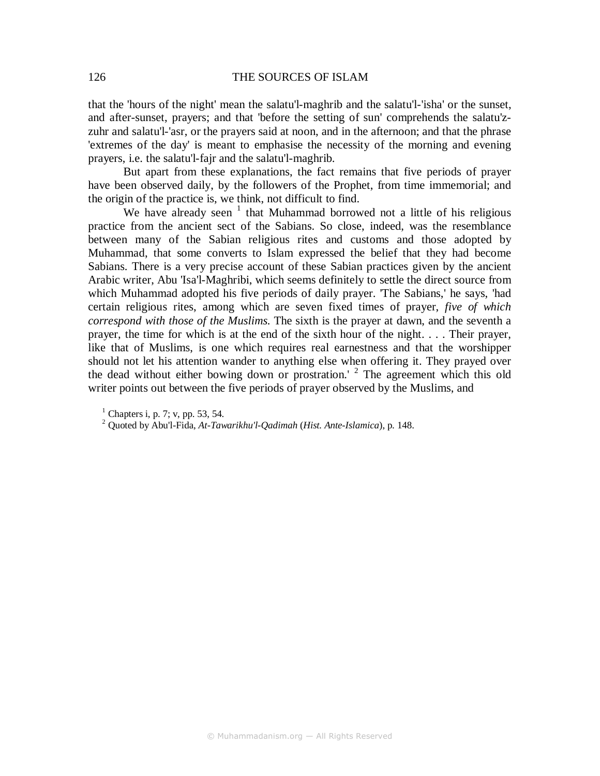that the 'hours of the night' mean the salatu'l-maghrib and the salatu'l-'isha' or the sunset, and after-sunset, prayers; and that 'before the setting of sun' comprehends the salatu'zzuhr and salatu'l-'asr, or the prayers said at noon, and in the afternoon; and that the phrase 'extremes of the day' is meant to emphasise the necessity of the morning and evening prayers, i.e. the salatu'l-fajr and the salatu'l-maghrib.

But apart from these explanations, the fact remains that five periods of prayer have been observed daily, by the followers of the Prophet, from time immemorial; and the origin of the practice is, we think, not difficult to find.

We have already seen  $1$  that Muhammad borrowed not a little of his religious practice from the ancient sect of the Sabians. So close, indeed, was the resemblance between many of the Sabian religious rites and customs and those adopted by Muhammad, that some converts to Islam expressed the belief that they had become Sabians. There is a very precise account of these Sabian practices given by the ancient Arabic writer, Abu 'Isa'l-Maghribi, which seems definitely to settle the direct source from which Muhammad adopted his five periods of daily prayer. 'The Sabians,' he says, 'had certain religious rites, among which are seven fixed times of prayer, *five of which correspond with those of the Muslims.* The sixth is the prayer at dawn, and the seventh a prayer, the time for which is at the end of the sixth hour of the night. . . . Their prayer, like that of Muslims, is one which requires real earnestness and that the worshipper should not let his attention wander to anything else when offering it. They prayed over the dead without either bowing down or prostration.<sup>'</sup> <sup>2</sup> The agreement which this old writer points out between the five periods of prayer observed by the Muslims, and

 $<sup>1</sup>$  Chapters i, p. 7; v, pp. 53, 54.</sup>

<sup>2</sup> Quoted by Abu'l-Fida, *At-Tawarikhu'l-Qadimah* (*Hist. Ante-Islamica*), p. 148.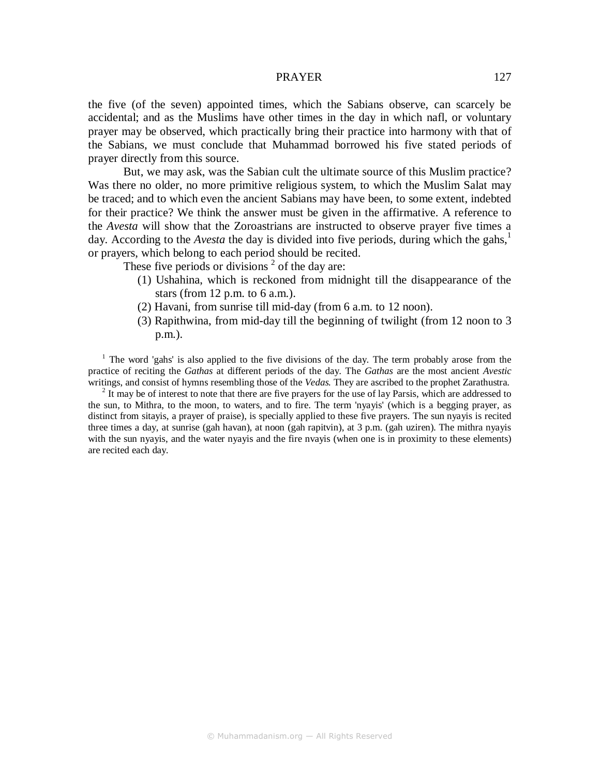the five (of the seven) appointed times, which the Sabians observe, can scarcely be accidental; and as the Muslims have other times in the day in which nafl, or voluntary prayer may be observed, which practically bring their practice into harmony with that of the Sabians, we must conclude that Muhammad borrowed his five stated periods of prayer directly from this source.

But, we may ask, was the Sabian cult the ultimate source of this Muslim practice? Was there no older, no more primitive religious system, to which the Muslim Salat may be traced; and to which even the ancient Sabians may have been, to some extent, indebted for their practice? We think the answer must be given in the affirmative. A reference to the *Avesta* will show that the Zoroastrians are instructed to observe prayer five times a day. According to the *Avesta* the day is divided into five periods, during which the gahs,<sup>1</sup> or prayers, which belong to each period should be recited.

These five periods or divisions  $2$  of the day are:

- (1) Ushahina, which is reckoned from midnight till the disappearance of the stars (from 12 p.m. to 6 a.m.).
- (2) Havani, from sunrise till mid-day (from 6 a.m. to 12 noon).
- (3) Rapithwina, from mid-day till the beginning of twilight (from 12 noon to 3 p.m.).

<sup>1</sup> The word 'gahs' is also applied to the five divisions of the day. The term probably arose from the practice of reciting the *Gathas* at different periods of the day. The *Gathas* are the most ancient *Avestic*  writings, and consist of hymns resembling those of the *Vedas.* They are ascribed to the prophet Zarathustra.

 $2$  It may be of interest to note that there are five prayers for the use of lay Parsis, which are addressed to the sun, to Mithra, to the moon, to waters, and to fire. The term 'nyayis' (which is a begging prayer, as distinct from sitayis, a prayer of praise), is specially applied to these five prayers. The sun nyayis is recited three times a day, at sunrise (gah havan), at noon (gah rapitvin), at 3 p.m. (gah uziren). The mithra nyayis with the sun nyayis, and the water nyayis and the fire nyayis (when one is in proximity to these elements) are recited each day.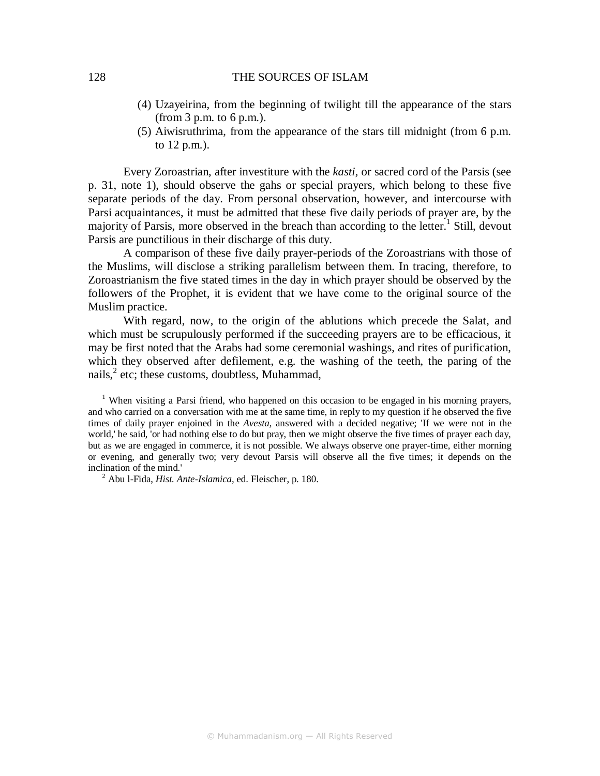### 128 THE SOURCES OF ISLAM

- (4) Uzayeirina, from the beginning of twilight till the appearance of the stars  $(from 3 p.m. to 6 p.m.).$
- (5) Aiwisruthrima, from the appearance of the stars till midnight (from 6 p.m. to 12 p.m.).

Every Zoroastrian, after investiture with the *kasti,* or sacred cord of the Parsis (see p. 31, note 1), should observe the gahs or special prayers, which belong to these five separate periods of the day. From personal observation, however, and intercourse with Parsi acquaintances, it must be admitted that these five daily periods of prayer are, by the majority of Parsis, more observed in the breach than according to the letter.<sup>1</sup> Still, devout Parsis are punctilious in their discharge of this duty.

A comparison of these five daily prayer-periods of the Zoroastrians with those of the Muslims, will disclose a striking parallelism between them. In tracing, therefore, to Zoroastrianism the five stated times in the day in which prayer should be observed by the followers of the Prophet, it is evident that we have come to the original source of the Muslim practice.

With regard, now, to the origin of the ablutions which precede the Salat, and which must be scrupulously performed if the succeeding prayers are to be efficacious, it may be first noted that the Arabs had some ceremonial washings, and rites of purification, which they observed after defilement, e.g. the washing of the teeth, the paring of the nails,<sup>2</sup> etc; these customs, doubtless, Muhammad,

<sup>1</sup> When visiting a Parsi friend, who happened on this occasion to be engaged in his morning prayers, and who carried on a conversation with me at the same time, in reply to my question if he observed the five times of daily prayer enjoined in the *Avesta,* answered with a decided negative; 'If we were not in the world,' he said, 'or had nothing else to do but pray, then we might observe the five times of prayer each day, but as we are engaged in commerce, it is not possible. We always observe one prayer-time, either morning or evening, and generally two; very devout Parsis will observe all the five times; it depends on the inclination of the mind.'

2 Abu l-Fida, *Hist. Ante-Islamica,* ed. Fleischer, p. 180.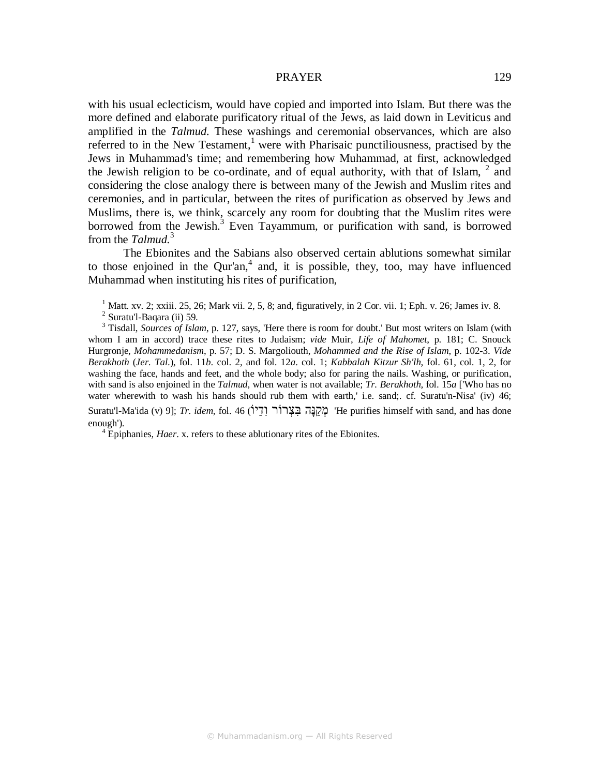with his usual eclecticism, would have copied and imported into Islam. But there was the more defined and elaborate purificatory ritual of the Jews, as laid down in Leviticus and amplified in the *Talmud.* These washings and ceremonial observances, which are also referred to in the New Testament,<sup>1</sup> were with Pharisaic punctiliousness, practised by the Jews in Muhammad's time; and remembering how Muhammad, at first, acknowledged the Jewish religion to be co-ordinate, and of equal authority, with that of Islam,  $2\overline{a}$  and considering the close analogy there is between many of the Jewish and Muslim rites and ceremonies, and in particular, between the rites of purification as observed by Jews and Muslims, there is, we think, scarcely any room for doubting that the Muslim rites were borrowed from the Jewish.<sup>3</sup> Even Tayammum, or purification with sand, is borrowed from the *Talmud.*<sup>3</sup>

The Ebionites and the Sabians also observed certain ablutions somewhat similar to those enjoined in the Qur'an, $4$  and, it is possible, they, too, may have influenced Muhammad when instituting his rites of purification,

<sup>1</sup> Matt. xv. 2; xxiii. 25, 26; Mark vii. 2, 5, 8; and, figuratively, in 2 Cor. vii. 1; Eph. v. 26; James iv. 8.

 $2$  Suratu'l-Baqara (ii) 59.

<sup>3</sup> Tisdall, *Sources of Islam*, p. 127, says, 'Here there is room for doubt.' But most writers on Islam (with whom I am in accord) trace these rites to Judaism; *vide* Muir, *Life of Mahomet*, p. 181; C. Snouck Hurgronje, *Mohammedanism*, p. 57; D. S. Margoliouth, *Mohammed and the Rise of Islam*, p. 102-3. *Vide Berakhoth* (*Jer. Tal*.), fol. 11*b*. col. 2, and fol. 12*a*. col. 1; *Kabbalah Kitzur Sh'lh,* fol. 61, col. 1, 2, for washing the face, hands and feet, and the whole body; also for paring the nails. Washing, or purification, with sand is also enjoined in the *Talmud,* when water is not available; *Tr. Berakhoth,* fol. 15*a* ['Who has no water wherewith to wash his hands should rub them with earth,' i.e. sand;. cf. Suratu'n-Nisa' (iv) 46;

Suratu'l-Ma'ida (v) 9]; *Tr. idem,* fol. 46 (יוַֹדִו רוֹרְצִבּ הָנַּקְמ' He purifies himself with sand, and has done enough').

<sup>4</sup> Epiphanies, *Haer*. x. refers to these ablutionary rites of the Ebionites.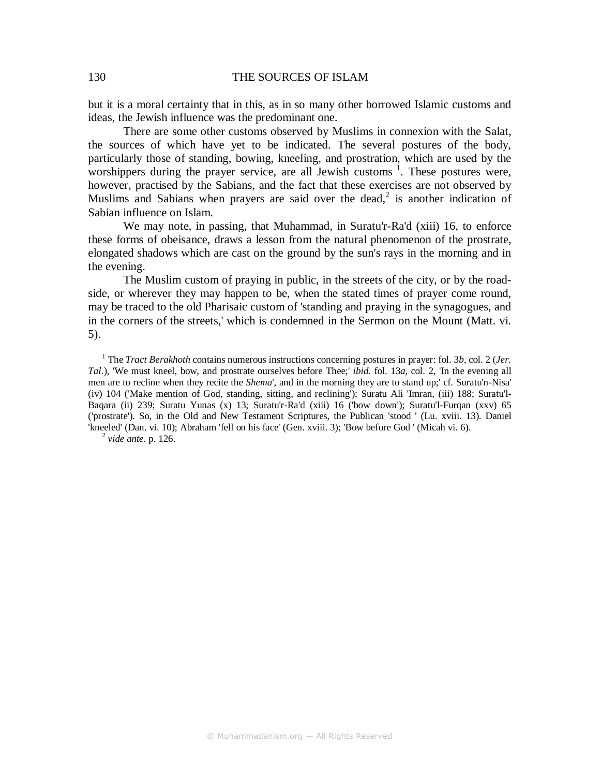### 130 THE SOURCES OF ISLAM

but it is a moral certainty that in this, as in so many other borrowed Islamic customs and ideas, the Jewish influence was the predominant one.

There are some other customs observed by Muslims in connexion with the Salat, the sources of which have yet to be indicated. The several postures of the body, particularly those of standing, bowing, kneeling, and prostration, which are used by the worshippers during the prayer service, are all Jewish customs<sup>1</sup>. These postures were, however, practised by the Sabians, and the fact that these exercises are not observed by Muslims and Sabians when prayers are said over the dead,<sup>2</sup> is another indication of Sabian influence on Islam.

We may note, in passing, that Muhammad, in Suratu'r-Ra'd (xiii) 16, to enforce these forms of obeisance, draws a lesson from the natural phenomenon of the prostrate, elongated shadows which are cast on the ground by the sun's rays in the morning and in the evening.

The Muslim custom of praying in public, in the streets of the city, or by the roadside, or wherever they may happen to be, when the stated times of prayer come round, may be traced to the old Pharisaic custom of 'standing and praying in the synagogues, and in the corners of the streets,' which is condemned in the Sermon on the Mount (Matt. vi. 5).

<sup>1</sup> The *Tract Berakhoth* contains numerous instructions concerning postures in prayer: fol. 3*b*, col. 2 (*Jer. Tal*.), 'We must kneel, bow, and prostrate ourselves before Thee;' *ibid.* fol. 13*a*, col. 2, 'In the evening all men are to recline when they recite the *Shema*', and in the morning they are to stand up;' cf. Suratu'n-Nisa' (iv) 104 ('Make mention of God, standing, sitting, and reclining'); Suratu Ali 'Imran, (iii) 188; Suratu'l-Baqara (ii) 239; Suratu Yunas (x) 13; Suratu'r-Ra'd (xiii) 16 ('bow down'); Suratu'l-Furqan (xxv) 65 ('prostrate'). So, in the Old and New Testament Scriptures, the Publican 'stood ' (Lu. xviii. 13). Daniel 'kneeled' (Dan. vi. 10); Abraham 'fell on his face' (Gen. xviii. 3); 'Bow before God ' (Micah vi. 6).

2 *vide ante*. p. 126.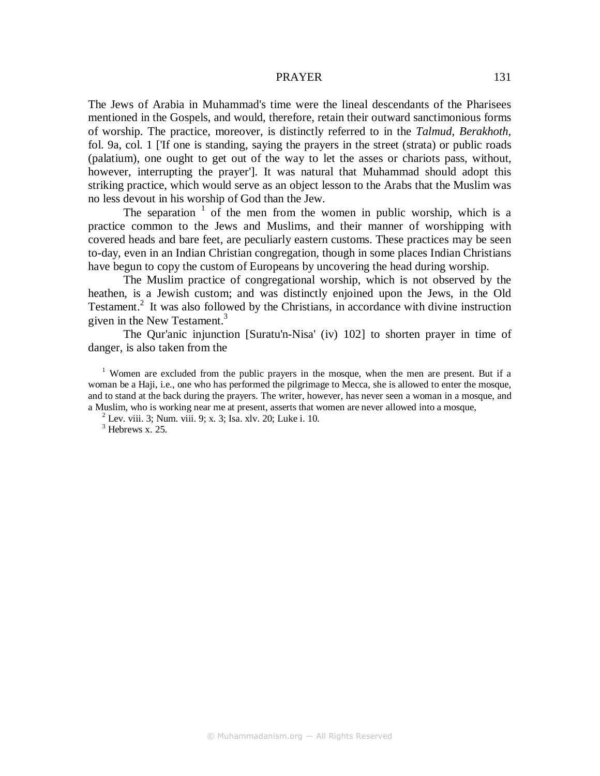The Jews of Arabia in Muhammad's time were the lineal descendants of the Pharisees mentioned in the Gospels, and would, therefore, retain their outward sanctimonious forms of worship. The practice, moreover, is distinctly referred to in the *Talmud, Berakhoth,*  fol. 9a, col. 1 ['If one is standing, saying the prayers in the street (strata) or public roads (palatium), one ought to get out of the way to let the asses or chariots pass, without, however, interrupting the prayer']. It was natural that Muhammad should adopt this striking practice, which would serve as an object lesson to the Arabs that the Muslim was no less devout in his worship of God than the Jew.

The separation  $\frac{1}{1}$  of the men from the women in public worship, which is a practice common to the Jews and Muslims, and their manner of worshipping with covered heads and bare feet, are peculiarly eastern customs. These practices may be seen to-day, even in an Indian Christian congregation, though in some places Indian Christians have begun to copy the custom of Europeans by uncovering the head during worship.

The Muslim practice of congregational worship, which is not observed by the heathen, is a Jewish custom; and was distinctly enjoined upon the Jews, in the Old Testament.<sup>2</sup> It was also followed by the Christians, in accordance with divine instruction given in the New Testament.<sup>3</sup>

The Qur'anic injunction [Suratu'n-Nisa' (iv) 102] to shorten prayer in time of danger, is also taken from the

<sup>1</sup> Women are excluded from the public prayers in the mosque, when the men are present. But if a woman be a Haji, i.e., one who has performed the pilgrimage to Mecca, she is allowed to enter the mosque, and to stand at the back during the prayers. The writer, however, has never seen a woman in a mosque, and a Muslim, who is working near me at present, asserts that women are never allowed into a mosque,

 $2^{2}$  Lev. viii. 3; Num. viii. 9; x. 3; Isa. xlv. 20; Luke i. 10.

 $3$  Hebrews x. 25.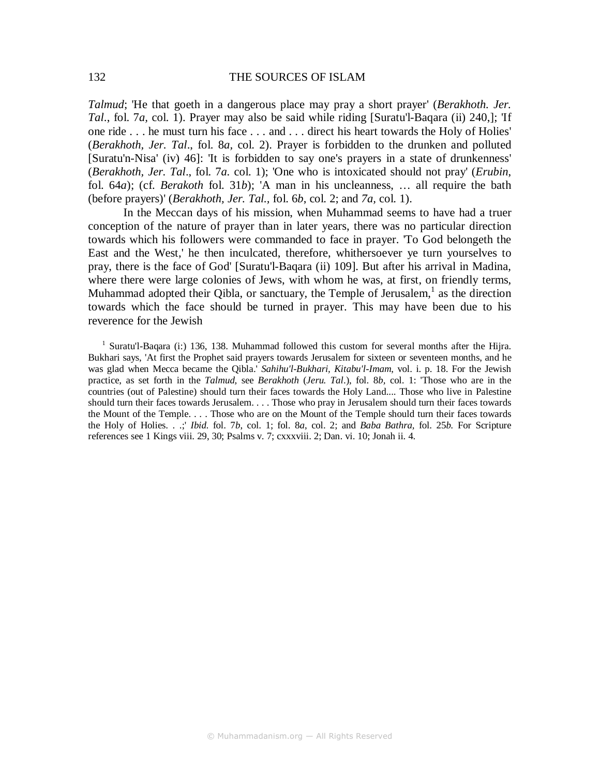*Talmud*; 'He that goeth in a dangerous place may pray a short prayer' (*Berakhoth. Jer. Tal*., fol. 7*a,* col. 1). Prayer may also be said while riding [Suratu'l-Baqara (ii) 240,]; 'If one ride . . . he must turn his face . . . and . . . direct his heart towards the Holy of Holies' (*Berakhoth, Jer. Tal*., fol. 8*a,* col. 2). Prayer is forbidden to the drunken and polluted [Suratu'n-Nisa' (iv) 46]: 'It is forbidden to say one's prayers in a state of drunkenness' (*Berakhoth, Jer. Tal*., fol. 7*a.* col. 1); 'One who is intoxicated should not pray' (*Erubin*, fol. 64*a*); (cf. *Berakoth* fol. 31*b*); 'A man in his uncleanness, … all require the bath (before prayers)' (*Berakhoth, Jer. Tal.,* fol. 6*b*, col. 2; and *7a,* col. 1).

In the Meccan days of his mission, when Muhammad seems to have had a truer conception of the nature of prayer than in later years, there was no particular direction towards which his followers were commanded to face in prayer. 'To God belongeth the East and the West,' he then inculcated, therefore, whithersoever ye turn yourselves to pray, there is the face of God' [Suratu'l-Baqara (ii) 109]. But after his arrival in Madina, where there were large colonies of Jews, with whom he was, at first, on friendly terms, Muhammad adopted their Qibla, or sanctuary, the Temple of Jerusalem, $<sup>1</sup>$  as the direction</sup> towards which the face should be turned in prayer. This may have been due to his reverence for the Jewish

<sup>1</sup> Suratu'l-Baqara (i:) 136, 138. Muhammad followed this custom for several months after the Hijra. Bukhari says, 'At first the Prophet said prayers towards Jerusalem for sixteen or seventeen months, and he was glad when Mecca became the Qibla.' *Sahihu'l-Bukhari, Kitabu'l-Imam*, vol. i. p. 18. For the Jewish practice, as set forth in the *Talmud,* see *Berakhoth* (*Jeru. Tal*.), fol. 8*b,* col. 1: 'Those who are in the countries (out of Palestine) should turn their faces towards the Holy Land.... Those who live in Palestine should turn their faces towards Jerusalem. . . . Those who pray in Jerusalem should turn their faces towards the Mount of the Temple. . . . Those who are on the Mount of the Temple should turn their faces towards the Holy of Holies. . .;' *Ibid.* fol. 7*b*, col. 1; fol. 8*a*, col. 2; and *Baba Bathra,* fol. 25*b.* For Scripture references see 1 Kings viii. 29, 30; Psalms v. 7; cxxxviii. 2; Dan. vi. 10; Jonah ii. 4.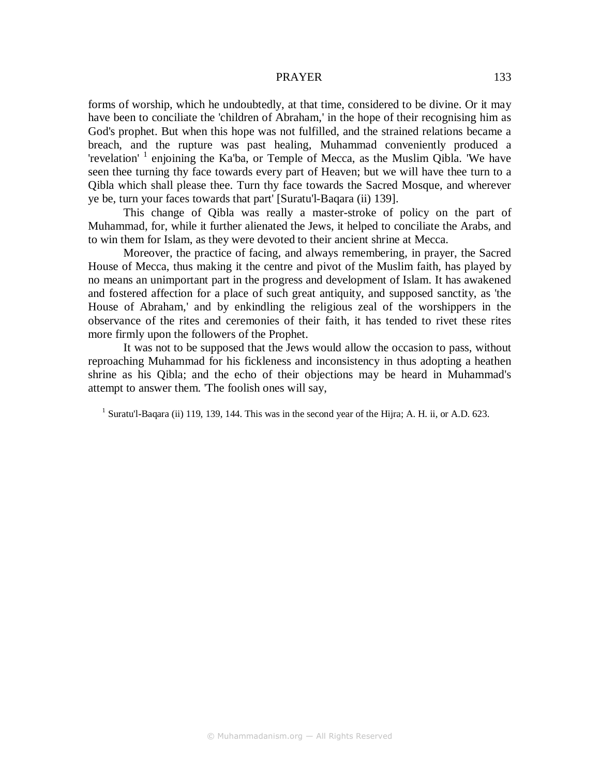forms of worship, which he undoubtedly, at that time, considered to be divine. Or it may have been to conciliate the 'children of Abraham,' in the hope of their recognising him as God's prophet. But when this hope was not fulfilled, and the strained relations became a breach, and the rupture was past healing, Muhammad conveniently produced a 'revelation' <sup>1</sup> enjoining the Ka'ba, or Temple of Mecca, as the Muslim Qibla. 'We have seen thee turning thy face towards every part of Heaven; but we will have thee turn to a Qibla which shall please thee. Turn thy face towards the Sacred Mosque, and wherever ye be, turn your faces towards that part' [Suratu'l-Baqara (ii) 139].

This change of Qibla was really a master-stroke of policy on the part of Muhammad, for, while it further alienated the Jews, it helped to conciliate the Arabs, and to win them for Islam, as they were devoted to their ancient shrine at Mecca.

Moreover, the practice of facing, and always remembering, in prayer, the Sacred House of Mecca, thus making it the centre and pivot of the Muslim faith, has played by no means an unimportant part in the progress and development of Islam. It has awakened and fostered affection for a place of such great antiquity, and supposed sanctity, as 'the House of Abraham,' and by enkindling the religious zeal of the worshippers in the observance of the rites and ceremonies of their faith, it has tended to rivet these rites more firmly upon the followers of the Prophet.

It was not to be supposed that the Jews would allow the occasion to pass, without reproaching Muhammad for his fickleness and inconsistency in thus adopting a heathen shrine as his Qibla; and the echo of their objections may be heard in Muhammad's attempt to answer them. 'The foolish ones will say,

<sup>1</sup> Suratu'l-Baqara (ii) 119, 139, 144. This was in the second year of the Hijra; A. H. ii, or A.D. 623.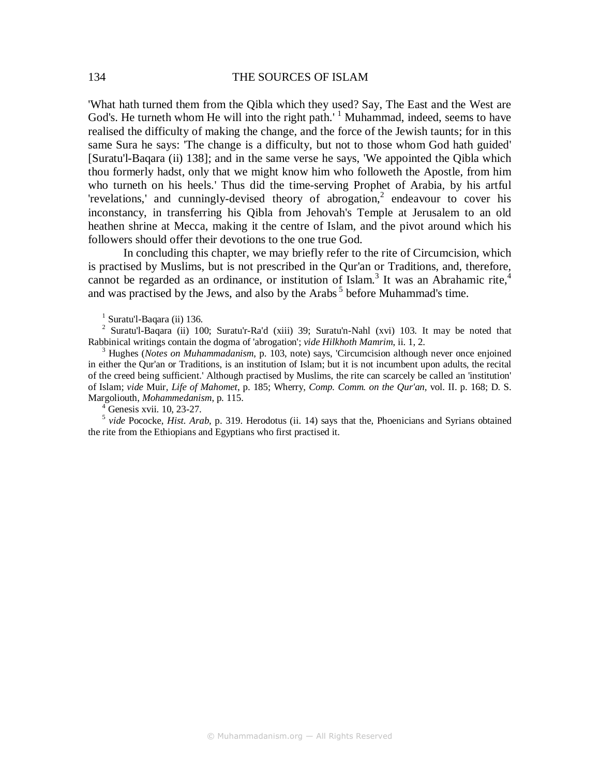'What hath turned them from the Qibla which they used? Say, The East and the West are God's. He turneth whom He will into the right path.'<sup>1</sup> Muhammad, indeed, seems to have realised the difficulty of making the change, and the force of the Jewish taunts; for in this same Sura he says: 'The change is a difficulty, but not to those whom God hath guided' [Suratu'l-Baqara (ii) 138]; and in the same verse he says, 'We appointed the Qibla which thou formerly hadst, only that we might know him who followeth the Apostle, from him who turneth on his heels.' Thus did the time-serving Prophet of Arabia, by his artful 'revelations,' and cunningly-devised theory of abrogation,<sup>2</sup> endeavour to cover his inconstancy, in transferring his Qibla from Jehovah's Temple at Jerusalem to an old heathen shrine at Mecca, making it the centre of Islam, and the pivot around which his followers should offer their devotions to the one true God.

In concluding this chapter, we may briefly refer to the rite of Circumcision, which is practised by Muslims, but is not prescribed in the Qur'an or Traditions, and, therefore, cannot be regarded as an ordinance, or institution of Islam.<sup>3</sup> It was an Abrahamic rite,<sup>4</sup> and was practised by the Jews, and also by the Arabs<sup>5</sup> before Muhammad's time.

<sup>1</sup> Suratu'l-Baqara (ii) 136.

<sup>2</sup> Suratu'l-Baqara (ii) 100; Suratu'r-Ra'd (xiii) 39; Suratu'n-Nahl (xvi) 103. It may be noted that Rabbinical writings contain the dogma of 'abrogation'; *vide Hilkhoth Mamrim*, ii. 1, 2.

<sup>3</sup> Hughes (*Notes on Muhammadanism*, p. 103, note) says, 'Circumcision although never once enjoined in either the Qur'an or Traditions, is an institution of Islam; but it is not incumbent upon adults, the recital of the creed being sufficient.' Although practised by Muslims, the rite can scarcely be called an 'institution' of Islam; *vide* Muir, *Life of Mahomet*, p. 185; Wherry, *Comp. Comm. on the Qur'an*, vol. II. p. 168; D. S. Margoliouth, *Mohammedanism*, p. 115.

<sup>4</sup> Genesis xvii. 10, 23-27.<br><sup>5</sup> vide Pococke, *Hist. Arab*, p. 319. Herodotus (ii. 14) says that the, Phoenicians and Syrians obtained the rite from the Ethiopians and Egyptians who first practised it.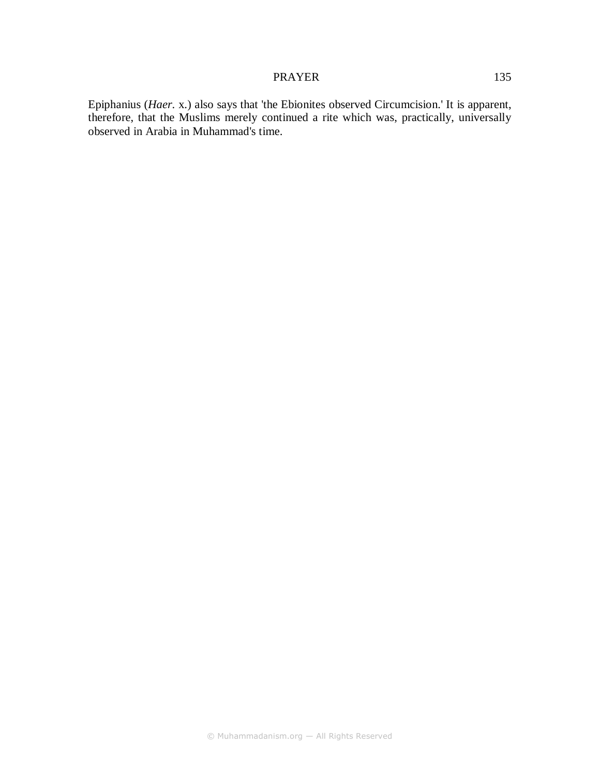## PRAYER 135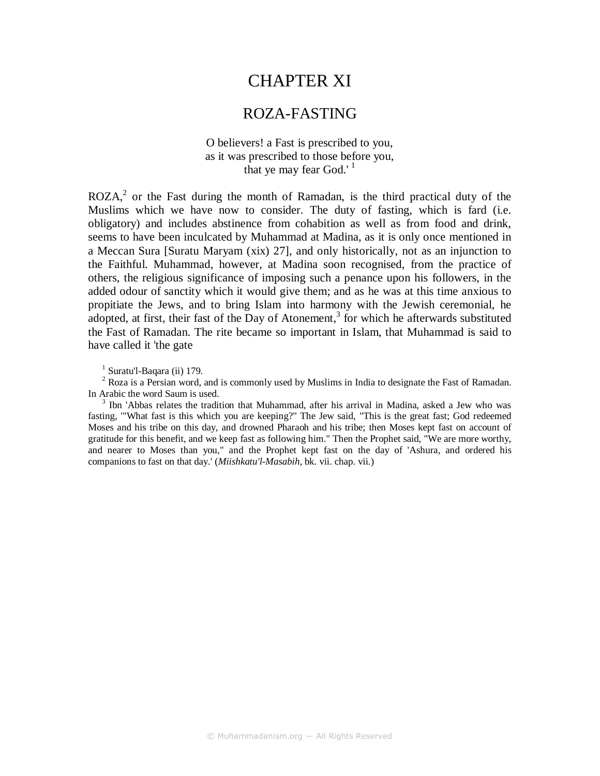# CHAPTER XI

# ROZA-FASTING

## O believers! a Fast is prescribed to you, as it was prescribed to those before you, that ye may fear God.' $<sup>1</sup>$ </sup>

 $ROZA<sub>1</sub><sup>2</sup>$  or the Fast during the month of Ramadan, is the third practical duty of the Muslims which we have now to consider. The duty of fasting, which is fard (i.e. obligatory) and includes abstinence from cohabition as well as from food and drink, seems to have been inculcated by Muhammad at Madina, as it is only once mentioned in a Meccan Sura [Suratu Maryam (xix) 27], and only historically, not as an injunction to the Faithful. Muhammad, however, at Madina soon recognised, from the practice of others, the religious significance of imposing such a penance upon his followers, in the added odour of sanctity which it would give them; and as he was at this time anxious to propitiate the Jews, and to bring Islam into harmony with the Jewish ceremonial, he adopted, at first, their fast of the Day of Atonement,<sup>3</sup> for which he afterwards substituted the Fast of Ramadan. The rite became so important in Islam, that Muhammad is said to have called it 'the gate

<sup>1</sup> Suratu'l-Baqara (ii) 179.

 $2^2$  Roza is a Persian word, and is commonly used by Muslims in India to designate the Fast of Ramadan. In Arabic the word Saum is used.

<sup>3</sup> Ibn 'Abbas relates the tradition that Muhammad, after his arrival in Madina, asked a Jew who was fasting, '"What fast is this which you are keeping?" The Jew said, "This is the great fast; God redeemed Moses and his tribe on this day, and drowned Pharaoh and his tribe; then Moses kept fast on account of gratitude for this benefit, and we keep fast as following him." Then the Prophet said, "We are more worthy, and nearer to Moses than you," and the Prophet kept fast on the day of 'Ashura, and ordered his companions to fast on that day.' (*Miishkatu'l-Masabih*, bk. vii. chap. vii.)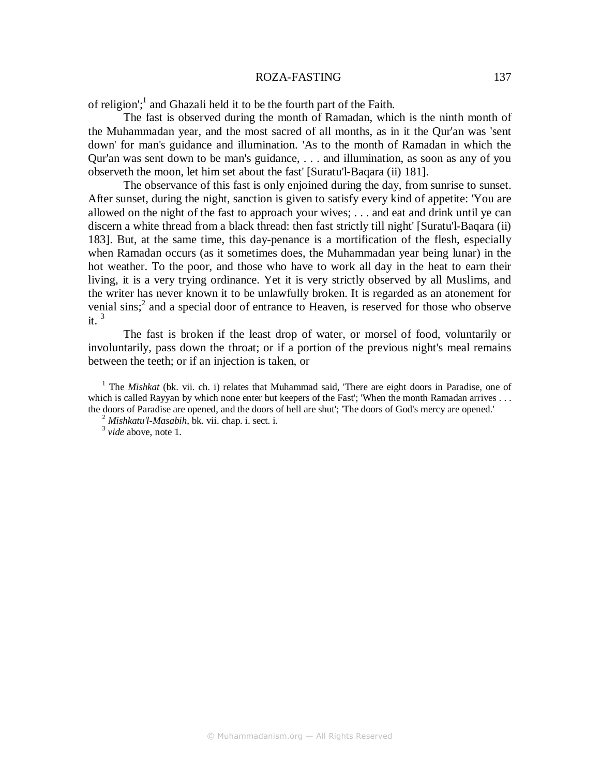#### ROZA-FASTING 137

of religion';<sup>1</sup> and Ghazali held it to be the fourth part of the Faith.

The fast is observed during the month of Ramadan, which is the ninth month of the Muhammadan year, and the most sacred of all months, as in it the Qur'an was 'sent down' for man's guidance and illumination. 'As to the month of Ramadan in which the Qur'an was sent down to be man's guidance, . . . and illumination, as soon as any of you observeth the moon, let him set about the fast' [Suratu'l-Baqara (ii) 181].

The observance of this fast is only enjoined during the day, from sunrise to sunset. After sunset, during the night, sanction is given to satisfy every kind of appetite: 'You are allowed on the night of the fast to approach your wives; . . . and eat and drink until ye can discern a white thread from a black thread: then fast strictly till night' [Suratu'l-Baqara (ii) 183]. But, at the same time, this day-penance is a mortification of the flesh, especially when Ramadan occurs (as it sometimes does, the Muhammadan year being lunar) in the hot weather. To the poor, and those who have to work all day in the heat to earn their living, it is a very trying ordinance. Yet it is very strictly observed by all Muslims, and the writer has never known it to be unlawfully broken. It is regarded as an atonement for venial sins;<sup>2</sup> and a special door of entrance to Heaven, is reserved for those who observe it.<sup>3</sup>

The fast is broken if the least drop of water, or morsel of food, voluntarily or involuntarily, pass down the throat; or if a portion of the previous night's meal remains between the teeth; or if an injection is taken, or

<sup>1</sup> The *Mishkat* (bk. vii. ch. i) relates that Muhammad said, 'There are eight doors in Paradise, one of which is called Rayyan by which none enter but keepers of the Fast'; 'When the month Ramadan arrives . . . the doors of Paradise are opened, and the doors of hell are shut'; 'The doors of God's mercy are opened.'

<sup>2</sup> *Mishkatu'l-Masabih*, bk. vii. chap. i. sect. i.

<sup>3</sup> *vide* above, note 1.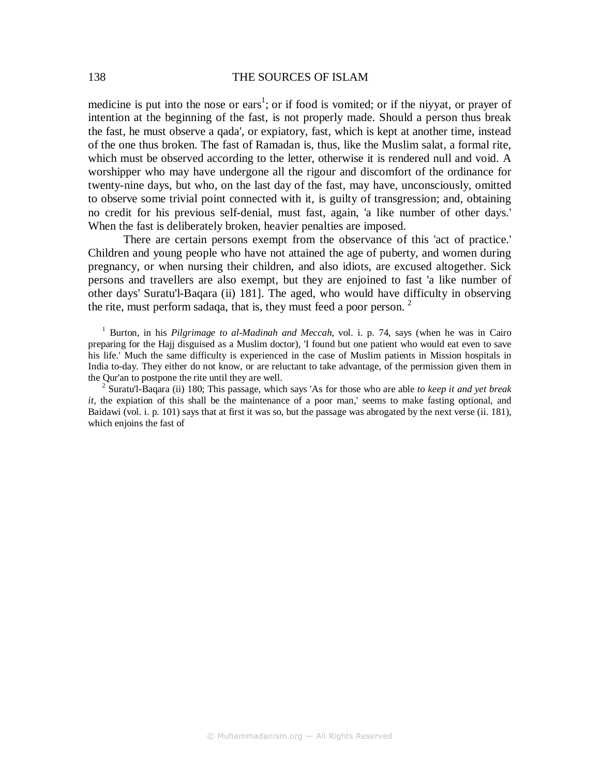medicine is put into the nose or ears<sup>1</sup>; or if food is vomited; or if the niyyat, or prayer of intention at the beginning of the fast, is not properly made. Should a person thus break the fast, he must observe a qada', or expiatory, fast, which is kept at another time, instead of the one thus broken. The fast of Ramadan is, thus, like the Muslim salat, a formal rite, which must be observed according to the letter, otherwise it is rendered null and void. A worshipper who may have undergone all the rigour and discomfort of the ordinance for twenty-nine days, but who, on the last day of the fast, may have, unconsciously, omitted to observe some trivial point connected with it, is guilty of transgression; and, obtaining no credit for his previous self-denial, must fast, again, 'a like number of other days.' When the fast is deliberately broken, heavier penalties are imposed.

There are certain persons exempt from the observance of this 'act of practice.' Children and young people who have not attained the age of puberty, and women during pregnancy, or when nursing their children, and also idiots, are excused altogether. Sick persons and travellers are also exempt, but they are enjoined to fast 'a like number of other days' Suratu'l-Baqara (ii) 181]. The aged, who would have difficulty in observing the rite, must perform sadaqa, that is, they must feed a poor person.  $2^2$ 

<sup>1</sup> Burton, in his *Pilgrimage to al-Madinah and Meccah*, vol. i. p. 74, says (when he was in Cairo preparing for the Hajj disguised as a Muslim doctor), 'I found but one patient who would eat even to save his life.' Much the same difficulty is experienced in the case of Muslim patients in Mission hospitals in India to-day. They either do not know, or are reluctant to take advantage, of the permission given them in the Qur'an to postpone the rite until they are well.

2 Suratu'l-Baqara (ii) 180; This passage, which says 'As for those who are able *to keep it and yet break it*, the expiation of this shall be the maintenance of a poor man,' seems to make fasting optional, and Baidawi (vol. i. p. 101) says that at first it was so, but the passage was abrogated by the next verse (ii. 181), which enjoins the fast of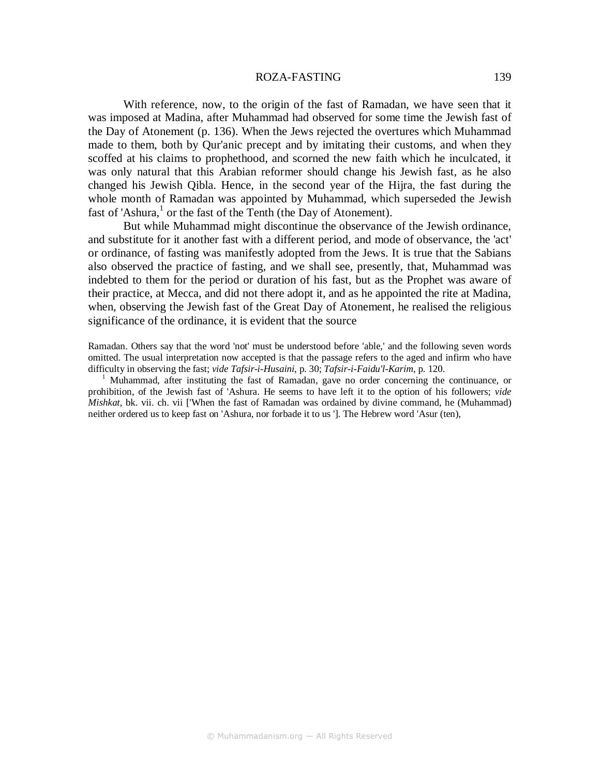#### ROZA-FASTING 139

With reference, now, to the origin of the fast of Ramadan, we have seen that it was imposed at Madina, after Muhammad had observed for some time the Jewish fast of the Day of Atonement (p. 136). When the Jews rejected the overtures which Muhammad made to them, both by Qur'anic precept and by imitating their customs, and when they scoffed at his claims to prophethood, and scorned the new faith which he inculcated, it was only natural that this Arabian reformer should change his Jewish fast, as he also changed his Jewish Qibla. Hence, in the second year of the Hijra, the fast during the whole month of Ramadan was appointed by Muhammad, which superseded the Jewish fast of 'Ashura, $<sup>1</sup>$  or the fast of the Tenth (the Day of Atonement).</sup>

But while Muhammad might discontinue the observance of the Jewish ordinance, and substitute for it another fast with a different period, and mode of observance, the 'act' or ordinance, of fasting was manifestly adopted from the Jews. It is true that the Sabians also observed the practice of fasting, and we shall see, presently, that, Muhammad was indebted to them for the period or duration of his fast, but as the Prophet was aware of their practice, at Mecca, and did not there adopt it, and as he appointed the rite at Madina, when, observing the Jewish fast of the Great Day of Atonement, he realised the religious significance of the ordinance, it is evident that the source

Ramadan. Others say that the word 'not' must be understood before 'able,' and the following seven words omitted. The usual interpretation now accepted is that the passage refers to the aged and infirm who have difficulty in observing the fast; *vide Tafsir-i-Husaini*, p. 30; *Tafsir-i-Faidu'l-Karim*, p. 120.

1 Muhammad, after instituting the fast of Ramadan, gave no order concerning the continuance, or prohibition, of the Jewish fast of 'Ashura. He seems to have left it to the option of his followers; *vide Mishkat*, bk. vii. ch. vii ['When the fast of Ramadan was ordained by divine command, he (Muhammad) neither ordered us to keep fast on 'Ashura, nor forbade it to us ']. The Hebrew word 'Asur (ten),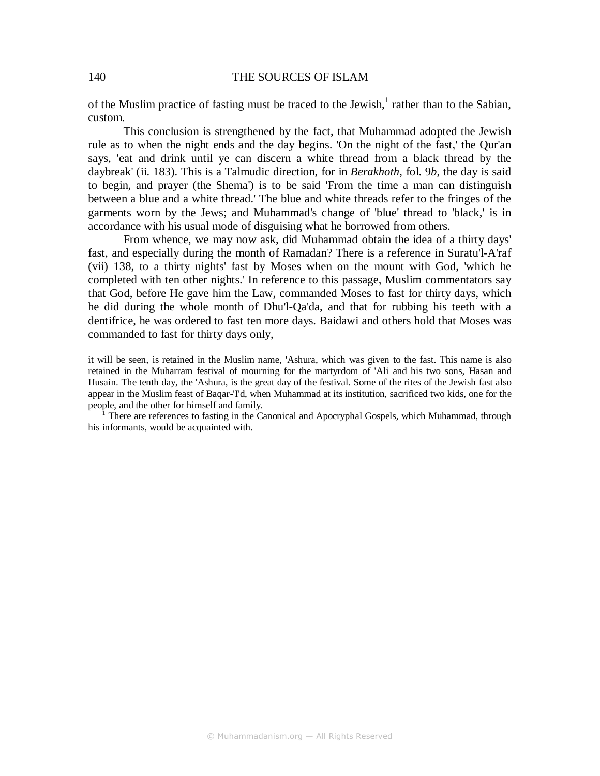of the Muslim practice of fasting must be traced to the Jewish, $<sup>1</sup>$  rather than to the Sabian,</sup> custom.

This conclusion is strengthened by the fact, that Muhammad adopted the Jewish rule as to when the night ends and the day begins. 'On the night of the fast,' the Qur'an says, 'eat and drink until ye can discern a white thread from a black thread by the daybreak' (ii. 183). This is a Talmudic direction, for in *Berakhoth,* fol. 9*b*, the day is said to begin, and prayer (the Shema') is to be said 'From the time a man can distinguish between a blue and a white thread.' The blue and white threads refer to the fringes of the garments worn by the Jews; and Muhammad's change of 'blue' thread to 'black,' is in accordance with his usual mode of disguising what he borrowed from others.

From whence, we may now ask, did Muhammad obtain the idea of a thirty days' fast, and especially during the month of Ramadan? There is a reference in Suratu'l-A'raf (vii) 138, to a thirty nights' fast by Moses when on the mount with God, 'which he completed with ten other nights.' In reference to this passage, Muslim commentators say that God, before He gave him the Law, commanded Moses to fast for thirty days, which he did during the whole month of Dhu'l-Qa'da, and that for rubbing his teeth with a dentifrice, he was ordered to fast ten more days. Baidawi and others hold that Moses was commanded to fast for thirty days only,

it will be seen, is retained in the Muslim name, 'Ashura, which was given to the fast. This name is also retained in the Muharram festival of mourning for the martyrdom of 'Ali and his two sons, Hasan and Husain. The tenth day, the 'Ashura, is the great day of the festival. Some of the rites of the Jewish fast also appear in the Muslim feast of Baqar-'I'd, when Muhammad at its institution, sacrificed two kids, one for the people, and the other for himself and family.

1 There are references to fasting in the Canonical and Apocryphal Gospels, which Muhammad, through his informants, would be acquainted with.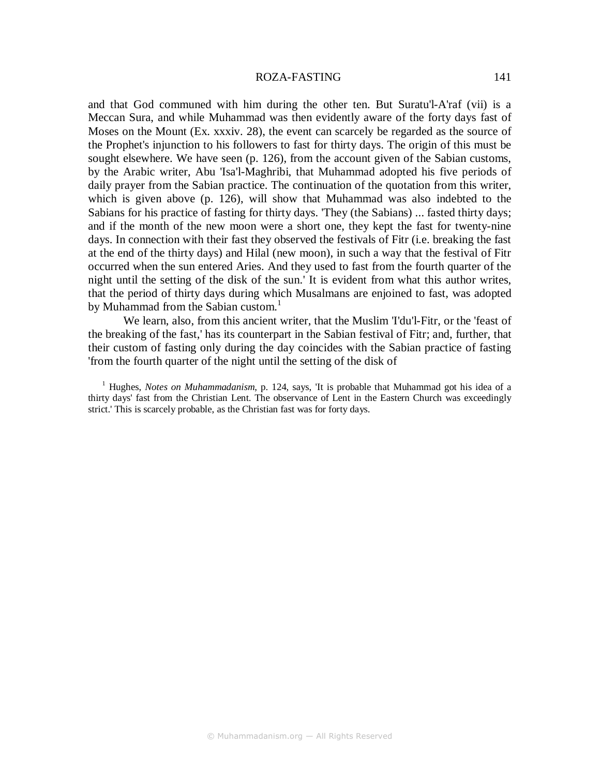#### ROZA-FASTING 141

and that God communed with him during the other ten. But Suratu'l-A'raf (vii) is a Meccan Sura, and while Muhammad was then evidently aware of the forty days fast of Moses on the Mount (Ex. xxxiv. 28), the event can scarcely be regarded as the source of the Prophet's injunction to his followers to fast for thirty days. The origin of this must be sought elsewhere. We have seen (p. 126), from the account given of the Sabian customs, by the Arabic writer, Abu 'Isa'l-Maghribi, that Muhammad adopted his five periods of daily prayer from the Sabian practice. The continuation of the quotation from this writer, which is given above (p. 126), will show that Muhammad was also indebted to the Sabians for his practice of fasting for thirty days. 'They (the Sabians) ... fasted thirty days; and if the month of the new moon were a short one, they kept the fast for twenty-nine days. In connection with their fast they observed the festivals of Fitr (i.e. breaking the fast at the end of the thirty days) and Hilal (new moon), in such a way that the festival of Fitr occurred when the sun entered Aries. And they used to fast from the fourth quarter of the night until the setting of the disk of the sun.' It is evident from what this author writes, that the period of thirty days during which Musalmans are enjoined to fast, was adopted by Muhammad from the Sabian custom.<sup>1</sup>

We learn, also, from this ancient writer, that the Muslim 'I'du'l-Fitr, or the 'feast of the breaking of the fast,' has its counterpart in the Sabian festival of Fitr; and, further, that their custom of fasting only during the day coincides with the Sabian practice of fasting 'from the fourth quarter of the night until the setting of the disk of

<sup>1</sup> Hughes, *Notes on Muhammadanism*, p. 124, says, 'It is probable that Muhammad got his idea of a thirty days' fast from the Christian Lent. The observance of Lent in the Eastern Church was exceedingly strict.' This is scarcely probable, as the Christian fast was for forty days.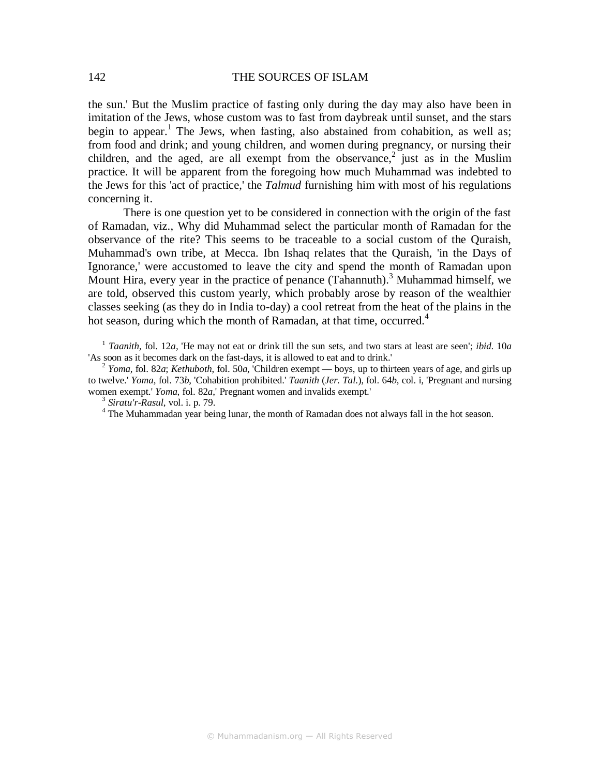the sun.' But the Muslim practice of fasting only during the day may also have been in imitation of the Jews, whose custom was to fast from daybreak until sunset, and the stars begin to appear.<sup>1</sup> The Jews, when fasting, also abstained from cohabition, as well as; from food and drink; and young children, and women during pregnancy, or nursing their children, and the aged, are all exempt from the observance, $2$  just as in the Muslim practice. It will be apparent from the foregoing how much Muhammad was indebted to the Jews for this 'act of practice,' the *Talmud* furnishing him with most of his regulations concerning it.

There is one question yet to be considered in connection with the origin of the fast of Ramadan, viz., Why did Muhammad select the particular month of Ramadan for the observance of the rite? This seems to be traceable to a social custom of the Quraish, Muhammad's own tribe, at Mecca. Ibn Ishaq relates that the Quraish, 'in the Days of Ignorance,' were accustomed to leave the city and spend the month of Ramadan upon Mount Hira, every year in the practice of penance  $(Tahannuth)<sup>3</sup>$  Muhammad himself, we are told, observed this custom yearly, which probably arose by reason of the wealthier classes seeking (as they do in India to-day) a cool retreat from the heat of the plains in the hot season, during which the month of Ramadan, at that time, occurred.<sup>4</sup>

<sup>1</sup> *Taanith,* fol. 12*a,* 'He may not eat or drink till the sun sets, and two stars at least are seen'; *ibid*. 10*a*  'As soon as it becomes dark on the fast-days, it is allowed to eat and to drink.'

<sup>2</sup> *Yoma,* fol. 82*a*; *Kethuboth*, fol. 50*a*, 'Children exempt — boys, up to thirteen years of age, and girls up to twelve.' *Yoma,* fol. 73*b*, 'Cohabition prohibited.' *Taanith* (*Jer. Tal*.), fol. 64*b*, col. i, 'Pregnant and nursing women exempt.' *Yoma,* fol. 82*a*,' Pregnant women and invalids exempt.'

<sup>3</sup> *Siratu'r-Rasul*, vol. i. p. 79.

<sup>&</sup>lt;sup>4</sup> The Muhammadan year being lunar, the month of Ramadan does not always fall in the hot season.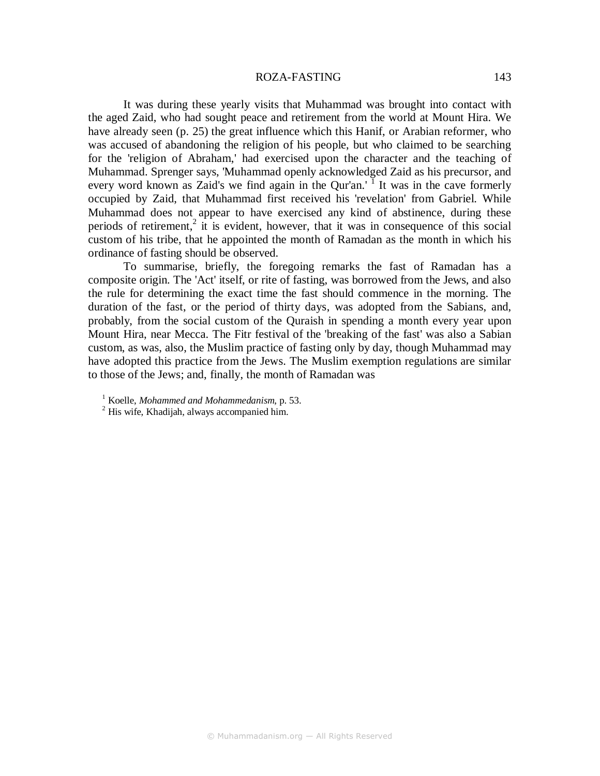#### ROZA-FASTING 143

It was during these yearly visits that Muhammad was brought into contact with the aged Zaid, who had sought peace and retirement from the world at Mount Hira. We have already seen (p. 25) the great influence which this Hanif, or Arabian reformer, who was accused of abandoning the religion of his people, but who claimed to be searching for the 'religion of Abraham,' had exercised upon the character and the teaching of Muhammad. Sprenger says, 'Muhammad openly acknowledged Zaid as his precursor, and every word known as Zaid's we find again in the Qur'an.<sup>' I</sup> It was in the cave formerly occupied by Zaid, that Muhammad first received his 'revelation' from Gabriel. While Muhammad does not appear to have exercised any kind of abstinence, during these periods of retirement,<sup>2</sup> it is evident, however, that it was in consequence of this social custom of his tribe, that he appointed the month of Ramadan as the month in which his ordinance of fasting should be observed.

To summarise, briefly, the foregoing remarks the fast of Ramadan has a composite origin. The 'Act' itself, or rite of fasting, was borrowed from the Jews, and also the rule for determining the exact time the fast should commence in the morning. The duration of the fast, or the period of thirty days, was adopted from the Sabians, and, probably, from the social custom of the Quraish in spending a month every year upon Mount Hira, near Mecca. The Fitr festival of the 'breaking of the fast' was also a Sabian custom, as was, also, the Muslim practice of fasting only by day, though Muhammad may have adopted this practice from the Jews. The Muslim exemption regulations are similar to those of the Jews; and, finally, the month of Ramadan was

<sup>1</sup> Koelle, *Mohammed and Mohammedanism*, p. 53.

<sup>&</sup>lt;sup>2</sup> His wife, Khadijah, always accompanied him.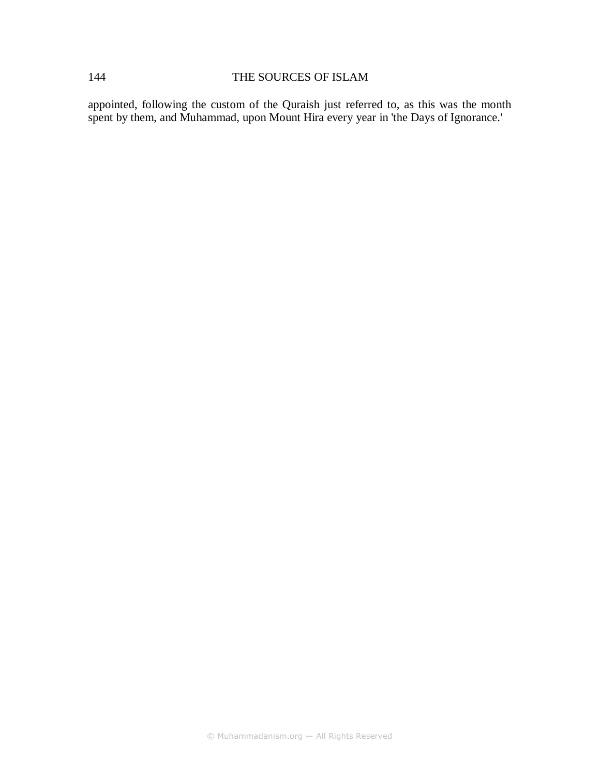appointed, following the custom of the Quraish just referred to, as this was the month spent by them, and Muhammad, upon Mount Hira every year in 'the Days of Ignorance.'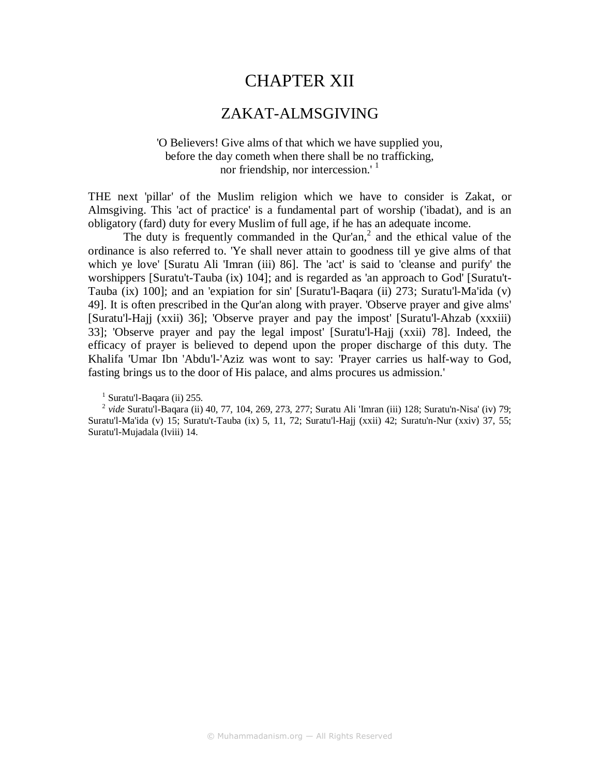# CHAPTER XII

# ZAKAT-ALMSGIVING

## 'O Believers! Give alms of that which we have supplied you, before the day cometh when there shall be no trafficking, nor friendship, nor intercession.<sup>' 1</sup>

THE next 'pillar' of the Muslim religion which we have to consider is Zakat, or Almsgiving. This 'act of practice' is a fundamental part of worship ('ibadat), and is an obligatory (fard) duty for every Muslim of full age, if he has an adequate income.

The duty is frequently commanded in the  $Qur'an<sub>1</sub><sup>2</sup>$  and the ethical value of the ordinance is also referred to. 'Ye shall never attain to goodness till ye give alms of that which ye love' [Suratu Ali 'Imran (iii) 86]. The 'act' is said to 'cleanse and purify' the worshippers [Suratu't-Tauba (ix) 104]; and is regarded as 'an approach to God' [Suratu't-Tauba (ix) 100]; and an 'expiation for sin' [Suratu'l-Baqara (ii) 273; Suratu'l-Ma'ida (v) 49]. It is often prescribed in the Qur'an along with prayer. 'Observe prayer and give alms' [Suratu'l-Hajj (xxii) 36]; 'Observe prayer and pay the impost' [Suratu'l-Ahzab (xxxiii) 33]; 'Observe prayer and pay the legal impost' [Suratu'l-Hajj (xxii) 78]. Indeed, the efficacy of prayer is believed to depend upon the proper discharge of this duty. The Khalifa 'Umar Ibn 'Abdu'l-'Aziz was wont to say: 'Prayer carries us half-way to God, fasting brings us to the door of His palace, and alms procures us admission.'

<sup>1</sup> Suratu'l-Baqara (ii) 255.

2 *vide* Suratu'l-Baqara (ii) 40, 77, 104, 269, 273, 277; Suratu Ali 'Imran (iii) 128; Suratu'n-Nisa' (iv) 79; Suratu'l-Ma'ida (v) 15; Suratu't-Tauba (ix) 5, 11, 72; Suratu'l-Hajj (xxii) 42; Suratu'n-Nur (xxiv) 37, 55; Suratu'l-Mujadala (lviii) 14.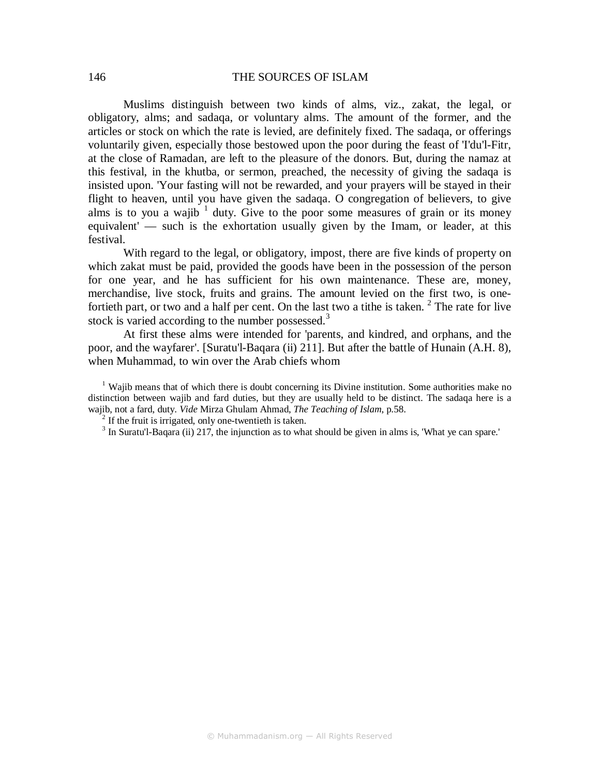Muslims distinguish between two kinds of alms, viz., zakat, the legal, or obligatory, alms; and sadaqa, or voluntary alms. The amount of the former, and the articles or stock on which the rate is levied, are definitely fixed. The sadaqa, or offerings voluntarily given, especially those bestowed upon the poor during the feast of 'I'du'l-Fitr, at the close of Ramadan, are left to the pleasure of the donors. But, during the namaz at this festival, in the khutba, or sermon, preached, the necessity of giving the sadaqa is insisted upon. 'Your fasting will not be rewarded, and your prayers will be stayed in their flight to heaven, until you have given the sadaqa. O congregation of believers, to give alms is to you a wajib  $1$  duty. Give to the poor some measures of grain or its money equivalent' — such is the exhortation usually given by the Imam, or leader, at this festival.

With regard to the legal, or obligatory, impost, there are five kinds of property on which zakat must be paid, provided the goods have been in the possession of the person for one year, and he has sufficient for his own maintenance. These are, money, merchandise, live stock, fruits and grains. The amount levied on the first two, is onefortieth part, or two and a half per cent. On the last two a tithe is taken.  $2$  The rate for live stock is varied according to the number possessed.<sup>3</sup>

At first these alms were intended for 'parents, and kindred, and orphans, and the poor, and the wayfarer'. [Suratu'l-Baqara (ii) 211]. But after the battle of Hunain (A.H. 8), when Muhammad, to win over the Arab chiefs whom

 $2$  If the fruit is irrigated, only one-twentieth is taken.

<sup>&</sup>lt;sup>1</sup> Wajib means that of which there is doubt concerning its Divine institution. Some authorities make no distinction between wajib and fard duties, but they are usually held to be distinct. The sadaqa here is a wajib, not a fard, duty. *Vide* Mirza Ghulam Ahmad, *The Teaching of Islam*, p.58.

 $3$  In Suratu'l-Baqara (ii) 217, the injunction as to what should be given in alms is, 'What ye can spare.'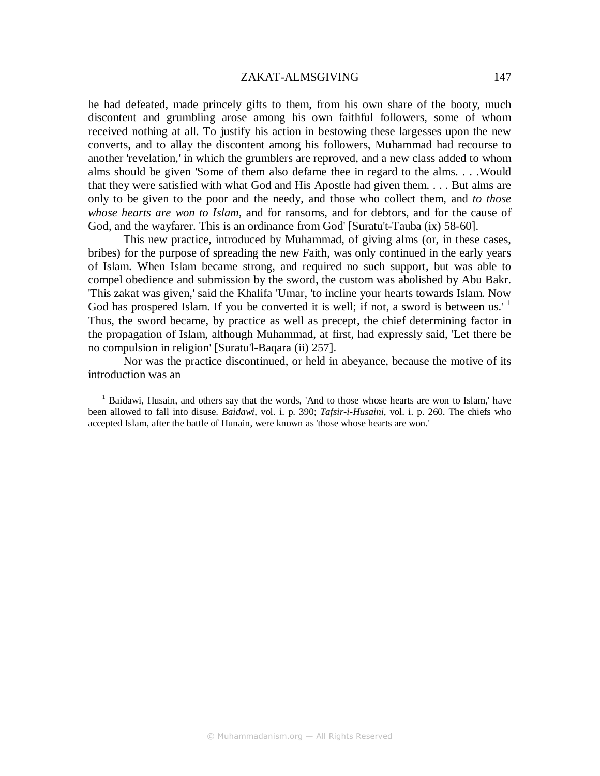#### ZAKAT-ALMSGIVING 147

he had defeated, made princely gifts to them, from his own share of the booty, much discontent and grumbling arose among his own faithful followers, some of whom received nothing at all. To justify his action in bestowing these largesses upon the new converts, and to allay the discontent among his followers, Muhammad had recourse to another 'revelation,' in which the grumblers are reproved, and a new class added to whom alms should be given 'Some of them also defame thee in regard to the alms. . . .Would that they were satisfied with what God and His Apostle had given them. . . . But alms are only to be given to the poor and the needy, and those who collect them, and *to those whose hearts are won to Islam,* and for ransoms, and for debtors, and for the cause of God, and the wayfarer. This is an ordinance from God' [Suratu't-Tauba (ix) 58-60].

This new practice, introduced by Muhammad, of giving alms (or, in these cases, bribes) for the purpose of spreading the new Faith, was only continued in the early years of Islam. When Islam became strong, and required no such support, but was able to compel obedience and submission by the sword, the custom was abolished by Abu Bakr. 'This zakat was given,' said the Khalifa 'Umar, 'to incline your hearts towards Islam. Now God has prospered Islam. If you be converted it is well; if not, a sword is between us.'<sup>1</sup> Thus, the sword became, by practice as well as precept, the chief determining factor in the propagation of Islam, although Muhammad, at first, had expressly said, 'Let there be no compulsion in religion' [Suratu'l-Baqara (ii) 257].

Nor was the practice discontinued, or held in abeyance, because the motive of its introduction was an

<sup>1</sup> Baidawi, Husain, and others say that the words, 'And to those whose hearts are won to Islam,' have been allowed to fall into disuse. *Baidawi*, vol. i. p. 390; *Tafsir-i-Husaini*, vol. i. p. 260. The chiefs who accepted Islam, after the battle of Hunain, were known as 'those whose hearts are won.'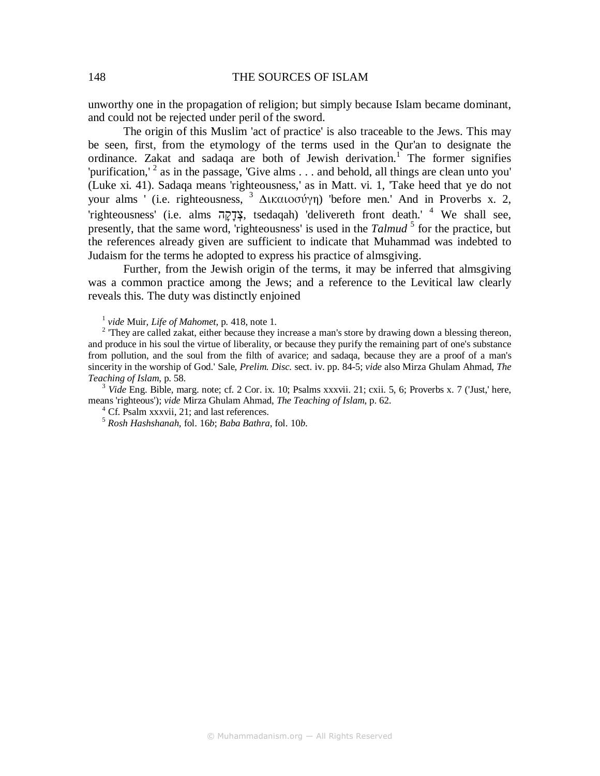unworthy one in the propagation of religion; but simply because Islam became dominant, and could not be rejected under peril of the sword.

The origin of this Muslim 'act of practice' is also traceable to the Jews. This may be seen, first, from the etymology of the terms used in the Qur'an to designate the ordinance. Zakat and sadaqa are both of Jewish derivation.<sup>1</sup> The former signifies 'purification,' <sup>2</sup> as in the passage, 'Give alms  $\dots$  and behold, all things are clean unto you' (Luke xi. 41). Sadaqa means 'righteousness,' as in Matt. vi. 1, 'Take heed that ye do not your alms ' (i.e. righteousness, <sup>3</sup> ∆ικαιοσύγη) 'before men.' And in Proverbs x. 2, 'righteousness' (i.e. alms הָקָדְצ, tsedaqah) 'delivereth front death.' <sup>4</sup> We shall see, presently, that the same word, 'righteousness' is used in the *Talmud*<sup>5</sup> for the practice, but the references already given are sufficient to indicate that Muhammad was indebted to Judaism for the terms he adopted to express his practice of almsgiving.

Further, from the Jewish origin of the terms, it may be inferred that almsgiving was a common practice among the Jews; and a reference to the Levitical law clearly reveals this. The duty was distinctly enjoined

1 *vide* Muir, *Life of Mahomet*, p. 418, note 1.

 $2$  They are called zakat, either because they increase a man's store by drawing down a blessing thereon, and produce in his soul the virtue of liberality, or because they purify the remaining part of one's substance from pollution, and the soul from the filth of avarice; and sadaqa, because they are a proof of a man's sincerity in the worship of God.' Sale, *Prelim. Disc.* sect. iv. pp. 84-5; *vide* also Mirza Ghulam Ahmad, *The Teaching of Islam*, p. 58.

<sup>3</sup> *Vide* Eng. Bible, marg. note; cf. 2 Cor. ix. 10; Psalms xxxvii. 21; cxii. 5, 6; Proverbs x. 7 ('Just,' here, means 'righteous'); *vide* Mirza Ghulam Ahmad, *The Teaching of Islam*, p. 62.

<sup>4</sup> Cf. Psalm xxxvii, 21; and last references.

<sup>5</sup> *Rosh Hashshanah,* fol. 16*b*; *Baba Bathra*, fol. 10*b*.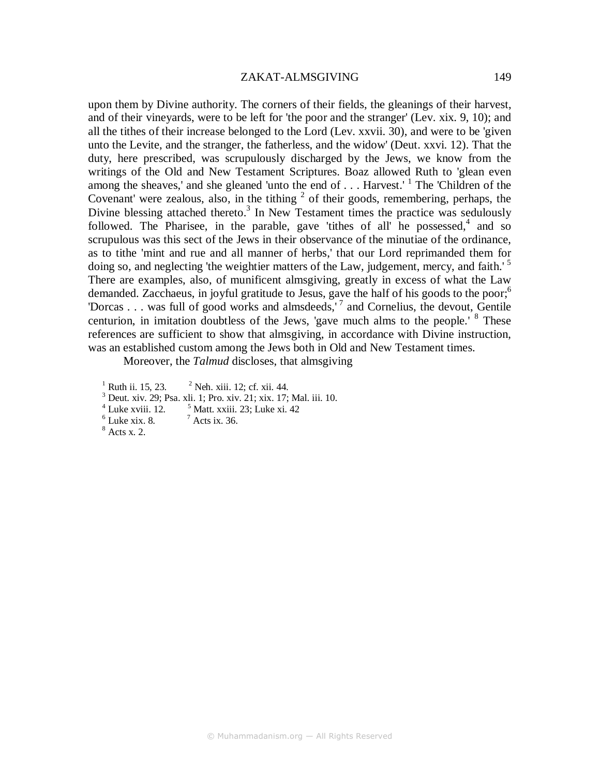#### ZAKAT-ALMSGIVING 149

upon them by Divine authority. The corners of their fields, the gleanings of their harvest, and of their vineyards, were to be left for 'the poor and the stranger' (Lev. xix. 9, 10); and all the tithes of their increase belonged to the Lord (Lev. xxvii. 30), and were to be 'given unto the Levite, and the stranger, the fatherless, and the widow' (Deut. xxvi. 12). That the duty, here prescribed, was scrupulously discharged by the Jews, we know from the writings of the Old and New Testament Scriptures. Boaz allowed Ruth to 'glean even among the sheaves,' and she gleaned 'unto the end of  $\dots$ . Harvest.' <sup>1</sup> The 'Children of the Covenant' were zealous, also, in the tithing  $2$  of their goods, remembering, perhaps, the Divine blessing attached thereto.<sup>3</sup> In New Testament times the practice was sedulously followed. The Pharisee, in the parable, gave 'tithes of all' he possessed, $4$  and so scrupulous was this sect of the Jews in their observance of the minutiae of the ordinance, as to tithe 'mint and rue and all manner of herbs,' that our Lord reprimanded them for doing so, and neglecting 'the weightier matters of the Law, judgement, mercy, and faith.<sup>'5</sup> There are examples, also, of munificent almsgiving, greatly in excess of what the Law demanded. Zacchaeus, in joyful gratitude to Jesus, gave the half of his goods to the poor;<sup>6</sup> 'Dorcas . . . was full of good works and almsdeeds,'<sup>7</sup> and Cornelius, the devout, Gentile centurion, in imitation doubtless of the Jews, 'gave much alms to the people.' <sup>8</sup> These references are sufficient to show that almsgiving, in accordance with Divine instruction, was an established custom among the Jews both in Old and New Testament times.

Moreover, the *Talmud* discloses, that almsgiving

<sup>1</sup> Ruth ii. 15, 23.  $2^2$  $2$  Neh. xiii. 12; cf. xii. 44. 3 Deut. xiv. 29; Psa. xli. 1; Pro. xiv. 21; xix. 17; Mal. iii. 10.  $<sup>4</sup>$  Luke xviii. 12.  $<sup>5</sup>$ </sup></sup>  $<sup>5</sup>$  Matt. xxiii. 23; Luke xi. 42</sup>  $6$  Luke xix. 8.  $7$  $<sup>7</sup>$  Acts ix. 36.</sup> 8 Acts x. 2.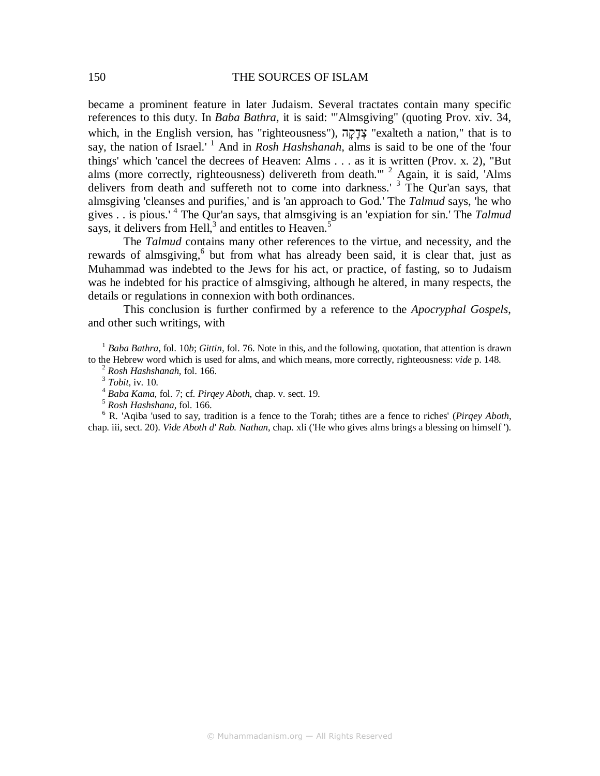became a prominent feature in later Judaism. Several tractates contain many specific references to this duty. In *Baba Bathra,* it is said: '"Almsgiving" (quoting Prov. xiv. 34, which, in the English version, has "righteousness"), הָקָדְצ" exalteth a nation," that is to say, the nation of Israel.'<sup>1</sup> And in *Rosh Hashshanah*, alms is said to be one of the 'four things' which 'cancel the decrees of Heaven: Alms . . . as it is written (Prov. x. 2), "But alms (more correctly, righteousness) delivereth from death."<sup>2</sup> Again, it is said, 'Alms delivers from death and suffereth not to come into darkness.<sup>3</sup> The Qur'an says, that almsgiving 'cleanses and purifies,' and is 'an approach to God.' The *Talmud* says, 'he who gives . . is pious.' <sup>4</sup> The Qur'an says, that almsgiving is an 'expiation for sin.' The *Talmud*  says, it delivers from Hell, $3$  and entitles to Heaven.<sup>5</sup>

The *Talmud* contains many other references to the virtue, and necessity, and the rewards of almsgiving,<sup>6</sup> but from what has already been said, it is clear that, just as Muhammad was indebted to the Jews for his act, or practice, of fasting, so to Judaism was he indebted for his practice of almsgiving, although he altered, in many respects, the details or regulations in connexion with both ordinances.

This conclusion is further confirmed by a reference to the *Apocryphal Gospels*, and other such writings, with

<sup>1</sup> *Baba Bathra*, fol. 10*b*; *Gittin*, fol. 76. Note in this, and the following, quotation, that attention is drawn to the Hebrew word which is used for alms, and which means, more correctly, righteousness: *vide* p. 148.

<sup>2</sup> *Rosh Hashshanah,* fol. 166.

3 *Tobit*, iv. 10.

<sup>4</sup> *Baba Kama,* fol. 7; cf. *Pirqey Aboth*, chap. v. sect. 19.

<sup>5</sup> *Rosh Hashshana*, fol. 166.

6 R. 'Aqiba 'used to say, tradition is a fence to the Torah; tithes are a fence to riches' (*Pirqey Aboth*, chap. iii, sect. 20). *Vide Aboth d' Rab. Nathan*, chap. xli ('He who gives alms brings a blessing on himself ').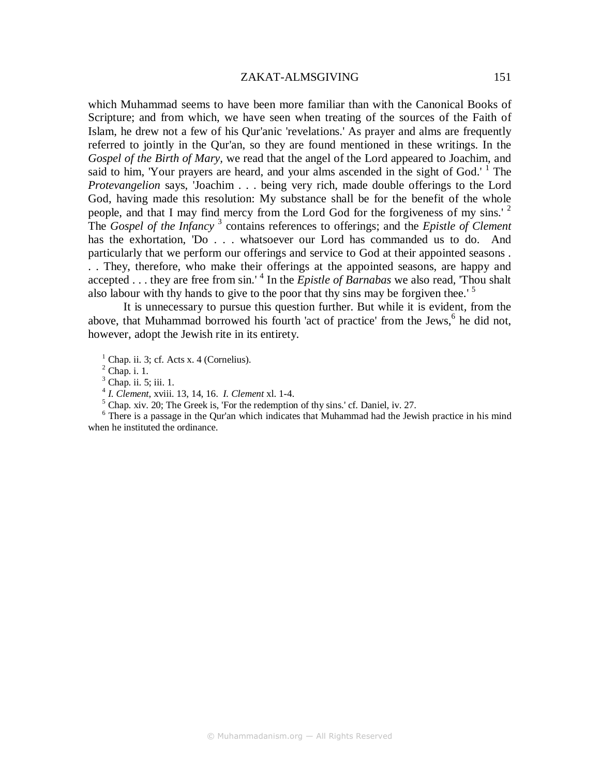#### ZAKAT-ALMSGIVING 151

which Muhammad seems to have been more familiar than with the Canonical Books of Scripture; and from which, we have seen when treating of the sources of the Faith of Islam, he drew not a few of his Qur'anic 'revelations.' As prayer and alms are frequently referred to jointly in the Qur'an, so they are found mentioned in these writings. In the *Gospel of the Birth of Mary,* we read that the angel of the Lord appeared to Joachim, and said to him, 'Your prayers are heard, and your alms ascended in the sight of God.'  $1$  The *Protevangelion* says, 'Joachim . . . being very rich, made double offerings to the Lord God, having made this resolution: My substance shall be for the benefit of the whole people, and that I may find mercy from the Lord God for the forgiveness of my sins.' <sup>2</sup> The *Gospel of the Infancy* <sup>3</sup> contains references to offerings; and the *Epistle of Clement*  has the exhortation, 'Do . . . whatsoever our Lord has commanded us to do. And particularly that we perform our offerings and service to God at their appointed seasons . . . They, therefore, who make their offerings at the appointed seasons, are happy and accepted . . . they are free from sin.'<sup>4</sup> In the *Epistle of Barnabas* we also read, 'Thou shalt also labour with thy hands to give to the poor that thy sins may be forgiven thee.' <sup>5</sup>

It is unnecessary to pursue this question further. But while it is evident, from the above, that Muhammad borrowed his fourth 'act of practice' from the Jews,<sup>6</sup> he did not, however, adopt the Jewish rite in its entirety.

 $<sup>1</sup>$  Chap. ii. 3; cf. Acts x. 4 (Cornelius).</sup>

 $<sup>2</sup>$  Chap. i. 1.</sup>

<sup>3</sup> Chap. ii. 5; iii. 1.

4 *I. Clement*, xviii. 13, 14, 16. *I. Clement* xl. 1-4.

<sup>5</sup> Chap. xiv. 20; The Greek is, 'For the redemption of thy sins.' cf. Daniel, iv. 27.

<sup>6</sup> There is a passage in the Qur'an which indicates that Muhammad had the Jewish practice in his mind when he instituted the ordinance.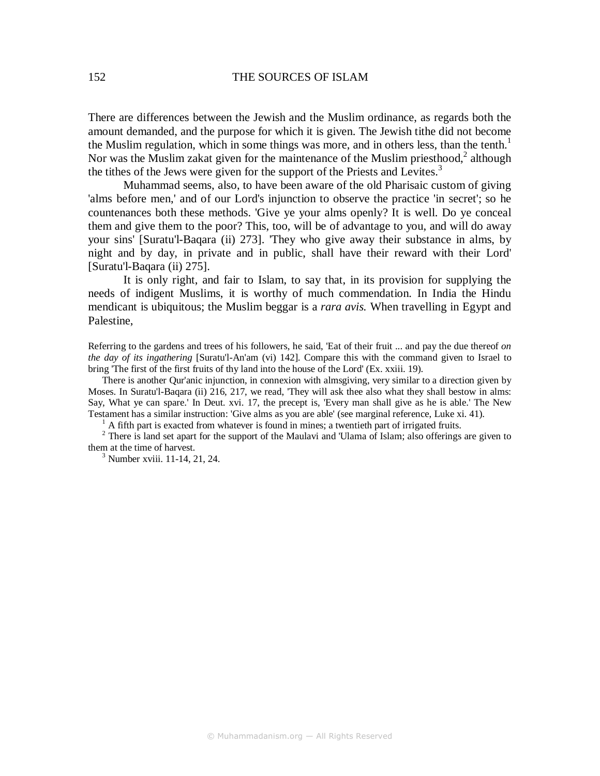There are differences between the Jewish and the Muslim ordinance, as regards both the amount demanded, and the purpose for which it is given. The Jewish tithe did not become the Muslim regulation, which in some things was more, and in others less, than the tenth.<sup>1</sup> Nor was the Muslim zakat given for the maintenance of the Muslim priesthood, $2$  although the tithes of the Jews were given for the support of the Priests and Levites.<sup>3</sup>

Muhammad seems, also, to have been aware of the old Pharisaic custom of giving 'alms before men,' and of our Lord's injunction to observe the practice 'in secret'; so he countenances both these methods. 'Give ye your alms openly? It is well. Do ye conceal them and give them to the poor? This, too, will be of advantage to you, and will do away your sins' [Suratu'l-Baqara (ii) 273]. 'They who give away their substance in alms, by night and by day, in private and in public, shall have their reward with their Lord' [Suratu'l-Baqara (ii) 275].

It is only right, and fair to Islam, to say that, in its provision for supplying the needs of indigent Muslims, it is worthy of much commendation. In India the Hindu mendicant is ubiquitous; the Muslim beggar is a *rara avis.* When travelling in Egypt and Palestine,

Referring to the gardens and trees of his followers, he said, 'Eat of their fruit ... and pay the due thereof *on the day of its ingathering* [Suratu'l-An'am (vi) 142]. Compare this with the command given to Israel to bring 'The first of the first fruits of thy land into the house of the Lord' (Ex. xxiii. 19).

There is another Qur'anic injunction, in connexion with almsgiving, very similar to a direction given by Moses. In Suratu'l-Baqara (ii) 216, 217, we read, 'They will ask thee also what they shall bestow in alms: Say, What ye can spare.' In Deut. xvi. 17, the precept is, 'Every man shall give as he is able.' The New Testament has a similar instruction: 'Give alms as you are able' (see marginal reference, Luke xi. 41).

<sup>1</sup> A fifth part is exacted from whatever is found in mines; a twentieth part of irrigated fruits.

 $2$  There is land set apart for the support of the Maulavi and 'Ulama of Islam; also offerings are given to them at the time of harvest.

3 Number xviii. 11-14, 21, 24.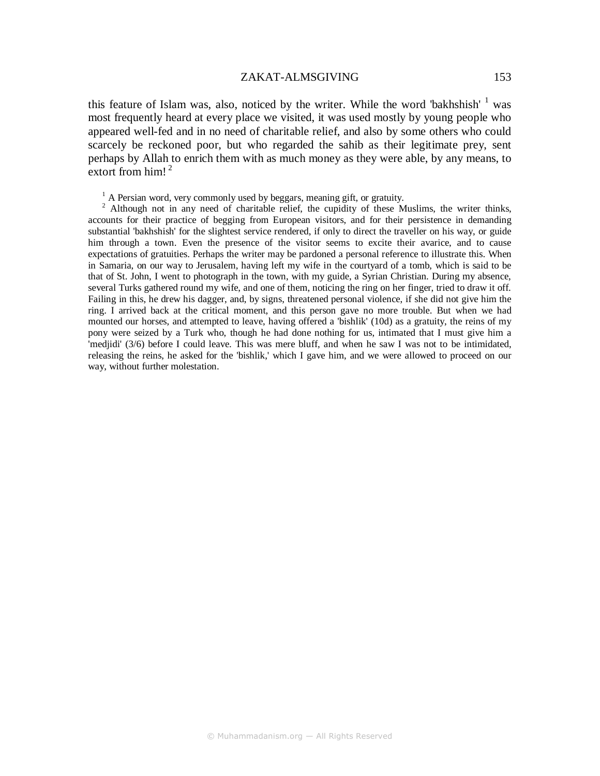### ZAKAT-ALMSGIVING 153

this feature of Islam was, also, noticed by the writer. While the word 'bakhshish'  $1$  was most frequently heard at every place we visited, it was used mostly by young people who appeared well-fed and in no need of charitable relief, and also by some others who could scarcely be reckoned poor, but who regarded the sahib as their legitimate prey, sent perhaps by Allah to enrich them with as much money as they were able, by any means, to extort from  $him!^2$ 

 $<sup>1</sup>$  A Persian word, very commonly used by beggars, meaning gift, or gratuity.</sup>

<sup>2</sup> Although not in any need of charitable relief, the cupidity of these Muslims, the writer thinks, accounts for their practice of begging from European visitors, and for their persistence in demanding substantial 'bakhshish' for the slightest service rendered, if only to direct the traveller on his way, or guide him through a town. Even the presence of the visitor seems to excite their avarice, and to cause expectations of gratuities. Perhaps the writer may be pardoned a personal reference to illustrate this. When in Samaria, on our way to Jerusalem, having left my wife in the courtyard of a tomb, which is said to be that of St. John, I went to photograph in the town, with my guide, a Syrian Christian. During my absence, several Turks gathered round my wife, and one of them, noticing the ring on her finger, tried to draw it off. Failing in this, he drew his dagger, and, by signs, threatened personal violence, if she did not give him the ring. I arrived back at the critical moment, and this person gave no more trouble. But when we had mounted our horses, and attempted to leave, having offered a 'bishlik' (10d) as a gratuity, the reins of my pony were seized by a Turk who, though he had done nothing for us, intimated that I must give him a 'medjidi' (3/6) before I could leave. This was mere bluff, and when he saw I was not to be intimidated, releasing the reins, he asked for the 'bishlik,' which I gave him, and we were allowed to proceed on our way, without further molestation.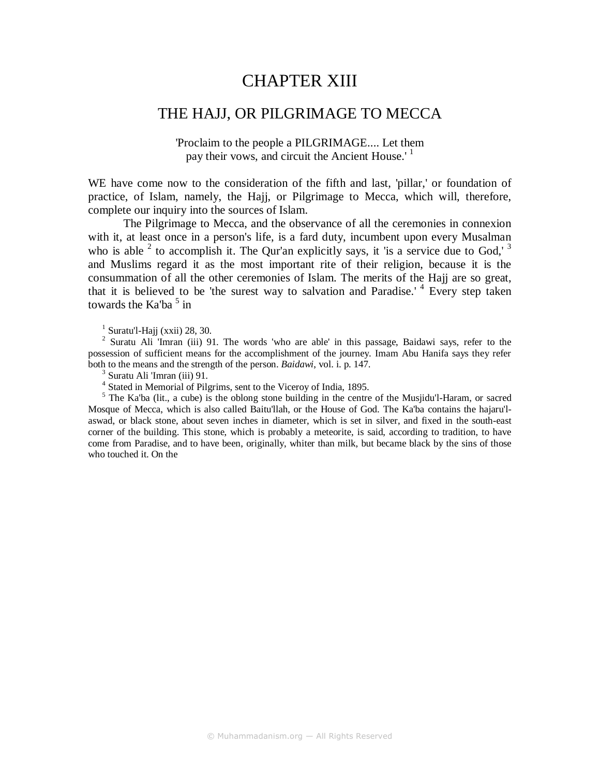# CHAPTER XIII

# THE HAJJ, OR PILGRIMAGE TO MECCA

'Proclaim to the people a PILGRIMAGE.... Let them pay their vows, and circuit the Ancient House.'<sup>1</sup>

WE have come now to the consideration of the fifth and last, 'pillar,' or foundation of practice, of Islam, namely, the Hajj, or Pilgrimage to Mecca, which will, therefore, complete our inquiry into the sources of Islam.

The Pilgrimage to Mecca, and the observance of all the ceremonies in connexion with it, at least once in a person's life, is a fard duty, incumbent upon every Musalman who is able  $2$  to accomplish it. The Qur'an explicitly says, it 'is a service due to God,'  $3$ and Muslims regard it as the most important rite of their religion, because it is the consummation of all the other ceremonies of Islam. The merits of the Hajj are so great, that it is believed to be 'the surest way to salvation and Paradise.' <sup>4</sup> Every step taken towards the Ka'ba $5$  in

 $<sup>1</sup>$  Suratu'l-Hajj (xxii) 28, 30.</sup>

<sup>2</sup> Suratu Ali 'Imran (iii) 91. The words 'who are able' in this passage, Baidawi says, refer to the possession of sufficient means for the accomplishment of the journey. Imam Abu Hanifa says they refer both to the means and the strength of the person. *Baidawi*, vol. i. p. 147.

<sup>3</sup> Suratu Ali 'Imran (iii) 91.

<sup>4</sup> Stated in Memorial of Pilgrims, sent to the Viceroy of India, 1895.

<sup>5</sup> The Ka'ba (lit., a cube) is the oblong stone building in the centre of the Musjidu'l-Haram, or sacred Mosque of Mecca, which is also called Baitu'llah, or the House of God. The Ka'ba contains the hajaru'laswad, or black stone, about seven inches in diameter, which is set in silver, and fixed in the south-east corner of the building. This stone, which is probably a meteorite, is said, according to tradition, to have come from Paradise, and to have been, originally, whiter than milk, but became black by the sins of those who touched it. On the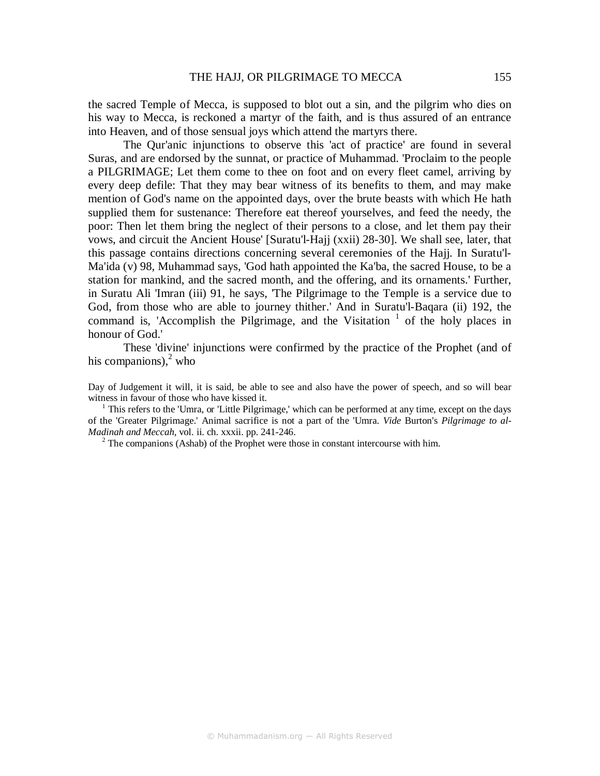the sacred Temple of Mecca, is supposed to blot out a sin, and the pilgrim who dies on his way to Mecca, is reckoned a martyr of the faith, and is thus assured of an entrance into Heaven, and of those sensual joys which attend the martyrs there.

The Qur'anic injunctions to observe this 'act of practice' are found in several Suras, and are endorsed by the sunnat, or practice of Muhammad. 'Proclaim to the people a PILGRIMAGE; Let them come to thee on foot and on every fleet camel, arriving by every deep defile: That they may bear witness of its benefits to them, and may make mention of God's name on the appointed days, over the brute beasts with which He hath supplied them for sustenance: Therefore eat thereof yourselves, and feed the needy, the poor: Then let them bring the neglect of their persons to a close, and let them pay their vows, and circuit the Ancient House' [Suratu'l-Hajj (xxii) 28-30]. We shall see, later, that this passage contains directions concerning several ceremonies of the Hajj. In Suratu'l-Ma'ida (v) 98, Muhammad says, 'God hath appointed the Ka'ba, the sacred House, to be a station for mankind, and the sacred month, and the offering, and its ornaments.' Further, in Suratu Ali 'Imran (iii) 91, he says, 'The Pilgrimage to the Temple is a service due to God, from those who are able to journey thither.' And in Suratu'l-Baqara (ii) 192, the command is, 'Accomplish the Pilgrimage, and the Visitation  $1$  of the holy places in honour of God.'

These 'divine' injunctions were confirmed by the practice of the Prophet (and of his companions), $<sup>2</sup>$  who</sup>

Day of Judgement it will, it is said, be able to see and also have the power of speech, and so will bear witness in favour of those who have kissed it.

<sup>1</sup> This refers to the 'Umra, or 'Little Pilgrimage,' which can be performed at any time, except on the days of the 'Greater Pilgrimage.' Animal sacrifice is not a part of the 'Umra. *Vide* Burton's *Pilgrimage to al-Madinah and Meccah*, vol. ii. ch. xxxii. pp. 241-246.

 $2^2$  The companions (Ashab) of the Prophet were those in constant intercourse with him.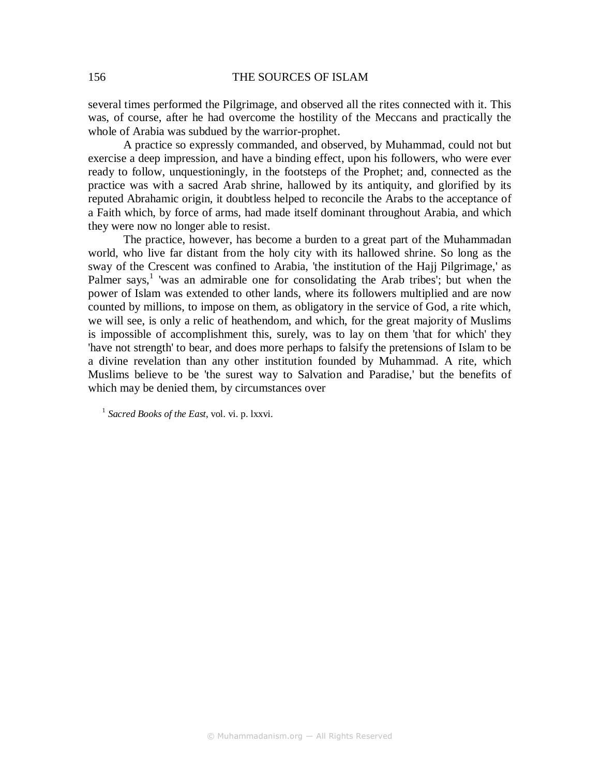several times performed the Pilgrimage, and observed all the rites connected with it. This was, of course, after he had overcome the hostility of the Meccans and practically the whole of Arabia was subdued by the warrior-prophet.

A practice so expressly commanded, and observed, by Muhammad, could not but exercise a deep impression, and have a binding effect, upon his followers, who were ever ready to follow, unquestioningly, in the footsteps of the Prophet; and, connected as the practice was with a sacred Arab shrine, hallowed by its antiquity, and glorified by its reputed Abrahamic origin, it doubtless helped to reconcile the Arabs to the acceptance of a Faith which, by force of arms, had made itself dominant throughout Arabia, and which they were now no longer able to resist.

The practice, however, has become a burden to a great part of the Muhammadan world, who live far distant from the holy city with its hallowed shrine. So long as the sway of the Crescent was confined to Arabia, 'the institution of the Hajj Pilgrimage,' as Palmer says,<sup>1</sup> 'was an admirable one for consolidating the Arab tribes'; but when the power of Islam was extended to other lands, where its followers multiplied and are now counted by millions, to impose on them, as obligatory in the service of God, a rite which, we will see, is only a relic of heathendom, and which, for the great majority of Muslims is impossible of accomplishment this, surely, was to lay on them 'that for which' they 'have not strength' to bear, and does more perhaps to falsify the pretensions of Islam to be a divine revelation than any other institution founded by Muhammad. A rite, which Muslims believe to be 'the surest way to Salvation and Paradise,' but the benefits of which may be denied them, by circumstances over

<sup>1</sup> *Sacred Books of the East*, vol. vi. p. lxxvi.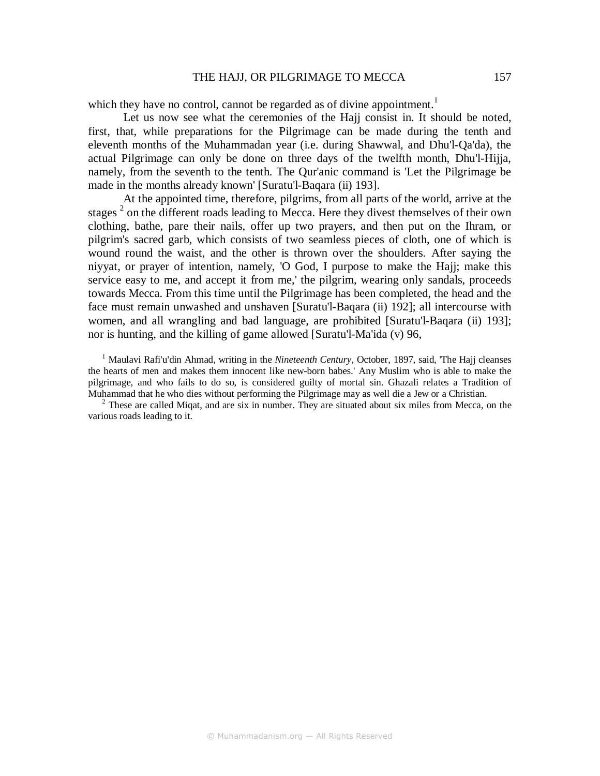### THE HAJJ, OR PILGRIMAGE TO MECCA 157

which they have no control, cannot be regarded as of divine appointment.<sup>1</sup>

Let us now see what the ceremonies of the Hajj consist in. It should be noted, first, that, while preparations for the Pilgrimage can be made during the tenth and eleventh months of the Muhammadan year (i.e. during Shawwal, and Dhu'l-Qa'da), the actual Pilgrimage can only be done on three days of the twelfth month, Dhu'l-Hijja, namely, from the seventh to the tenth. The Qur'anic command is 'Let the Pilgrimage be made in the months already known' [Suratu'l-Baqara (ii) 193].

At the appointed time, therefore, pilgrims, from all parts of the world, arrive at the stages<sup>2</sup> on the different roads leading to Mecca. Here they divest themselves of their own clothing, bathe, pare their nails, offer up two prayers, and then put on the Ihram, or pilgrim's sacred garb, which consists of two seamless pieces of cloth, one of which is wound round the waist, and the other is thrown over the shoulders. After saying the niyyat, or prayer of intention, namely, 'O God, I purpose to make the Hajj; make this service easy to me, and accept it from me,' the pilgrim, wearing only sandals, proceeds towards Mecca. From this time until the Pilgrimage has been completed, the head and the face must remain unwashed and unshaven [Suratu'l-Baqara (ii) 192]; all intercourse with women, and all wrangling and bad language, are prohibited [Suratu'l-Baqara (ii) 193]; nor is hunting, and the killing of game allowed [Suratu'l-Ma'ida (v) 96,

<sup>1</sup> Maulavi Rafi'u'din Ahmad, writing in the *Nineteenth Century*, October, 1897, said, 'The Hajj cleanses the hearts of men and makes them innocent like new-born babes.' Any Muslim who is able to make the pilgrimage, and who fails to do so, is considered guilty of mortal sin. Ghazali relates a Tradition of Muhammad that he who dies without performing the Pilgrimage may as well die a Jew or a Christian.

 $2$  These are called Miqat, and are six in number. They are situated about six miles from Mecca, on the various roads leading to it.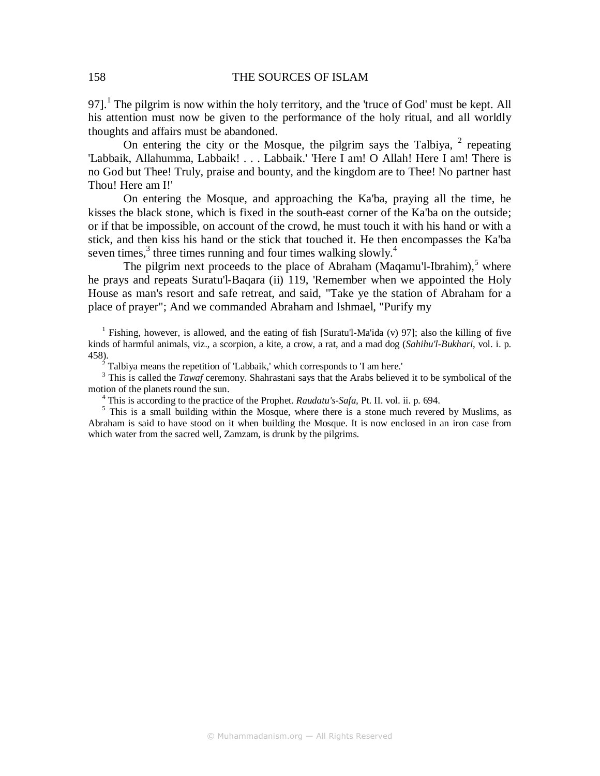97].<sup>1</sup> The pilgrim is now within the holy territory, and the 'truce of God' must be kept. All his attention must now be given to the performance of the holy ritual, and all worldly thoughts and affairs must be abandoned.

On entering the city or the Mosque, the pilgrim says the Talbiya,  $2$  repeating 'Labbaik, Allahumma, Labbaik! . . . Labbaik.' 'Here I am! O Allah! Here I am! There is no God but Thee! Truly, praise and bounty, and the kingdom are to Thee! No partner hast Thou! Here am I!'

On entering the Mosque, and approaching the Ka'ba, praying all the time, he kisses the black stone, which is fixed in the south-east corner of the Ka'ba on the outside; or if that be impossible, on account of the crowd, he must touch it with his hand or with a stick, and then kiss his hand or the stick that touched it. He then encompasses the Ka'ba seven times, $3$  three times running and four times walking slowly.<sup>4</sup>

The pilgrim next proceeds to the place of Abraham (Maqamu'l-Ibrahim), $<sup>5</sup>$  where</sup> he prays and repeats Suratu'l-Baqara (ii) 119, 'Remember when we appointed the Holy House as man's resort and safe retreat, and said, "Take ye the station of Abraham for a place of prayer"; And we commanded Abraham and Ishmael, "Purify my

<sup>1</sup> Fishing, however, is allowed, and the eating of fish [Suratu'l-Ma'ida (v) 97]; also the killing of five kinds of harmful animals, viz., a scorpion, a kite, a crow, a rat, and a mad dog (*Sahihu'l-Bukhari*, vol. i. p. 458).<br>
<sup>2</sup> Talbiya means the repetition of 'Labbaik,' which corresponds to 'I am here.'<br>
<sup>3</sup> This is called the *Tawaf* coromony. Shehrastani says that the Arabs believe

 This is called the *Tawaf* ceremony. Shahrastani says that the Arabs believed it to be symbolical of the motion of the planets round the sun.

4 This is according to the practice of the Prophet. *Raudatu's-Safa,* Pt. II. vol. ii. p. 694.

<sup>5</sup> This is a small building within the Mosque, where there is a stone much revered by Muslims, as Abraham is said to have stood on it when building the Mosque. It is now enclosed in an iron case from which water from the sacred well, Zamzam, is drunk by the pilgrims.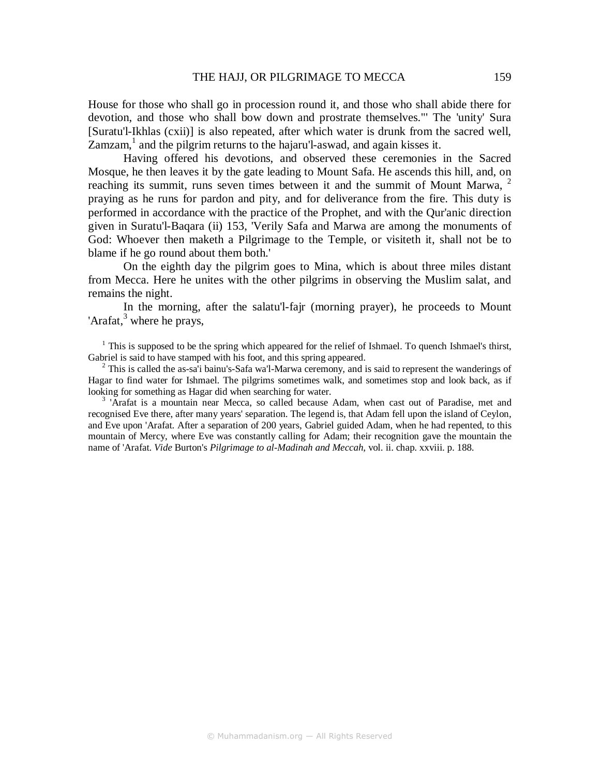House for those who shall go in procession round it, and those who shall abide there for devotion, and those who shall bow down and prostrate themselves."' The 'unity' Sura [Suratu'l-Ikhlas (cxii)] is also repeated, after which water is drunk from the sacred well, Zamzam,<sup>1</sup> and the pilgrim returns to the hajaru'l-aswad, and again kisses it.

Having offered his devotions, and observed these ceremonies in the Sacred Mosque, he then leaves it by the gate leading to Mount Safa. He ascends this hill, and, on reaching its summit, runs seven times between it and the summit of Mount Marwa,  $2^2$ praying as he runs for pardon and pity, and for deliverance from the fire. This duty is performed in accordance with the practice of the Prophet, and with the Qur'anic direction given in Suratu'l-Baqara (ii) 153, 'Verily Safa and Marwa are among the monuments of God: Whoever then maketh a Pilgrimage to the Temple, or visiteth it, shall not be to blame if he go round about them both.'

On the eighth day the pilgrim goes to Mina, which is about three miles distant from Mecca. Here he unites with the other pilgrims in observing the Muslim salat, and remains the night.

In the morning, after the salatu'l-fajr (morning prayer), he proceeds to Mount 'Arafat, $3$  where he prays,

 $<sup>1</sup>$  This is supposed to be the spring which appeared for the relief of Ishmael. To quench Ishmael's thirst,</sup> Gabriel is said to have stamped with his foot, and this spring appeared.

 $2$  This is called the as-sa'i bainu's-Safa wa'l-Marwa ceremony, and is said to represent the wanderings of Hagar to find water for Ishmael. The pilgrims sometimes walk, and sometimes stop and look back, as if looking for something as Hagar did when searching for water.

<sup>3</sup> 'Arafat is a mountain near Mecca, so called because Adam, when cast out of Paradise, met and recognised Eve there, after many years' separation. The legend is, that Adam fell upon the island of Ceylon, and Eve upon 'Arafat. After a separation of 200 years, Gabriel guided Adam, when he had repented, to this mountain of Mercy, where Eve was constantly calling for Adam; their recognition gave the mountain the name of 'Arafat. *Vide* Burton's *Pilgrimage to al-Madinah and Meccah*, vol. ii. chap. xxviii. p. 188.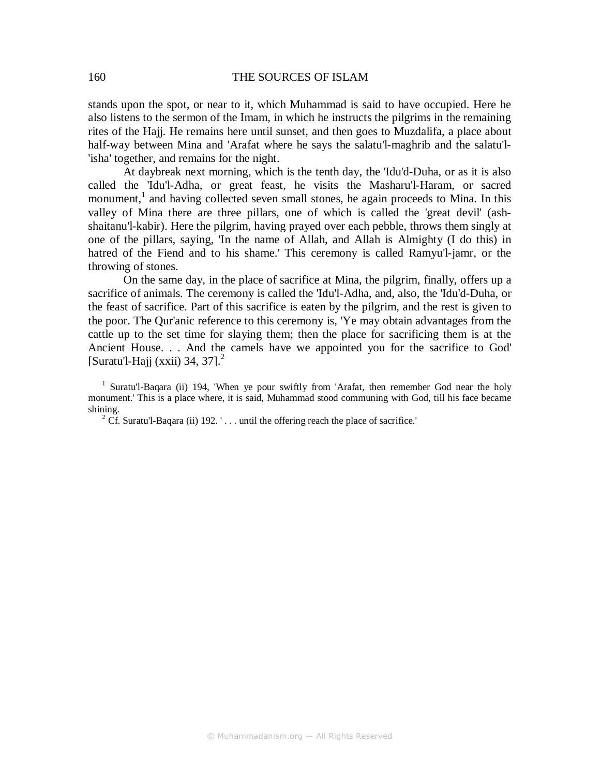stands upon the spot, or near to it, which Muhammad is said to have occupied. Here he also listens to the sermon of the Imam, in which he instructs the pilgrims in the remaining rites of the Hajj. He remains here until sunset, and then goes to Muzdalifa, a place about half-way between Mina and 'Arafat where he says the salatu'l-maghrib and the salatu'l- 'isha' together, and remains for the night.

At daybreak next morning, which is the tenth day, the 'Idu'd-Duha, or as it is also called the 'Idu'l-Adha, or great feast, he visits the Masharu'l-Haram, or sacred monument,<sup>1</sup> and having collected seven small stones, he again proceeds to Mina. In this valley of Mina there are three pillars, one of which is called the 'great devil' (ashshaitanu'l-kabir). Here the pilgrim, having prayed over each pebble, throws them singly at one of the pillars, saying, 'In the name of Allah, and Allah is Almighty (I do this) in hatred of the Fiend and to his shame.' This ceremony is called Ramyu'l-jamr, or the throwing of stones.

On the same day, in the place of sacrifice at Mina, the pilgrim, finally, offers up a sacrifice of animals. The ceremony is called the 'Idu'l-Adha, and, also, the 'Idu'd-Duha, or the feast of sacrifice. Part of this sacrifice is eaten by the pilgrim, and the rest is given to the poor. The Qur'anic reference to this ceremony is, 'Ye may obtain advantages from the cattle up to the set time for slaying them; then the place for sacrificing them is at the Ancient House. . . And the camels have we appointed you for the sacrifice to God' [Suratu'l-Hajj (xxii) 34, 37].<sup>2</sup>

<sup>1</sup> Suratu'l-Baqara (ii) 194, 'When ye pour swiftly from 'Arafat, then remember God near the holy monument.' This is a place where, it is said, Muhammad stood communing with God, till his face became shining.

<sup>2</sup> Cf. Suratu'l-Baqara (ii) 192. '... until the offering reach the place of sacrifice.'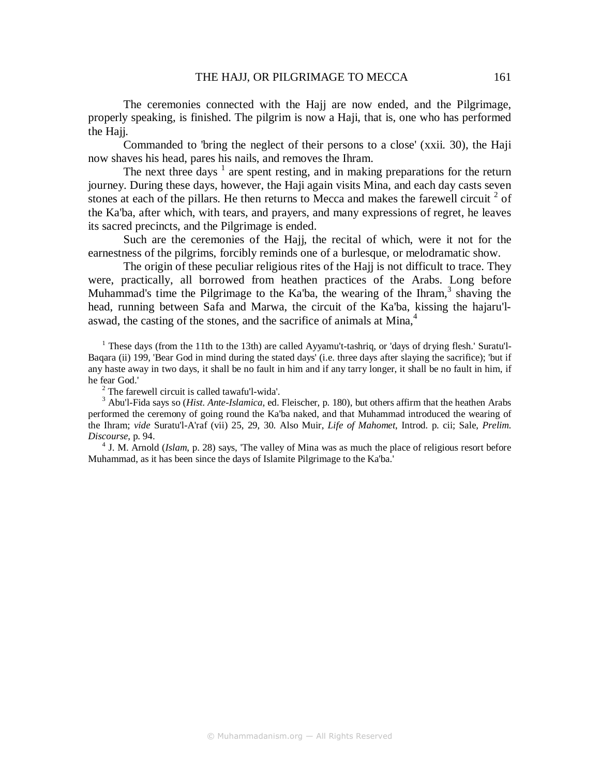The ceremonies connected with the Hajj are now ended, and the Pilgrimage, properly speaking, is finished. The pilgrim is now a Haji, that is, one who has performed the Haii.

Commanded to 'bring the neglect of their persons to a close' (xxii. 30), the Haji now shaves his head, pares his nails, and removes the Ihram.

The next three days  $1$  are spent resting, and in making preparations for the return journey. During these days, however, the Haji again visits Mina, and each day casts seven stones at each of the pillars. He then returns to Mecca and makes the farewell circuit  $2$  of the Ka'ba, after which, with tears, and prayers, and many expressions of regret, he leaves its sacred precincts, and the Pilgrimage is ended.

Such are the ceremonies of the Hajj, the recital of which, were it not for the earnestness of the pilgrims, forcibly reminds one of a burlesque, or melodramatic show.

The origin of these peculiar religious rites of the Hajj is not difficult to trace. They were, practically, all borrowed from heathen practices of the Arabs. Long before Muhammad's time the Pilgrimage to the Ka'ba, the wearing of the Ihram, $3$  shaving the head, running between Safa and Marwa, the circuit of the Ka'ba, kissing the hajaru'laswad, the casting of the stones, and the sacrifice of animals at Mina,<sup>4</sup>

<sup>1</sup> These days (from the 11th to the 13th) are called Ayyamu't-tashriq, or 'days of drying flesh.' Suratu'l-Baqara (ii) 199, 'Bear God in mind during the stated days' (i.e. three days after slaying the sacrifice); 'but if any haste away in two days, it shall be no fault in him and if any tarry longer, it shall be no fault in him, if he fear God.'

 $2$  The farewell circuit is called tawafu'l-wida'.

3 Abu'l-Fida says so (*Hist. Ante-Islamica*, ed. Fleischer, p. 180), but others affirm that the heathen Arabs performed the ceremony of going round the Ka'ba naked, and that Muhammad introduced the wearing of the Ihram; *vide* Suratu'l-A'raf (vii) 25, 29, 30. Also Muir, *Life of Mahomet*, Introd. p. cii; Sale, *Prelim. Discourse*, p. 94.

<sup>4</sup> J. M. Arnold (*Islam*, p. 28) says, 'The valley of Mina was as much the place of religious resort before Muhammad, as it has been since the days of Islamite Pilgrimage to the Ka'ba.'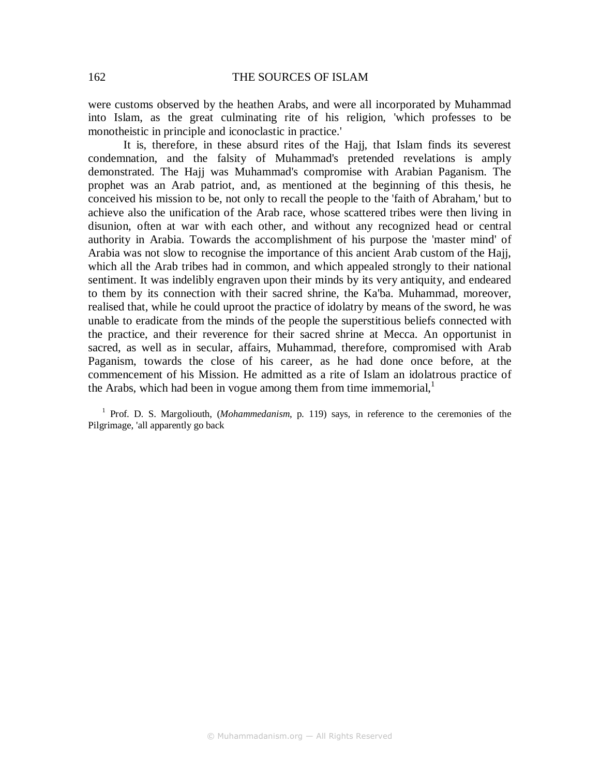were customs observed by the heathen Arabs, and were all incorporated by Muhammad into Islam, as the great culminating rite of his religion, 'which professes to be monotheistic in principle and iconoclastic in practice.'

It is, therefore, in these absurd rites of the Hajj, that Islam finds its severest condemnation, and the falsity of Muhammad's pretended revelations is amply demonstrated. The Hajj was Muhammad's compromise with Arabian Paganism. The prophet was an Arab patriot, and, as mentioned at the beginning of this thesis, he conceived his mission to be, not only to recall the people to the 'faith of Abraham,' but to achieve also the unification of the Arab race, whose scattered tribes were then living in disunion, often at war with each other, and without any recognized head or central authority in Arabia. Towards the accomplishment of his purpose the 'master mind' of Arabia was not slow to recognise the importance of this ancient Arab custom of the Hajj, which all the Arab tribes had in common, and which appealed strongly to their national sentiment. It was indelibly engraven upon their minds by its very antiquity, and endeared to them by its connection with their sacred shrine, the Ka'ba. Muhammad, moreover, realised that, while he could uproot the practice of idolatry by means of the sword, he was unable to eradicate from the minds of the people the superstitious beliefs connected with the practice, and their reverence for their sacred shrine at Mecca. An opportunist in sacred, as well as in secular, affairs, Muhammad, therefore, compromised with Arab Paganism, towards the close of his career, as he had done once before, at the commencement of his Mission. He admitted as a rite of Islam an idolatrous practice of the Arabs, which had been in vogue among them from time immemorial, $<sup>1</sup>$ </sup>

<sup>1</sup> Prof. D. S. Margoliouth, (*Mohammedanism*, p. 119) says, in reference to the ceremonies of the Pilgrimage, 'all apparently go back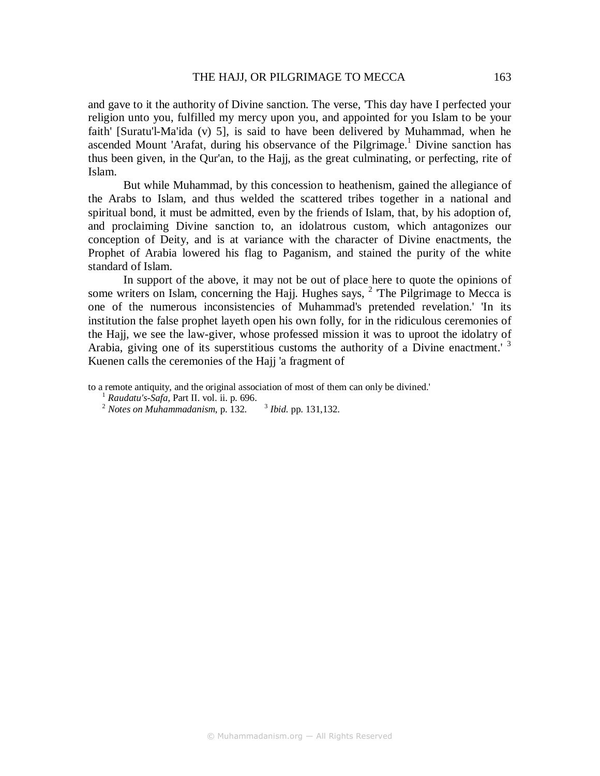and gave to it the authority of Divine sanction. The verse, 'This day have I perfected your religion unto you, fulfilled my mercy upon you, and appointed for you Islam to be your faith' [Suratu'l-Ma'ida (v) 5], is said to have been delivered by Muhammad, when he ascended Mount 'Arafat, during his observance of the Pilgrimage.<sup>1</sup> Divine sanction has thus been given, in the Qur'an, to the Hajj, as the great culminating, or perfecting, rite of Islam.

But while Muhammad, by this concession to heathenism, gained the allegiance of the Arabs to Islam, and thus welded the scattered tribes together in a national and spiritual bond, it must be admitted, even by the friends of Islam, that, by his adoption of, and proclaiming Divine sanction to, an idolatrous custom, which antagonizes our conception of Deity, and is at variance with the character of Divine enactments, the Prophet of Arabia lowered his flag to Paganism, and stained the purity of the white standard of Islam.

In support of the above, it may not be out of place here to quote the opinions of some writers on Islam, concerning the Hajj. Hughes says,  $<sup>2</sup>$  The Pilgrimage to Mecca is</sup> one of the numerous inconsistencies of Muhammad's pretended revelation.' 'In its institution the false prophet layeth open his own folly, for in the ridiculous ceremonies of the Hajj, we see the law-giver, whose professed mission it was to uproot the idolatry of Arabia, giving one of its superstitious customs the authority of a Divine enactment.<sup>3</sup> Kuenen calls the ceremonies of the Hajj 'a fragment of

to a remote antiquity, and the original association of most of them can only be divined.'

- <sup>1</sup> *Raudatu's-Safa*, Part II. vol. ii. p. 696.
- <sup>2</sup> Notes on Muhammadanism, p. 132. <sup>3</sup>  *Ibid*. pp. 131,132.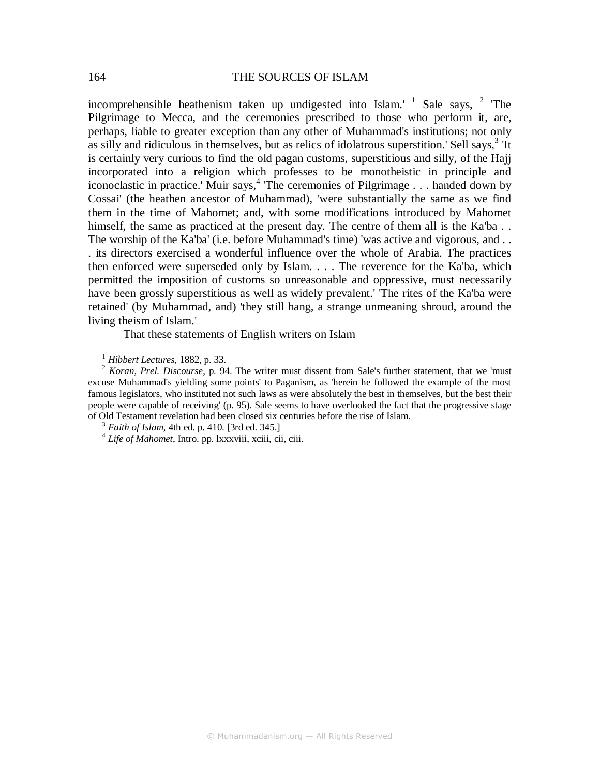incomprehensible heathenism taken up undigested into Islam.'  $1$  Sale says,  $2$  The Pilgrimage to Mecca, and the ceremonies prescribed to those who perform it, are, perhaps, liable to greater exception than any other of Muhammad's institutions; not only as silly and ridiculous in themselves, but as relics of idolatrous superstition.' Sell says,  $3\text{ Tt}$ is certainly very curious to find the old pagan customs, superstitious and silly, of the Hajj incorporated into a religion which professes to be monotheistic in principle and iconoclastic in practice.' Muir says,<sup>4</sup> The ceremonies of Pilgrimage . . . handed down by Cossai' (the heathen ancestor of Muhammad), 'were substantially the same as we find them in the time of Mahomet; and, with some modifications introduced by Mahomet himself, the same as practiced at the present day. The centre of them all is the Ka'ba . . The worship of the Ka'ba' (i.e. before Muhammad's time) 'was active and vigorous, and . . . its directors exercised a wonderful influence over the whole of Arabia. The practices then enforced were superseded only by Islam. . . . The reverence for the Ka'ba, which permitted the imposition of customs so unreasonable and oppressive, must necessarily have been grossly superstitious as well as widely prevalent.' 'The rites of the Ka'ba were retained' (by Muhammad, and) 'they still hang, a strange unmeaning shroud, around the living theism of Islam.'

That these statements of English writers on Islam

<sup>1</sup> *Hibbert Lectures*, 1882, p. 33.

<sup>2</sup> *Koran, Prel. Discourse*, p. 94. The writer must dissent from Sale's further statement, that we 'must excuse Muhammad's yielding some points' to Paganism, as 'herein he followed the example of the most famous legislators, who instituted not such laws as were absolutely the best in themselves, but the best their people were capable of receiving' (p. 95). Sale seems to have overlooked the fact that the progressive stage of Old Testament revelation had been closed six centuries before the rise of Islam.

<sup>3</sup> *Faith of Islam*, 4th ed. p. 410. [3rd ed. 345.]

4 *Life of Mahomet*, Intro. pp. lxxxviii, xciii, cii, ciii.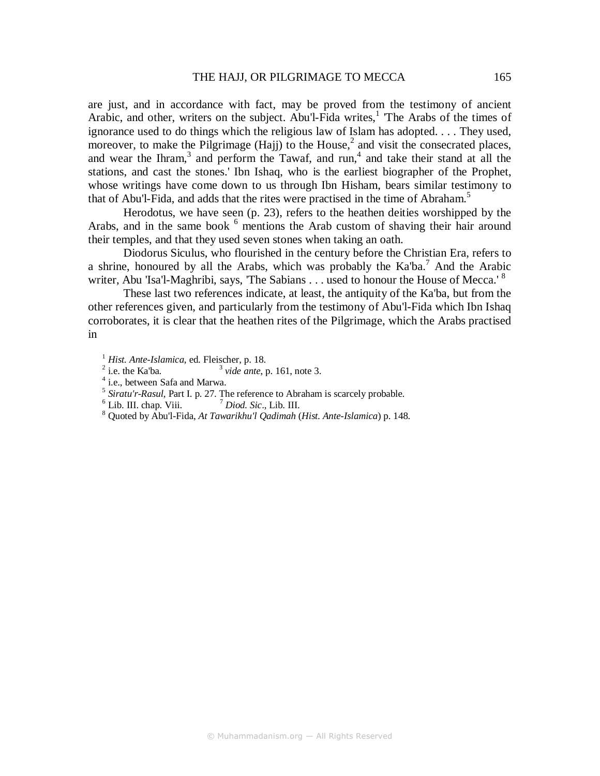are just, and in accordance with fact, may be proved from the testimony of ancient Arabic, and other, writers on the subject. Abu'l-Fida writes,<sup>1</sup> The Arabs of the times of ignorance used to do things which the religious law of Islam has adopted. . . . They used, moreover, to make the Pilgrimage (Hajj) to the House,<sup>2</sup> and visit the consecrated places, and wear the Ihram, $3$  and perform the Tawaf, and run, $4$  and take their stand at all the stations, and cast the stones.' Ibn Ishaq, who is the earliest biographer of the Prophet, whose writings have come down to us through Ibn Hisham, bears similar testimony to that of Abu'l-Fida, and adds that the rites were practised in the time of Abraham.<sup>5</sup>

Herodotus, we have seen (p. 23), refers to the heathen deities worshipped by the Arabs, and in the same book <sup>6</sup> mentions the Arab custom of shaving their hair around their temples, and that they used seven stones when taking an oath.

Diodorus Siculus, who flourished in the century before the Christian Era, refers to a shrine, honoured by all the Arabs, which was probably the  $Ka<sup>7</sup>$  And the Arabic writer, Abu 'Isa'l-Maghribi, says, 'The Sabians . . . used to honour the House of Mecca.'<sup>8</sup>

These last two references indicate, at least, the antiquity of the Ka'ba, but from the other references given, and particularly from the testimony of Abu'l-Fida which Ibn Ishaq corroborates, it is clear that the heathen rites of the Pilgrimage, which the Arabs practised in

<sup>1</sup> *Hist. Ante-Islamica,* ed. Fleischer, p. 18.

- $2$  i.e. the Ka'ba. <sup>3</sup> vide ante, p. 161, note 3.
- 4 i.e., between Safa and Marwa.
- <sup>5</sup> Siratu'r-Rasul, Part I. p. 27. The reference to Abraham is scarcely probable.
- $<sup>6</sup>$  Lib. III. chap. Viii.</sup>  $<sup>7</sup> Diod. Sic., Lib. III.$ </sup>
- 8 Quoted by Abu'l-Fida, *At Tawarikhu'l Qadimah* (*Hist. Ante-Islamica*) p. 148.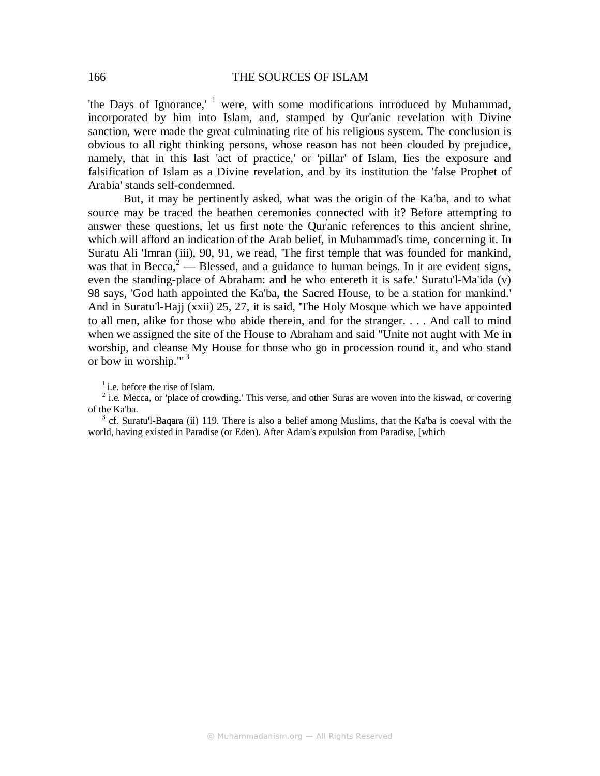'the Days of Ignorance,'  $1$  were, with some modifications introduced by Muhammad, incorporated by him into Islam, and, stamped by Qur'anic revelation with Divine sanction, were made the great culminating rite of his religious system. The conclusion is obvious to all right thinking persons, whose reason has not been clouded by prejudice, namely, that in this last 'act of practice,' or 'pillar' of Islam, lies the exposure and falsification of Islam as a Divine revelation, and by its institution the 'false Prophet of Arabia' stands self-condemned.

But, it may be pertinently asked, what was the origin of the Ka'ba, and to what source may be traced the heathen ceremonies connected with it? Before attempting to answer these questions, let us first note the Qur' anic references to this ancient shrine, which will afford an indication of the Arab belief, in Muhammad's time, concerning it. In Suratu Ali 'Imran (iii), 90, 91, we read, 'The first temple that was founded for mankind, was that in Becca, $^2$  — Blessed, and a guidance to human beings. In it are evident signs, even the standing-place of Abraham: and he who entereth it is safe.' Suratu'l-Ma'ida (v) 98 says, 'God hath appointed the Ka'ba, the Sacred House, to be a station for mankind.' And in Suratu'l-Hajj (xxii) 25, 27, it is said, 'The Holy Mosque which we have appointed to all men, alike for those who abide therein, and for the stranger. . . . And call to mind when we assigned the site of the House to Abraham and said "Unite not aught with Me in worship, and cleanse My House for those who go in procession round it, and who stand or bow in worship." $3$ 

 $<sup>1</sup>$  i.e. before the rise of Islam.</sup>

 $2$  i.e. Mecca, or 'place of crowding.' This verse, and other Suras are woven into the kiswad, or covering of the Ka'ba.

 $3$  cf. Suratu'l-Baqara (ii) 119. There is also a belief among Muslims, that the Ka'ba is coeval with the world, having existed in Paradise (or Eden). After Adam's expulsion from Paradise, [which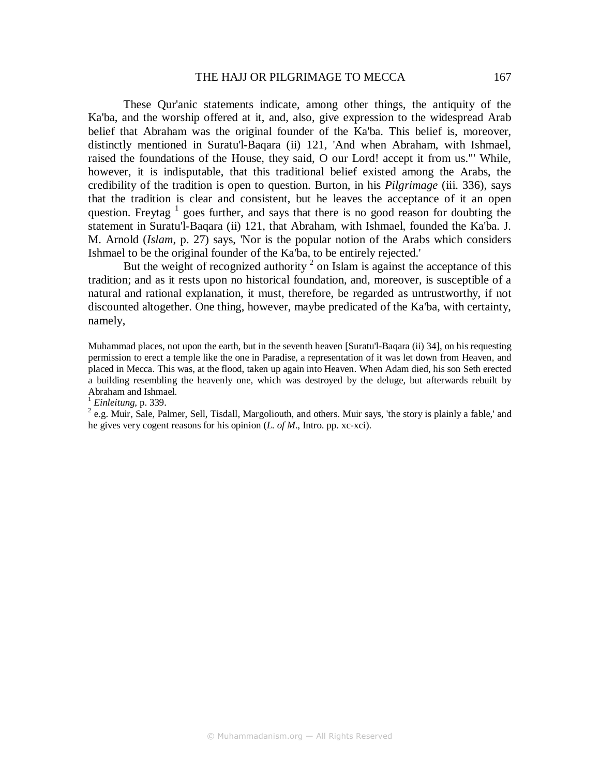#### THE HAJJ OR PILGRIMAGE TO MECCA 167

These Qur'anic statements indicate, among other things, the antiquity of the Ka'ba, and the worship offered at it, and, also, give expression to the widespread Arab belief that Abraham was the original founder of the Ka'ba. This belief is, moreover, distinctly mentioned in Suratu'l-Baqara (ii) 121, 'And when Abraham, with Ishmael, raised the foundations of the House, they said, O our Lord! accept it from us."' While, however, it is indisputable, that this traditional belief existed among the Arabs, the credibility of the tradition is open to question. Burton, in his *Pilgrimage* (iii. 336), says that the tradition is clear and consistent, but he leaves the acceptance of it an open question. Freytag  $1$  goes further, and says that there is no good reason for doubting the statement in Suratu'l-Baqara (ii) 121, that Abraham, with Ishmael, founded the Ka'ba. J. M. Arnold (*Islam*, p. 27) says, 'Nor is the popular notion of the Arabs which considers Ishmael to be the original founder of the Ka'ba, to be entirely rejected.'

But the weight of recognized authority  $2$  on Islam is against the acceptance of this tradition; and as it rests upon no historical foundation, and, moreover, is susceptible of a natural and rational explanation, it must, therefore, be regarded as untrustworthy, if not discounted altogether. One thing, however, maybe predicated of the Ka'ba, with certainty, namely,

Muhammad places, not upon the earth, but in the seventh heaven [Suratu'l-Baqara (ii) 34], on his requesting permission to erect a temple like the one in Paradise, a representation of it was let down from Heaven, and placed in Mecca. This was, at the flood, taken up again into Heaven. When Adam died, his son Seth erected a building resembling the heavenly one, which was destroyed by the deluge, but afterwards rebuilt by Abraham and Ishmael.

<sup>1</sup> *Einleitung,* p. 339.

 $2$  e.g. Muir, Sale, Palmer, Sell, Tisdall, Margoliouth, and others. Muir says, 'the story is plainly a fable,' and he gives very cogent reasons for his opinion (*L. of M*., Intro. pp. xc-xci).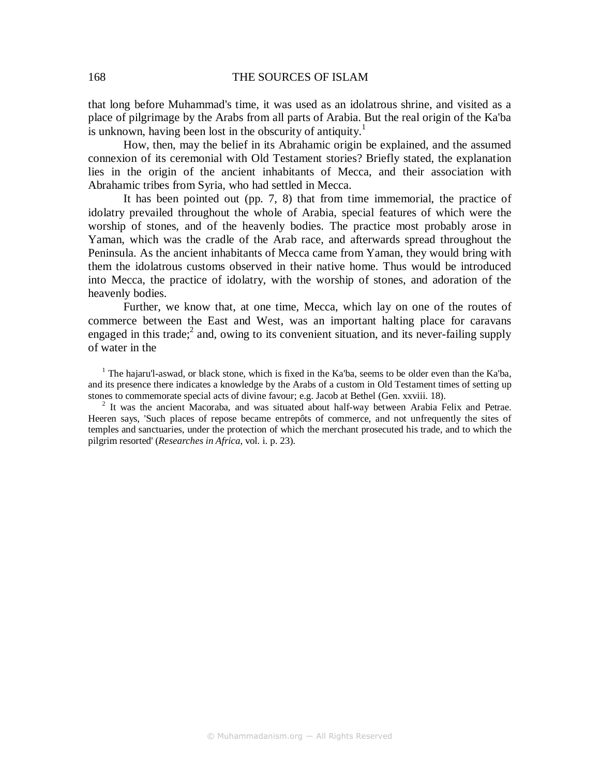that long before Muhammad's time, it was used as an idolatrous shrine, and visited as a place of pilgrimage by the Arabs from all parts of Arabia. But the real origin of the Ka'ba is unknown, having been lost in the obscurity of antiquity.<sup>1</sup>

How, then, may the belief in its Abrahamic origin be explained, and the assumed connexion of its ceremonial with Old Testament stories? Briefly stated, the explanation lies in the origin of the ancient inhabitants of Mecca, and their association with Abrahamic tribes from Syria, who had settled in Mecca.

It has been pointed out (pp. 7, 8) that from time immemorial, the practice of idolatry prevailed throughout the whole of Arabia, special features of which were the worship of stones, and of the heavenly bodies. The practice most probably arose in Yaman, which was the cradle of the Arab race, and afterwards spread throughout the Peninsula. As the ancient inhabitants of Mecca came from Yaman, they would bring with them the idolatrous customs observed in their native home. Thus would be introduced into Mecca, the practice of idolatry, with the worship of stones, and adoration of the heavenly bodies.

Further, we know that, at one time, Mecca, which lay on one of the routes of commerce between the East and West, was an important halting place for caravans engaged in this trade; $<sup>2</sup>$  and, owing to its convenient situation, and its never-failing supply</sup> of water in the

<sup>1</sup> The hajaru'l-aswad, or black stone, which is fixed in the Ka'ba, seems to be older even than the Ka'ba, and its presence there indicates a knowledge by the Arabs of a custom in Old Testament times of setting up stones to commemorate special acts of divine favour; e.g. Jacob at Bethel (Gen. xxviii. 18).

<sup>2</sup> It was the ancient Macoraba, and was situated about half-way between Arabia Felix and Petrae. Heeren says, 'Such places of repose became entrepôts of commerce, and not unfrequently the sites of temples and sanctuaries, under the protection of which the merchant prosecuted his trade, and to which the pilgrim resorted' (*Researches in Africa*, vol. i. p. 23).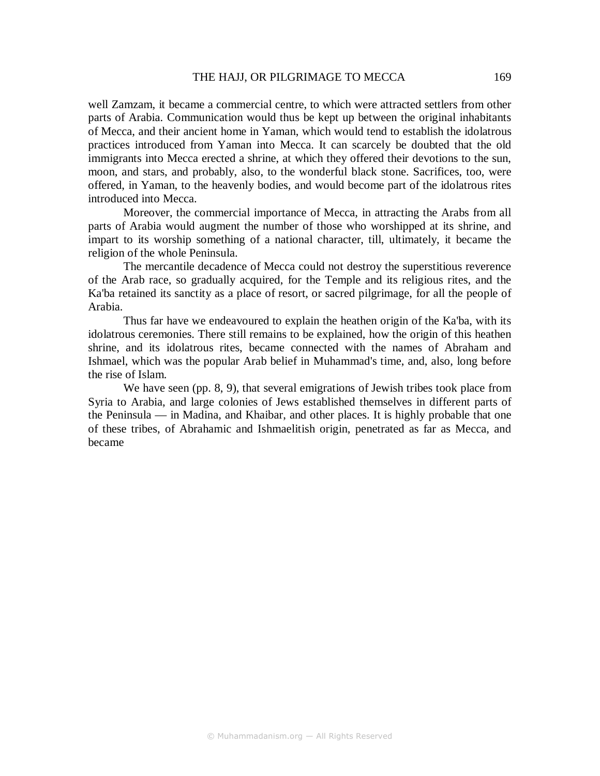well Zamzam, it became a commercial centre, to which were attracted settlers from other parts of Arabia. Communication would thus be kept up between the original inhabitants of Mecca, and their ancient home in Yaman, which would tend to establish the idolatrous practices introduced from Yaman into Mecca. It can scarcely be doubted that the old immigrants into Mecca erected a shrine, at which they offered their devotions to the sun, moon, and stars, and probably, also, to the wonderful black stone. Sacrifices, too, were offered, in Yaman, to the heavenly bodies, and would become part of the idolatrous rites introduced into Mecca.

Moreover, the commercial importance of Mecca, in attracting the Arabs from all parts of Arabia would augment the number of those who worshipped at its shrine, and impart to its worship something of a national character, till, ultimately, it became the religion of the whole Peninsula.

The mercantile decadence of Mecca could not destroy the superstitious reverence of the Arab race, so gradually acquired, for the Temple and its religious rites, and the Ka'ba retained its sanctity as a place of resort, or sacred pilgrimage, for all the people of Arabia.

Thus far have we endeavoured to explain the heathen origin of the Ka'ba, with its idolatrous ceremonies. There still remains to be explained, how the origin of this heathen shrine, and its idolatrous rites, became connected with the names of Abraham and Ishmael, which was the popular Arab belief in Muhammad's time, and, also, long before the rise of Islam.

We have seen (pp. 8, 9), that several emigrations of Jewish tribes took place from Syria to Arabia, and large colonies of Jews established themselves in different parts of the Peninsula — in Madina, and Khaibar, and other places. It is highly probable that one of these tribes, of Abrahamic and Ishmaelitish origin, penetrated as far as Mecca, and became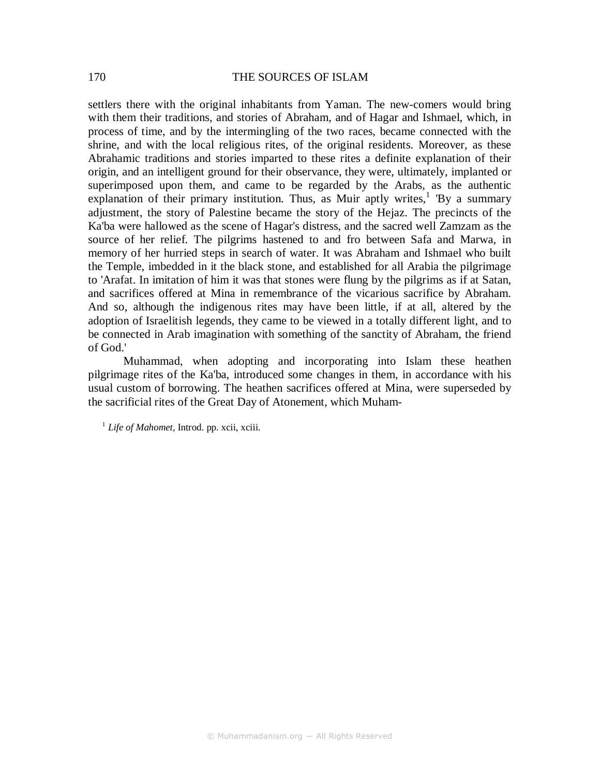settlers there with the original inhabitants from Yaman. The new-comers would bring with them their traditions, and stories of Abraham, and of Hagar and Ishmael, which, in process of time, and by the intermingling of the two races, became connected with the shrine, and with the local religious rites, of the original residents. Moreover, as these Abrahamic traditions and stories imparted to these rites a definite explanation of their origin, and an intelligent ground for their observance, they were, ultimately, implanted or superimposed upon them, and came to be regarded by the Arabs, as the authentic explanation of their primary institution. Thus, as Muir aptly writes,<sup>1</sup> 'By a summary adjustment, the story of Palestine became the story of the Hejaz. The precincts of the Ka'ba were hallowed as the scene of Hagar's distress, and the sacred well Zamzam as the source of her relief. The pilgrims hastened to and fro between Safa and Marwa, in memory of her hurried steps in search of water. It was Abraham and Ishmael who built the Temple, imbedded in it the black stone, and established for all Arabia the pilgrimage to 'Arafat. In imitation of him it was that stones were flung by the pilgrims as if at Satan, and sacrifices offered at Mina in remembrance of the vicarious sacrifice by Abraham. And so, although the indigenous rites may have been little, if at all, altered by the adoption of Israelitish legends, they came to be viewed in a totally different light, and to be connected in Arab imagination with something of the sanctity of Abraham, the friend of God.'

Muhammad, when adopting and incorporating into Islam these heathen pilgrimage rites of the Ka'ba, introduced some changes in them, in accordance with his usual custom of borrowing. The heathen sacrifices offered at Mina, were superseded by the sacrificial rites of the Great Day of Atonement, which Muham-

1 *Life of Mahomet,* Introd. pp. xcii, xciii.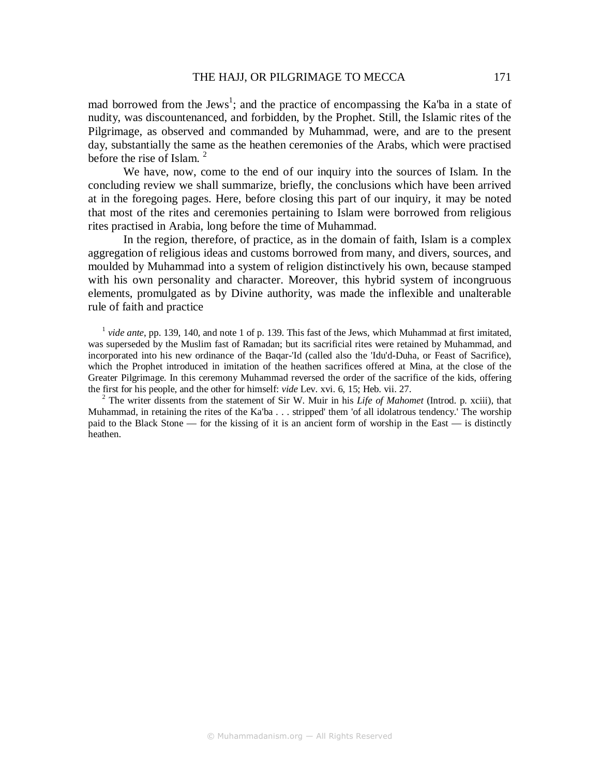mad borrowed from the Jews<sup>1</sup>; and the practice of encompassing the Ka'ba in a state of nudity, was discountenanced, and forbidden, by the Prophet. Still, the Islamic rites of the Pilgrimage, as observed and commanded by Muhammad, were, and are to the present day, substantially the same as the heathen ceremonies of the Arabs, which were practised before the rise of Islam.<sup>2</sup>

We have, now, come to the end of our inquiry into the sources of Islam. In the concluding review we shall summarize, briefly, the conclusions which have been arrived at in the foregoing pages. Here, before closing this part of our inquiry, it may be noted that most of the rites and ceremonies pertaining to Islam were borrowed from religious rites practised in Arabia, long before the time of Muhammad.

In the region, therefore, of practice, as in the domain of faith, Islam is a complex aggregation of religious ideas and customs borrowed from many, and divers, sources, and moulded by Muhammad into a system of religion distinctively his own, because stamped with his own personality and character. Moreover, this hybrid system of incongruous elements, promulgated as by Divine authority, was made the inflexible and unalterable rule of faith and practice

<sup>1</sup> vide ante, pp. 139, 140, and note 1 of p. 139. This fast of the Jews, which Muhammad at first imitated, was superseded by the Muslim fast of Ramadan; but its sacrificial rites were retained by Muhammad, and incorporated into his new ordinance of the Baqar-'Id (called also the 'Idu'd-Duha, or Feast of Sacrifice), which the Prophet introduced in imitation of the heathen sacrifices offered at Mina, at the close of the Greater Pilgrimage. In this ceremony Muhammad reversed the order of the sacrifice of the kids, offering the first for his people, and the other for himself: *vide* Lev. xvi. 6, 15; Heb. vii. 27.

2 The writer dissents from the statement of Sir W. Muir in his *Life of Mahomet* (Introd. p. xciii), that Muhammad, in retaining the rites of the Ka'ba . . . stripped' them 'of all idolatrous tendency.' The worship paid to the Black Stone — for the kissing of it is an ancient form of worship in the East — is distinctly heathen.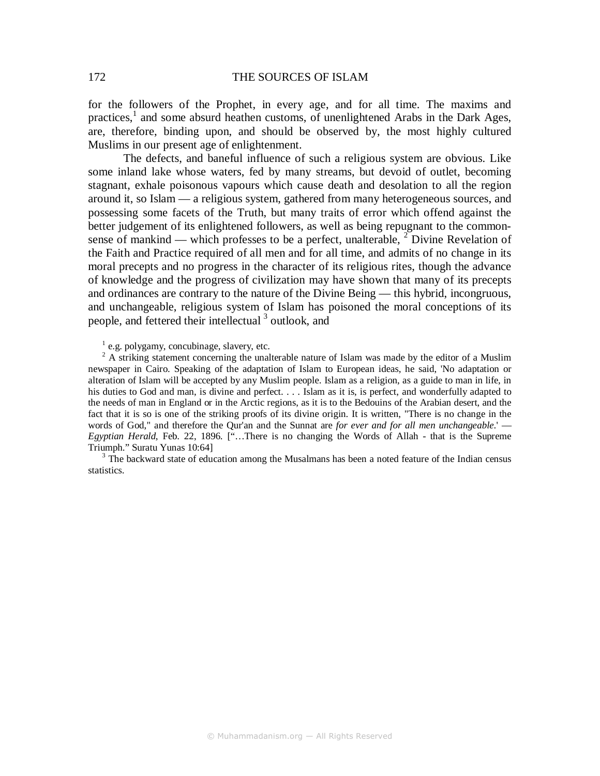for the followers of the Prophet, in every age, and for all time. The maxims and practices,<sup>1</sup> and some absurd heathen customs, of unenlightened Arabs in the Dark Ages, are, therefore, binding upon, and should be observed by, the most highly cultured Muslims in our present age of enlightenment.

The defects, and baneful influence of such a religious system are obvious. Like some inland lake whose waters, fed by many streams, but devoid of outlet, becoming stagnant, exhale poisonous vapours which cause death and desolation to all the region around it, so Islam — a religious system, gathered from many heterogeneous sources, and possessing some facets of the Truth, but many traits of error which offend against the better judgement of its enlightened followers, as well as being repugnant to the commonsense of mankind — which professes to be a perfect, unalterable,  $2$  Divine Revelation of the Faith and Practice required of all men and for all time, and admits of no change in its moral precepts and no progress in the character of its religious rites, though the advance of knowledge and the progress of civilization may have shown that many of its precepts and ordinances are contrary to the nature of the Divine Being — this hybrid, incongruous, and unchangeable, religious system of Islam has poisoned the moral conceptions of its people, and fettered their intellectual<sup>3</sup> outlook, and

<sup>1</sup> e.g. polygamy, concubinage, slavery, etc.

 $2A$  striking statement concerning the unalterable nature of Islam was made by the editor of a Muslim newspaper in Cairo. Speaking of the adaptation of Islam to European ideas, he said, 'No adaptation or alteration of Islam will be accepted by any Muslim people. Islam as a religion, as a guide to man in life, in his duties to God and man, is divine and perfect. . . . Islam as it is, is perfect, and wonderfully adapted to the needs of man in England or in the Arctic regions, as it is to the Bedouins of the Arabian desert, and the fact that it is so is one of the striking proofs of its divine origin. It is written, "There is no change in the words of God," and therefore the Qur'an and the Sunnat are *for ever and for all men unchangeable*.' — *Egyptian Herald*, Feb. 22, 1896. ["…There is no changing the Words of Allah - that is the Supreme Triumph." Suratu Yunas 10:64]

 $3$  The backward state of education among the Musalmans has been a noted feature of the Indian census statistics.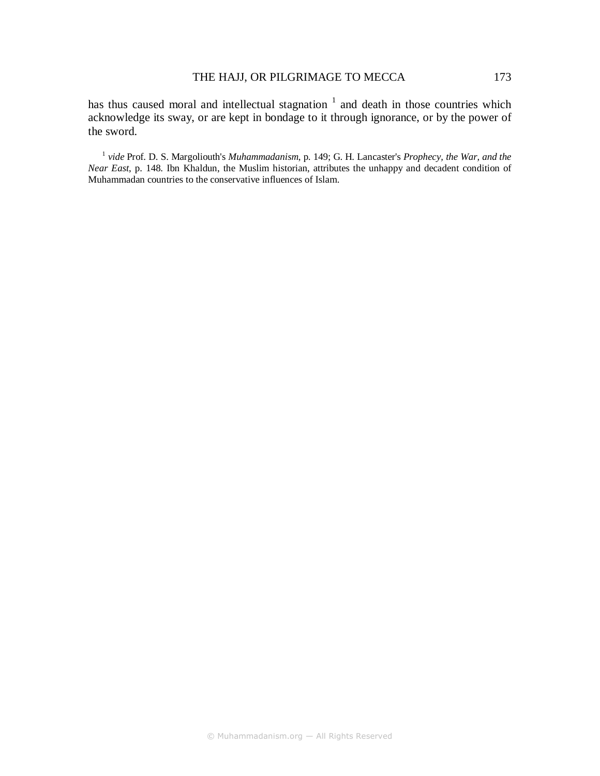has thus caused moral and intellectual stagnation  $1$  and death in those countries which acknowledge its sway, or are kept in bondage to it through ignorance, or by the power of the sword.

1 *vide* Prof. D. S. Margoliouth's *Muhammadanism*, p. 149; G. H. Lancaster's *Prophecy, the War, and the Near East*, p. 148. Ibn Khaldun, the Muslim historian, attributes the unhappy and decadent condition of Muhammadan countries to the conservative influences of Islam.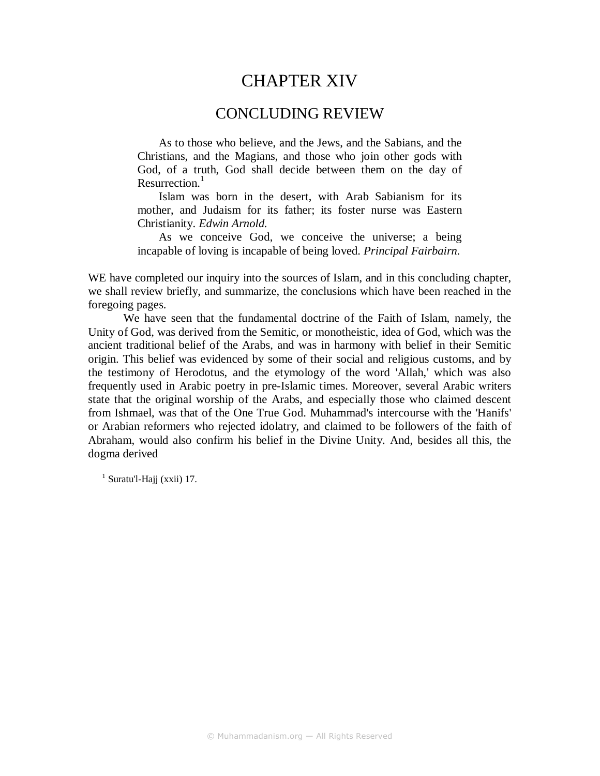# CHAPTER XIV

# CONCLUDING REVIEW

As to those who believe, and the Jews, and the Sabians, and the Christians, and the Magians, and those who join other gods with God, of a truth, God shall decide between them on the day of Resurrection $<sup>1</sup>$ </sup>

Islam was born in the desert, with Arab Sabianism for its mother, and Judaism for its father; its foster nurse was Eastern Christianity. *Edwin Arnold.* 

As we conceive God, we conceive the universe; a being incapable of loving is incapable of being loved. *Principal Fairbairn.* 

WE have completed our inquiry into the sources of Islam, and in this concluding chapter, we shall review briefly, and summarize, the conclusions which have been reached in the foregoing pages.

We have seen that the fundamental doctrine of the Faith of Islam, namely, the Unity of God, was derived from the Semitic, or monotheistic, idea of God, which was the ancient traditional belief of the Arabs, and was in harmony with belief in their Semitic origin. This belief was evidenced by some of their social and religious customs, and by the testimony of Herodotus, and the etymology of the word 'Allah,' which was also frequently used in Arabic poetry in pre-Islamic times. Moreover, several Arabic writers state that the original worship of the Arabs, and especially those who claimed descent from Ishmael, was that of the One True God. Muhammad's intercourse with the 'Hanifs' or Arabian reformers who rejected idolatry, and claimed to be followers of the faith of Abraham, would also confirm his belief in the Divine Unity. And, besides all this, the dogma derived

 $<sup>1</sup>$  Suratu'l-Hajj (xxii) 17.</sup>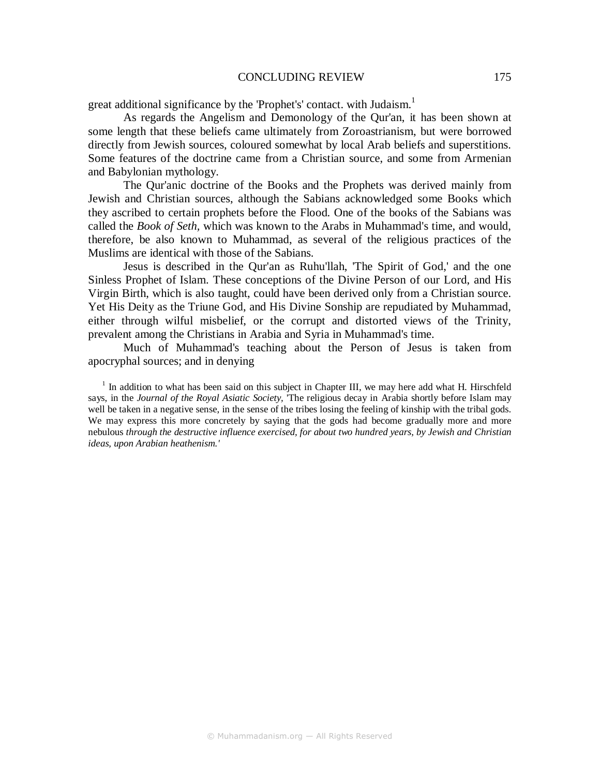great additional significance by the 'Prophet's' contact. with Judaism.<sup>1</sup>

As regards the Angelism and Demonology of the Qur'an, it has been shown at some length that these beliefs came ultimately from Zoroastrianism, but were borrowed directly from Jewish sources, coloured somewhat by local Arab beliefs and superstitions. Some features of the doctrine came from a Christian source, and some from Armenian and Babylonian mythology.

The Qur'anic doctrine of the Books and the Prophets was derived mainly from Jewish and Christian sources, although the Sabians acknowledged some Books which they ascribed to certain prophets before the Flood. One of the books of the Sabians was called the *Book of Seth,* which was known to the Arabs in Muhammad's time, and would, therefore, be also known to Muhammad, as several of the religious practices of the Muslims are identical with those of the Sabians.

Jesus is described in the Qur'an as Ruhu'llah, 'The Spirit of God,' and the one Sinless Prophet of Islam. These conceptions of the Divine Person of our Lord, and His Virgin Birth, which is also taught, could have been derived only from a Christian source. Yet His Deity as the Triune God, and His Divine Sonship are repudiated by Muhammad, either through wilful misbelief, or the corrupt and distorted views of the Trinity, prevalent among the Christians in Arabia and Syria in Muhammad's time.

Much of Muhammad's teaching about the Person of Jesus is taken from apocryphal sources; and in denying

<sup>1</sup> In addition to what has been said on this subject in Chapter III, we may here add what H. Hirschfeld says, in the *Journal of the Royal Asiatic Society,* 'The religious decay in Arabia shortly before Islam may well be taken in a negative sense, in the sense of the tribes losing the feeling of kinship with the tribal gods. We may express this more concretely by saying that the gods had become gradually more and more nebulous *through the destructive influence exercised, for about two hundred years, by Jewish and Christian ideas, upon Arabian heathenism.'*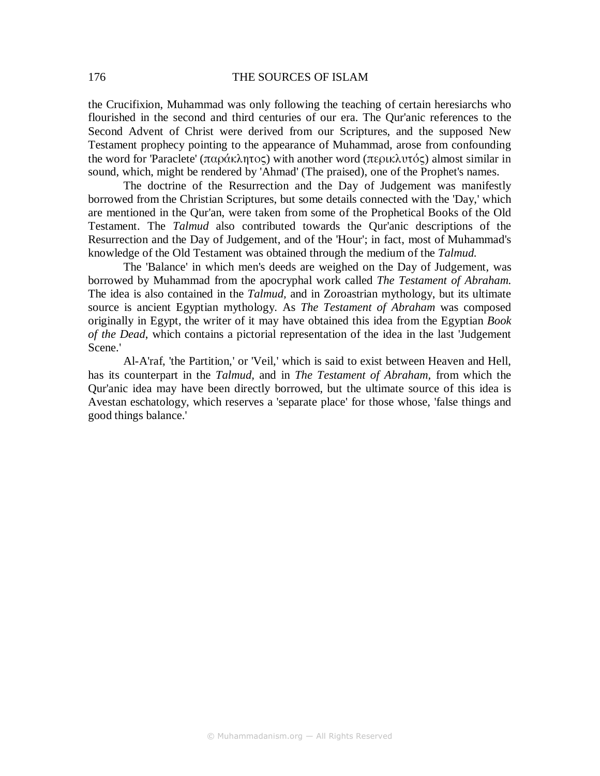the Crucifixion, Muhammad was only following the teaching of certain heresiarchs who flourished in the second and third centuries of our era. The Qur'anic references to the Second Advent of Christ were derived from our Scriptures, and the supposed New Testament prophecy pointing to the appearance of Muhammad, arose from confounding the word for 'Paraclete' (παράκλητος) with another word (περικλυτός) almost similar in sound, which, might be rendered by 'Ahmad' (The praised), one of the Prophet's names.

The doctrine of the Resurrection and the Day of Judgement was manifestly borrowed from the Christian Scriptures, but some details connected with the 'Day,' which are mentioned in the Qur'an, were taken from some of the Prophetical Books of the Old Testament. The *Talmud* also contributed towards the Qur'anic descriptions of the Resurrection and the Day of Judgement, and of the 'Hour'; in fact, most of Muhammad's knowledge of the Old Testament was obtained through the medium of the *Talmud.* 

The 'Balance' in which men's deeds are weighed on the Day of Judgement, was borrowed by Muhammad from the apocryphal work called *The Testament of Abraham.*  The idea is also contained in the *Talmud,* and in Zoroastrian mythology, but its ultimate source is ancient Egyptian mythology. As *The Testament of Abraham* was composed originally in Egypt, the writer of it may have obtained this idea from the Egyptian *Book of the Dead*, which contains a pictorial representation of the idea in the last 'Judgement Scene.'

Al-A'raf, 'the Partition,' or 'Veil,' which is said to exist between Heaven and Hell, has its counterpart in the *Talmud,* and in *The Testament of Abraham,* from which the Qur'anic idea may have been directly borrowed, but the ultimate source of this idea is Avestan eschatology, which reserves a 'separate place' for those whose, 'false things and good things balance.'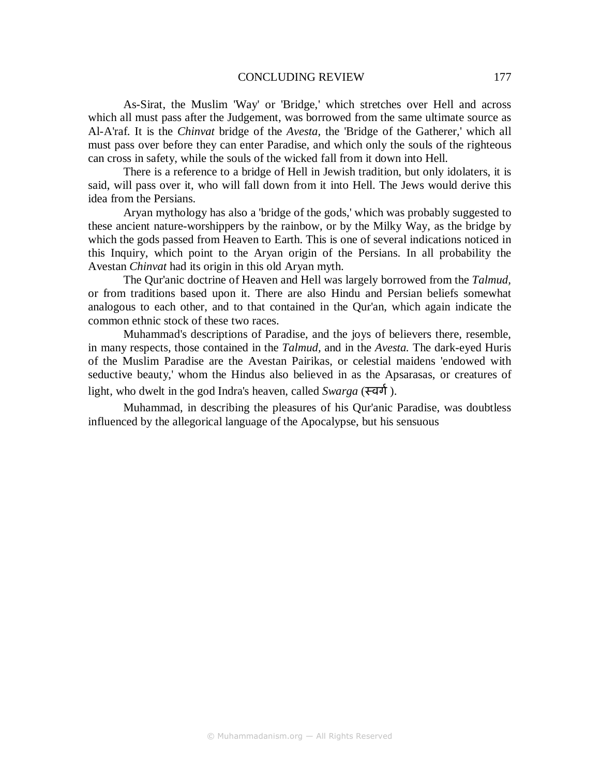As-Sirat, the Muslim 'Way' or 'Bridge,' which stretches over Hell and across which all must pass after the Judgement, was borrowed from the same ultimate source as Al-A'raf. It is the *Chinvat* bridge of the *Avesta,* the 'Bridge of the Gatherer,' which all must pass over before they can enter Paradise, and which only the souls of the righteous can cross in safety, while the souls of the wicked fall from it down into Hell.

There is a reference to a bridge of Hell in Jewish tradition, but only idolaters, it is said, will pass over it, who will fall down from it into Hell. The Jews would derive this idea from the Persians.

Aryan mythology has also a 'bridge of the gods,' which was probably suggested to these ancient nature-worshippers by the rainbow, or by the Milky Way, as the bridge by which the gods passed from Heaven to Earth. This is one of several indications noticed in this Inquiry, which point to the Aryan origin of the Persians. In all probability the Avestan *Chinvat* had its origin in this old Aryan myth.

The Qur'anic doctrine of Heaven and Hell was largely borrowed from the *Talmud,*  or from traditions based upon it. There are also Hindu and Persian beliefs somewhat analogous to each other, and to that contained in the Qur'an, which again indicate the common ethnic stock of these two races.

Muhammad's descriptions of Paradise, and the joys of believers there, resemble, in many respects, those contained in the *Talmud,* and in the *Avesta.* The dark-eyed Huris of the Muslim Paradise are the Avestan Pairikas, or celestial maidens 'endowed with seductive beauty,' whom the Hindus also believed in as the Apsarasas, or creatures of light, who dwelt in the god Indra's heaven, called *Swarga* (स्वर्ग).

Muhammad, in describing the pleasures of his Qur'anic Paradise, was doubtless influenced by the allegorical language of the Apocalypse, but his sensuous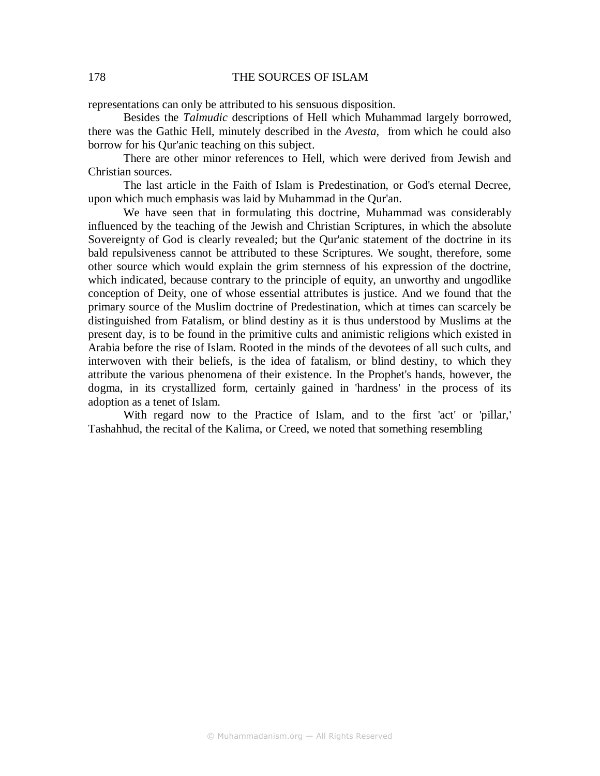representations can only be attributed to his sensuous disposition.

Besides the *Talmudic* descriptions of Hell which Muhammad largely borrowed, there was the Gathic Hell, minutely described in the *Avesta,* from which he could also borrow for his Qur'anic teaching on this subject.

There are other minor references to Hell, which were derived from Jewish and Christian sources.

The last article in the Faith of Islam is Predestination, or God's eternal Decree, upon which much emphasis was laid by Muhammad in the Qur'an.

We have seen that in formulating this doctrine, Muhammad was considerably influenced by the teaching of the Jewish and Christian Scriptures, in which the absolute Sovereignty of God is clearly revealed; but the Qur'anic statement of the doctrine in its bald repulsiveness cannot be attributed to these Scriptures. We sought, therefore, some other source which would explain the grim sternness of his expression of the doctrine, which indicated, because contrary to the principle of equity, an unworthy and ungodlike conception of Deity, one of whose essential attributes is justice. And we found that the primary source of the Muslim doctrine of Predestination, which at times can scarcely be distinguished from Fatalism, or blind destiny as it is thus understood by Muslims at the present day, is to be found in the primitive cults and animistic religions which existed in Arabia before the rise of Islam. Rooted in the minds of the devotees of all such cults, and interwoven with their beliefs, is the idea of fatalism, or blind destiny, to which they attribute the various phenomena of their existence. In the Prophet's hands, however, the dogma, in its crystallized form, certainly gained in 'hardness' in the process of its adoption as a tenet of Islam.

With regard now to the Practice of Islam, and to the first 'act' or 'pillar,' Tashahhud, the recital of the Kalima, or Creed, we noted that something resembling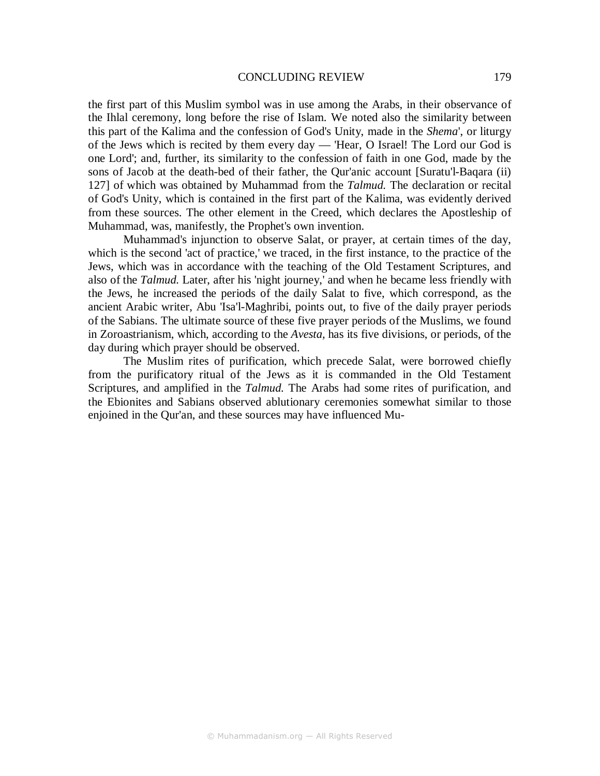the first part of this Muslim symbol was in use among the Arabs, in their observance of the Ihlal ceremony, long before the rise of Islam. We noted also the similarity between this part of the Kalima and the confession of God's Unity, made in the *Shema*', or liturgy of the Jews which is recited by them every day — 'Hear, O Israel! The Lord our God is one Lord'; and, further, its similarity to the confession of faith in one God, made by the sons of Jacob at the death-bed of their father, the Qur'anic account [Suratu'l-Baqara (ii) 127] of which was obtained by Muhammad from the *Talmud.* The declaration or recital of God's Unity, which is contained in the first part of the Kalima, was evidently derived from these sources. The other element in the Creed, which declares the Apostleship of Muhammad, was, manifestly, the Prophet's own invention.

Muhammad's injunction to observe Salat, or prayer, at certain times of the day, which is the second 'act of practice,' we traced, in the first instance, to the practice of the Jews, which was in accordance with the teaching of the Old Testament Scriptures, and also of the *Talmud.* Later, after his 'night journey,' and when he became less friendly with the Jews, he increased the periods of the daily Salat to five, which correspond, as the ancient Arabic writer, Abu 'Isa'l-Maghribi, points out, to five of the daily prayer periods of the Sabians. The ultimate source of these five prayer periods of the Muslims, we found in Zoroastrianism, which, according to the *Avesta,* has its five divisions, or periods, of the day during which prayer should be observed.

The Muslim rites of purification, which precede Salat, were borrowed chiefly from the purificatory ritual of the Jews as it is commanded in the Old Testament Scriptures, and amplified in the *Talmud.* The Arabs had some rites of purification, and the Ebionites and Sabians observed ablutionary ceremonies somewhat similar to those enjoined in the Qur'an, and these sources may have influenced Mu-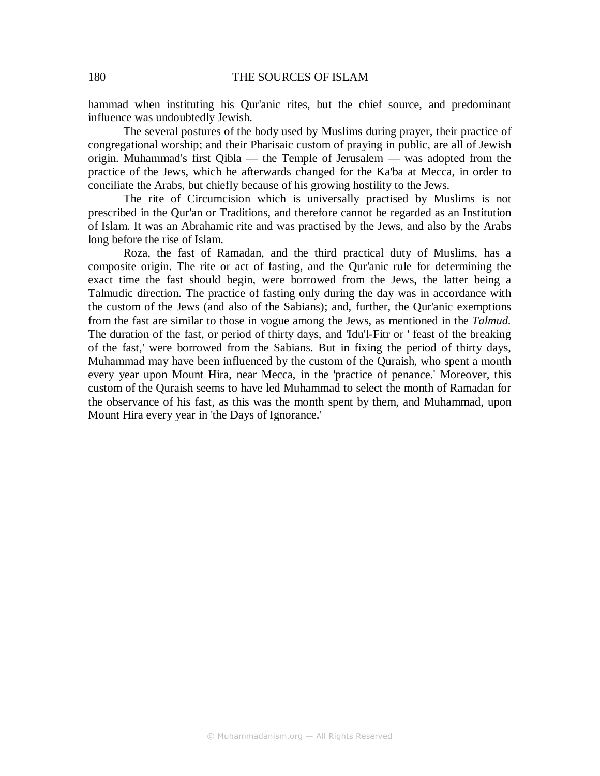hammad when instituting his Qur'anic rites, but the chief source, and predominant influence was undoubtedly Jewish.

The several postures of the body used by Muslims during prayer, their practice of congregational worship; and their Pharisaic custom of praying in public, are all of Jewish origin. Muhammad's first Qibla — the Temple of Jerusalem — was adopted from the practice of the Jews, which he afterwards changed for the Ka'ba at Mecca, in order to conciliate the Arabs, but chiefly because of his growing hostility to the Jews.

The rite of Circumcision which is universally practised by Muslims is not prescribed in the Qur'an or Traditions, and therefore cannot be regarded as an Institution of Islam. It was an Abrahamic rite and was practised by the Jews, and also by the Arabs long before the rise of Islam.

Roza, the fast of Ramadan, and the third practical duty of Muslims, has a composite origin. The rite or act of fasting, and the Qur'anic rule for determining the exact time the fast should begin, were borrowed from the Jews, the latter being a Talmudic direction. The practice of fasting only during the day was in accordance with the custom of the Jews (and also of the Sabians); and, further, the Qur'anic exemptions from the fast are similar to those in vogue among the Jews, as mentioned in the *Talmud.*  The duration of the fast, or period of thirty days, and 'Idu'l-Fitr or ' feast of the breaking of the fast,' were borrowed from the Sabians. But in fixing the period of thirty days, Muhammad may have been influenced by the custom of the Quraish, who spent a month every year upon Mount Hira, near Mecca, in the 'practice of penance.' Moreover, this custom of the Quraish seems to have led Muhammad to select the month of Ramadan for the observance of his fast, as this was the month spent by them, and Muhammad, upon Mount Hira every year in 'the Days of Ignorance.'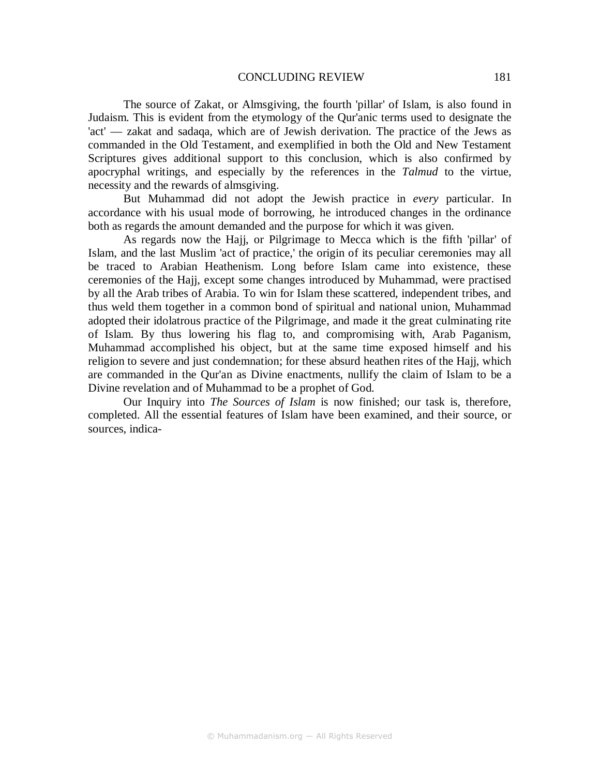The source of Zakat, or Almsgiving, the fourth 'pillar' of Islam, is also found in Judaism. This is evident from the etymology of the Qur'anic terms used to designate the 'act' — zakat and sadaqa, which are of Jewish derivation. The practice of the Jews as commanded in the Old Testament, and exemplified in both the Old and New Testament Scriptures gives additional support to this conclusion, which is also confirmed by apocryphal writings, and especially by the references in the *Talmud* to the virtue, necessity and the rewards of almsgiving.

But Muhammad did not adopt the Jewish practice in *every* particular. In accordance with his usual mode of borrowing, he introduced changes in the ordinance both as regards the amount demanded and the purpose for which it was given.

As regards now the Hajj, or Pilgrimage to Mecca which is the fifth 'pillar' of Islam, and the last Muslim 'act of practice,' the origin of its peculiar ceremonies may all be traced to Arabian Heathenism. Long before Islam came into existence, these ceremonies of the Hajj, except some changes introduced by Muhammad, were practised by all the Arab tribes of Arabia. To win for Islam these scattered, independent tribes, and thus weld them together in a common bond of spiritual and national union, Muhammad adopted their idolatrous practice of the Pilgrimage, and made it the great culminating rite of Islam. By thus lowering his flag to, and compromising with, Arab Paganism, Muhammad accomplished his object, but at the same time exposed himself and his religion to severe and just condemnation; for these absurd heathen rites of the Hajj, which are commanded in the Qur'an as Divine enactments, nullify the claim of Islam to be a Divine revelation and of Muhammad to be a prophet of God.

Our Inquiry into *The Sources of Islam* is now finished; our task is, therefore, completed. All the essential features of Islam have been examined, and their source, or sources, indica-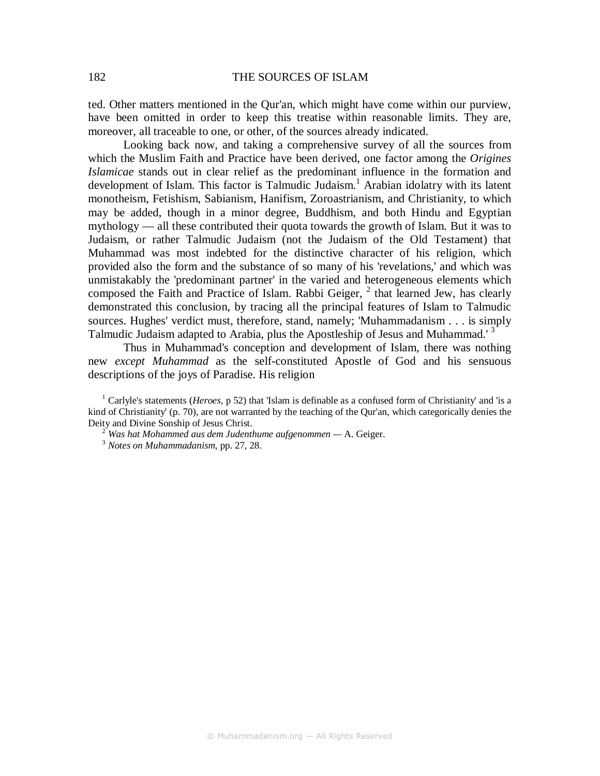ted. Other matters mentioned in the Qur'an, which might have come within our purview, have been omitted in order to keep this treatise within reasonable limits. They are, moreover, all traceable to one, or other, of the sources already indicated.

Looking back now, and taking a comprehensive survey of all the sources from which the Muslim Faith and Practice have been derived, one factor among the *Origines Islamicae* stands out in clear relief as the predominant influence in the formation and development of Islam. This factor is Talmudic Judaism.<sup>1</sup> Arabian idolatry with its latent monotheism, Fetishism, Sabianism, Hanifism, Zoroastrianism, and Christianity, to which may be added, though in a minor degree, Buddhism, and both Hindu and Egyptian mythology — all these contributed their quota towards the growth of Islam. But it was to Judaism, or rather Talmudic Judaism (not the Judaism of the Old Testament) that Muhammad was most indebted for the distinctive character of his religion, which provided also the form and the substance of so many of his 'revelations,' and which was unmistakably the 'predominant partner' in the varied and heterogeneous elements which composed the Faith and Practice of Islam. Rabbi Geiger,  $<sup>2</sup>$  that learned Jew, has clearly</sup> demonstrated this conclusion, by tracing all the principal features of Islam to Talmudic sources. Hughes' verdict must, therefore, stand, namely; 'Muhammadanism . . . is simply Talmudic Judaism adapted to Arabia, plus the Apostleship of Jesus and Muhammad.<sup>3</sup>

Thus in Muhammad's conception and development of Islam, there was nothing new *except Muhammad* as the self-constituted Apostle of God and his sensuous descriptions of the joys of Paradise. His religion

<sup>1</sup> Carlyle's statements (*Heroes*, p 52) that 'Islam is definable as a confused form of Christianity' and 'is a kind of Christianity' (p. 70), are not warranted by the teaching of the Qur'an, which categorically denies the Deity and Divine Sonship of Jesus Christ.

 $2^{2}$  Was hat Mohammed aus dem Judenthume aufgenommen  $-$  A. Geiger.

<sup>3</sup> *Notes on Muhammadanism*, pp. 27, 28.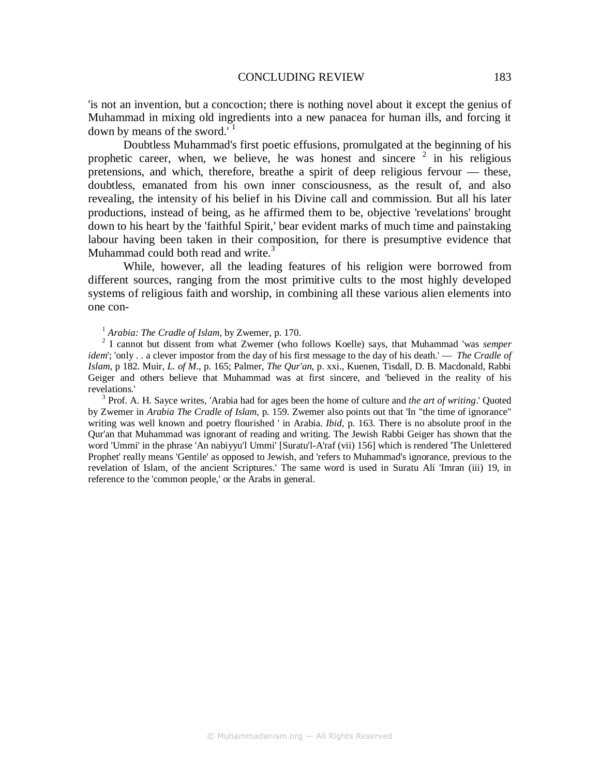'is not an invention, but a concoction; there is nothing novel about it except the genius of Muhammad in mixing old ingredients into a new panacea for human ills, and forcing it down by means of the sword.' $<sup>1</sup>$ </sup>

Doubtless Muhammad's first poetic effusions, promulgated at the beginning of his prophetic career, when, we believe, he was honest and sincere  $2$  in his religious pretensions, and which, therefore, breathe a spirit of deep religious fervour — these, doubtless, emanated from his own inner consciousness, as the result of, and also revealing, the intensity of his belief in his Divine call and commission. But all his later productions, instead of being, as he affirmed them to be, objective 'revelations' brought down to his heart by the 'faithful Spirit,' bear evident marks of much time and painstaking labour having been taken in their composition, for there is presumptive evidence that Muhammad could both read and write.<sup>3</sup>

While, however, all the leading features of his religion were borrowed from different sources, ranging from the most primitive cults to the most highly developed systems of religious faith and worship, in combining all these various alien elements into one con-

#### <sup>1</sup> *Arabia: The Cradle of Islam*, by Zwemer, p. 170.

2 I cannot but dissent from what Zwemer (who follows Koelle) says, that Muhammad 'was *semper idem*'; 'only . . a clever impostor from the day of his first message to the day of his death.' — *The Cradle of Islam*, p 182. Muir, *L. of M*., p. 165; Palmer, *The Qur'an*, p. xxi., Kuenen, Tisdall, D. B. Macdonald, Rabbi Geiger and others believe that Muhammad was at first sincere, and 'believed in the reality of his revelations.'

3 Prof. A. H. Sayce writes, 'Arabia had for ages been the home of culture and *the art of writing*.' Quoted by Zwemer in *Arabia The Cradle of Islam*, p. 159. Zwemer also points out that 'In "the time of ignorance" writing was well known and poetry flourished ' in Arabia. *Ibid*, p. 163. There is no absolute proof in the Qur'an that Muhammad was ignorant of reading and writing. The Jewish Rabbi Geiger has shown that the word 'Ummi' in the phrase 'An nabiyyu'l Ummi' [Suratu'l-A'raf (vii) 156] which is rendered 'The Unlettered Prophet' really means 'Gentile' as opposed to Jewish, and 'refers to Muhammad's ignorance, previous to the revelation of Islam, of the ancient Scriptures.' The same word is used in Suratu Ali 'Imran (iii) 19, in reference to the 'common people,' or the Arabs in general.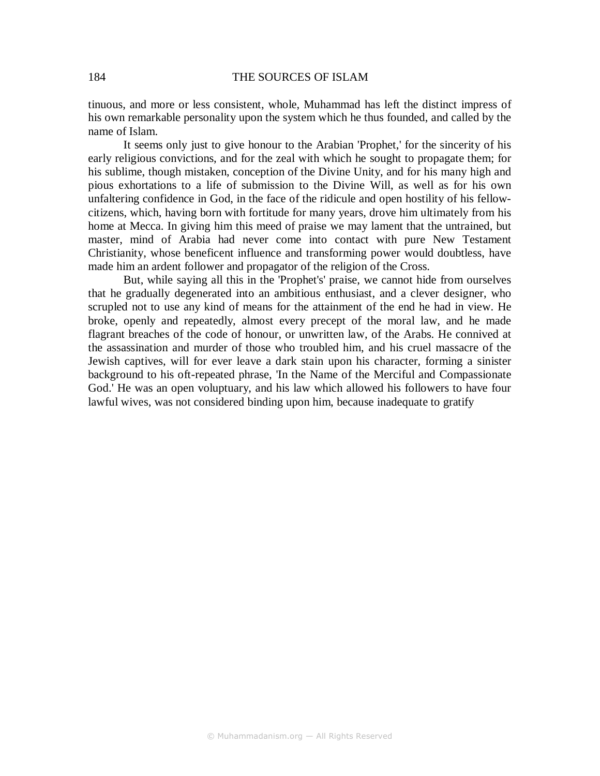tinuous, and more or less consistent, whole, Muhammad has left the distinct impress of his own remarkable personality upon the system which he thus founded, and called by the name of Islam.

It seems only just to give honour to the Arabian 'Prophet,' for the sincerity of his early religious convictions, and for the zeal with which he sought to propagate them; for his sublime, though mistaken, conception of the Divine Unity, and for his many high and pious exhortations to a life of submission to the Divine Will, as well as for his own unfaltering confidence in God, in the face of the ridicule and open hostility of his fellowcitizens, which, having born with fortitude for many years, drove him ultimately from his home at Mecca. In giving him this meed of praise we may lament that the untrained, but master, mind of Arabia had never come into contact with pure New Testament Christianity, whose beneficent influence and transforming power would doubtless, have made him an ardent follower and propagator of the religion of the Cross.

But, while saying all this in the 'Prophet's' praise, we cannot hide from ourselves that he gradually degenerated into an ambitious enthusiast, and a clever designer, who scrupled not to use any kind of means for the attainment of the end he had in view. He broke, openly and repeatedly, almost every precept of the moral law, and he made flagrant breaches of the code of honour, or unwritten law, of the Arabs. He connived at the assassination and murder of those who troubled him, and his cruel massacre of the Jewish captives, will for ever leave a dark stain upon his character, forming a sinister background to his oft-repeated phrase, 'In the Name of the Merciful and Compassionate God.' He was an open voluptuary, and his law which allowed his followers to have four lawful wives, was not considered binding upon him, because inadequate to gratify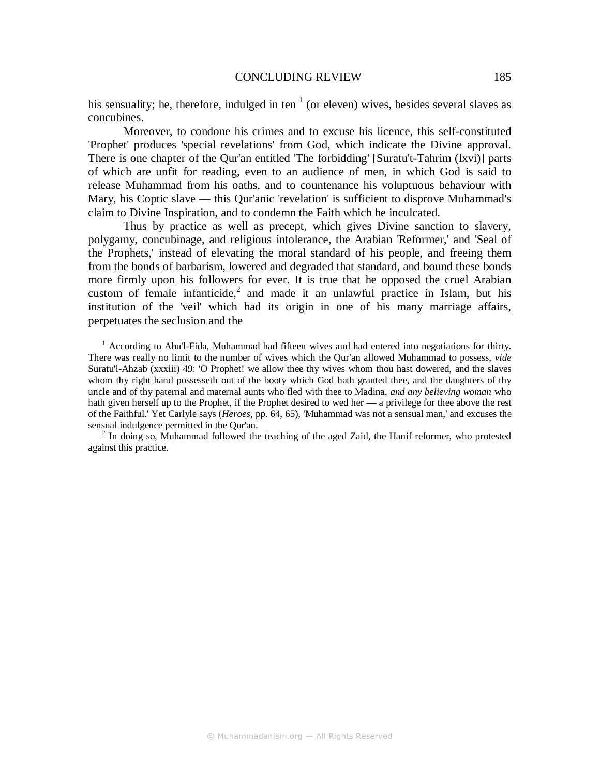his sensuality; he, therefore, indulged in ten  $<sup>1</sup>$  (or eleven) wives, besides several slaves as</sup> concubines.

Moreover, to condone his crimes and to excuse his licence, this self-constituted 'Prophet' produces 'special revelations' from God, which indicate the Divine approval. There is one chapter of the Qur'an entitled 'The forbidding' [Suratu't-Tahrim (lxvi)] parts of which are unfit for reading, even to an audience of men, in which God is said to release Muhammad from his oaths, and to countenance his voluptuous behaviour with Mary, his Coptic slave — this Qur'anic 'revelation' is sufficient to disprove Muhammad's claim to Divine Inspiration, and to condemn the Faith which he inculcated.

Thus by practice as well as precept, which gives Divine sanction to slavery, polygamy, concubinage, and religious intolerance, the Arabian 'Reformer,' and 'Seal of the Prophets,' instead of elevating the moral standard of his people, and freeing them from the bonds of barbarism, lowered and degraded that standard, and bound these bonds more firmly upon his followers for ever. It is true that he opposed the cruel Arabian custom of female infanticide,<sup>2</sup> and made it an unlawful practice in Islam, but his institution of the 'veil' which had its origin in one of his many marriage affairs, perpetuates the seclusion and the

<sup>1</sup> According to Abu'l-Fida, Muhammad had fifteen wives and had entered into negotiations for thirty. There was really no limit to the number of wives which the Qur'an allowed Muhammad to possess, *vide*  Suratu'l-Ahzab (xxxiii) 49: 'O Prophet! we allow thee thy wives whom thou hast dowered, and the slaves whom thy right hand possesseth out of the booty which God hath granted thee, and the daughters of thy uncle and of thy paternal and maternal aunts who fled with thee to Madina, *and any believing woman* who hath given herself up to the Prophet, if the Prophet desired to wed her — a privilege for thee above the rest of the Faithful.' Yet Carlyle says (*Heroes*, pp. 64, 65), 'Muhammad was not a sensual man,' and excuses the sensual indulgence permitted in the Qur'an.

 $2$  In doing so, Muhammad followed the teaching of the aged Zaid, the Hanif reformer, who protested against this practice.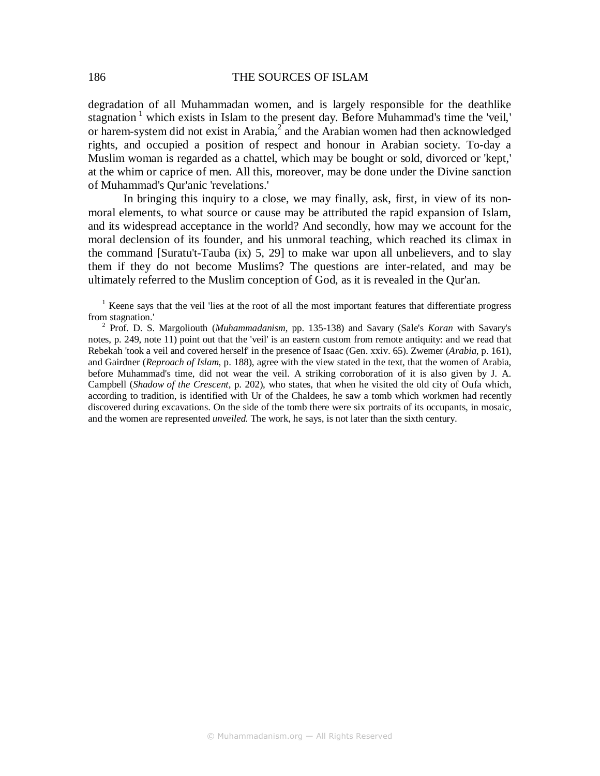degradation of all Muhammadan women, and is largely responsible for the deathlike stagnation<sup>1</sup> which exists in Islam to the present day. Before Muhammad's time the 'veil,' or harem-system did not exist in Arabia, $2^{2}$  and the Arabian women had then acknowledged rights, and occupied a position of respect and honour in Arabian society. To-day a Muslim woman is regarded as a chattel, which may be bought or sold, divorced or 'kept,' at the whim or caprice of men. All this, moreover, may be done under the Divine sanction of Muhammad's Qur'anic 'revelations.'

In bringing this inquiry to a close, we may finally, ask, first, in view of its nonmoral elements, to what source or cause may be attributed the rapid expansion of Islam, and its widespread acceptance in the world? And secondly, how may we account for the moral declension of its founder, and his unmoral teaching, which reached its climax in the command [Suratu't-Tauba (ix) 5, 29] to make war upon all unbelievers, and to slay them if they do not become Muslims? The questions are inter-related, and may be ultimately referred to the Muslim conception of God, as it is revealed in the Qur'an.

<sup>1</sup> Keene says that the veil 'lies at the root of all the most important features that differentiate progress from stagnation.'

2 Prof. D. S. Margoliouth (*Muhammadanism*, pp. 135-138) and Savary (Sale's *Koran* with Savary's notes, p. 249, note 11) point out that the 'veil' is an eastern custom from remote antiquity: and we read that Rebekah 'took a veil and covered herself' in the presence of Isaac (Gen. xxiv. 65). Zwemer (*Arabia*, p. 161), and Gairdner (*Reproach of Islam*, p. 188), agree with the view stated in the text, that the women of Arabia, before Muhammad's time, did not wear the veil. A striking corroboration of it is also given by J. A. Campbell (*Shadow of the Crescent*, p. 202), who states, that when he visited the old city of Oufa which, according to tradition, is identified with Ur of the Chaldees, he saw a tomb which workmen had recently discovered during excavations. On the side of the tomb there were six portraits of its occupants, in mosaic, and the women are represented *unveiled.* The work, he says, is not later than the sixth century.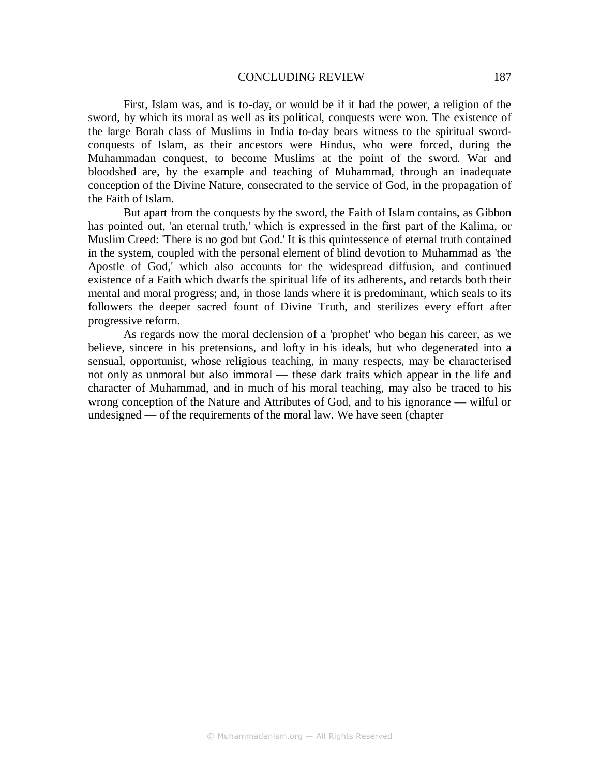First, Islam was, and is to-day, or would be if it had the power, a religion of the sword, by which its moral as well as its political, conquests were won. The existence of the large Borah class of Muslims in India to-day bears witness to the spiritual swordconquests of Islam, as their ancestors were Hindus, who were forced, during the Muhammadan conquest, to become Muslims at the point of the sword. War and bloodshed are, by the example and teaching of Muhammad, through an inadequate conception of the Divine Nature, consecrated to the service of God, in the propagation of the Faith of Islam.

But apart from the conquests by the sword, the Faith of Islam contains, as Gibbon has pointed out, 'an eternal truth,' which is expressed in the first part of the Kalima, or Muslim Creed: 'There is no god but God.' It is this quintessence of eternal truth contained in the system, coupled with the personal element of blind devotion to Muhammad as 'the Apostle of God,' which also accounts for the widespread diffusion, and continued existence of a Faith which dwarfs the spiritual life of its adherents, and retards both their mental and moral progress; and, in those lands where it is predominant, which seals to its followers the deeper sacred fount of Divine Truth, and sterilizes every effort after progressive reform.

As regards now the moral declension of a 'prophet' who began his career, as we believe, sincere in his pretensions, and lofty in his ideals, but who degenerated into a sensual, opportunist, whose religious teaching, in many respects, may be characterised not only as unmoral but also immoral — these dark traits which appear in the life and character of Muhammad, and in much of his moral teaching, may also be traced to his wrong conception of the Nature and Attributes of God, and to his ignorance — wilful or undesigned — of the requirements of the moral law. We have seen (chapter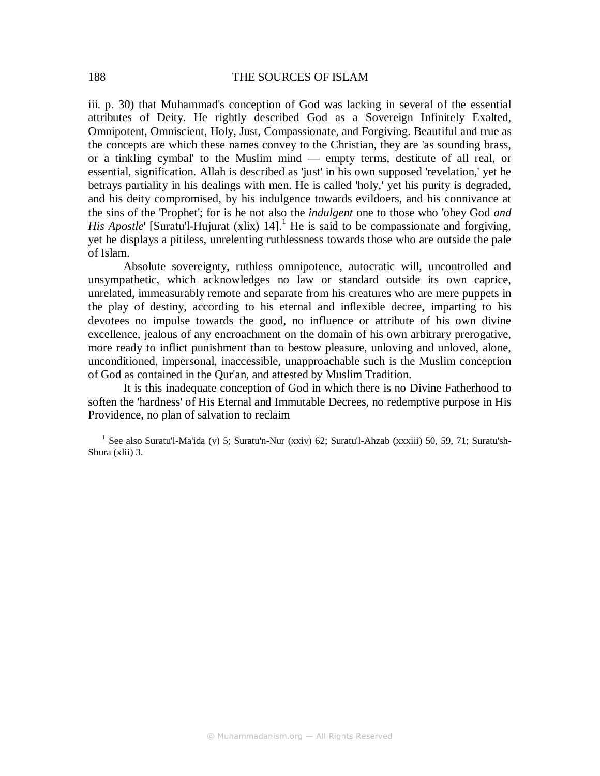iii. p. 30) that Muhammad's conception of God was lacking in several of the essential attributes of Deity. He rightly described God as a Sovereign Infinitely Exalted, Omnipotent, Omniscient, Holy, Just, Compassionate, and Forgiving. Beautiful and true as the concepts are which these names convey to the Christian, they are 'as sounding brass, or a tinkling cymbal' to the Muslim mind — empty terms, destitute of all real, or essential, signification. Allah is described as 'just' in his own supposed 'revelation,' yet he betrays partiality in his dealings with men. He is called 'holy,' yet his purity is degraded, and his deity compromised, by his indulgence towards evildoers, and his connivance at the sins of the 'Prophet'; for is he not also the *indulgent* one to those who 'obey God *and His Apostle'* [Suratu'l-Hujurat (xlix) 14].<sup>1</sup> He is said to be compassionate and forgiving, yet he displays a pitiless, unrelenting ruthlessness towards those who are outside the pale of Islam.

Absolute sovereignty, ruthless omnipotence, autocratic will, uncontrolled and unsympathetic, which acknowledges no law or standard outside its own caprice, unrelated, immeasurably remote and separate from his creatures who are mere puppets in the play of destiny, according to his eternal and inflexible decree, imparting to his devotees no impulse towards the good, no influence or attribute of his own divine excellence, jealous of any encroachment on the domain of his own arbitrary prerogative, more ready to inflict punishment than to bestow pleasure, unloving and unloved, alone, unconditioned, impersonal, inaccessible, unapproachable such is the Muslim conception of God as contained in the Qur'an, and attested by Muslim Tradition.

It is this inadequate conception of God in which there is no Divine Fatherhood to soften the 'hardness' of His Eternal and Immutable Decrees, no redemptive purpose in His Providence, no plan of salvation to reclaim

<sup>1</sup> See also Suratu'l-Ma'ida (v) 5; Suratu'n-Nur (xxiv) 62; Suratu'l-Ahzab (xxxiii) 50, 59, 71; Suratu'sh-Shura (xlii) 3.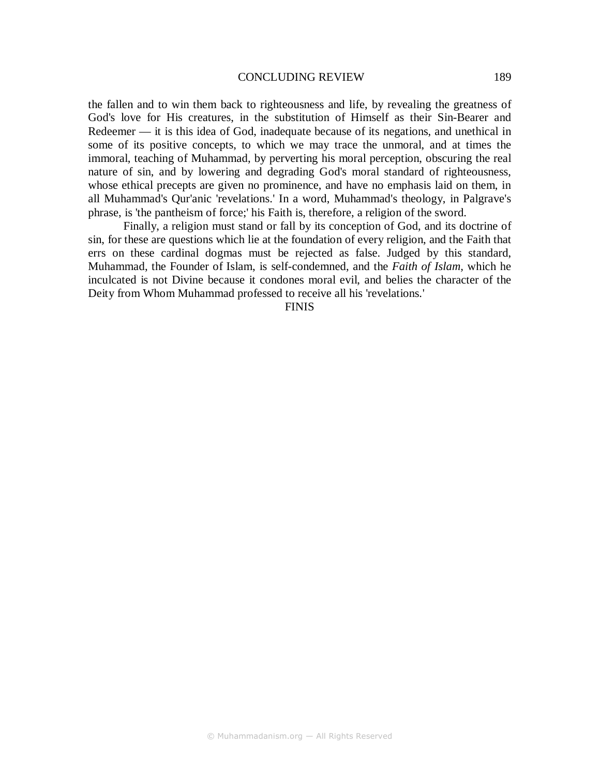the fallen and to win them back to righteousness and life, by revealing the greatness of God's love for His creatures, in the substitution of Himself as their Sin-Bearer and Redeemer — it is this idea of God, inadequate because of its negations, and unethical in some of its positive concepts, to which we may trace the unmoral, and at times the immoral, teaching of Muhammad, by perverting his moral perception, obscuring the real nature of sin, and by lowering and degrading God's moral standard of righteousness, whose ethical precepts are given no prominence, and have no emphasis laid on them, in all Muhammad's Qur'anic 'revelations.' In a word, Muhammad's theology, in Palgrave's phrase, is 'the pantheism of force;' his Faith is, therefore, a religion of the sword.

Finally, a religion must stand or fall by its conception of God, and its doctrine of sin, for these are questions which lie at the foundation of every religion, and the Faith that errs on these cardinal dogmas must be rejected as false. Judged by this standard, Muhammad, the Founder of Islam, is self-condemned, and the *Faith of Islam,* which he inculcated is not Divine because it condones moral evil, and belies the character of the Deity from Whom Muhammad professed to receive all his 'revelations.'

FINIS